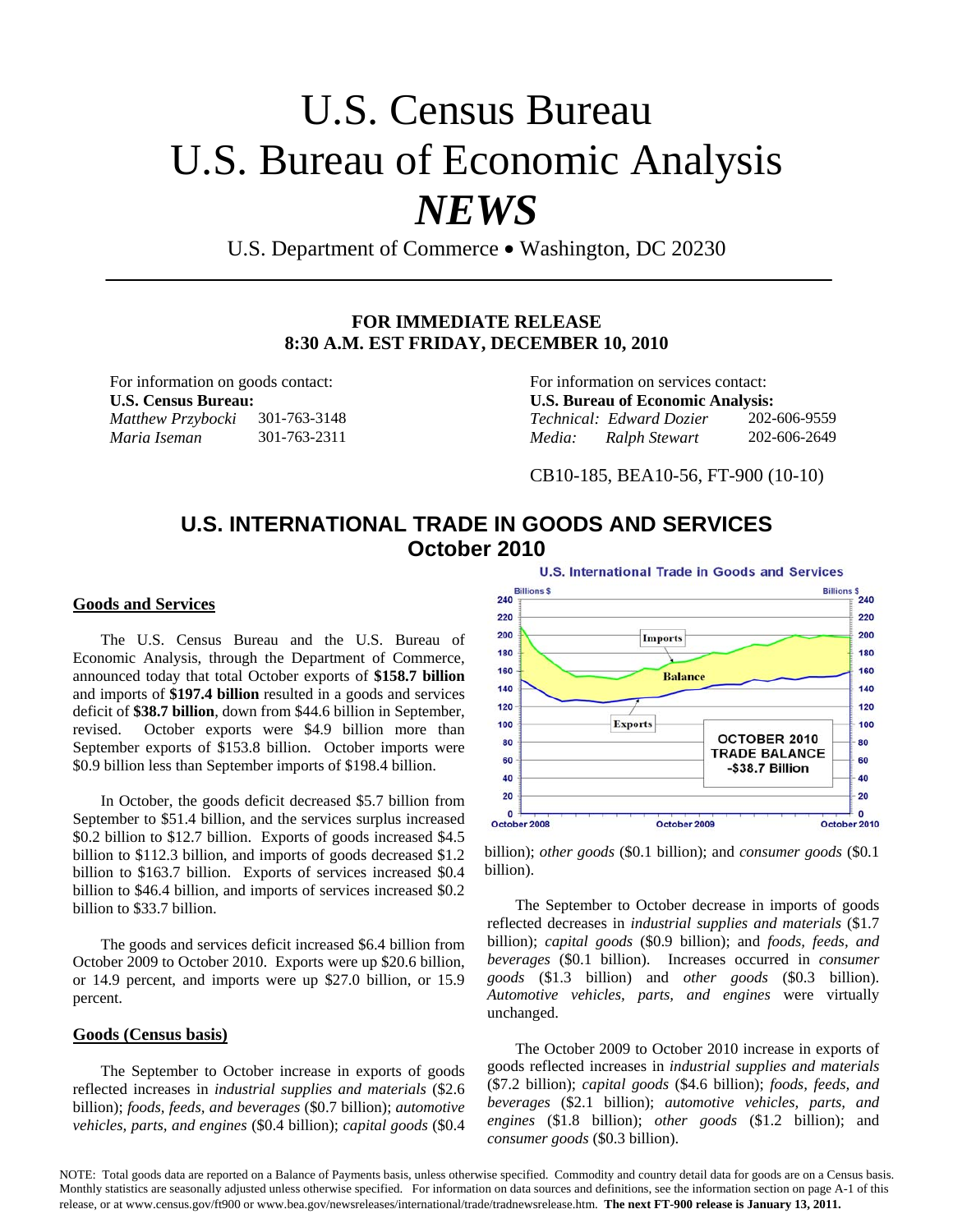## U.S. Census Bureau U.S. Bureau of Economic Analysis *NEWS*

U.S. Department of Commerce • Washington, DC 20230

#### **FOR IMMEDIATE RELEASE 8:30 A.M. EST FRIDAY, DECEMBER 10, 2010**

For information on goods contact: For information on services contact: **U.S. Census Bureau: U.S. Bureau of Economic Analysis:**  *Matthew Przybocki* 301-763-3148 *Technical: Edward Dozier* 202-606-9559 *Maria Iseman* 301-763-2311 *Media: Ralph Stewart* 202-606-2649

CB10-185, BEA10-56, FT-900 (10-10)

### **U.S. INTERNATIONAL TRADE IN GOODS AND SERVICES October 2010**

#### **Goods and Services**

The U.S. Census Bureau and the U.S. Bureau of Economic Analysis, through the Department of Commerce, announced today that total October exports of **\$158.7 billion** and imports of **\$197.4 billion** resulted in a goods and services deficit of **\$38.7 billion**, down from \$44.6 billion in September, revised. October exports were \$4.9 billion more than September exports of \$153.8 billion. October imports were \$0.9 billion less than September imports of \$198.4 billion.

In October, the goods deficit decreased \$5.7 billion from September to \$51.4 billion, and the services surplus increased \$0.2 billion to \$12.7 billion. Exports of goods increased \$4.5 billion to \$112.3 billion, and imports of goods decreased \$1.2 billion to \$163.7 billion. Exports of services increased \$0.4 billion to \$46.4 billion, and imports of services increased \$0.2 billion to \$33.7 billion.

The goods and services deficit increased \$6.4 billion from October 2009 to October 2010. Exports were up \$20.6 billion, or 14.9 percent, and imports were up \$27.0 billion, or 15.9 percent.

#### **Goods (Census basis)**

The September to October increase in exports of goods reflected increases in *industrial supplies and materials* (\$2.6 billion); *foods, feeds, and beverages* (\$0.7 billion); *automotive vehicles, parts, and engines* (\$0.4 billion); *capital goods* (\$0.4

**U.S. International Trade in Goods and Services** Billio



billion); *other goods* (\$0.1 billion); and *consumer goods* (\$0.1 billion).

The September to October decrease in imports of goods reflected decreases in *industrial supplies and materials* (\$1.7 billion); *capital goods* (\$0.9 billion); and *foods, feeds, and beverages* (\$0.1 billion). Increases occurred in *consumer goods* (\$1.3 billion) and *other goods* (\$0.3 billion). *Automotive vehicles, parts, and engines* were virtually unchanged.

The October 2009 to October 2010 increase in exports of goods reflected increases in *industrial supplies and materials* (\$7.2 billion); *capital goods* (\$4.6 billion); *foods, feeds, and beverages* (\$2.1 billion); *automotive vehicles, parts, and engines* (\$1.8 billion); *other goods* (\$1.2 billion); and *consumer goods* (\$0.3 billion).

NOTE: Total goods data are reported on a Balance of Payments basis, unless otherwise specified. Commodity and country detail data for goods are on a Census basis. Monthly statistics are seasonally adjusted unless otherwise specified. For information on data sources and definitions, see the information section on page A-1 of this release, or at www.census.gov/ft900 or www.bea.gov/newsreleases/international/trade/tradnewsrelease.htm. **The next FT-900 release is January 13, 2011.**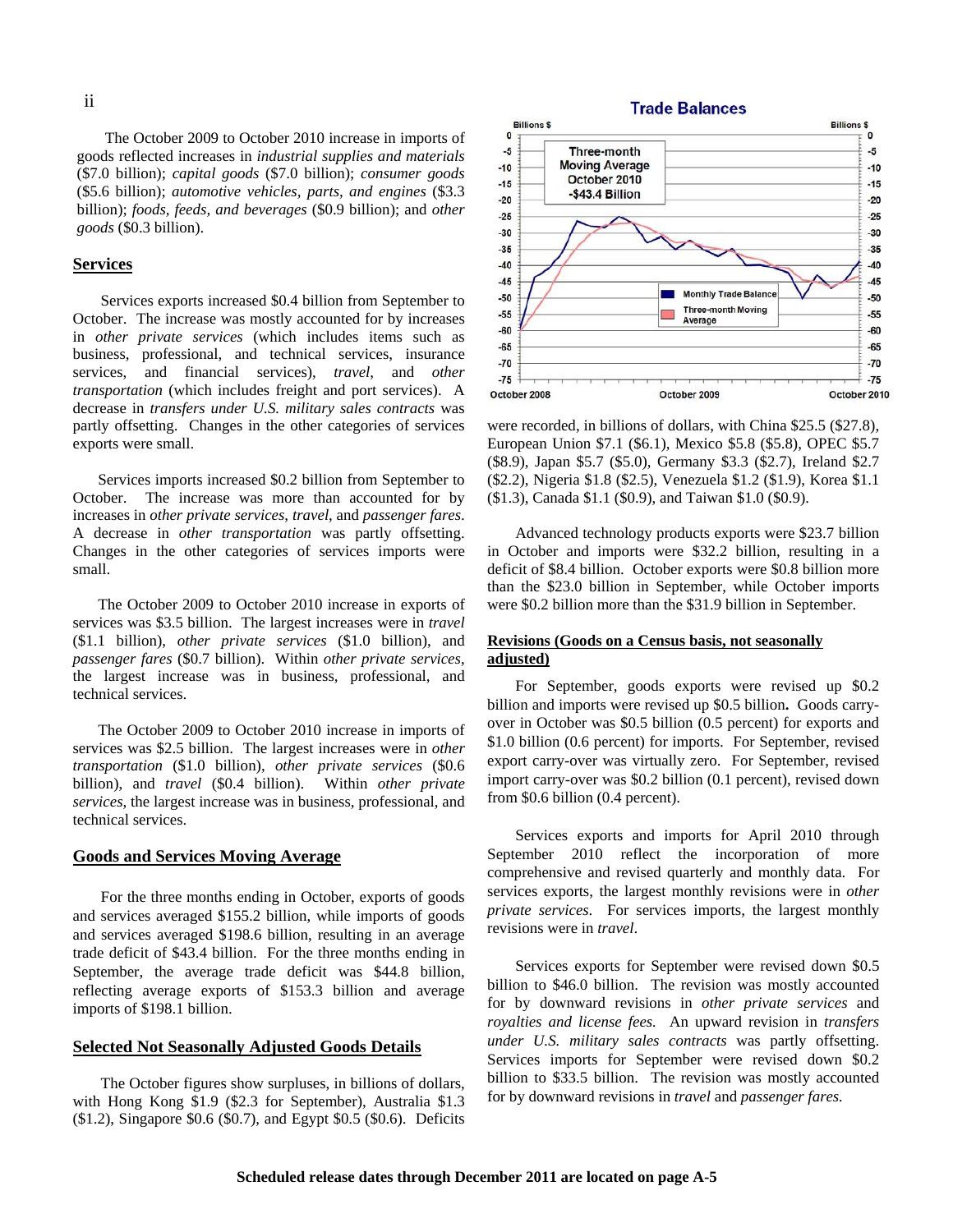The October 2009 to October 2010 increase in imports of goods reflected increases in *industrial supplies and materials* (\$7.0 billion); *capital goods* (\$7.0 billion); *consumer goods*  (\$5.6 billion); *automotive vehicles, parts, and engines* (\$3.3 billion); *foods, feeds, and beverages* (\$0.9 billion); and *other goods* (\$0.3 billion).

#### **Services**

Services exports increased \$0.4 billion from September to October. The increase was mostly accounted for by increases in *other private services* (which includes items such as business, professional, and technical services, insurance services, and financial services), *travel*, and *other transportation* (which includes freight and port services). A decrease in *transfers under U.S. military sales contracts* was partly offsetting. Changes in the other categories of services exports were small.

 Services imports increased \$0.2 billion from September to October. The increase was more than accounted for by increases in *other private services*, *travel*, and *passenger fares*. A decrease in *other transportation* was partly offsetting. Changes in the other categories of services imports were small.

 The October 2009 to October 2010 increase in exports of services was \$3.5 billion. The largest increases were in *travel*  (\$1.1 billion), *other private services* (\$1.0 billion), and *passenger fares* (\$0.7 billion). Within *other private services*, the largest increase was in business, professional, and technical services.

 The October 2009 to October 2010 increase in imports of services was \$2.5 billion. The largest increases were in *other transportation* (\$1.0 billion), *other private services* (\$0.6 billion), and *travel* (\$0.4 billion). Within *other private services*, the largest increase was in business, professional, and technical services.

#### **Goods and Services Moving Average**

For the three months ending in October, exports of goods and services averaged \$155.2 billion, while imports of goods and services averaged \$198.6 billion, resulting in an average trade deficit of \$43.4 billion. For the three months ending in September, the average trade deficit was \$44.8 billion, reflecting average exports of \$153.3 billion and average imports of \$198.1 billion.

#### **Selected Not Seasonally Adjusted Goods Details**

The October figures show surpluses, in billions of dollars, with Hong Kong \$1.9 (\$2.3 for September), Australia \$1.3 (\$1.2), Singapore \$0.6 (\$0.7), and Egypt \$0.5 (\$0.6). Deficits



were recorded, in billions of dollars, with China \$25.5 (\$27.8), European Union \$7.1 (\$6.1), Mexico \$5.8 (\$5.8), OPEC \$5.7 (\$8.9), Japan \$5.7 (\$5.0), Germany \$3.3 (\$2.7), Ireland \$2.7 (\$2.2), Nigeria \$1.8 (\$2.5), Venezuela \$1.2 (\$1.9), Korea \$1.1 (\$1.3), Canada \$1.1 (\$0.9), and Taiwan \$1.0 (\$0.9).

Advanced technology products exports were \$23.7 billion in October and imports were \$32.2 billion, resulting in a deficit of \$8.4 billion. October exports were \$0.8 billion more than the \$23.0 billion in September, while October imports were \$0.2 billion more than the \$31.9 billion in September.

#### **Revisions (Goods on a Census basis, not seasonally adjusted)**

For September, goods exports were revised up \$0.2 billion and imports were revised up \$0.5 billion**.** Goods carryover in October was \$0.5 billion (0.5 percent) for exports and \$1.0 billion (0.6 percent) for imports. For September, revised export carry-over was virtually zero. For September, revised import carry-over was \$0.2 billion (0.1 percent), revised down from \$0.6 billion (0.4 percent).

Services exports and imports for April 2010 through September 2010 reflect the incorporation of more comprehensive and revised quarterly and monthly data. For services exports, the largest monthly revisions were in *other private services*. For services imports, the largest monthly revisions were in *travel*.

Services exports for September were revised down \$0.5 billion to \$46.0 billion. The revision was mostly accounted for by downward revisions in *other private services* and *royalties and license fees.* An upward revision in *transfers under U.S. military sales contracts* was partly offsetting. Services imports for September were revised down \$0.2 billion to \$33.5 billion. The revision was mostly accounted for by downward revisions in *travel* and *passenger fares.*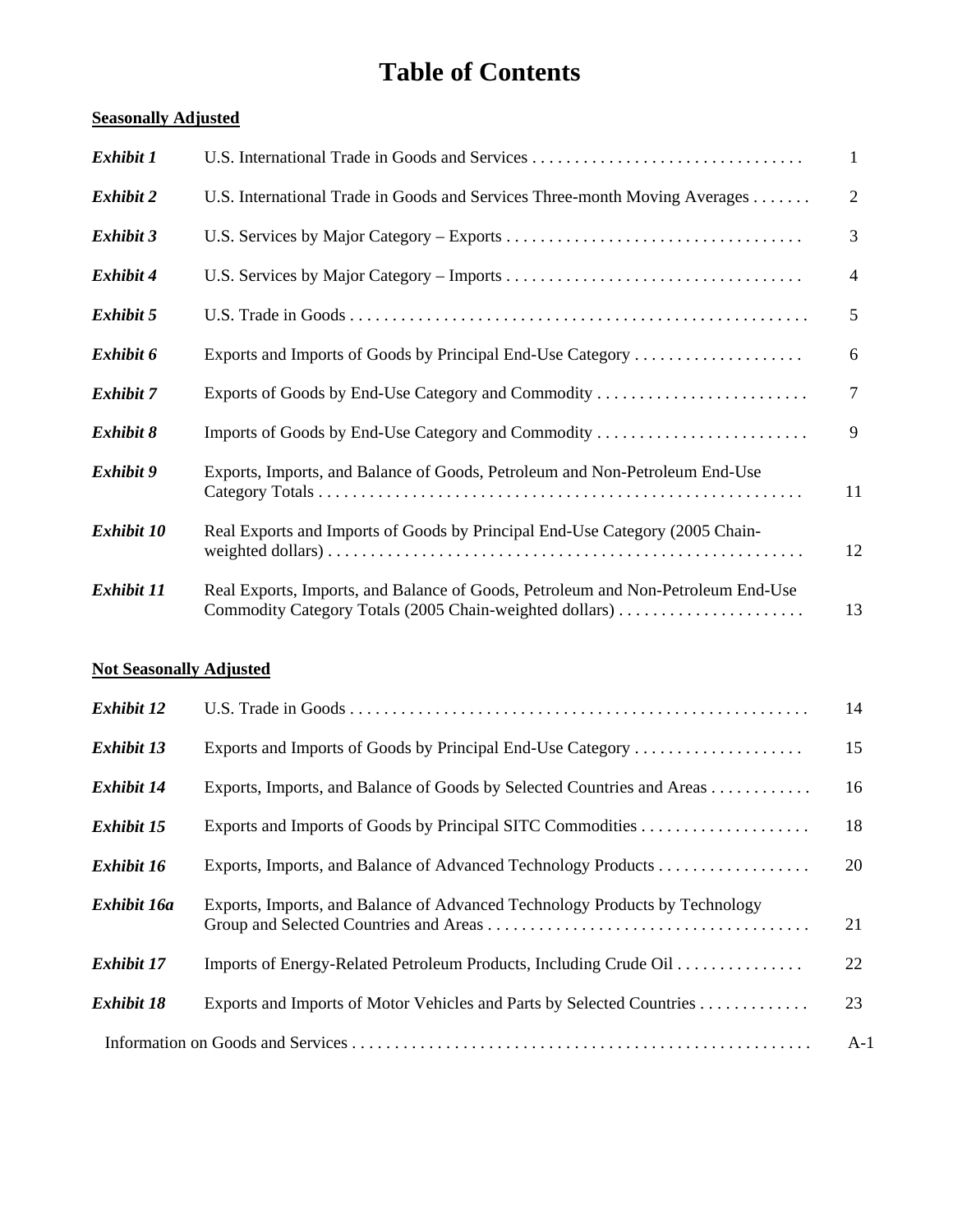## **Table of Contents**

#### **Seasonally Adjusted**

| Exhibit 1        | U.S. International Trade in Goods and Services                                                                                              | 1              |
|------------------|---------------------------------------------------------------------------------------------------------------------------------------------|----------------|
| <b>Exhibit 2</b> | U.S. International Trade in Goods and Services Three-month Moving Averages                                                                  | 2              |
| Exhibit 3        |                                                                                                                                             | 3              |
| Exhibit 4        |                                                                                                                                             | $\overline{4}$ |
| Exhibit 5        |                                                                                                                                             | 5              |
| Exhibit 6        | Exports and Imports of Goods by Principal End-Use Category                                                                                  | 6              |
| <b>Exhibit 7</b> | Exports of Goods by End-Use Category and Commodity                                                                                          | $\tau$         |
| Exhibit 8        | Imports of Goods by End-Use Category and Commodity                                                                                          | 9              |
| Exhibit 9        | Exports, Imports, and Balance of Goods, Petroleum and Non-Petroleum End-Use                                                                 | 11             |
| Exhibit 10       | Real Exports and Imports of Goods by Principal End-Use Category (2005 Chain-                                                                | 12             |
| Exhibit 11       | Real Exports, Imports, and Balance of Goods, Petroleum and Non-Petroleum End-Use<br>Commodity Category Totals (2005 Chain-weighted dollars) | 13             |

#### **Not Seasonally Adjusted**

| Exhibit 12        |                                                                             | 14    |
|-------------------|-----------------------------------------------------------------------------|-------|
| <b>Exhibit 13</b> | Exports and Imports of Goods by Principal End-Use Category                  | 15    |
| Exhibit 14        | Exports, Imports, and Balance of Goods by Selected Countries and Areas      | 16    |
| <b>Exhibit 15</b> |                                                                             | 18    |
| Exhibit 16        |                                                                             | 20    |
| Exhibit 16a       | Exports, Imports, and Balance of Advanced Technology Products by Technology | 21    |
| Exhibit 17        | Imports of Energy-Related Petroleum Products, Including Crude Oil           | 22    |
| <b>Exhibit 18</b> | Exports and Imports of Motor Vehicles and Parts by Selected Countries       | 23    |
|                   |                                                                             | $A-1$ |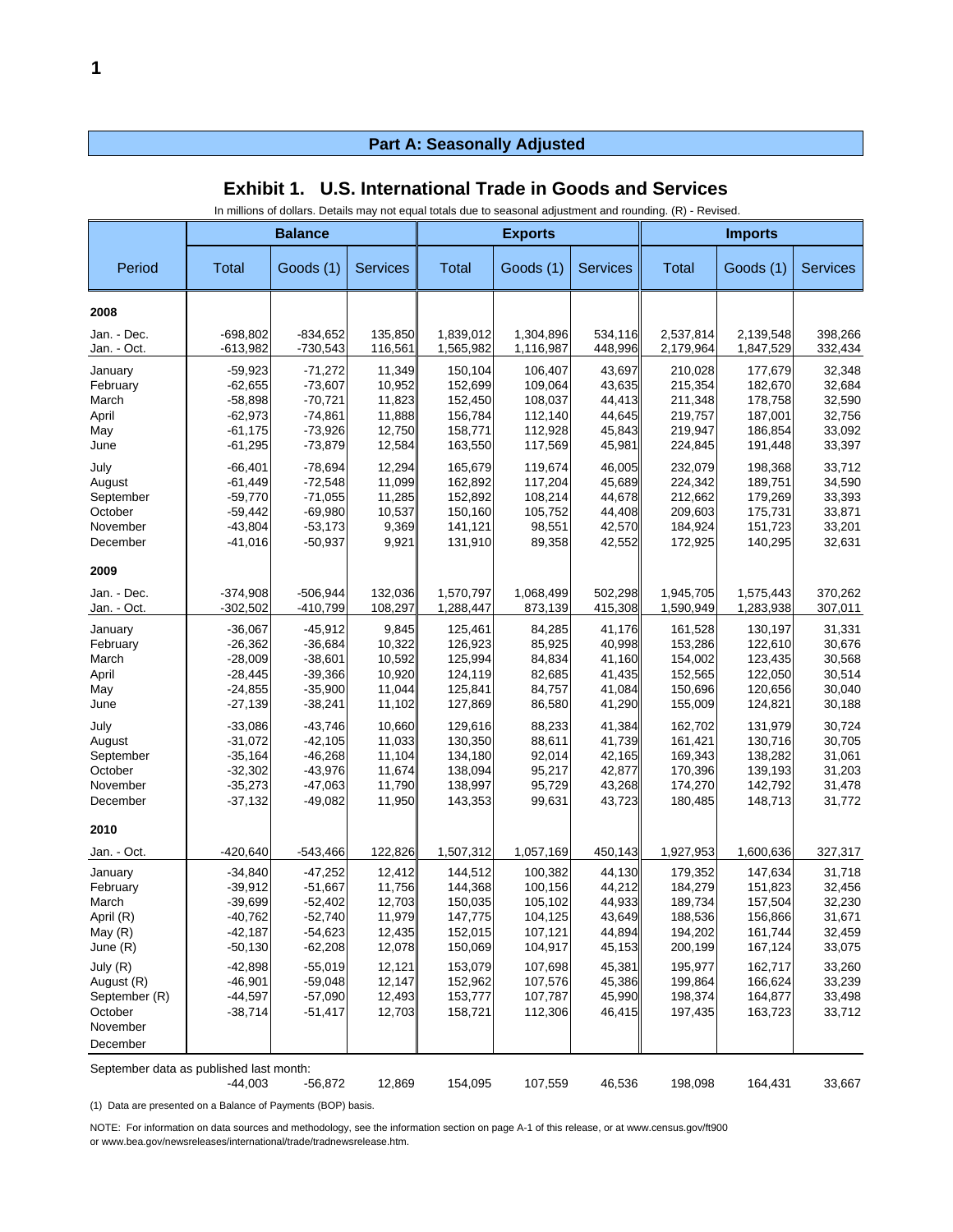|                                         |                        | <b>Balance</b>         |                  |                    |                    |                  |                    | <b>Imports</b><br><b>Exports</b> |                  |  |  |  |
|-----------------------------------------|------------------------|------------------------|------------------|--------------------|--------------------|------------------|--------------------|----------------------------------|------------------|--|--|--|
|                                         |                        |                        |                  |                    |                    |                  |                    |                                  |                  |  |  |  |
| Period                                  | Total                  | Goods (1)              | <b>Services</b>  | Total              | Goods (1)          | <b>Services</b>  | Total              | Goods (1)                        | <b>Services</b>  |  |  |  |
| 2008                                    |                        |                        |                  |                    |                    |                  |                    |                                  |                  |  |  |  |
| Jan. - Dec.                             | $-698,802$             | $-834,652$             | 135,850          | 1,839,012          | 1,304,896          | 534,116          | 2,537,814          | 2,139,548                        | 398,266          |  |  |  |
| Jan. - Oct.                             | $-613,982$             | $-730,543$             | 116,561          | 1,565,982          | 1,116,987          | 448,996          | 2,179,964          | 1,847,529                        | 332,434          |  |  |  |
| January                                 | $-59,923$              | $-71,272$              | 11,349           | 150.104            | 106,407            | 43,697           | 210,028            | 177,679                          | 32,348           |  |  |  |
| February                                | $-62,655$              | $-73,607$              | 10,952           | 152,699            | 109,064            | 43,635           | 215,354            | 182,670                          | 32,684           |  |  |  |
| March                                   | $-58,898$              | $-70,721$              | 11,823           | 152,450            | 108,037            | 44,413           | 211,348            | 178,758                          | 32,590           |  |  |  |
| April                                   | $-62,973$              | $-74,861$              | 11,888           | 156,784            | 112,140            | 44,645           | 219,757            | 187,001                          | 32,756           |  |  |  |
| May                                     | $-61,175$<br>$-61,295$ | $-73,926$<br>$-73,879$ | 12,750<br>12,584 | 158,771<br>163,550 | 112,928<br>117,569 | 45,843           | 219,947<br>224,845 | 186,854                          | 33,092           |  |  |  |
| June                                    |                        |                        |                  |                    |                    | 45,981           |                    | 191,448                          | 33,397           |  |  |  |
| July                                    | $-66,401$              | $-78,694$              | 12,294           | 165,679            | 119,674            | 46,005           | 232,079            | 198,368                          | 33,712           |  |  |  |
| August                                  | $-61,449$              | $-72,548$              | 11,099           | 162,892            | 117,204            | 45,689           | 224,342            | 189,751                          | 34,590           |  |  |  |
| September                               | $-59,770$              | $-71,055$              | 11,285           | 152,892            | 108,214            | 44,678           | 212,662            | 179,269                          | 33,393           |  |  |  |
| October<br>November                     | $-59,442$<br>$-43,804$ | $-69,980$<br>$-53,173$ | 10,537<br>9,369  | 150,160<br>141,121 | 105,752<br>98,551  | 44,408<br>42,570 | 209,603<br>184,924 | 175,731<br>151,723               | 33,871<br>33,201 |  |  |  |
| December                                | $-41,016$              | $-50,937$              | 9,921            | 131,910            | 89,358             | 42,552           | 172,925            | 140,295                          | 32,631           |  |  |  |
| 2009                                    |                        |                        |                  |                    |                    |                  |                    |                                  |                  |  |  |  |
|                                         |                        |                        |                  |                    |                    |                  |                    |                                  |                  |  |  |  |
| Jan. - Dec.                             | $-374,908$             | $-506,944$             | 132,036          | 1,570,797          | 1,068,499          | 502,298          | 1,945,705          | 1,575,443                        | 370,262          |  |  |  |
| Jan. - Oct.                             | $-302,502$             | -410,799               | 108,297          | 1,288,447          | 873,139            | 415,308          | 1,590,949          | 1,283,938                        | 307,011          |  |  |  |
| January                                 | $-36,067$              | $-45,912$              | 9,845            | 125,461            | 84,285             | 41,176           | 161,528            | 130,197                          | 31,331           |  |  |  |
| February                                | $-26,362$              | $-36,684$              | 10,322           | 126,923            | 85,925             | 40,998           | 153,286            | 122,610                          | 30,676           |  |  |  |
| March                                   | $-28,009$              | $-38,601$              | 10,592           | 125,994            | 84,834             | 41,160           | 154,002            | 123,435                          | 30,568           |  |  |  |
| April                                   | $-28,445$              | $-39,366$              | 10,920           | 124,119            | 82,685             | 41,435           | 152,565            | 122,050                          | 30,514           |  |  |  |
| May<br>June                             | $-24,855$<br>$-27,139$ | $-35,900$<br>$-38,241$ | 11,044<br>11,102 | 125,841<br>127,869 | 84,757<br>86,580   | 41,084<br>41,290 | 150,696<br>155,009 | 120,656<br>124,821               | 30,040<br>30,188 |  |  |  |
|                                         |                        |                        |                  |                    |                    |                  |                    |                                  |                  |  |  |  |
| July                                    | $-33,086$              | $-43,746$              | 10,660           | 129,616            | 88,233             | 41,384           | 162,702            | 131,979                          | 30,724           |  |  |  |
| August                                  | $-31,072$              | $-42,105$              | 11,033           | 130,350            | 88,611             | 41,739           | 161,421            | 130,716                          | 30,705           |  |  |  |
| September<br>October                    | $-35,164$<br>$-32,302$ | $-46,268$<br>$-43,976$ | 11,104<br>11,674 | 134,180<br>138,094 | 92,014<br>95,217   | 42,165<br>42,877 | 169,343<br>170,396 | 138,282<br>139,193               | 31,061<br>31,203 |  |  |  |
| November                                | $-35,273$              | $-47,063$              | 11,790           | 138,997            | 95,729             | 43,268           | 174,270            | 142,792                          | 31,478           |  |  |  |
| December                                | $-37,132$              | $-49,082$              | 11,950           | 143,353            | 99,631             | 43,723           | 180,485            | 148,713                          | 31,772           |  |  |  |
| 2010                                    |                        |                        |                  |                    |                    |                  |                    |                                  |                  |  |  |  |
|                                         |                        |                        |                  |                    |                    |                  |                    |                                  |                  |  |  |  |
| Jan. - Oct.                             | $-420,640$             | $-543,466$             | 122,826          | 1,507,312          | 1,057,169          | 450,143          | 1,927,953          | 1,600,636                        | 327,317          |  |  |  |
| January                                 | $-34,840$              | $-47,252$              | 12,412           | 144.512            | 100,382            | 44,130           | 179,352            | 147,634                          | 31,718           |  |  |  |
| February                                | $-39,912$              | $-51,667$              | 11,756           | 144,368            | 100,156            | 44,212           | 184,279            | 151,823                          | 32,456           |  |  |  |
| March                                   | $-39,699$              | $-52,402$              | 12,703           | 150,035            | 105,102            | 44,933           | 189,734            | 157,504                          | 32,230           |  |  |  |
| April (R)                               | $-40,762$              | $-52,740$              | 11,979           | 147,775            | 104,125            | 43,649           | 188,536            | 156,866                          | 31,671           |  |  |  |
| May $(R)$<br>June (R)                   | $-42,187$<br>$-50,130$ | $-54,623$<br>$-62,208$ | 12,435<br>12,078 | 152,015<br>150,069 | 107,121<br>104,917 | 44,894           | 194,202<br>200,199 | 161,744<br>167,124               | 32,459<br>33,075 |  |  |  |
|                                         |                        |                        |                  |                    |                    | 45,153           |                    |                                  |                  |  |  |  |
| July (R)                                | $-42,898$              | $-55,019$              | 12,121           | 153,079            | 107,698            | 45,381           | 195,977            | 162,717                          | 33,260           |  |  |  |
| August (R)                              | $-46,901$              | $-59,048$              | 12,147           | 152,962<br>153,777 | 107,576            | 45,386           | 199,864            | 166,624                          | 33,239           |  |  |  |
| September (R)<br>October                | $-44,597$<br>$-38,714$ | $-57,090$<br>$-51,417$ | 12,493<br>12,703 | 158,721            | 107,787<br>112,306 | 45,990<br>46,415 | 198,374<br>197,435 | 164,877<br>163,723               | 33,498<br>33,712 |  |  |  |
| November                                |                        |                        |                  |                    |                    |                  |                    |                                  |                  |  |  |  |
| December                                |                        |                        |                  |                    |                    |                  |                    |                                  |                  |  |  |  |
|                                         |                        |                        |                  |                    |                    |                  |                    |                                  |                  |  |  |  |
| September data as published last month: |                        |                        |                  |                    |                    |                  |                    |                                  |                  |  |  |  |

|  | <b>Exhibit 1. U.S. International Trade in Goods and Services</b> |  |  |  |
|--|------------------------------------------------------------------|--|--|--|
|--|------------------------------------------------------------------|--|--|--|

In millions of dollars. Details may not equal totals due to seasonal adjustment and rounding. (R) - Revised.

-44,003 -56,872 12,869 154,095 107,559 46,536 198,098 164,431 33,667

(1) Data are presented on a Balance of Payments (BOP) basis.

NOTE: For information on data sources and methodology, see the information section on page A-1 of this release, or at www.census.gov/ft900 or www.bea.gov/newsreleases/international/trade/tradnewsrelease.htm.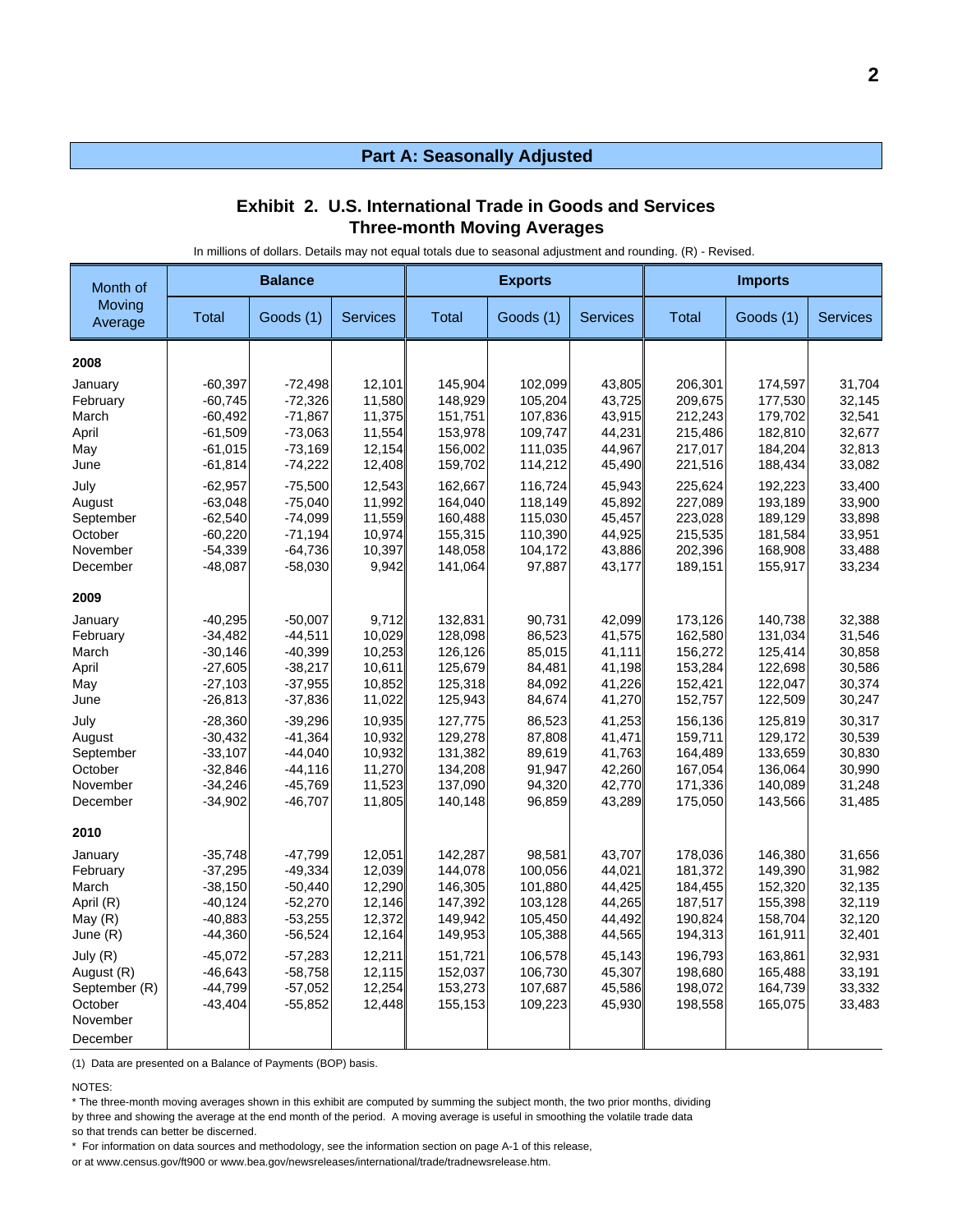#### **Exhibit 2. U.S. International Trade in Goods and Services Three-month Moving Averages**

In millions of dollars. Details may not equal totals due to seasonal adjustment and rounding. (R) - Revised.

| Month of          |           | <b>Balance</b> |                 |         | <b>Exports</b> |                 |              | <b>Imports</b> |                 |
|-------------------|-----------|----------------|-----------------|---------|----------------|-----------------|--------------|----------------|-----------------|
| Moving<br>Average | Total     | Goods (1)      | <b>Services</b> | Total   | Goods (1)      | <b>Services</b> | <b>Total</b> | Goods (1)      | <b>Services</b> |
| 2008              |           |                |                 |         |                |                 |              |                |                 |
| January           | $-60,397$ | $-72,498$      | 12,101          | 145,904 | 102,099        | 43,805          | 206,301      | 174,597        | 31,704          |
| February          | $-60,745$ | $-72,326$      | 11,580          | 148,929 | 105,204        | 43,725          | 209,675      | 177,530        | 32,145          |
| March             | $-60,492$ | $-71,867$      | 11,375          | 151,751 | 107,836        | 43,915          | 212,243      | 179,702        | 32,541          |
| April             | $-61,509$ | $-73,063$      | 11,554          | 153,978 | 109,747        | 44,231          | 215,486      | 182,810        | 32,677          |
| May               | $-61,015$ | $-73,169$      | 12,154          | 156,002 | 111,035        | 44,967          | 217,017      | 184,204        | 32,813          |
| June              | $-61,814$ | $-74,222$      | 12,408          | 159,702 | 114,212        | 45,490          | 221,516      | 188,434        | 33,082          |
| July              | $-62,957$ | $-75,500$      | 12,543          | 162,667 | 116,724        | 45,943          | 225,624      | 192,223        | 33,400          |
| August            | $-63,048$ | $-75,040$      | 11,992          | 164,040 | 118,149        | 45,892          | 227,089      | 193,189        | 33,900          |
| September         | $-62,540$ | $-74,099$      | 11,559          | 160,488 | 115,030        | 45,457          | 223,028      | 189,129        | 33,898          |
| October           | $-60,220$ | $-71,194$      | 10,974          | 155,315 | 110,390        | 44,925          | 215,535      | 181,584        | 33,951          |
| November          | $-54,339$ | $-64,736$      | 10,397          | 148,058 | 104,172        | 43,886          | 202,396      | 168,908        | 33,488          |
| December          | $-48,087$ | $-58,030$      | 9,942           | 141,064 | 97,887         | 43,177          | 189,151      | 155,917        | 33,234          |
| 2009              |           |                |                 |         |                |                 |              |                |                 |
| January           | $-40,295$ | $-50,007$      | 9,712           | 132,831 | 90,731         | 42,099          | 173,126      | 140,738        | 32,388          |
| February          | $-34,482$ | $-44,511$      | 10,029          | 128,098 | 86,523         | 41,575          | 162,580      | 131,034        | 31,546          |
| March             | $-30,146$ | $-40,399$      | 10,253          | 126,126 | 85,015         | 41,111          | 156,272      | 125,414        | 30,858          |
| April             | $-27,605$ | $-38,217$      | 10,611          | 125,679 | 84,481         | 41,198          | 153,284      | 122,698        | 30,586          |
| May               | $-27,103$ | $-37,955$      | 10,852          | 125,318 | 84,092         | 41,226          | 152,421      | 122,047        | 30,374          |
| June              | $-26,813$ | $-37,836$      | 11,022          | 125,943 | 84,674         | 41,270          | 152,757      | 122,509        | 30,247          |
| July              | $-28,360$ | $-39,296$      | 10,935          | 127,775 | 86,523         | 41,253          | 156,136      | 125,819        | 30,317          |
| August            | $-30,432$ | $-41,364$      | 10,932          | 129,278 | 87,808         | 41,471          | 159,711      | 129,172        | 30,539          |
| September         | $-33,107$ | $-44,040$      | 10,932          | 131,382 | 89,619         | 41,763          | 164,489      | 133,659        | 30,830          |
| October           | $-32,846$ | $-44,116$      | 11,270          | 134,208 | 91,947         | 42,260          | 167,054      | 136,064        | 30,990          |
| November          | $-34,246$ | $-45,769$      | 11,523          | 137,090 | 94,320         | 42,770          | 171,336      | 140,089        | 31,248          |
| December          | $-34,902$ | $-46.707$      | 11,805          | 140,148 | 96,859         | 43,289          | 175,050      | 143,566        | 31,485          |
| 2010              |           |                |                 |         |                |                 |              |                |                 |
| January           | $-35,748$ | $-47,799$      | 12,051          | 142,287 | 98,581         | 43,707          | 178,036      | 146,380        | 31,656          |
| February          | $-37,295$ | $-49,334$      | 12,039          | 144,078 | 100,056        | 44,021          | 181,372      | 149,390        | 31,982          |
| March             | $-38,150$ | $-50,440$      | 12,290          | 146,305 | 101,880        | 44,425          | 184,455      | 152,320        | 32,135          |
| April (R)         | $-40,124$ | $-52,270$      | 12,146          | 147,392 | 103,128        | 44,265          | 187,517      | 155,398        | 32,119          |
| May $(R)$         | $-40,883$ | $-53,255$      | 12,372          | 149,942 | 105,450        | 44,492          | 190,824      | 158,704        | 32,120          |
| June (R)          | $-44,360$ | $-56,524$      | 12,164          | 149,953 | 105,388        | 44,565          | 194,313      | 161,911        | 32,401          |
| July (R)          | $-45,072$ | $-57,283$      | 12,211          | 151,721 | 106,578        | 45,143          | 196,793      | 163,861        | 32,931          |
| August (R)        | $-46,643$ | $-58,758$      | 12,115          | 152,037 | 106,730        | 45,307          | 198,680      | 165,488        | 33,191          |
| September (R)     | $-44,799$ | $-57,052$      | 12,254          | 153,273 | 107,687        | 45,586          | 198,072      | 164,739        | 33,332          |
| October           | $-43,404$ | $-55,852$      | 12,448          | 155,153 | 109,223        | 45,930          | 198,558      | 165,075        | 33,483          |
| November          |           |                |                 |         |                |                 |              |                |                 |
| December          |           |                |                 |         |                |                 |              |                |                 |

(1) Data are presented on a Balance of Payments (BOP) basis.

NOTES:

\* The three-month moving averages shown in this exhibit are computed by summing the subject month, the two prior months, dividing

by three and showing the average at the end month of the period. A moving average is useful in smoothing the volatile trade data

so that trends can better be discerned.

\* For information on data sources and methodology, see the information section on page A-1 of this release,

or at www.census.gov/ft900 or www.bea.gov/newsreleases/international/trade/tradnewsrelease.htm.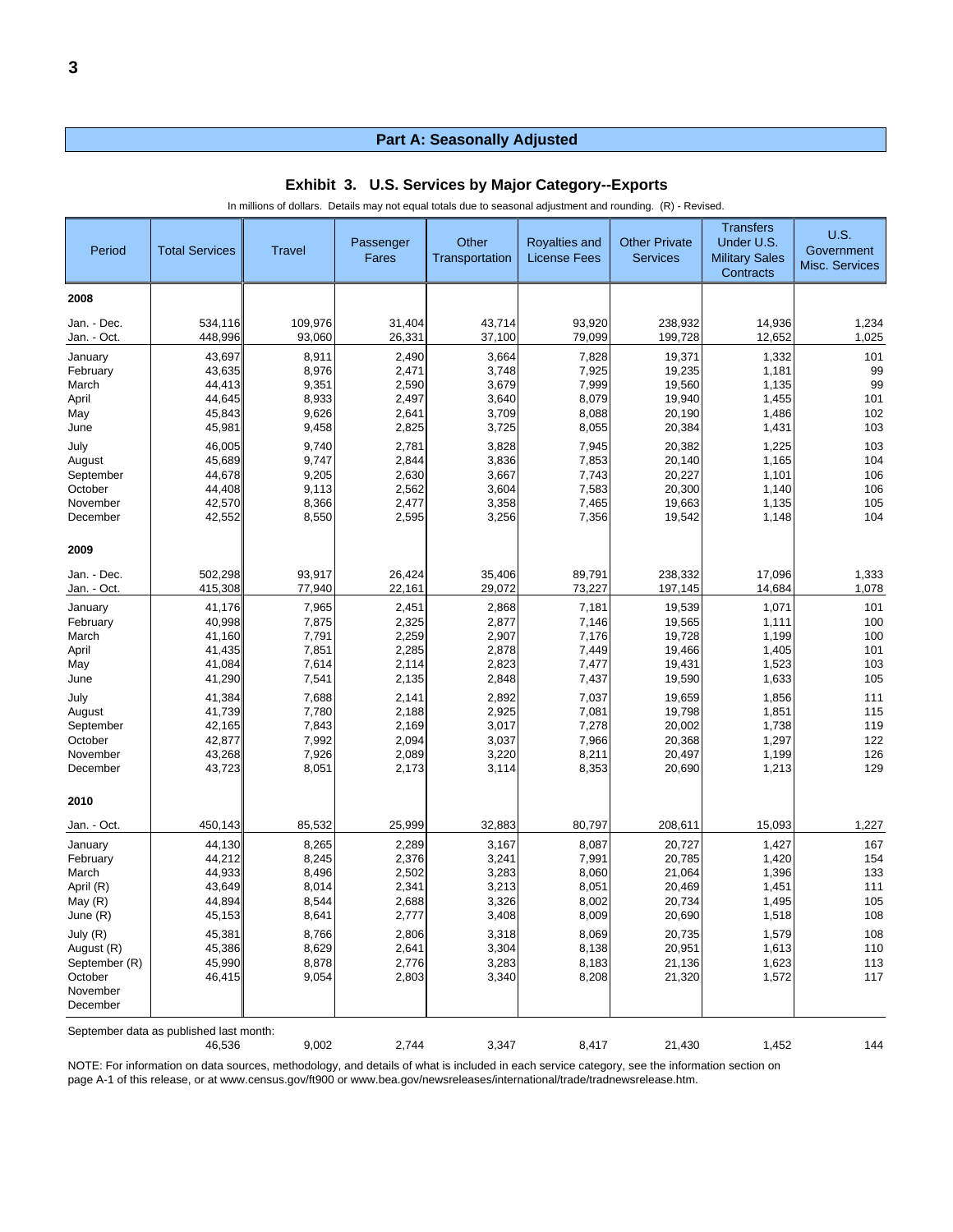| Period               | <b>Total Services</b>                   | <b>Travel</b>  | Passenger<br>Fares | Other<br>Transportation | <b>Royalties and</b><br><b>License Fees</b> | <b>Other Private</b><br><b>Services</b> | <b>Transfers</b><br>Under U.S.<br><b>Military Sales</b><br>Contracts | <b>U.S.</b><br>Government<br>Misc. Services |
|----------------------|-----------------------------------------|----------------|--------------------|-------------------------|---------------------------------------------|-----------------------------------------|----------------------------------------------------------------------|---------------------------------------------|
| 2008                 |                                         |                |                    |                         |                                             |                                         |                                                                      |                                             |
| Jan. - Dec.          | 534,116                                 | 109,976        | 31,404             | 43,714                  | 93,920                                      | 238,932                                 | 14,936                                                               | 1,234                                       |
| Jan. - Oct.          | 448,996                                 | 93,060         | 26,331             | 37,100                  | 79,099                                      | 199,728                                 | 12,652                                                               | 1,025                                       |
| January              | 43,697                                  | 8,911          | 2,490              | 3,664                   | 7,828                                       | 19,371                                  | 1,332                                                                | 101                                         |
| February<br>March    | 43,635<br>44,413                        | 8,976<br>9,351 | 2,471<br>2,590     | 3,748<br>3,679          | 7,925<br>7,999                              | 19,235<br>19,560                        | 1,181<br>1,135                                                       | 99<br>99                                    |
| April                | 44,645                                  | 8,933          | 2,497              | 3,640                   | 8,079                                       | 19,940                                  | 1,455                                                                | 101                                         |
| May                  | 45,843                                  | 9,626          | 2,641              | 3,709                   | 8,088                                       | 20,190                                  | 1,486                                                                | 102                                         |
| June                 | 45,981                                  | 9,458          | 2,825              | 3,725                   | 8,055                                       | 20,384                                  | 1,431                                                                | 103                                         |
| July                 | 46,005                                  | 9,740          | 2,781              | 3,828                   | 7,945                                       | 20,382                                  | 1,225                                                                | 103                                         |
| August               | 45,689                                  | 9,747          | 2,844              | 3,836                   | 7,853                                       | 20,140                                  | 1,165                                                                | 104                                         |
| September            | 44,678                                  | 9,205          | 2,630              | 3,667                   | 7,743                                       | 20,227                                  | 1,101                                                                | 106                                         |
| October              | 44,408                                  | 9,113          | 2,562              | 3,604                   | 7,583                                       | 20,300                                  | 1,140                                                                | 106                                         |
| November             | 42,570                                  | 8,366          | 2,477              | 3,358                   | 7,465                                       | 19,663                                  | 1,135                                                                | 105                                         |
| December             | 42,552                                  | 8,550          | 2,595              | 3,256                   | 7,356                                       | 19,542                                  | 1,148                                                                | 104                                         |
| 2009                 |                                         |                |                    |                         |                                             |                                         |                                                                      |                                             |
| Jan. - Dec.          | 502,298                                 | 93,917         | 26,424             | 35,406                  | 89,791                                      | 238,332                                 | 17,096                                                               | 1,333                                       |
| Jan. - Oct.          | 415,308                                 | 77,940         | 22,161             | 29,072                  | 73,227                                      | 197,145                                 | 14,684                                                               | 1,078                                       |
| January              | 41,176                                  | 7,965          | 2,451              | 2,868                   | 7,181                                       | 19,539                                  | 1,071                                                                | 101                                         |
| February             | 40,998                                  | 7,875          | 2,325              | 2,877                   | 7,146                                       | 19,565                                  | 1,111                                                                | 100                                         |
| March                | 41,160                                  | 7,791          | 2,259              | 2,907                   | 7,176                                       | 19,728                                  | 1,199                                                                | 100                                         |
| April                | 41,435                                  | 7,851          | 2,285              | 2,878                   | 7,449                                       | 19,466                                  | 1,405                                                                | 101                                         |
| May                  | 41,084                                  | 7,614          | 2,114              | 2,823                   | 7,477                                       | 19,431                                  | 1,523                                                                | 103                                         |
| June                 | 41,290                                  | 7,541          | 2,135              | 2,848                   | 7,437                                       | 19,590                                  | 1,633                                                                | 105                                         |
| July                 | 41,384                                  | 7,688          | 2,141              | 2,892                   | 7,037                                       | 19,659                                  | 1,856                                                                | 111                                         |
| August               | 41,739                                  | 7,780          | 2,188              | 2,925                   | 7,081                                       | 19,798                                  | 1,851                                                                | 115                                         |
| September            | 42,165                                  | 7,843          | 2,169              | 3,017                   | 7,278                                       | 20,002                                  | 1,738                                                                | 119                                         |
| October<br>November  | 42,877<br>43,268                        | 7,992<br>7,926 | 2,094<br>2,089     | 3,037<br>3,220          | 7,966<br>8,211                              | 20,368<br>20,497                        | 1,297<br>1,199                                                       | 122<br>126                                  |
| December             | 43,723                                  | 8,051          | 2,173              | 3,114                   | 8,353                                       | 20,690                                  | 1,213                                                                | 129                                         |
|                      |                                         |                |                    |                         |                                             |                                         |                                                                      |                                             |
| 2010                 |                                         |                |                    |                         |                                             |                                         |                                                                      |                                             |
| Jan. - Oct.          | 450,143                                 | 85,532         | 25,999             | 32,883                  | 80,797                                      | 208,611                                 | 15,093                                                               | 1,227                                       |
| January              | 44,130                                  | 8,265          | 2,289              | 3,167                   | 8,087                                       | 20,727                                  | 1,427                                                                | 167                                         |
| February             | 44,212                                  | 8,245          | 2,376              | 3,241                   | 7,991                                       | 20,785                                  | 1,420                                                                | 154                                         |
| March                | 44,933                                  | 8,496          | 2,502              | 3,283                   | 8,060                                       | 21,064                                  | 1,396                                                                | 133                                         |
| April (R)            | 43,649                                  | 8,014          | 2,341              | 3,213                   | 8,051                                       | 20,469                                  | 1,451                                                                | 111                                         |
| May (R)              | 44,894                                  | 8,544          | 2,688              | 3,326                   | 8,002                                       | 20,734                                  | 1,495                                                                | 105                                         |
| June (R)             | 45,153                                  | 8,641          | 2,777              | 3,408                   | 8,009                                       | 20,690                                  | 1,518                                                                | 108                                         |
| July (R)             | 45,381                                  | 8,766          | 2,806              | 3,318                   | 8,069                                       | 20,735                                  | 1,579                                                                | 108                                         |
| August (R)           | 45,386                                  | 8,629          | 2,641              | 3,304                   | 8,138                                       | 20,951                                  | 1,613                                                                | 110                                         |
| September (R)        | 45,990                                  | 8,878          | 2,776              | 3,283                   | 8,183                                       | 21,136                                  | 1,623                                                                | 113                                         |
| October              | 46,415                                  | 9,054          | 2,803              | 3,340                   | 8,208                                       | 21,320                                  | 1,572                                                                | 117                                         |
| November<br>December |                                         |                |                    |                         |                                             |                                         |                                                                      |                                             |
|                      | September data as published last month: |                |                    |                         |                                             |                                         |                                                                      |                                             |
|                      | 46,536                                  | 9,002          | 2,744              | 3,347                   | 8,417                                       | 21,430                                  | 1,452                                                                | 144                                         |

**Exhibit 3. U.S. Services by Major Category--Exports**

In millions of dollars. Details may not equal totals due to seasonal adjustment and rounding. (R) - Revised.

NOTE: For information on data sources, methodology, and details of what is included in each service category, see the information section on page A-1 of this release, or at www.census.gov/ft900 or www.bea.gov/newsreleases/international/trade/tradnewsrelease.htm.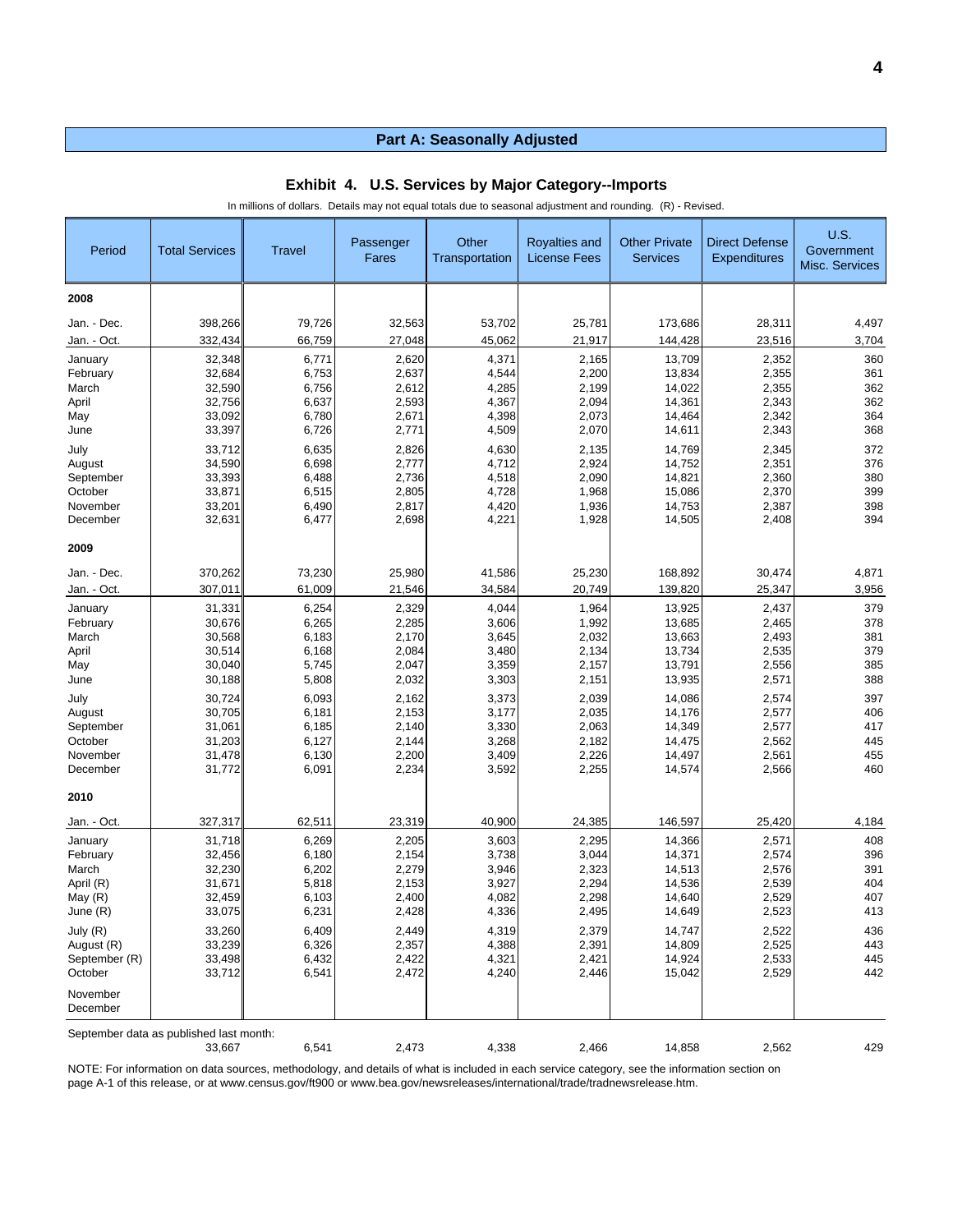| Period               | <b>Total Services</b>                   | <b>Travel</b>  | Passenger<br>Fares | Other<br>Transportation | Royalties and<br><b>License Fees</b> | <b>Other Private</b><br><b>Services</b> | <b>Direct Defense</b><br><b>Expenditures</b> | <b>U.S.</b><br>Government<br><b>Misc. Services</b> |
|----------------------|-----------------------------------------|----------------|--------------------|-------------------------|--------------------------------------|-----------------------------------------|----------------------------------------------|----------------------------------------------------|
| 2008                 |                                         |                |                    |                         |                                      |                                         |                                              |                                                    |
| Jan. - Dec.          | 398,266                                 | 79,726         | 32,563             | 53,702                  | 25,781                               | 173,686                                 | 28,311                                       | 4,497                                              |
| Jan. - Oct.          | 332,434                                 | 66,759         | 27,048             | 45,062                  | 21,917                               | 144,428                                 | 23,516                                       | 3,704                                              |
| January              | 32,348                                  | 6,771          | 2,620              | 4,371                   | 2,165                                | 13,709                                  | 2,352                                        | 360                                                |
| February             | 32,684                                  | 6,753          | 2,637              | 4,544                   | 2,200                                | 13,834                                  | 2,355                                        | 361                                                |
| March                | 32,590                                  | 6,756          | 2,612              | 4,285                   | 2,199                                | 14,022                                  | 2,355                                        | 362                                                |
| April                | 32,756                                  | 6,637          | 2,593              | 4,367                   | 2,094                                | 14,361                                  | 2,343                                        | 362                                                |
| May                  | 33,092                                  | 6,780          | 2,671              | 4,398                   | 2,073                                | 14,464                                  | 2,342                                        | 364                                                |
| June                 | 33,397                                  | 6,726          | 2,771              | 4,509                   | 2,070                                | 14,611                                  | 2,343                                        | 368                                                |
| July                 | 33,712                                  | 6,635          | 2,826              | 4,630                   | 2,135                                | 14,769                                  | 2,345                                        | 372                                                |
| August               | 34,590                                  | 6,698          | 2,777              | 4,712                   | 2,924                                | 14,752                                  | 2,351                                        | 376                                                |
| September            | 33,393                                  | 6,488          | 2,736              | 4,518                   | 2,090                                | 14,821                                  | 2,360                                        | 380                                                |
| October              | 33,871                                  | 6,515          | 2,805              | 4,728                   | 1,968                                | 15,086                                  | 2,370                                        | 399                                                |
| November<br>December | 33,201                                  | 6,490          | 2,817              | 4,420                   | 1,936                                | 14,753                                  | 2,387                                        | 398<br>394                                         |
|                      | 32,631                                  | 6,477          | 2,698              | 4,221                   | 1,928                                | 14,505                                  | 2,408                                        |                                                    |
| 2009                 |                                         |                |                    |                         |                                      |                                         |                                              |                                                    |
| Jan. - Dec.          | 370,262                                 | 73,230         | 25,980             | 41,586                  | 25,230                               | 168,892                                 | 30,474                                       | 4,871                                              |
| Jan. - Oct.          | 307,011                                 | 61,009         | 21,546             | 34,584                  | 20,749                               | 139,820                                 | 25,347                                       | 3,956                                              |
| January              | 31,331                                  | 6,254          | 2,329              | 4,044                   | 1,964                                | 13,925                                  | 2,437                                        | 379                                                |
| February             | 30,676                                  | 6,265          | 2,285              | 3,606                   | 1,992                                | 13,685                                  | 2,465                                        | 378                                                |
| March                | 30,568                                  | 6,183          | 2,170              | 3,645                   | 2,032                                | 13,663                                  | 2,493                                        | 381                                                |
| April                | 30,514                                  | 6,168          | 2,084              | 3,480                   | 2,134                                | 13,734                                  | 2,535                                        | 379                                                |
| May                  | 30,040                                  | 5,745          | 2,047              | 3,359                   | 2,157                                | 13,791                                  | 2,556                                        | 385                                                |
| June                 | 30,188                                  | 5,808          | 2,032              | 3,303                   | 2,151                                | 13,935                                  | 2,571                                        | 388                                                |
| July                 | 30,724                                  | 6,093          | 2,162              | 3,373                   | 2,039                                | 14,086                                  | 2,574                                        | 397                                                |
| August               | 30,705                                  | 6,181          | 2,153              | 3,177                   | 2,035                                | 14,176                                  | 2,577                                        | 406                                                |
| September            | 31,061                                  | 6,185          | 2,140              | 3,330                   | 2,063                                | 14,349                                  | 2,577                                        | 417                                                |
| October<br>November  | 31,203<br>31,478                        | 6,127<br>6,130 | 2,144<br>2,200     | 3,268<br>3,409          | 2,182<br>2,226                       | 14,475<br>14,497                        | 2,562<br>2,561                               | 445<br>455                                         |
| December             | 31,772                                  | 6,091          | 2,234              | 3,592                   | 2,255                                | 14,574                                  | 2,566                                        | 460                                                |
| 2010                 |                                         |                |                    |                         |                                      |                                         |                                              |                                                    |
|                      |                                         |                |                    |                         |                                      |                                         |                                              |                                                    |
| Jan. - Oct.          | 327,317                                 | 62,511         | 23,319             | 40,900                  | 24,385                               | 146,597                                 | 25,420                                       | 4,184                                              |
| January              | 31,718                                  | 6,269          | 2,205              | 3,603                   | 2,295                                | 14,366                                  | 2,571                                        | 408                                                |
| February             | 32,456                                  | 6,180          | 2,154<br>2,279     | 3,738                   | 3,044                                | 14,371                                  | 2,574                                        | 396                                                |
| March<br>April (R)   | 32,230<br>31,671                        | 6,202<br>5,818 | 2,153              | 3,946<br>3,927          | 2,323<br>2,294                       | 14,513<br>14,536                        | 2,576<br>2,539                               | 391<br>404                                         |
| May (R)              | 32,459                                  | 6,103          | 2,400              | 4,082                   | 2,298                                | 14,640                                  | 2,529                                        | 407                                                |
| June (R)             | 33,075                                  | 6,231          | 2,428              | 4,336                   | 2,495                                | 14,649                                  | 2,523                                        | 413                                                |
| July (R)             | 33,260                                  | 6,409          | 2,449              | 4,319                   | 2,379                                | 14,747                                  | 2,522                                        | 436                                                |
| August (R)           | 33,239                                  | 6,326          | 2,357              | 4,388                   | 2,391                                | 14,809                                  | 2,525                                        | 443                                                |
| September (R)        | 33,498                                  | 6,432          | 2,422              | 4,321                   | 2,421                                | 14,924                                  | 2,533                                        | 445                                                |
| October              | 33,712                                  | 6,541          | 2,472              | 4,240                   | 2,446                                | 15,042                                  | 2,529                                        | 442                                                |
| November<br>December |                                         |                |                    |                         |                                      |                                         |                                              |                                                    |
|                      | September data as published last month: |                |                    |                         |                                      |                                         |                                              |                                                    |
|                      | 33,667                                  | 6,541          | 2,473              | 4,338                   | 2,466                                | 14,858                                  | 2,562                                        | 429                                                |

#### **Exhibit 4. U.S. Services by Major Category--Imports**

In millions of dollars. Details may not equal totals due to seasonal adjustment and rounding. (R) - Revised.

NOTE: For information on data sources, methodology, and details of what is included in each service category, see the information section on page A-1 of this release, or at www.census.gov/ft900 or www.bea.gov/newsreleases/international/trade/tradnewsrelease.htm.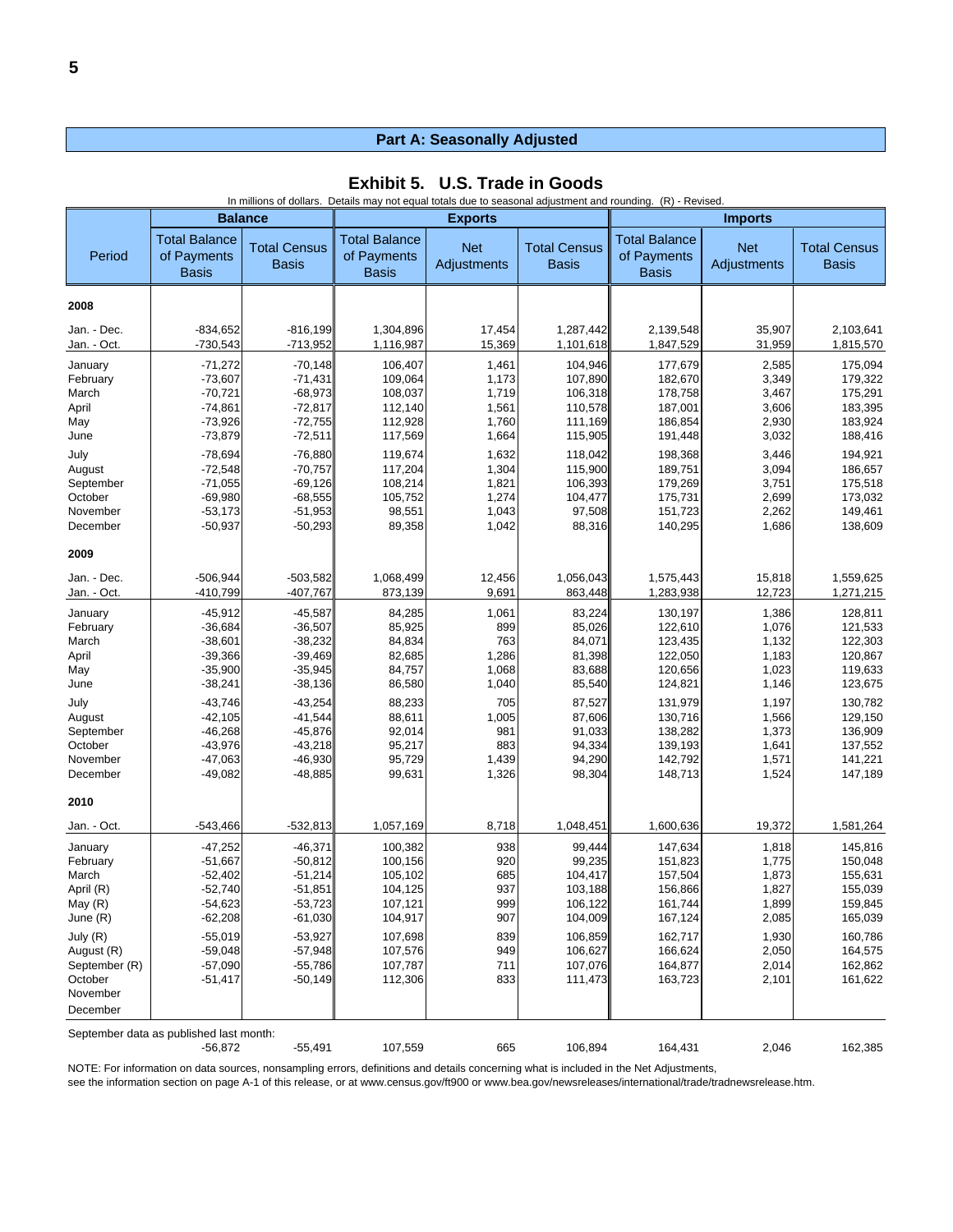| Exhibit 5. U.S. Trade in Goods |  |  |  |
|--------------------------------|--|--|--|
|--------------------------------|--|--|--|

|                            | In millions of dollars. Details may not equal totals due to seasonal adjustment and rounding. (R) - Revised. |                                     |                                                     |                           |                                     |                                                     |                           |                                     |
|----------------------------|--------------------------------------------------------------------------------------------------------------|-------------------------------------|-----------------------------------------------------|---------------------------|-------------------------------------|-----------------------------------------------------|---------------------------|-------------------------------------|
|                            |                                                                                                              | <b>Balance</b>                      |                                                     | <b>Exports</b>            |                                     |                                                     | <b>Imports</b>            |                                     |
| Period                     | <b>Total Balance</b><br>of Payments<br><b>Basis</b>                                                          | <b>Total Census</b><br><b>Basis</b> | <b>Total Balance</b><br>of Payments<br><b>Basis</b> | <b>Net</b><br>Adjustments | <b>Total Census</b><br><b>Basis</b> | <b>Total Balance</b><br>of Payments<br><b>Basis</b> | <b>Net</b><br>Adjustments | <b>Total Census</b><br><b>Basis</b> |
| 2008                       |                                                                                                              |                                     |                                                     |                           |                                     |                                                     |                           |                                     |
| Jan. - Dec.<br>Jan. - Oct. | $-834,652$<br>$-730,543$                                                                                     | $-816,199$<br>$-713,952$            | 1,304,896<br>1,116,987                              | 17,454<br>15,369          | 1,287,442<br>1,101,618              | 2,139,548<br>1,847,529                              | 35,907<br>31,959          | 2,103,641<br>1,815,570              |
| January                    | $-71,272$                                                                                                    | $-70.148$                           | 106,407                                             | 1,461                     | 104,946                             | 177,679                                             | 2,585                     | 175,094                             |
| February                   | $-73,607$                                                                                                    | $-71,431$                           | 109,064                                             | 1,173                     | 107,890                             | 182,670                                             | 3,349                     | 179,322                             |
| March                      | $-70,721$                                                                                                    | $-68,973$                           | 108,037                                             | 1,719                     | 106,318                             | 178,758                                             | 3,467                     | 175,291                             |
| April                      | $-74,861$                                                                                                    | $-72,817$                           | 112,140                                             | 1,561                     | 110,578                             | 187,001                                             | 3,606                     | 183,395                             |
| May                        | $-73,926$<br>$-73,879$                                                                                       | $-72,755$<br>$-72,511$              | 112,928<br>117,569                                  | 1,760<br>1,664            | 111,169<br>115,905                  | 186,854<br>191,448                                  | 2,930<br>3,032            | 183,924<br>188,416                  |
| June                       |                                                                                                              |                                     |                                                     |                           |                                     |                                                     |                           |                                     |
| July                       | $-78,694$                                                                                                    | $-76,880$                           | 119,674                                             | 1,632                     | 118,042                             | 198,368                                             | 3,446                     | 194,921                             |
| August                     | $-72,548$                                                                                                    | $-70,757$                           | 117,204                                             | 1,304                     | 115,900                             | 189,751                                             | 3,094                     | 186,657                             |
| September                  | $-71,055$                                                                                                    | $-69,126$                           | 108,214                                             | 1,821                     | 106,393                             | 179,269                                             | 3,751                     | 175,518                             |
| October<br>November        | $-69,980$<br>$-53,173$                                                                                       | $-68,555$<br>$-51,953$              | 105,752<br>98,551                                   | 1,274<br>1,043            | 104,477<br>97,508                   | 175,731<br>151,723                                  | 2,699<br>2,262            | 173,032<br>149,461                  |
| December                   | $-50,937$                                                                                                    | $-50,293$                           | 89,358                                              | 1,042                     | 88,316                              | 140,295                                             | 1,686                     | 138,609                             |
| 2009                       |                                                                                                              |                                     |                                                     |                           |                                     |                                                     |                           |                                     |
| Jan. - Dec.                | $-506,944$                                                                                                   | $-503,582$                          | 1,068,499                                           | 12,456                    | 1,056,043                           | 1,575,443                                           | 15,818                    | 1,559,625                           |
| Jan. - Oct.                | -410,799                                                                                                     | $-407,767$                          | 873,139                                             | 9,691                     | 863,448                             | 1,283,938                                           | 12,723                    | 1,271,215                           |
|                            |                                                                                                              |                                     |                                                     |                           |                                     |                                                     |                           |                                     |
| January<br>February        | $-45,912$<br>$-36,684$                                                                                       | $-45,587$<br>$-36,507$              | 84,285<br>85,925                                    | 1,061<br>899              | 83,224<br>85,026                    | 130,197<br>122,610                                  | 1,386<br>1,076            | 128,811<br>121,533                  |
| March                      | $-38,601$                                                                                                    | $-38,232$                           | 84,834                                              | 763                       | 84,071                              | 123,435                                             | 1,132                     | 122,303                             |
| April                      | $-39,366$                                                                                                    | $-39,469$                           | 82,685                                              | 1,286                     | 81,398                              | 122,050                                             | 1,183                     | 120,867                             |
| May                        | $-35,900$                                                                                                    | $-35,945$                           | 84,757                                              | 1,068                     | 83,688                              | 120,656                                             | 1,023                     | 119,633                             |
| June                       | $-38,241$                                                                                                    | $-38,136$                           | 86,580                                              | 1,040                     | 85,540                              | 124,821                                             | 1,146                     | 123,675                             |
| July                       | $-43,746$                                                                                                    | $-43,254$                           | 88,233                                              | 705                       | 87,527                              | 131,979                                             | 1,197                     | 130,782                             |
| August                     | $-42,105$                                                                                                    | $-41,544$                           | 88,611                                              | 1,005                     | 87,606                              | 130,716                                             | 1,566                     | 129,150                             |
| September                  | $-46,268$                                                                                                    | $-45,876$                           | 92,014                                              | 981                       | 91,033                              | 138,282                                             | 1,373                     | 136,909                             |
| October                    | $-43,976$                                                                                                    | $-43,218$                           | 95,217                                              | 883                       | 94,334                              | 139,193                                             | 1,641                     | 137,552                             |
| November                   | $-47,063$                                                                                                    | $-46,930$                           | 95,729                                              | 1,439                     | 94,290                              | 142,792                                             | 1,571                     | 141,221                             |
| December                   | $-49,082$                                                                                                    | $-48,885$                           | 99,631                                              | 1,326                     | 98,304                              | 148,713                                             | 1,524                     | 147,189                             |
| 2010                       |                                                                                                              |                                     |                                                     |                           |                                     |                                                     |                           |                                     |
| Jan. - Oct.                | -543,466                                                                                                     | $-532,813$                          | 1,057,169                                           | 8,718                     | 1,048,451                           | 1,600,636                                           | 19,372                    | 1,581,264                           |
| January                    | $-47,252$                                                                                                    | $-46,371$                           | 100,382                                             | 938                       | 99,444                              | 147,634                                             | 1,818                     | 145,816                             |
| February                   | $-51,667$                                                                                                    | $-50,812$                           | 100,156                                             | 920                       | 99,235                              | 151,823                                             | 1,775                     | 150,048                             |
| March                      | $-52,402$                                                                                                    | $-51,214$                           | 105,102                                             | 685                       | 104,417                             | 157,504                                             | 1,873                     | 155,631                             |
| April (R)                  | $-52,740$                                                                                                    | $-51,851$                           | 104,125                                             | 937                       | 103,188                             | 156,866                                             | 1,827                     | 155,039                             |
| May (R)                    | $-54,623$                                                                                                    | $-53,723$                           | 107,121                                             | 999                       | 106,122                             | 161,744                                             | 1,899                     | 159,845                             |
| June (R)                   | $-62,208$                                                                                                    | $-61,030$                           | 104,917                                             | 907                       | 104,009                             | 167,124                                             | 2,085                     | 165,039                             |
| July (R)                   | $-55,019$                                                                                                    | $-53,927$                           | 107,698                                             | 839                       | 106,859                             | 162,717                                             | 1,930                     | 160,786                             |
| August (R)                 | $-59,048$                                                                                                    | $-57,948$                           | 107,576                                             | 949                       | 106,627                             | 166,624                                             | 2,050                     | 164,575                             |
| September (R)              | $-57,090$                                                                                                    | $-55,786$                           | 107,787                                             | 711                       | 107,076                             | 164,877                                             | 2,014                     | 162,862                             |
| October                    | $-51,417$                                                                                                    | $-50,149$                           | 112,306                                             | 833                       | 111,473                             | 163,723                                             | 2,101                     | 161,622                             |
| November                   |                                                                                                              |                                     |                                                     |                           |                                     |                                                     |                           |                                     |
| December                   |                                                                                                              |                                     |                                                     |                           |                                     |                                                     |                           |                                     |
|                            | September data as published last month:<br>$-56,872$                                                         | $-55,491$                           | 107,559                                             | 665                       | 106,894                             | 164,431                                             | 2,046                     | 162,385                             |

NOTE: For information on data sources, nonsampling errors, definitions and details concerning what is included in the Net Adjustments,

see the information section on page A-1 of this release, or at www.census.gov/ft900 or www.bea.gov/newsreleases/international/trade/tradnewsrelease.htm.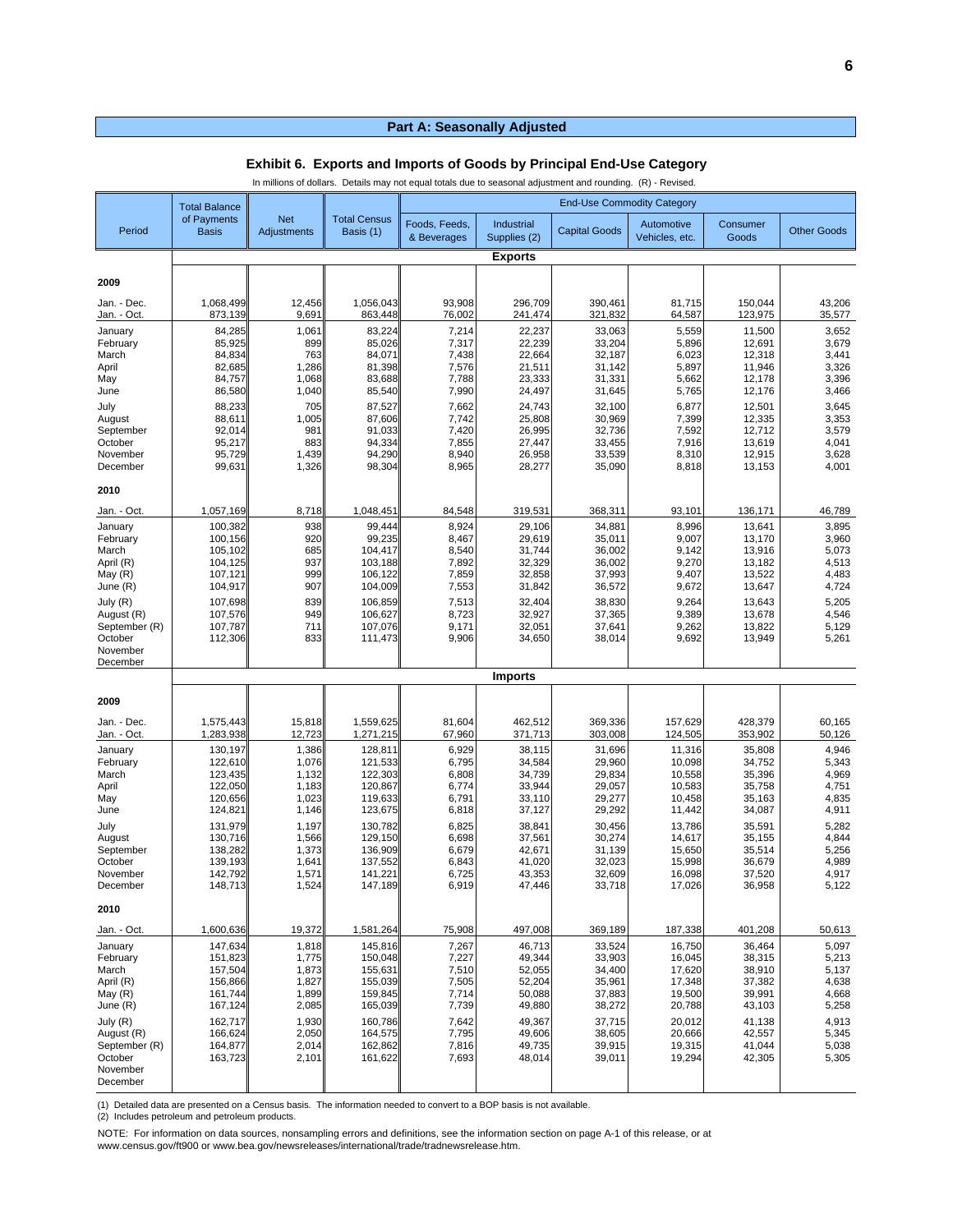|                            | In millions of dollars. Details may not equal totals due to seasonal adjustment and rounding. (R) - Revised. |                                  |                                  |                              |                            |                                   |                              |                    |                    |
|----------------------------|--------------------------------------------------------------------------------------------------------------|----------------------------------|----------------------------------|------------------------------|----------------------------|-----------------------------------|------------------------------|--------------------|--------------------|
|                            | <b>Total Balance</b>                                                                                         |                                  |                                  |                              |                            | <b>End-Use Commodity Category</b> |                              |                    |                    |
| Period                     | of Payments<br><b>Basis</b>                                                                                  | <b>Net</b><br><b>Adjustments</b> | <b>Total Census</b><br>Basis (1) | Foods, Feeds,<br>& Beverages | Industrial<br>Supplies (2) | <b>Capital Goods</b>              | Automotive<br>Vehicles, etc. | Consumer<br>Goods  | <b>Other Goods</b> |
|                            |                                                                                                              |                                  |                                  |                              | <b>Exports</b>             |                                   |                              |                    |                    |
| 2009                       |                                                                                                              |                                  |                                  |                              |                            |                                   |                              |                    |                    |
| Jan. - Dec.<br>Jan. - Oct. | 1,068,499<br>873,139                                                                                         | 12,456<br>9,69'                  | 1,056,043<br>863,448             | 93,908<br>76,002             | 296,709<br>241,474         | 390,461<br>321,832                | 81,715<br>64,587             | 150,044<br>123,975 | 43,206<br>35,577   |
| January                    | 84,285                                                                                                       | 1,061                            | 83,224                           | 7,214                        | 22,237                     | 33,063                            | 5,559                        | 11,500             | 3,652              |
| February<br>March          | 85,925<br>84,834                                                                                             | 899<br>763                       | 85,026<br>84,071                 | 7,317<br>7,438               | 22,239<br>22,664           | 33,204<br>32,187                  | 5,896<br>6,023               | 12,691<br>12,318   | 3,679<br>3,441     |
| April                      | 82,685                                                                                                       | 1,286                            | 81,398<br>83,688                 | 7,576                        | 21,511                     | 31,142                            | 5,897                        | 11,946             | 3,326<br>3,396     |
| May<br>June                | 84,757<br>86,580                                                                                             | 1,068<br>1,040                   | 85,540                           | 7,788<br>7,990               | 23,333<br>24,497           | 31,331<br>31,645                  | 5,662<br>5,765               | 12,178<br>12,176   | 3,466              |
| July                       | 88,233                                                                                                       | 705                              | 87,527                           | 7,662                        | 24,743                     | 32,100                            | 6,877                        | 12,501             | 3,645              |
| August<br>September        | 88,611<br>92,014                                                                                             | 1,005<br>981                     | 87,606<br>91,033                 | 7,742<br>7,420               | 25,808<br>26,995           | 30,969<br>32,736                  | 7,399<br>7,592               | 12,335<br>12,712   | 3,353<br>3,579     |
| October                    | 95,217                                                                                                       | 883                              | 94,334                           | 7,855                        | 27,447                     | 33,455                            | 7,916                        | 13,619             | 4,041              |
| November<br>December       | 95,729<br>99,631                                                                                             | 1,439<br>1,326                   | 94,290<br>98,304                 | 8,940<br>8,965               | 26,958<br>28,277           | 33,539<br>35,090                  | 8,310<br>8,818               | 12,915<br>13,153   | 3,628<br>4,001     |
| 2010                       |                                                                                                              |                                  |                                  |                              |                            |                                   |                              |                    |                    |
| Jan. - Oct.                | 1,057,169                                                                                                    | 8,718                            | 1,048,451                        | 84,548                       | 319,531                    | 368,311                           | 93,101                       | 136,171            | 46,789             |
| January                    | 100,382                                                                                                      | 938                              | 99,444                           | 8,924                        | 29,106                     | 34,881                            | 8,996                        | 13,641             | 3,895              |
| February<br>March          | 100,156<br>105,102                                                                                           | 920<br>685                       | 99,235<br>104,417                | 8,467<br>8,540               | 29,619<br>31,744           | 35,011<br>36,002                  | 9,007<br>9,142               | 13,170<br>13,916   | 3,960<br>5,073     |
| April (R)                  | 104,125                                                                                                      | 937                              | 103,188                          | 7,892                        | 32,329                     | 36,002                            | 9,270                        | 13,182             | 4,513              |
| May (R)<br>June (R)        | 107,121<br>104,917                                                                                           | 999<br>907                       | 106,122<br>104,009               | 7,859<br>7,553               | 32,858<br>31,842           | 37,993<br>36,572                  | 9,407<br>9,672               | 13,522<br>13,647   | 4,483<br>4,724     |
| July (R)                   | 107,698                                                                                                      | 839                              | 106,859                          | 7,513                        | 32,404                     | 38,830                            | 9,264                        | 13,643             | 5,205              |
| August (R)                 | 107,576                                                                                                      | 949                              | 106,627                          | 8,723                        | 32,927                     | 37,365                            | 9,389                        | 13,678             | 4,546              |
| September (R)<br>October   | 107,787<br>112,306                                                                                           | 711<br>833                       | 107,076<br>111,473               | 9,171<br>9,906               | 32,051<br>34,650           | 37,641<br>38,014                  | 9,262<br>9,692               | 13,822<br>13,949   | 5,129<br>5,261     |
| November                   |                                                                                                              |                                  |                                  |                              |                            |                                   |                              |                    |                    |
| December                   |                                                                                                              |                                  |                                  |                              | <b>Imports</b>             |                                   |                              |                    |                    |
|                            |                                                                                                              |                                  |                                  |                              |                            |                                   |                              |                    |                    |
| 2009                       |                                                                                                              |                                  |                                  |                              |                            |                                   |                              |                    |                    |
| Jan. - Dec.<br>Jan. - Oct. | 1,575,443<br>1,283,938                                                                                       | 15,818<br>12,723                 | 1,559,625<br>1,271,215           | 81,604<br>67,960             | 462,512<br>371,713         | 369,336<br>303,008                | 157,629<br>124,505           | 428,379<br>353,902 | 60,165<br>50,126   |
| January                    | 130,197                                                                                                      | 1,386                            | 128,811                          | 6,929                        | 38,115                     | 31,696                            | 11,316                       | 35,808             | 4,946              |
| February                   | 122,610                                                                                                      | 1,076                            | 121,533                          | 6,795                        | 34,584                     | 29,960                            | 10,098                       | 34,752             | 5,343              |
| March<br>April             | 123,435<br>122,050                                                                                           | 1,132<br>1,183                   | 122,303<br>120,867               | 6,808<br>6,774               | 34,739<br>33,944           | 29,834<br>29,057                  | 10,558<br>10,583             | 35,396<br>35,758   | 4,969<br>4,751     |
| May                        | 120,656                                                                                                      | 1,023                            | 119,633                          | 6,791                        | 33,110                     | 29,277                            | 10,458                       | 35,163             | 4,835              |
| June                       | 124,821                                                                                                      | 1,146                            | 123,675                          | 6,818                        | 37,127                     | 29,292                            | 11,442                       | 34,087             | 4,911              |
| July<br>August             | 131,979<br>130,716                                                                                           | 1,197<br>1,566                   | 130,782<br>129,150               | 6,825<br>6,698               | 38,841<br>37,561           | 30,456<br>30,274                  | 13,786<br>14,617             | 35,591<br>35,155   | 5,282<br>4,844     |
| September                  | 138,282                                                                                                      | 1,373                            | 136,909                          | 6,679                        | 42,671                     | 31,139                            | 15,650                       | 35,514             | 5,256              |
| October<br>November        | 139,193<br>142,792                                                                                           | 1,641<br>1,571                   | 137,552<br>141,221               | 6,843<br>6,725               | 41,020<br>43,353           | 32,023<br>32,609                  | 15,998<br>16,098             | 36,679<br>37,520   | 4,989<br>4,917     |
| December                   | 148,713                                                                                                      | 1,524                            | 147,189                          | 6,919                        | 47,446                     | 33,718                            | 17,026                       | 36,958             | 5,122              |
| 2010                       |                                                                                                              |                                  |                                  |                              |                            |                                   |                              |                    |                    |
| Jan. - Oct.                | 1,600,636                                                                                                    | 19,372                           | 1,581,264<br>145,816             | 75,908                       | 497,008                    | 369,189                           | 187,338                      | 401,208            | 50,613             |
| January<br>February        | 147,634<br>151,823                                                                                           | 1,818<br>1,775                   | 150,048                          | 7,267<br>7,227               | 46,713<br>49,344           | 33,524<br>33,903                  | 16,750<br>16,045             | 36,464<br>38,315   | 5,097<br>5,213     |
| March                      | 157,504                                                                                                      | 1,873                            | 155,631                          | 7,510                        | 52,055                     | 34,400                            | 17,620                       | 38,910             | 5,137              |
| April (R)<br>May $(R)$     | 156,866<br>161,744                                                                                           | 1,827<br>1,899                   | 155,039<br>159,845               | 7,505<br>7,714               | 52,204<br>50,088           | 35,961<br>37,883                  | 17,348<br>19,500             | 37,382<br>39,991   | 4,638<br>4,668     |
| June (R)                   | 167,124                                                                                                      | 2,085                            | 165,039                          | 7,739                        | 49,880                     | 38,272                            | 20,788                       | 43,103             | 5,258              |
| July (R)<br>August (R)     | 162,717<br>166,624                                                                                           | 1,930<br>2,050                   | 160,786<br>164,575               | 7,642<br>7,795               | 49,367<br>49,606           | 37,715<br>38,605                  | 20,012<br>20,666             | 41,138<br>42,557   | 4,913<br>5,345     |
| September (R)              | 164,877                                                                                                      | 2,014                            | 162,862                          | 7,816                        | 49,735                     | 39,915                            | 19,315                       | 41,044             | 5,038              |
| October<br>November        | 163,723                                                                                                      | 2,101                            | 161,622                          | 7,693                        | 48,014                     | 39,011                            | 19,294                       | 42,305             | 5,305              |
| December                   |                                                                                                              |                                  |                                  |                              |                            |                                   |                              |                    |                    |
|                            |                                                                                                              |                                  |                                  |                              |                            |                                   |                              |                    |                    |

## **Exhibit 6. Exports and Imports of Goods by Principal End-Use Category**<br>In millions of dollars. Details may not equal totals due to seasonal adjustment and rounding. (R) - Revised.

(1) Detailed data are presented on a Census basis. The information needed to convert to a BOP basis is not available.

(2) Includes petroleum and petroleum products.

NOTE: For information on data sources, nonsampling errors and definitions, see the information section on page A-1 of this release, or at www.census.gov/ft900 or www.bea.gov/newsreleases/international/trade/tradnewsrelease.htm.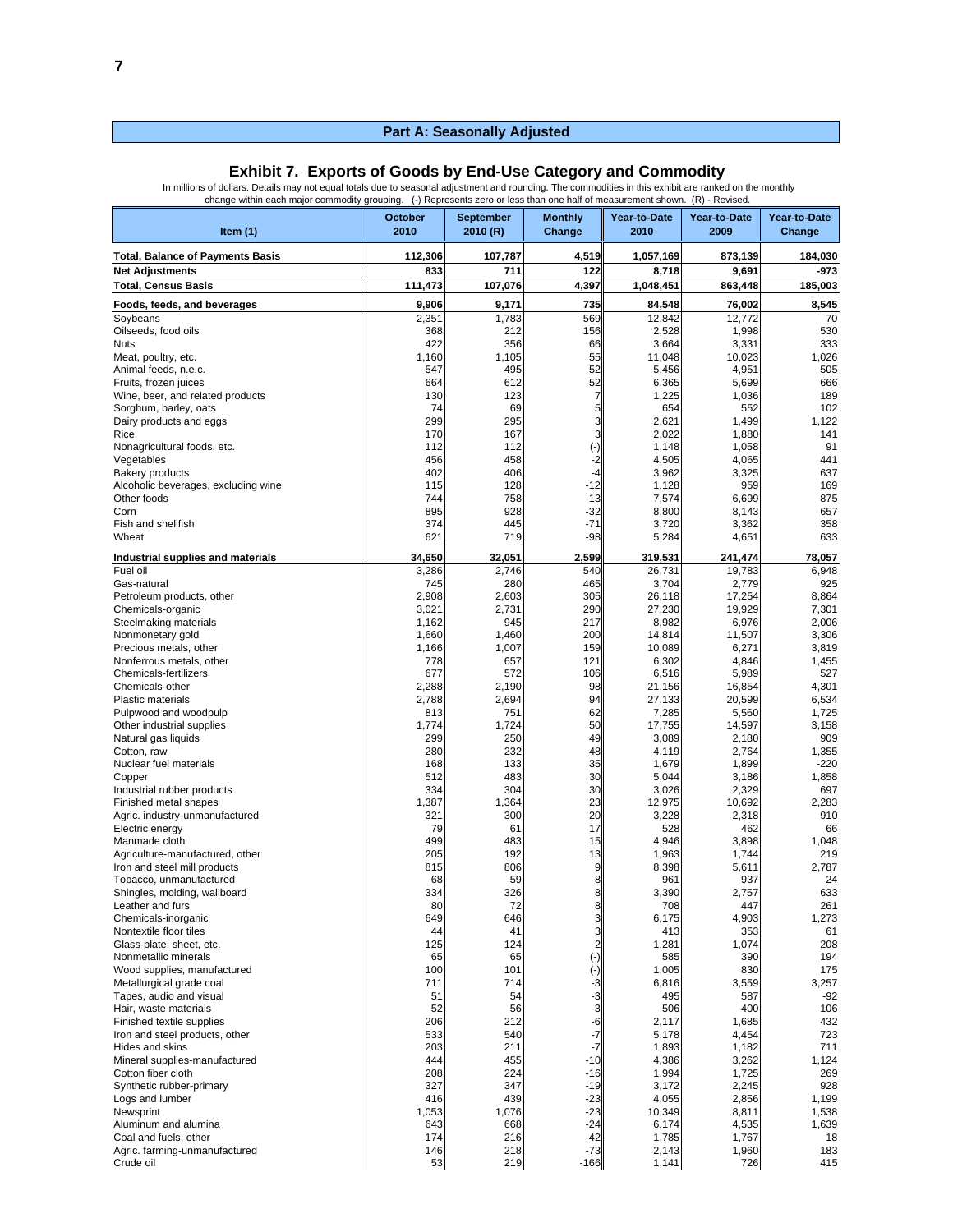#### In millions of dollars. Details may not equal totals due to seasonal adjustment and rounding. The commodities in this exhibit are ranked on the monthly change within each major commodity grouping. (-) Represents zero or less than one half of measurement shown. (R) - Revised. October September Monthly Year-to-Date Year-to-Date Year-to-Date<br>2010 2010 R) Change 2010 2009 Change **Item (1) 2010 2010 (R) Change 2010 2009 Change Total, Balance of Payments Basis 112,306 107,787 4,519 1,057,169 873,139 184,030 Net Adjustments 833 711 122 8,718 9,691 -973 Total, Census Basis 111,473 107,076 4,397 1,048,451 863,448 185,003 Foods, feeds, and beverages 9,906 9,171 735 84,548 76,002 8,545** Soybeans 2,351 1,783 569 12,842 12,772 70 Oilseeds, food oils 368 212 156 2,528 1,998 530 Nuts 422 356 66 3,664 3,331 333 Meat, poultry, etc. 1,1026 1,105 1,105 1,105 1,105 1,048 10,023 1,026 1,026<br>Animal feeds, n.e.c. 1,1026 1,025 1,026 1,025 1,026 1,025 1,026 1,025 1,026 1,026 1,026 1,026 1,026 Animal feeds, n.e.c. 547 495 52 5,456 4,951 505<br>Fruits, frozen juices 664 612 52 6,365 5,699 666 Fruits, frozen juices 666 666 666 666 666 612 6365 6365 65,699 666 666<br>Wine, beer, and related products 666 669 612 623 6.365 6.365 6.99 6.365 6.699 6.666 Wine, beer, and related products  $\begin{array}{ccc} 130 & 123 & 7 & 1,225 \\ 250 & 1,036 & 74 & 89 \end{array}$ Sorghum, barley, oats 74 69 5 654 552 102 Dairy products and eggs 299 295 3 2,621 1,499 1,122<br>Rice 1,22 1,70 167 3 2,022 1,880 1,41 Rice 170 167 3 2,022 1,880 141 Nonagricultural foods, etc. 112 112 (-) 1,148 1,058 91 Vegetables 456 458 -2 4,505 4,065 441 Bakery products 402 406 -4 3,962 3,325 637 Alcoholic beverages, excluding wine Other foods 744 758 -13 7,574 6,699 875 Corn 895 928 -32 8,800 8,143 657 Fish and shellfish | 374| 445| -71|| 3,720| 3,362| 358 Wheat 621 719 -98 5,284 4,651 633 **Industrial supplies and materials 34,650 32,051 2,599 319,531 241,474 78,057** Fuel oil 3,286 2,746 540 26,731 19,783 6,948 Gas-natural 745 280 465 3,704 2,779 925 Petroleum products, other 2,908 2,603 305 26,118 17,254 8,864 Chemicals-organic 2,031 2,021 2,731 290 27,230 290 27,301 290 Steelmaking materials **1,162** 1,162 945 2,006 2,006 1 2,006 2,006 Nonmonetary gold 1,660 1,460 200 14,814 11,507 3,306<br>Precious metals, other 1,166 1,007 159 10,089 6,271 3,819 Precious metals, other Nonferrous metals, other the contract of the contract of the contract of the contract of the contract of the co<br>Chemicals-fertilizers the contract of the contract of the contract of the contract of the contract of the cont Chemicals-fertilizers 67899 106 5,989 6,516 5,989 106 5,989 5,989 106 5,989 6,516 5,989 16,854 5,989 16,854 5,989 16,854 16,854 5,989 16,854 16,854 16,854 16,854 16,854 16,854 16,854 16,854 16,854 16,854 16,854 16,854 16,8 Chemicals-other 2,288 2,190 98 21,156 16,854 4,301 Plastic materials | 2,788 2,694 94 27,133 20,599 6,534 Pulpwood and woodpulp 813 751 62 7.285 5.560 1.725 Other industrial supplies 1,774 1,774 1,724 50 17,755 14,597 3,158 Natural gas liquids 299 250 49 3,089 2,180 909 Cotton, raw 280 | 232 | 48|| 4,119 | 2,764 | 1,355 Nuclear fuel materials 168 133 135 1,679 1,899 1,899 1,858 1,858 1,899 1,858 1,858 1,858 1,858 1,858 1,858 1,8<br>Copper 1,858 1,858 1,858 1,858 1,858 1,858 1,858 1,858 1,858 1,858 1,858 1,858 1,858 1,858 1,858 1,858 1,858 1 Copper 512 483 30 5,044 3,186 1,858 Industrial rubber products 334 304 30 3,026 2,329 697 Finished metal shapes 10,692 1,387 1,387 1,364 23 12,975 1,3692 2,318<br>Agric. industry-unmanufactured 1,387 2,318 2,318 2,318 2,318 Agric. industry-unmanufactured 100 20 321 300 20 3,228 2,318 910<br>Electric energy 462 566 3,228 462 66 Electric energy | 79 | 61 | 17 || 528 | 462 | 66 Manmade cloth 61.048 1,048 1,048 1,048 1,048 1,048 1,048 1,048 1,048 1,048 1,048 1,048 1,048 1,048 1,048 1,048<br>Agriculture-manufactured, other 1990 1,000 1,000 1,000 1,000 1,000 1,744 1,144 219 Agriculture-manufactured, other 205 192 13 1,963 1,744 219 Iron and steel mill products 8815 806 8.398 8.398 8.398 5,611 2,787<br>Tobacco, unmanufactured 68 59 8 8 961 961 937 24 Tobacco, unmanufactured 68 59 8 961 937 24 Shingles, molding, wallboard 334 334 326 8 Leather and furs | 80| 72| 8|| 708| 447| 261 Chemicals-inorganic 649 646 3 6,175 4,903 1,273 Nontextile floor tiles 44 41 3 413 353 61 Glass-plate, sheet, etc. 126 125 124 2 1,281 1,074 208<br>
Nonmetallic minerals 65 65 (-) 585 390 194<br>
Wood supplies, manufactured 100 101 (-) 1,005 830 175 Nonmetallic minerals 1990<br>
Wood supplies, manufactured 1990<br>
Wood supplies, manufactured 1990 1990 1991 1991 1991 1991 1992 1,005 1,005 1,005 Wood supplies, manufactured 100 100 101 (-) 1,005 830 175<br>1758 Metallurgical grade coal 175 11 711 714 -3 6,816 3,559 3,257<br>1992 Tapes, audio and visual 1992 1992 1993 54 54 -3 495 587 Metallurgical grade coal 711 714 -3 6,816 3,559 3,257 Tapes, audio and visual 51 54 -3 495 587 -92 Hair, waste materials 52 56 -3 506 400 106<br>Finished textile supplies 212 -6 2,117 1,685 432 Finished textile supplies **200 1212** -6 2,117 1,685 432<br>1991 - 2,117 1,685 432 5432 540 -7 5,178 4,454 723 100 Iron and steel products, other 533 540 533 540 541 Fides and skins 540  $\overline{\phantom{a}}$ Hides and skins 2003 203 203 211 203 211 203 211 203 211 203 211 Mineral supplies-manufactured 1,124 144 45 455 4,386 4,386 3,262 1,124 44 45 455 4,386 4,124 456 5,262 1,124 44 4 45 Cotton fiber cloth 208 224 -16 1,994 1,725 269 Synthetic rubber-primary | 327 | 347 | -19 | 3.172 | 2.245 | 928 1,199 -23 | 439 -23 | 416 -23 | 4,055 1,199 -23 | 4,055 1,199 1,199 1,199 1,199 Newsprint 1,053 1,076 -23| 10,349 8,811| 1,538 Aluminum and alumina 643 668 -24 6,174 4,535 1,639

Coal and fuels, other 174 216 -42 1,785 1,767 18 Agric. farming-unmanufactured 146 146 218 -73 2,143 1,960 183<br>Crude oil 726 219 -166 1,141 726 215 Crude oil 53| 219| -166|| 1,141| 726| 415

#### **Exhibit 7. Exports of Goods by End-Use Category and Commodity**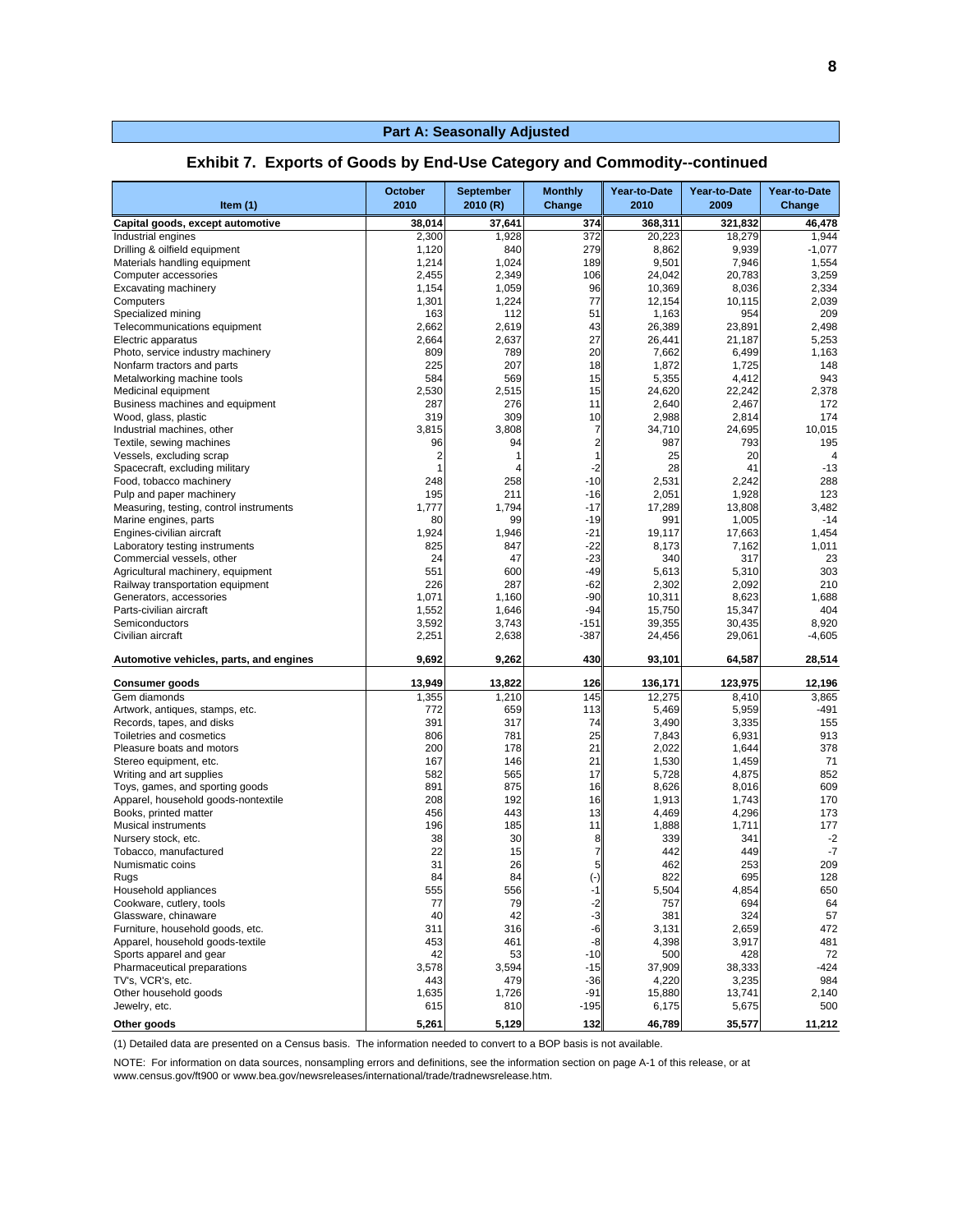| Item $(1)$                                             | <b>October</b><br>2010 | <b>September</b><br>2010 (R) | <b>Monthly</b><br>Change | Year-to-Date<br>2010 | Year-to-Date<br>2009 | Year-to-Date<br>Change |
|--------------------------------------------------------|------------------------|------------------------------|--------------------------|----------------------|----------------------|------------------------|
| Capital goods, except automotive                       | 38,014                 | 37,641                       | 374                      | 368,311              | 321,832              | 46,478                 |
| Industrial engines                                     | 2,300                  | 1,928                        | 372                      | 20,223               | 18.279               | 1,944                  |
| Drilling & oilfield equipment                          | 1,120                  | 840                          | 279                      | 8,862                | 9,939                | $-1,077$               |
| Materials handling equipment                           | 1,214                  | 1,024                        | 189                      | 9,501                | 7,946                | 1,554                  |
| Computer accessories                                   | 2,455                  | 2,349                        | 106                      | 24,042               | 20.783               | 3,259                  |
| <b>Excavating machinery</b>                            | 1,154                  | 1,059                        | 96                       | 10,369               | 8,036                | 2,334                  |
| Computers                                              | 1,301                  | 1,224                        | 77                       | 12,154               | 10,115               | 2,039                  |
| Specialized mining                                     | 163                    | 112                          | 51                       | 1,163                | 954                  | 209                    |
| Telecommunications equipment                           | 2,662                  | 2,619                        | 43                       | 26,389               | 23,891               | 2,498                  |
| Electric apparatus                                     | 2,664                  | 2,637                        | 27                       | 26,441               | 21.187               | 5,253                  |
| Photo, service industry machinery                      | 809                    | 789                          | 20                       | 7,662                | 6,499                | 1,163                  |
| Nonfarm tractors and parts                             | 225                    | 207                          | 18                       | 1,872                | 1,725                | 148                    |
| Metalworking machine tools                             | 584<br>2,530           | 569<br>2,515                 | 15                       | 5,355                | 4,412                | 943                    |
| Medicinal equipment<br>Business machines and equipment | 287                    | 276                          | 15<br>11                 | 24,620<br>2,640      | 22,242<br>2,467      | 2,378<br>172           |
| Wood, glass, plastic                                   | 319                    | 309                          | 10                       | 2,988                | 2,814                | 174                    |
| Industrial machines, other                             | 3,815                  | 3,808                        | 7                        | 34,710               | 24,695               | 10,015                 |
| Textile, sewing machines                               | 96                     | 94                           | $\overline{2}$           | 987                  | 793                  | 195                    |
| Vessels, excluding scrap                               | $\overline{2}$         | 1                            |                          | 25                   | 20                   | $\overline{4}$         |
| Spacecraft, excluding military                         | $\overline{1}$         |                              | -2                       | 28                   | 41                   | $-13$                  |
| Food, tobacco machinery                                | 248                    | 258                          | $-10$                    | 2,531                | 2,242                | 288                    |
| Pulp and paper machinery                               | 195                    | 211                          | $-16$                    | 2,051                | 1,928                | 123                    |
| Measuring, testing, control instruments                | 1,777                  | 1,794                        | $-17$                    | 17,289               | 13,808               | 3,482                  |
| Marine engines, parts                                  | 80                     | 99                           | $-19$                    | 991                  | 1,005                | $-14$                  |
| Engines-civilian aircraft                              | 1,924                  | 1,946                        | $-21$                    | 19,117               | 17,663               | 1,454                  |
| Laboratory testing instruments                         | 825                    | 847                          | $-22$                    | 8,173                | 7,162                | 1,011                  |
| Commercial vessels, other                              | 24                     | 47                           | -23                      | 340                  | 317                  | 23                     |
| Agricultural machinery, equipment                      | 551                    | 600                          | -49                      | 5,613                | 5,310                | 303                    |
| Railway transportation equipment                       | 226                    | 287                          | $-62$                    | 2,302                | 2,092                | 210                    |
| Generators, accessories                                | 1,071                  | 1,160                        | $-90$                    | 10,311               | 8,623                | 1,688                  |
| Parts-civilian aircraft                                | 1,552                  | 1,646                        | $-94$                    | 15,750               | 15,347               | 404                    |
| Semiconductors                                         | 3,592                  | 3,743                        | $-151$                   | 39,355               | 30.435               | 8,920                  |
| Civilian aircraft                                      | 2,251                  | 2,638                        | $-387$                   | 24,456               | 29,061               | $-4,605$               |
| Automotive vehicles, parts, and engines                | 9,692                  | 9,262                        | 430                      | 93,101               | 64,587               | 28,514                 |
| <b>Consumer goods</b>                                  | 13,949                 | 13,822                       | 126                      | 136,171              | 123,975              | 12,196                 |
| Gem diamonds                                           | 1,355                  | 1,210                        | 145                      | 12,275               | 8,410                | 3,865                  |
| Artwork, antiques, stamps, etc.                        | 772                    | 659                          | 113                      | 5,469                | 5,959                | -491                   |
| Records, tapes, and disks                              | 391                    | 317                          | 74                       | 3,490                | 3,335                | 155                    |
| Toiletries and cosmetics                               | 806                    | 781                          | 25                       | 7,843                | 6,931                | 913                    |
| Pleasure boats and motors                              | 200                    | 178                          | 21                       | 2,022                | 1,644                | 378                    |
| Stereo equipment, etc.                                 | 167                    | 146                          | 21                       | 1,530                | 1,459                | 71                     |
| Writing and art supplies                               | 582                    | 565                          | 17                       | 5,728                | 4,875                | 852                    |
| Toys, games, and sporting goods                        | 891                    | 875                          | 16                       | 8,626                | 8,016                | 609                    |
| Apparel, household goods-nontextile                    | 208                    | 192                          | 16                       | 1,913                | 1,743                | 170                    |
| Books, printed matter                                  | 456                    | 443                          | 13                       | 4,469                | 4,296                | 173                    |
| <b>Musical instruments</b>                             | 196                    | 185                          | 11                       | 1,888                | 1,711                | 177                    |
| Nursery stock, etc.                                    | 38                     | 30                           | 8                        | 339                  | 341                  | $-2$                   |
| Tobacco, manufactured                                  | 22                     | 15                           |                          | 442                  | 449                  | $-7$                   |
| Numismatic coins                                       | 31                     | 26                           | 5 <sub>l</sub>           | 462                  | 253                  | 209                    |
| Rugs                                                   | 84                     | 84                           |                          | 822                  | 695                  | 128                    |
| Household appliances                                   | 555                    | 556                          | -1                       | 5,504                | 4,854                | 650                    |
| Cookware, cutlery, tools                               | 77                     | 79                           | -2                       | 757                  | 694                  | 64                     |
| Glassware, chinaware                                   | 40                     | 42                           | -3                       | 381                  | 324                  | 57                     |
| Furniture, household goods, etc.                       | 311                    | 316                          | -6                       | 3,131                | 2,659                | 472                    |
| Apparel, household goods-textile                       | 453                    | 461                          | -8                       | 4,398                | 3,917                | 481                    |
| Sports apparel and gear                                | 42                     | 53                           | $-10$                    | 500                  | 428                  | 72                     |
| Pharmaceutical preparations<br>TV's, VCR's, etc.       | 3,578                  | 3,594                        | $-15$                    | 37,909               | 38,333               | $-424$                 |
| Other household goods                                  | 443<br>1,635           | 479<br>1,726                 | $-36$<br>$-91$           | 4,220<br>15,880      | 3,235<br>13,741      | 984<br>2,140           |
| Jewelry, etc.                                          | 615                    | 810                          | $-195$                   | 6,175                | 5,675                | 500                    |
|                                                        |                        |                              |                          |                      |                      |                        |
| Other goods                                            | 5,261                  | 5,129                        | 132                      | 46,789               | 35,577               | 11,212                 |

#### **Exhibit 7. Exports of Goods by End-Use Category and Commodity--continued**

(1) Detailed data are presented on a Census basis. The information needed to convert to a BOP basis is not available.

NOTE: For information on data sources, nonsampling errors and definitions, see the information section on page A-1 of this release, or at

www.census.gov/ft900 or www.bea.gov/newsreleases/international/trade/tradnewsrelease.htm.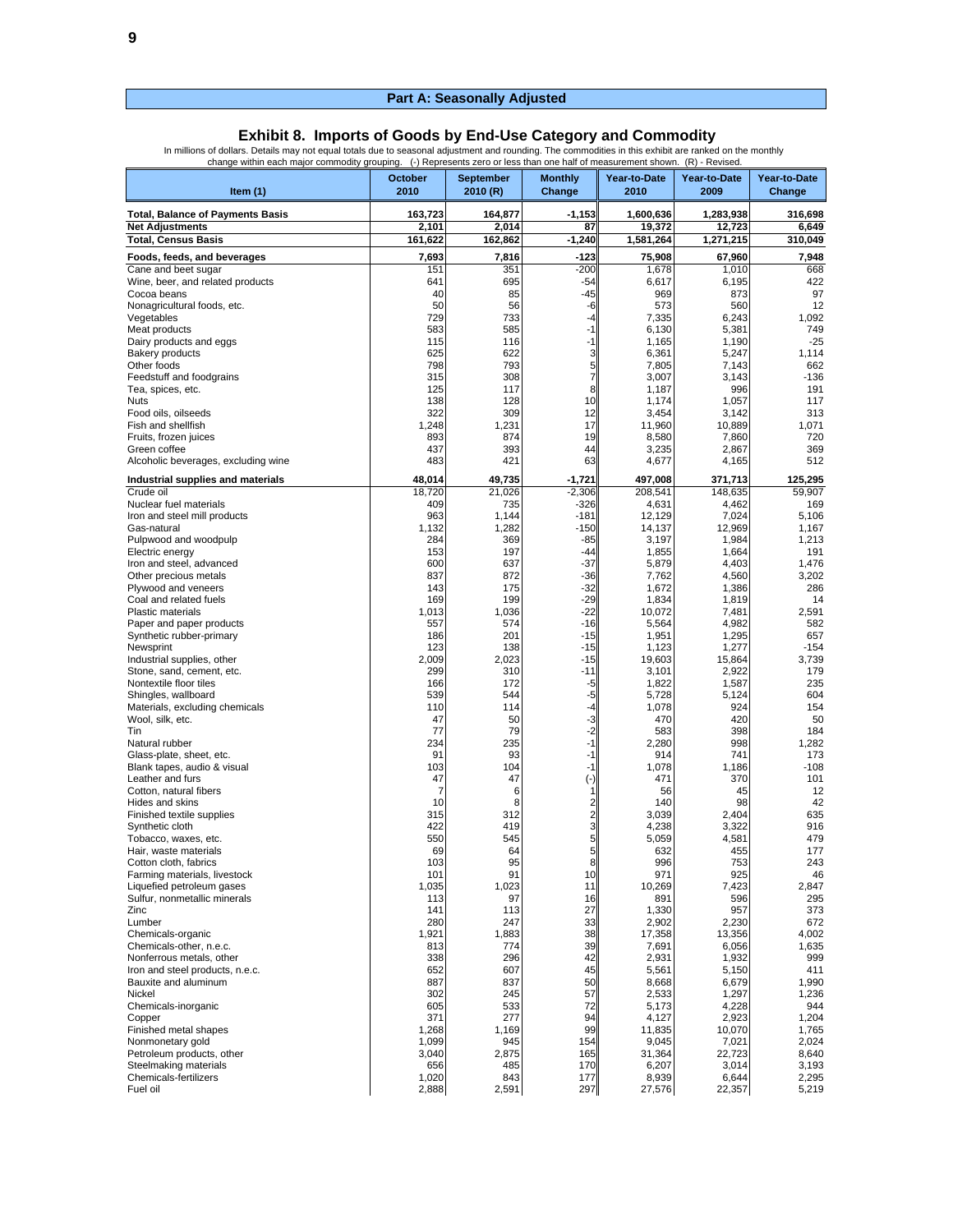**Exhibit 8. Imports of Goods by End-Use Category and Commodity**<br>In millions of dollars. Details may not equal totals due to seasonal adjustment and rounding. The commodities in this exhibit are ranked on the monthly<br>change

| Item $(1)$                                                | October<br>2010  | <b>September</b><br>2010 (R) | <b>Monthly</b><br>Change | Year-to-Date<br>2010 | Year-to-Date<br>2009 | Year-to-Date<br>Change |
|-----------------------------------------------------------|------------------|------------------------------|--------------------------|----------------------|----------------------|------------------------|
| <b>Total, Balance of Payments Basis</b>                   | 163,723          | 164,877                      | $-1,153$                 | 1,600,636            | 1,283,938            | 316,698                |
| <b>Net Adjustments</b>                                    | 2,101            | 2,014                        | 87                       | 19,372               | 12,723               | 6,649                  |
| <b>Total, Census Basis</b>                                | 161,622          | 162,862                      | $-1,240$                 | 1,581,264            | 1,271,215            | 310,049                |
| Foods, feeds, and beverages<br>Cane and beet sugar        | 7,693<br>151     | 7,816<br>351                 | -123<br>$-200$           | 75,908<br>1,678      | 67,960<br>1,010      | 7,948<br>668           |
| Wine, beer, and related products                          | 641              | 695                          | $-54$                    | 6,617                | 6,195                | 422                    |
| Cocoa beans                                               | 40               | 85                           | $-45$                    | 969                  | 873                  | 97                     |
| Nonagricultural foods, etc.<br>Vegetables                 | 50<br>729        | 56<br>733                    | -6<br>-4                 | 573<br>7,335         | 560<br>6,243         | 12<br>1,092            |
| Meat products                                             | 583              | 585                          | -1                       | 6,130                | 5,381                | 749                    |
| Dairy products and eggs                                   | 115              | 116                          | $-1$                     | 1,165                | 1,190                | $-25$                  |
| <b>Bakery products</b><br>Other foods                     | 625<br>798       | 622<br>793                   | 3<br>5                   | 6,361<br>7,805       | 5,247<br>7,143       | 1,114<br>662           |
| Feedstuff and foodgrains                                  | 315              | 308                          | 7                        | 3,007                | 3,143                | $-136$                 |
| Tea, spices, etc.                                         | 125              | 117                          | 8                        | 1,187                | 996                  | 191                    |
| Nuts<br>Food oils, oilseeds                               | 138<br>322       | 128<br>309                   | 10<br>12                 | 1,174<br>3,454       | 1,057<br>3,142       | 117<br>313             |
| Fish and shellfish                                        | 1,248            | 1,231                        | 17                       | 11,960               | 10,889               | 1,071                  |
| Fruits, frozen juices                                     | 893              | 874                          | 19                       | 8,580                | 7,860                | 720                    |
| Green coffee                                              | 437<br>483       | 393                          | 44<br>63                 | 3,235                | 2,867                | 369<br>512             |
| Alcoholic beverages, excluding wine                       |                  | 421                          |                          | 4,677                | 4,165                |                        |
| Industrial supplies and materials<br>Crude oil            | 48,014<br>18.720 | 49,735<br>21,026             | -1,721<br>$-2,306$       | 497,008<br>208,541   | 371,713<br>148,635   | 125,295<br>59,907      |
| Nuclear fuel materials                                    | 409              | 735                          | -326                     | 4,631                | 4,462                | 169                    |
| Iron and steel mill products                              | 963              | 1,144                        | $-181$                   | 12.129               | 7,024                | 5,106                  |
| Gas-natural<br>Pulpwood and woodpulp                      | 1,132<br>284     | 1,282<br>369                 | $-150$<br>$-85$          | 14,137<br>3,197      | 12,969<br>1,984      | 1,167<br>1,213         |
| Electric energy                                           | 153              | 197                          | -44                      | 1,855                | 1,664                | 191                    |
| Iron and steel, advanced                                  | 600              | 637                          | $-37$                    | 5,879                | 4,403                | 1,476                  |
| Other precious metals                                     | 837<br>143       | 872<br>175                   | $-36$<br>$-32$           | 7,762                | 4,560<br>1,386       | 3,202<br>286           |
| Plywood and veneers<br>Coal and related fuels             | 169              | 199                          | $-29$                    | 1,672<br>1,834       | 1,819                | 14                     |
| <b>Plastic materials</b>                                  | 1,013            | 1,036                        | $-22$                    | 10,072               | 7,481                | 2,591                  |
| Paper and paper products                                  | 557              | 574                          | $-16$                    | 5,564                | 4,982                | 582                    |
| Synthetic rubber-primary<br>Newsprint                     | 186<br>123       | 201<br>138                   | $-15$<br>$-15$           | 1,951<br>1,123       | 1,295<br>1,277       | 657<br>$-154$          |
| Industrial supplies, other                                | 2,009            | 2,023                        | $-15$                    | 19,603               | 15,864               | 3,739                  |
| Stone, sand, cement, etc.                                 | 299              | 310                          | $-11$                    | 3,101                | 2,922                | 179                    |
| Nontextile floor tiles<br>Shingles, wallboard             | 166<br>539       | 172<br>544                   | $-5$<br>-5               | 1,822<br>5,728       | 1,587<br>5,124       | 235<br>604             |
| Materials, excluding chemicals                            | 110              | 114                          | -4                       | 1,078                | 924                  | 154                    |
| Wool, silk, etc.                                          | 47               | 50                           | -3                       | 470                  | 420                  | 50                     |
| Tin<br>Natural rubber                                     | 77<br>234        | 79<br>235                    | $-2$<br>$-1$             | 583<br>2,280         | 398<br>998           | 184<br>1,282           |
| Glass-plate, sheet, etc.                                  | 91               | 93                           | -1                       | 914                  | 741                  | 173                    |
| Blank tapes, audio & visual                               | 103              | 104                          | $-1$                     | 1,078                | 1,186                | $-108$                 |
| Leather and furs<br>Cotton, natural fibers                | 47<br>7          | 47<br>6                      | $(\cdot)$                | 471<br>56            | 370<br>45            | 101<br>12              |
| Hides and skins                                           | 10               | 8                            | 2                        | 140                  | 98                   | 42                     |
| Finished textile supplies                                 | 315              | 312                          | $\overline{\mathbf{c}}$  | 3,039                | 2,404                | 635                    |
| Synthetic cloth<br>Tobacco, waxes, etc.                   | 422<br>550       | 419<br>545                   | 3<br>5                   | 4,238<br>5,059       | 3,322<br>4,581       | 916<br>479             |
| Hair, waste materials                                     | 69               | 64                           | 5                        | 632                  | 455                  | 177                    |
| Cotton cloth, fabrics                                     | 103              | 95                           | 8                        | 996                  | 753                  | 243                    |
| Farming materials, livestock<br>Liquefied petroleum gases | 101<br>1,035     | 91<br>1,023                  | 10<br>11                 | 971<br>10,269        | 925<br>7,423         | 46<br>2,847            |
| Sulfur, nonmetallic minerals                              | 113              | 97                           | 16                       | 891                  | 596                  | 295                    |
| Zinc                                                      | 141              | 113                          | 27                       | 1,330                | 957                  | 373                    |
| Lumber<br>Chemicals-organic                               | 280<br>1,921     | 247<br>1,883                 | 33<br>38                 | 2,902                | 2,230<br>13,356      | 672<br>4,002           |
| Chemicals-other, n.e.c.                                   | 813              | 774                          | 39                       | 17,358<br>7,691      | 6,056                | 1,635                  |
| Nonferrous metals, other                                  | 338              | 296                          | 42                       | 2,931                | 1,932                | 999                    |
| Iron and steel products, n.e.c.                           | 652              | 607                          | 45                       | 5,561                | 5,150                | 411                    |
| Bauxite and aluminum<br>Nickel                            | 887<br>302       | 837<br>245                   | 50<br>57                 | 8,668<br>2,533       | 6,679<br>1,297       | 1,990<br>1,236         |
| Chemicals-inorganic                                       | 605              | 533                          | 72                       | 5,173                | 4,228                | 944                    |
| Copper                                                    | 371              | 277                          | 94                       | 4,127                | 2,923                | 1,204                  |
| Finished metal shapes<br>Nonmonetary gold                 | 1,268<br>1,099   | 1,169<br>945                 | 99<br>154                | 11,835<br>9,045      | 10,070<br>7,021      | 1,765<br>2,024         |
| Petroleum products, other                                 | 3,040            | 2,875                        | 165                      | 31,364               | 22,723               | 8,640                  |
| Steelmaking materials                                     | 656              | 485                          | 170                      | 6,207                | 3,014                | 3,193                  |
| Chemicals-fertilizers<br>Fuel oil                         | 1,020<br>2,888   | 843<br>2,591                 | 177<br>297               | 8,939<br>27,576      | 6,644<br>22,357      | 2,295<br>5,219         |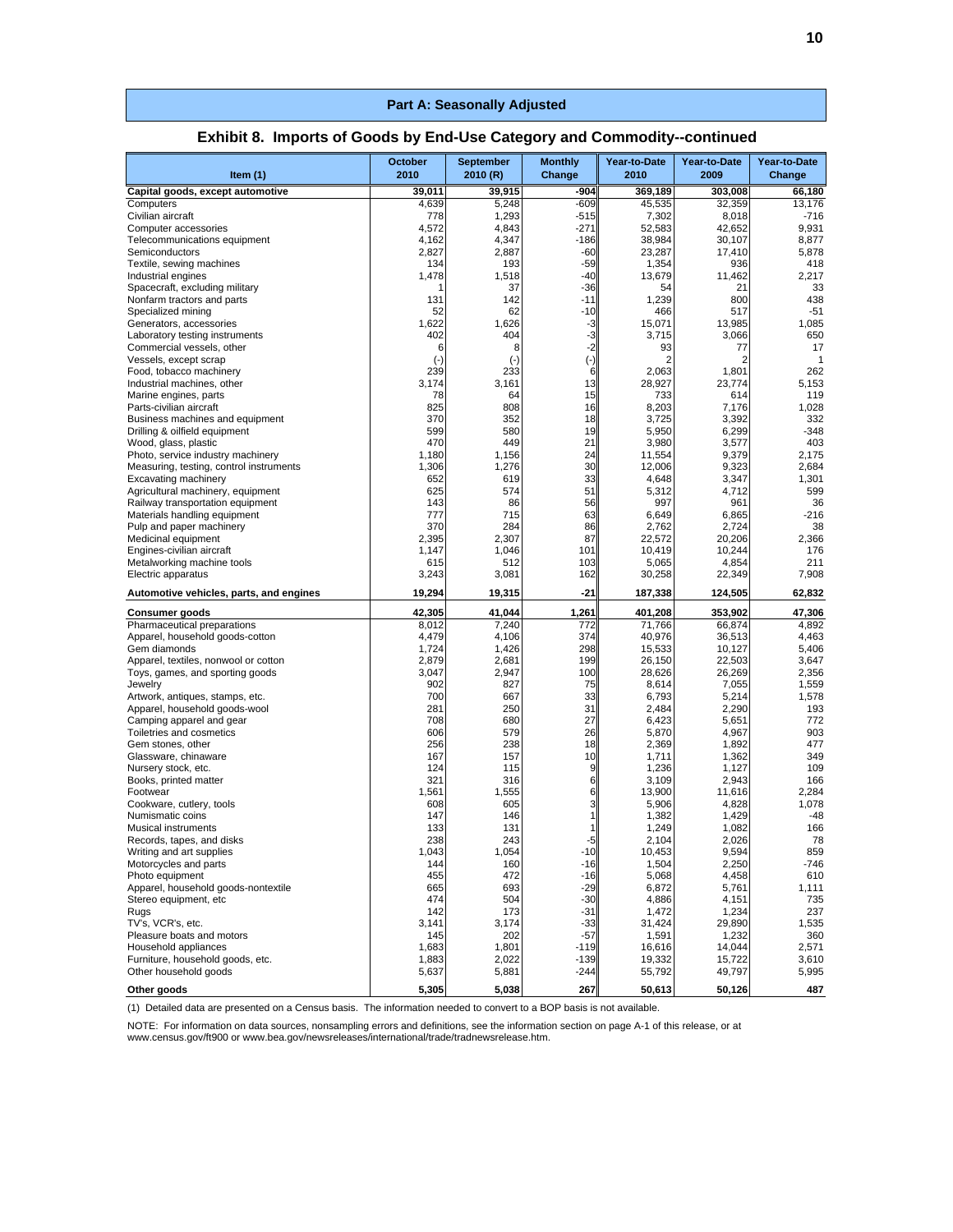| Item $(1)$                                                            | October<br>2010 | <b>September</b><br>2010 (R) | <b>Monthly</b><br>Change | Year-to-Date<br>2010 | Year-to-Date<br>2009 | Year-to-Date<br>Change |
|-----------------------------------------------------------------------|-----------------|------------------------------|--------------------------|----------------------|----------------------|------------------------|
| Capital goods, except automotive                                      | 39,011          | 39,915                       | -904                     | 369,189              | 303,008              | 66,180                 |
| Computers                                                             | 4,639           | 5,248                        | $-609$                   | 45,535               | 32,359               | 13,176                 |
| Civilian aircraft                                                     | 778             | 1,293                        | $-515$                   | 7,302                | 8,018                | $-716$                 |
| Computer accessories                                                  | 4,572           | 4,843                        | $-271$                   | 52.583               | 42,652               | 9,931                  |
| Telecommunications equipment                                          | 4,162           | 4,347                        | $-186$                   | 38,984               | 30,107               | 8,877                  |
| Semiconductors                                                        | 2,827           | 2,887                        | $-60$                    | 23,287               | 17,410               | 5,878                  |
| Textile, sewing machines                                              | 134             | 193                          | $-59$                    | 1,354                | 936                  | 418                    |
| Industrial engines                                                    | 1,478           | 1,518<br>37                  | $-40$                    | 13,679<br>54         | 11,462<br>21         | 2,217<br>33            |
| Spacecraft, excluding military<br>Nonfarm tractors and parts          | 131             | 142                          | $-36$<br>$-11$           | 1,239                | 800                  | 438                    |
| Specialized mining                                                    | 52              | 62                           | $-10$                    | 466                  | 517                  | $-51$                  |
| Generators, accessories                                               | 1,622           | 1,626                        | $-3$                     | 15,071               | 13,985               | 1,085                  |
| Laboratory testing instruments                                        | 402             | 404                          | -3                       | 3,715                | 3,066                | 650                    |
| Commercial vessels, other                                             | 6               | 8                            | $-2$                     | 93                   | 77                   | 17                     |
| Vessels, except scrap                                                 | $(-)$           | $(\cdot)$                    | $(\cdot)$                | 2                    | 2                    | $\mathbf 1$            |
| Food, tobacco machinery                                               | 239             | 233                          | 6                        | 2,063                | 1,801                | 262                    |
| Industrial machines, other<br>Marine engines, parts                   | 3,174<br>78     | 3,161<br>64                  | 13<br>15                 | 28,927<br>733        | 23,774<br>614        | 5,153<br>119           |
| Parts-civilian aircraft                                               | 825             | 808                          | 16                       | 8,203                | 7,176                | 1,028                  |
| Business machines and equipment                                       | 370             | 352                          | 18                       | 3,725                | 3,392                | 332                    |
| Drilling & oilfield equipment                                         | 599             | 580                          | 19                       | 5,950                | 6,299                | $-348$                 |
| Wood, glass, plastic                                                  | 470             | 449                          | 21                       | 3,980                | 3,577                | 403                    |
| Photo, service industry machinery                                     | 1,180           | 1,156                        | 24                       | 11,554               | 9,379                | 2,175                  |
| Measuring, testing, control instruments                               | 1,306           | 1,276                        | 30                       | 12,006               | 9,323                | 2,684                  |
| Excavating machinery                                                  | 652             | 619                          | 33                       | 4,648                | 3,347                | 1,301                  |
| Agricultural machinery, equipment<br>Railway transportation equipment | 625             | 574                          | 51                       | 5,312<br>997         | 4,712                | 599                    |
| Materials handling equipment                                          | 143<br>777      | 86<br>715                    | 56<br>63                 | 6,649                | 961<br>6,865         | 36<br>$-216$           |
| Pulp and paper machinery                                              | 370             | 284                          | 86                       | 2,762                | 2,724                | 38                     |
| Medicinal equipment                                                   | 2,395           | 2.307                        | 87                       | 22,572               | 20,206               | 2,366                  |
| Engines-civilian aircraft                                             | 1,147           | 1,046                        | 101                      | 10,419               | 10,244               | 176                    |
| Metalworking machine tools                                            | 615             | 512                          | 103                      | 5,065                | 4,854                | 211                    |
| Electric apparatus                                                    | 3,243           | 3,081                        | 162                      | 30,258               | 22,349               | 7,908                  |
| Automotive vehicles, parts, and engines                               | 19,294          | 19,315                       | $-21$                    | 187,338              | 124,505              | 62,832                 |
| Consumer goods                                                        | 42,305          | 41,044                       | 1,261                    | 401,208              | 353,902              | 47,306                 |
| Pharmaceutical preparations<br>Apparel, household goods-cotton        | 8,012<br>4,479  | 7,240<br>4,106               | 772<br>374               | 71,766<br>40,976     | 66,874<br>36,513     | 4,892<br>4,463         |
| Gem diamonds                                                          | 1,724           | 1,426                        | 298                      | 15,533               | 10,127               | 5,406                  |
| Apparel, textiles, nonwool or cotton                                  | 2,879           | 2,681                        | 199                      | 26,150               | 22,503               | 3,647                  |
| Toys, games, and sporting goods                                       | 3,047           | 2,947                        | 100                      | 28,626               | 26,269               | 2,356                  |
| Jewelry                                                               | 902             | 827                          | 75                       | 8,614                | 7,055                | 1,559                  |
| Artwork, antiques, stamps, etc.                                       | 700             | 667                          | 33                       | 6,793                | 5,214                | 1,578                  |
| Apparel, household goods-wool                                         | 281             | 250                          | 31                       | 2,484                | 2,290                | 193                    |
| Camping apparel and gear                                              | 708             | 680                          | 27                       | 6,423                | 5,651                | 772                    |
| Toiletries and cosmetics<br>Gem stones, other                         | 606<br>256      | 579<br>238                   | 26<br>18                 | 5,870<br>2,369       | 4,967<br>1,892       | 903<br>477             |
| Glassware, chinaware                                                  | 167             | 157                          | 10                       | 1,711                | 1,362                | 349                    |
| Nursery stock, etc.                                                   | 124             | 115                          | 9                        | 1,236                | 1,127                | 109                    |
| Books, printed matter                                                 | 321             | 316                          | 6                        | 3,109                | 2,943                | 166                    |
| Footwear                                                              | 1,561           | 1,555                        | 6                        | 13,900               | 11,616               | 2,284                  |
| Cookware, cutlery, tools                                              | 608             | 605                          | 3                        | 5,906                | 4,828                | 1,078                  |
| Numismatic coins                                                      | 147             | 146                          | 1                        | 1,382                | 1,429                | $-48$                  |
| <b>Musical instruments</b>                                            | 133             | 131<br>243                   | 1                        | 1,249                | 1,082                | 166                    |
| Records, tapes, and disks                                             | 238<br>1,043    | 1,054                        | -5<br>$-10$              | 2,104<br>10,453      | 2,026                | 78<br>859              |
| Writing and art supplies<br>Motorcycles and parts                     | 144             | 160                          | $-16$                    | 1,504                | 9,594<br>2,250       | $-746$                 |
| Photo equipment                                                       | 455             | 472                          | $-16$                    | 5,068                | 4,458                | 610                    |
| Apparel, household goods-nontextile                                   | 665             | 693                          | $-29$                    | 6,872                | 5,761                | 1,111                  |
| Stereo equipment, etc                                                 | 474             | 504                          | $-30$                    | 4,886                | 4,151                | 735                    |
| Rugs                                                                  | 142             | 173                          | $-31$                    | 1,472                | 1,234                | 237                    |
| TV's, VCR's, etc.                                                     | 3,141           | 3,174                        | $-33$                    | 31,424               | 29,890               | 1,535                  |
| Pleasure boats and motors                                             | 145             | 202                          | $-57$<br>$-119$          | 1,591                | 1,232                | 360                    |
| Household appliances<br>Furniture, household goods, etc.              | 1,683<br>1,883  | 1,801<br>2,022               | $-139$                   | 16,616<br>19,332     | 14,044<br>15,722     | 2,571<br>3,610         |
| Other household goods                                                 | 5,637           | 5,881                        | $-244$                   | 55,792               | 49,797               | 5,995                  |
| Other goods                                                           | 5,305           | 5,038                        | 267                      | 50,613               | 50,126               | 487                    |

#### **Exhibit 8. Imports of Goods by End-Use Category and Commodity--continued**

(1) Detailed data are presented on a Census basis. The information needed to convert to a BOP basis is not available.

NOTE: For information on data sources, nonsampling errors and definitions, see the information section on page A-1 of this release, or at<br>www.census.gov/ft900 or www.bea.gov/newsreleases/international/trade/tradnewsrelease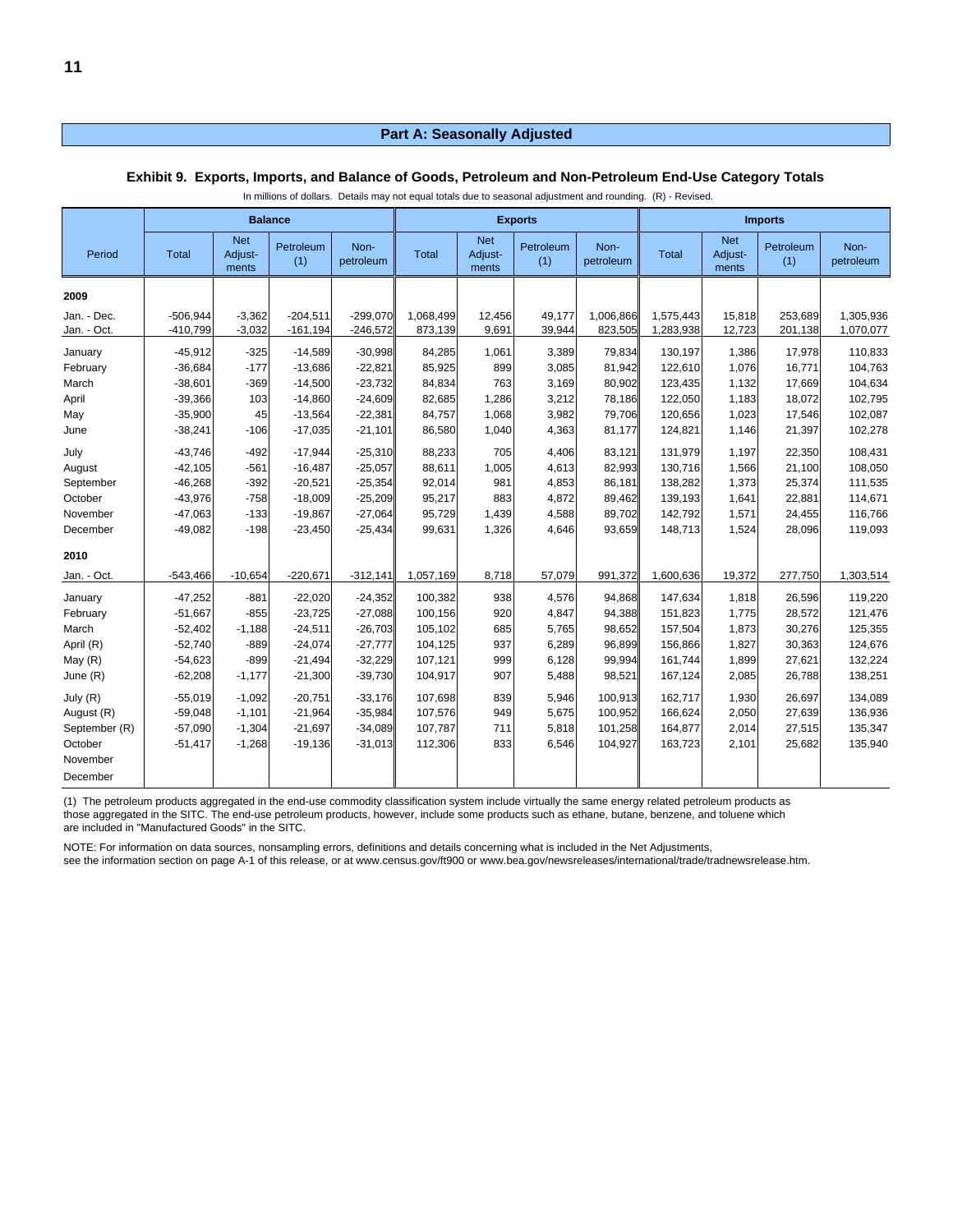|                                 | <b>Balance</b> |                                |                  |                   |           |                                | <b>Exports</b>   |                   | <b>Imports</b> |                                |                  |                   |
|---------------------------------|----------------|--------------------------------|------------------|-------------------|-----------|--------------------------------|------------------|-------------------|----------------|--------------------------------|------------------|-------------------|
| Period                          | <b>Total</b>   | <b>Net</b><br>Adjust-<br>ments | Petroleum<br>(1) | Non-<br>petroleum | Total     | <b>Net</b><br>Adjust-<br>ments | Petroleum<br>(1) | Non-<br>petroleum | Total          | <b>Net</b><br>Adjust-<br>ments | Petroleum<br>(1) | Non-<br>petroleum |
| 2009                            |                |                                |                  |                   |           |                                |                  |                   |                |                                |                  |                   |
| Jan. - Dec.                     | $-506,944$     | $-3,362$                       | $-204,511$       | $-299,070$        | 1,068,499 | 12,456                         | 49,177           | 1,006,866         | 1,575,443      | 15,818                         | 253,689          | 1,305,936         |
| Jan. - Oct.                     | $-410,799$     | $-3,032$                       | $-161, 194$      | $-246,572$        | 873,139   | 9,691                          | 39,944           | 823,505           | 1,283,938      | 12,723                         | 201,138          | 1,070,077         |
| January                         | $-45,912$      | $-325$                         | $-14,589$        | $-30,998$         | 84,285    | 1,061                          | 3,389            | 79,834            | 130,197        | 1,386                          | 17,978           | 110,833           |
| February                        | $-36,684$      | $-177$                         | $-13,686$        | $-22,821$         | 85,925    | 899                            | 3,085            | 81,942            | 122,610        | 1,076                          | 16,771           | 104,763           |
| March                           | $-38,601$      | $-369$                         | $-14,500$        | $-23,732$         | 84,834    | 763                            | 3,169            | 80,902            | 123,435        | 1,132                          | 17,669           | 104,634           |
| April                           | $-39,366$      | 103                            | $-14,860$        | $-24,609$         | 82,685    | 1,286                          | 3,212            | 78,186            | 122,050        | 1,183                          | 18,072           | 102,795           |
| May                             | $-35,900$      | 45                             | $-13,564$        | $-22,381$         | 84,757    | 1,068                          | 3,982            | 79,706            | 120,656        | 1,023                          | 17,546           | 102,087           |
| June                            | $-38,241$      | $-106$                         | $-17,035$        | $-21,101$         | 86,580    | 1,040                          | 4,363            | 81,177            | 124,821        | 1,146                          | 21,397           | 102,278           |
| July                            | $-43,746$      | $-492$                         | $-17,944$        | $-25,310$         | 88,233    | 705                            | 4,406            | 83,121            | 131,979        | 1,197                          | 22,350           | 108,431           |
| August                          | $-42,105$      | $-561$                         | $-16,487$        | $-25,057$         | 88,611    | 1,005                          | 4,613            | 82,993            | 130,716        | 1,566                          | 21,100           | 108,050           |
| September                       | $-46,268$      | $-392$                         | $-20,521$        | $-25,354$         | 92,014    | 981                            | 4,853            | 86,181            | 138,282        | 1,373                          | 25,374           | 111,535           |
| October                         | $-43,976$      | $-758$                         | $-18,009$        | $-25,209$         | 95,217    | 883                            | 4,872            | 89,462            | 139,193        | 1,641                          | 22,881           | 114,671           |
| November                        | $-47,063$      | $-133$                         | $-19,867$        | $-27,064$         | 95,729    | 1,439                          | 4,588            | 89,702            | 142,792        | 1,571                          | 24,455           | 116,766           |
| December<br>2010                | $-49,082$      | $-198$                         | $-23,450$        | $-25,434$         | 99,631    | 1,326                          | 4,646            | 93,659            | 148,713        | 1,524                          | 28,096           | 119,093           |
| Jan. - Oct.                     | $-543,466$     | $-10,654$                      | $-220,671$       | $-312,141$        | 1,057,169 | 8,718                          | 57,079           | 991,372           | 1,600,636      | 19,372                         | 277,750          | 1,303,514         |
| January                         | $-47,252$      | $-881$                         | $-22,020$        | $-24,352$         | 100,382   | 938                            | 4,576            | 94,868            | 147,634        | 1,818                          | 26,596           | 119,220           |
| February                        | $-51,667$      | $-855$                         | $-23,725$        | $-27,088$         | 100,156   | 920                            | 4,847            | 94,388            | 151,823        | 1,775                          | 28,572           | 121,476           |
| March                           | $-52,402$      | $-1,188$                       | $-24,511$        | $-26,703$         | 105,102   | 685                            | 5,765            | 98,652            | 157,504        | 1,873                          | 30,276           | 125,355           |
| April (R)                       | $-52,740$      | $-889$                         | $-24,074$        | $-27,777$         | 104,125   | 937                            | 6,289            | 96,899            | 156,866        | 1,827                          | 30,363           | 124,676           |
| May $(R)$                       | $-54,623$      | $-899$                         | $-21,494$        | $-32,229$         | 107,121   | 999                            | 6,128            | 99,994            | 161,744        | 1,899                          | 27,621           | 132,224           |
| June (R)                        | $-62,208$      | $-1,177$                       | $-21,300$        | $-39,730$         | 104,917   | 907                            | 5,488            | 98,521            | 167,124        | 2,085                          | 26,788           | 138,251           |
| July (R)                        | $-55,019$      | $-1,092$                       | $-20,751$        | $-33.176$         | 107,698   | 839                            | 5,946            | 100,913           | 162,717        | 1,930                          | 26,697           | 134,089           |
| August (R)                      | $-59,048$      | $-1,101$                       | $-21,964$        | $-35,984$         | 107,576   | 949                            | 5,675            | 100,952           | 166,624        | 2,050                          | 27,639           | 136,936           |
| September (R)                   | $-57,090$      | $-1,304$                       | $-21,697$        | $-34,089$         | 107,787   | 711                            | 5,818            | 101,258           | 164,877        | 2,014                          | 27,515           | 135,347           |
| October<br>November<br>December | $-51,417$      | $-1,268$                       | $-19,136$        | $-31,013$         | 112,306   | 833                            | 6,546            | 104,927           | 163,723        | 2,101                          | 25,682           | 135,940           |

#### **Exhibit 9. Exports, Imports, and Balance of Goods, Petroleum and Non-Petroleum End-Use Category Totals**

In millions of dollars. Details may not equal totals due to seasonal adjustment and rounding. (R) - Revised.

(1) The petroleum products aggregated in the end-use commodity classification system include virtually the same energy related petroleum products as those aggregated in the SITC. The end-use petroleum products, however, include some products such as ethane, butane, benzene, and toluene which

are included in "Manufactured Goods" in the SITC.

NOTE: For information on data sources, nonsampling errors, definitions and details concerning what is included in the Net Adjustments,

see the information section on page A-1 of this release, or at www.census.gov/ft900 or www.bea.gov/newsreleases/international/trade/tradnewsrelease.htm.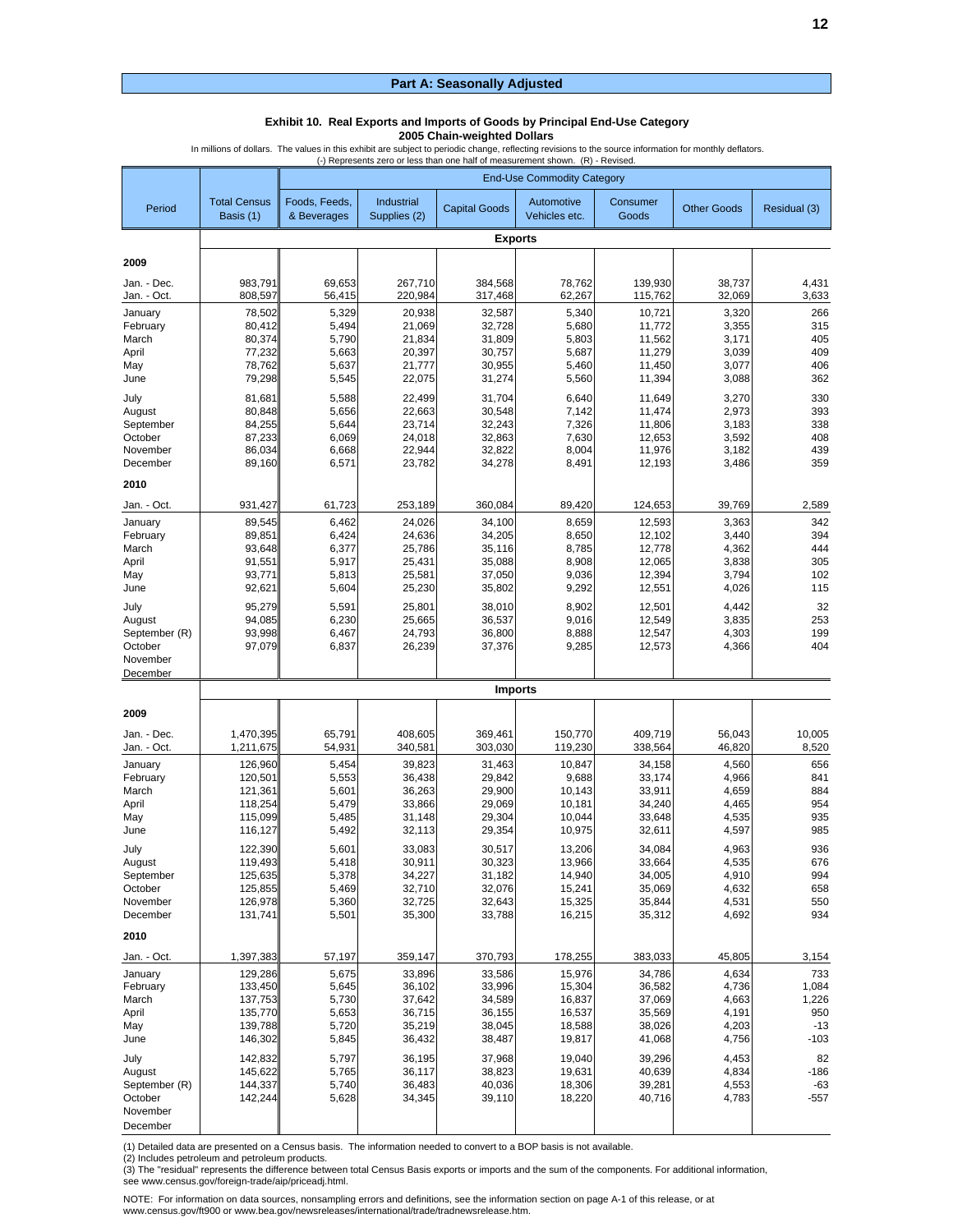#### **Exhibit 10. Real Exports and Imports of Goods by Principal End-Use Category**

**2005 Chain-weighted Dollars**

In millions of dollars. The values in this exhibit are subject to periodic change, reflecting revisions to the source information for monthly deflators.

|                            | (-) Represents zero or less than one half of measurement shown. (R) - Revised.<br><b>End-Use Commodity Category</b> |                  |                    |                      |                    |                    |                    |                 |  |  |  |  |
|----------------------------|---------------------------------------------------------------------------------------------------------------------|------------------|--------------------|----------------------|--------------------|--------------------|--------------------|-----------------|--|--|--|--|
| Period                     | <b>Total Census</b>                                                                                                 | Foods, Feeds,    | Industrial         | <b>Capital Goods</b> | Automotive         | Consumer           | <b>Other Goods</b> | Residual (3)    |  |  |  |  |
|                            | Basis (1)                                                                                                           | & Beverages      | Supplies (2)       |                      | Vehicles etc.      | Goods              |                    |                 |  |  |  |  |
|                            |                                                                                                                     |                  |                    | <b>Exports</b>       |                    |                    |                    |                 |  |  |  |  |
| 2009                       |                                                                                                                     |                  |                    |                      |                    |                    |                    |                 |  |  |  |  |
| Jan. - Dec.<br>Jan. - Oct. | 983,791<br>808,597                                                                                                  | 69,653<br>56,415 | 267,710<br>220,984 | 384,568<br>317,468   | 78,762<br>62,267   | 139,930<br>115,762 | 38,737<br>32,069   | 4,431<br>3,633  |  |  |  |  |
| January                    | 78.502                                                                                                              | 5,329            | 20,938             | 32,587               | 5,340              | 10,721             | 3,320              | 266             |  |  |  |  |
| February<br>March          | 80,412<br>80,374                                                                                                    | 5,494<br>5,790   | 21,069<br>21,834   | 32,728<br>31,809     | 5,680<br>5,803     | 11.772<br>11,562   | 3,355<br>3,171     | 315<br>405      |  |  |  |  |
| April                      | 77,232                                                                                                              | 5,663            | 20,397             | 30.757               | 5,687              | 11,279             | 3,039              | 409             |  |  |  |  |
| May<br>June                | 78,762<br>79,298                                                                                                    | 5,637<br>5,545   | 21,777<br>22,075   | 30,955<br>31,274     | 5,460<br>5,560     | 11,450<br>11,394   | 3,077<br>3,088     | 406<br>362      |  |  |  |  |
| July                       | 81,681                                                                                                              | 5,588            | 22,499             | 31,704               | 6,640              | 11,649             | 3,270              | 330             |  |  |  |  |
| August                     | 80,848                                                                                                              | 5,656            | 22,663             | 30,548               | 7,142              | 11,474             | 2,973              | 393             |  |  |  |  |
| September                  | 84,255                                                                                                              | 5,644            | 23,714             | 32,243               | 7,326              | 11,806             | 3,183              | 338             |  |  |  |  |
| October<br>November        | 87,233<br>86,034                                                                                                    | 6,069<br>6,668   | 24,018<br>22,944   | 32,863<br>32,822     | 7,630<br>8,004     | 12,653<br>11,976   | 3,592<br>3,182     | 408<br>439      |  |  |  |  |
| December                   | 89,160                                                                                                              | 6,571            | 23,782             | 34,278               | 8,491              | 12,193             | 3,486              | 359             |  |  |  |  |
| 2010                       |                                                                                                                     |                  |                    |                      |                    |                    |                    |                 |  |  |  |  |
| Jan. - Oct.                | 931,427                                                                                                             | 61,723           | 253,189            | 360,084              | 89,420             | 124,653            | 39,769             | 2,589           |  |  |  |  |
| January                    | 89,545                                                                                                              | 6,462            | 24,026             | 34,100               | 8,659              | 12,593             | 3,363              | 342             |  |  |  |  |
| February<br>March          | 89,851<br>93.648                                                                                                    | 6,424<br>6,377   | 24,636<br>25,786   | 34,205<br>35,116     | 8,650<br>8,785     | 12,102<br>12.778   | 3,440<br>4,362     | 394<br>444      |  |  |  |  |
| April                      | 91,551                                                                                                              | 5,917            | 25,431             | 35,088               | 8,908              | 12,065             | 3,838              | 305             |  |  |  |  |
| May                        | 93,771                                                                                                              | 5,813            | 25,581             | 37,050               | 9,036              | 12,394             | 3,794              | 102             |  |  |  |  |
| June                       | 92,621                                                                                                              | 5,604            | 25,230             | 35,802               | 9,292              | 12,551             | 4,026              | 115             |  |  |  |  |
| July                       | 95,279                                                                                                              | 5,591            | 25,801             | 38,010               | 8,902              | 12,501             | 4,442              | 32              |  |  |  |  |
| August<br>September (R)    | 94,085<br>93,998                                                                                                    | 6,230<br>6,467   | 25,665<br>24,793   | 36,537<br>36,800     | 9,016<br>8,888     | 12,549<br>12,547   | 3,835<br>4,303     | 253<br>199      |  |  |  |  |
| October                    | 97,079                                                                                                              | 6,837            | 26,239             | 37,376               | 9,285              | 12,573             | 4,366              | 404             |  |  |  |  |
| November                   |                                                                                                                     |                  |                    |                      |                    |                    |                    |                 |  |  |  |  |
| December                   |                                                                                                                     |                  |                    | <b>Imports</b>       |                    |                    |                    |                 |  |  |  |  |
| 2009                       |                                                                                                                     |                  |                    |                      |                    |                    |                    |                 |  |  |  |  |
|                            |                                                                                                                     |                  |                    |                      |                    |                    |                    |                 |  |  |  |  |
| Jan. - Dec.<br>Jan. - Oct. | 1,470,395<br>1,211,675                                                                                              | 65,791<br>54,931 | 408,605<br>340,581 | 369,461<br>303,030   | 150,770<br>119,230 | 409,719<br>338,564 | 56,043<br>46,820   | 10,005<br>8,520 |  |  |  |  |
| January                    | 126,960                                                                                                             | 5,454            | 39,823             | 31,463               | 10,847             | 34,158             | 4,560              | 656             |  |  |  |  |
| February                   | 120,501                                                                                                             | 5,553            | 36,438             | 29,842               | 9,688              | 33,174             | 4,966              | 841             |  |  |  |  |
| March<br>April             | 121,361<br>118,254                                                                                                  | 5,601<br>5,479   | 36,263<br>33,866   | 29,900<br>29,069     | 10,143<br>10,181   | 33,911<br>34,240   | 4,659<br>4,465     | 884<br>954      |  |  |  |  |
| May                        | 115.099                                                                                                             | 5,485            | 31,148             | 29,304               | 10.044             | 33,648             | 4,535              | 935             |  |  |  |  |
| June                       | 116,127                                                                                                             | 5,492            | 32,113             | 29,354               | 10,975             | 32,611             | 4,597              | 985             |  |  |  |  |
| July                       | 122,390                                                                                                             | 5,601            | 33,083             | 30,517               | 13,206             | 34,084             | 4,963              | 936             |  |  |  |  |
| August<br>September        | 119,493<br>125,635                                                                                                  | 5,418<br>5,378   | 30,911<br>34,227   | 30,323<br>31,182     | 13,966<br>14,940   | 33,664<br>34,005   | 4,535<br>4,910     | 676<br>994      |  |  |  |  |
| October                    | 125,855                                                                                                             | 5,469            | 32,710             | 32,076               | 15,241             | 35,069             | 4,632              | 658             |  |  |  |  |
| November                   | 126,978                                                                                                             | 5,360            | 32,725             | 32,643               | 15,325             | 35,844             | 4,531              | 550             |  |  |  |  |
| December                   | 131,741                                                                                                             | 5,501            | 35,300             | 33,788               | 16,215             | 35,312             | 4,692              | 934             |  |  |  |  |
| 2010                       |                                                                                                                     |                  |                    |                      |                    |                    |                    |                 |  |  |  |  |
| Jan. - Oct.                | 1,397,383                                                                                                           | 57,197           | 359,147            | 370,793              | 178,255            | 383,033            | 45,805             | 3,154           |  |  |  |  |
| January<br>February        | 129,286<br>133.450                                                                                                  | 5,675<br>5,645   | 33,896<br>36,102   | 33,586<br>33,996     | 15,976<br>15,304   | 34,786<br>36,582   | 4,634<br>4,736     | 733<br>1,084    |  |  |  |  |
| March                      | 137,753                                                                                                             | 5,730            | 37,642             | 34,589               | 16,837             | 37,069             | 4,663              | 1,226           |  |  |  |  |
| April                      | 135,770                                                                                                             | 5,653            | 36,715             | 36,155               | 16,537             | 35,569             | 4,191              | 950             |  |  |  |  |
| May                        | 139,788                                                                                                             | 5,720            | 35,219             | 38,045               | 18,588             | 38,026             | 4,203              | $-13$           |  |  |  |  |
| June                       | 146,302                                                                                                             | 5,845            | 36,432             | 38,487               | 19,817             | 41,068             | 4,756              | $-103$          |  |  |  |  |
| July                       | 142,832                                                                                                             | 5,797            | 36,195             | 37,968               | 19,040             | 39,296             | 4,453              | 82              |  |  |  |  |
| August<br>September (R)    | 145,622<br>144,337                                                                                                  | 5,765<br>5,740   | 36,117<br>36,483   | 38,823<br>40,036     | 19,631<br>18,306   | 40,639<br>39,281   | 4,834<br>4,553     | $-186$<br>-63   |  |  |  |  |
| October                    | 142,244                                                                                                             | 5,628            | 34,345             | 39,110               | 18,220             | 40,716             | 4,783              | $-557$          |  |  |  |  |
| November                   |                                                                                                                     |                  |                    |                      |                    |                    |                    |                 |  |  |  |  |
| December                   |                                                                                                                     |                  |                    |                      |                    |                    |                    |                 |  |  |  |  |

(1) Detailed data are presented on a Census basis. The information needed to convert to a BOP basis is not available.

(2) Includes petroleum and petroleum products.

(3) The "residual" represents the difference between total Census Basis exports or imports and the sum of the components. For additional information, see www.census.gov/foreign-trade/aip/priceadj.html.

**12**

NOTE: For information on data sources, nonsampling errors and definitions, see the information section on page A-1 of this release, or at www.census.gov/ft900 or www.bea.gov/newsreleases/international/trade/tradnewsrelease.htm.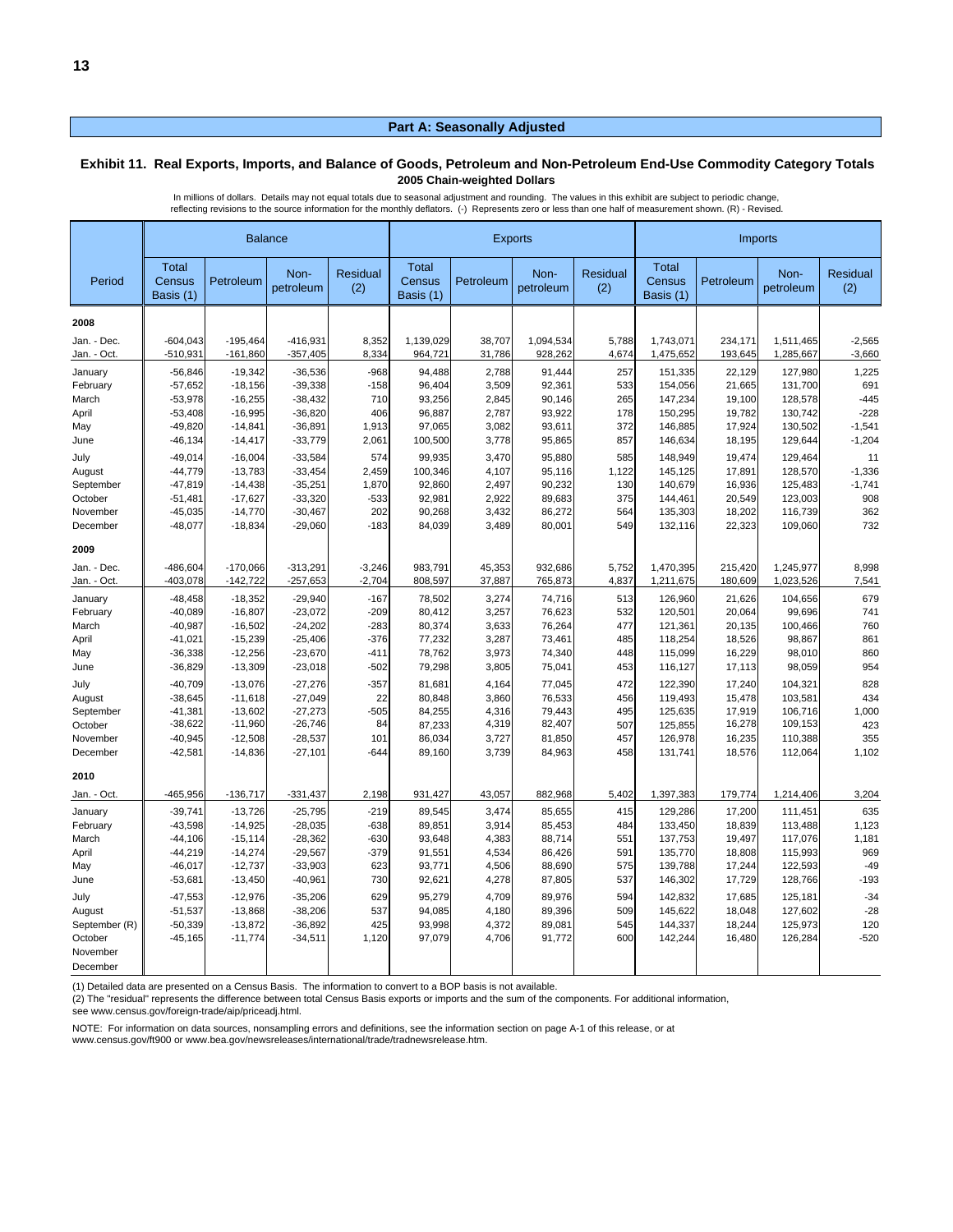#### **Exhibit 11. Real Exports, Imports, and Balance of Goods, Petroleum and Non-Petroleum End-Use Commodity Category Totals 2005 Chain-weighted Dollars**

In millions of dollars. Details may not equal totals due to seasonal adjustment and rounding. The values in this exhibit are subject to periodic change, reflecting revisions to the source information for the monthly deflators. (-) Represents zero or less than one half of measurement shown. (R) - Revised.

|               |                                     |            | <b>Balance</b>    |                        | <b>Exports</b>               |           |                   |                 | Imports                             |           |                   |                 |
|---------------|-------------------------------------|------------|-------------------|------------------------|------------------------------|-----------|-------------------|-----------------|-------------------------------------|-----------|-------------------|-----------------|
| Period        | <b>Total</b><br>Census<br>Basis (1) | Petroleum  | Non-<br>petroleum | <b>Residual</b><br>(2) | Total<br>Census<br>Basis (1) | Petroleum | Non-<br>petroleum | Residual<br>(2) | <b>Total</b><br>Census<br>Basis (1) | Petroleum | Non-<br>petroleum | Residual<br>(2) |
| 2008          |                                     |            |                   |                        |                              |           |                   |                 |                                     |           |                   |                 |
| Jan. - Dec.   | $-604,043$                          | $-195,464$ | $-416,931$        | 8,352                  | 1,139,029                    | 38,707    | 1,094,534         | 5,788           | 1,743,071                           | 234,171   | 1,511,465         | $-2,565$        |
| Jan. - Oct.   | $-510,931$                          | $-161,860$ | $-357,405$        | 8,334                  | 964,721                      | 31,786    | 928,262           | 4,674           | 1,475,652                           | 193,645   | 1,285,667         | $-3,660$        |
| January       | $-56,846$                           | $-19,342$  | $-36,536$         | $-968$                 | 94,488                       | 2,788     | 91,444            | 257             | 151,335                             | 22,129    | 127,980           | 1,225           |
| February      | $-57,652$                           | $-18,156$  | $-39,338$         | $-158$                 | 96,404                       | 3,509     | 92,361            | 533             | 154,056                             | 21,665    | 131,700           | 691             |
| March         | $-53,978$                           | $-16,255$  | $-38,432$         | 710                    | 93,256                       | 2,845     | 90,146            | 265             | 147,234                             | 19,100    | 128,578           | $-445$          |
| April         | $-53,408$                           | $-16,995$  | $-36,820$         | 406                    | 96,887                       | 2,787     | 93,922            | 178             | 150,295                             | 19,782    | 130,742           | $-228$          |
| May           | $-49,820$                           | $-14,841$  | $-36,891$         | 1,913                  | 97,065                       | 3,082     | 93,611            | 372             | 146,885                             | 17,924    | 130,502           | $-1,541$        |
| June          | $-46, 134$                          | $-14,417$  | $-33,779$         | 2,061                  | 100,500                      | 3,778     | 95,865            | 857             | 146,634                             | 18,195    | 129,644           | $-1,204$        |
| July          | $-49.014$                           | $-16,004$  | $-33,584$         | 574                    | 99,935                       | 3,470     | 95,880            | 585             | 148,949                             | 19,474    | 129,464           | 11              |
| August        | $-44,779$                           | $-13,783$  | $-33,454$         | 2,459                  | 100,346                      | 4,107     | 95,116            | 1,122           | 145,125                             | 17,891    | 128,570           | $-1,336$        |
| September     | $-47,819$                           | $-14,438$  | $-35,251$         | 1,870                  | 92,860                       | 2,497     | 90,232            | 130             | 140,679                             | 16,936    | 125,483           | $-1,741$        |
| October       | $-51,481$                           | $-17,627$  | $-33,320$         | $-533$                 | 92,981                       | 2,922     | 89,683            | 375             | 144,461                             | 20,549    | 123,003           | 908             |
| November      | $-45.035$                           | $-14,770$  | $-30,467$         | 202                    | 90,268                       | 3,432     | 86,272            | 564             | 135,303                             | 18,202    | 116,739           | 362             |
| December      | $-48,077$                           | $-18,834$  | $-29,060$         | $-183$                 | 84,039                       | 3,489     | $80,00^{\circ}$   | 549             | 132,116                             | 22,323    | 109,060           | 732             |
| 2009          |                                     |            |                   |                        |                              |           |                   |                 |                                     |           |                   |                 |
| Jan. - Dec.   | -486.604                            | $-170,066$ | $-313,291$        | $-3,246$               | 983.791                      | 45,353    | 932.686           | 5.752           | 1,470,395                           | 215,420   | 1,245,977         | 8,998           |
| Jan. - Oct.   | $-403,078$                          | $-142,722$ | $-257,653$        | $-2,704$               | 808,597                      | 37,887    | 765,873           | 4,837           | 1,211,675                           | 180,609   | 1,023,526         | 7,541           |
| January       | $-48,458$                           | $-18,352$  | $-29,940$         | $-167$                 | 78,502                       | 3,274     | 74,716            | 513             | 126,960                             | 21,626    | 104,656           | 679             |
| February      | $-40,089$                           | $-16,807$  | $-23,072$         | $-209$                 | 80,412                       | 3,257     | 76,623            | 532             | 120,501                             | 20,064    | 99,696            | 741             |
| March         | $-40,987$                           | $-16,502$  | $-24,202$         | $-283$                 | 80,374                       | 3,633     | 76,264            | 477             | 121,361                             | 20,135    | 100,466           | 760             |
| April         | $-41,021$                           | $-15,239$  | $-25,406$         | $-376$                 | 77,232                       | 3,287     | 73,461            | 485             | 118,254                             | 18,526    | 98,867            | 861             |
| May           | $-36,338$                           | $-12,256$  | $-23,670$         | $-411$                 | 78,762                       | 3,973     | 74,340            | 448             | 115,099                             | 16,229    | 98,010            | 860             |
| June          | $-36,829$                           | $-13,309$  | $-23,018$         | $-502$                 | 79,298                       | 3,805     | 75,041            | 453             | 116,127                             | 17,113    | 98,059            | 954             |
| July          | $-40,709$                           | $-13,076$  | $-27,276$         | $-357$                 | 81,681                       | 4,164     | 77,045            | 472             | 122,390                             | 17,240    | 104,321           | 828             |
| August        | $-38,645$                           | $-11,618$  | $-27,049$         | 22                     | 80,848                       | 3,860     | 76,533            | 456             | 119,493                             | 15,478    | 103,581           | 434             |
| September     | $-41,381$                           | $-13,602$  | $-27,273$         | $-505$                 | 84,255                       | 4,316     | 79,443            | 495             | 125,635                             | 17,919    | 106,716           | 1,000           |
| October       | $-38,622$                           | $-11,960$  | $-26,746$         | 84                     | 87,233                       | 4,319     | 82,407            | 507             | 125,855                             | 16,278    | 109,153           | 423             |
| November      | $-40,945$                           | $-12,508$  | $-28,537$         | 101                    | 86,034                       | 3,727     | 81,850            | 457             | 126,978                             | 16,235    | 110,388           | 355             |
| December      | $-42,581$                           | $-14,836$  | $-27,101$         | $-644$                 | 89,160                       | 3,739     | 84,963            | 458             | 131,741                             | 18,576    | 112,064           | 1,102           |
| 2010          |                                     |            |                   |                        |                              |           |                   |                 |                                     |           |                   |                 |
| Jan. - Oct.   | -465,956                            | $-136,717$ | $-331,437$        | 2,198                  | 931,427                      | 43,057    | 882,968           | 5,402           | 1,397,383                           | 179,774   | 1,214,406         | 3,204           |
| January       | $-39,741$                           | $-13,726$  | $-25,795$         | $-219$                 | 89,545                       | 3,474     | 85,655            | 415             | 129,286                             | 17,200    | 111,451           | 635             |
| February      | $-43,598$                           | $-14,925$  | $-28,035$         | $-638$                 | 89,851                       | 3,914     | 85,453            | 484             | 133,450                             | 18,839    | 113,488           | 1,123           |
| March         | $-44,106$                           | $-15, 114$ | $-28,362$         | $-630$                 | 93,648                       | 4,383     | 88,714            | 551             | 137,753                             | 19,497    | 117,076           | 1,181           |
| April         | $-44,219$                           | $-14,274$  | $-29,567$         | $-379$                 | 91,551                       | 4,534     | 86,426            | 591             | 135,770                             | 18,808    | 115,993           | 969             |
| May           | $-46,017$                           | $-12,737$  | $-33,903$         | 623                    | 93,771                       | 4,506     | 88,690            | 575             | 139,788                             | 17,244    | 122,593           | $-49$           |
| June          | $-53,681$                           | $-13,450$  | $-40,961$         | 730                    | 92,621                       | 4,278     | 87,805            | 537             | 146,302                             | 17,729    | 128,766           | $-193$          |
| July          | $-47,553$                           | $-12,976$  | $-35,206$         | 629                    | 95,279                       | 4,709     | 89,976            | 594             | 142,832                             | 17,685    | 125,181           | $-34$           |
| August        | $-51,537$                           | $-13,868$  | $-38,206$         | 537                    | 94,085                       | 4,180     | 89,396            | 509             | 145,622                             | 18,048    | 127,602           | $-28$           |
| September (R) | $-50,339$                           | $-13,872$  | $-36,892$         | 425                    | 93,998                       | 4,372     | 89,081            | 545             | 144,337                             | 18,244    | 125,973           | 120             |
| October       | $-45,165$                           | $-11,774$  | $-34,511$         | 1,120                  | 97,079                       | 4,706     | 91,772            | 600             | 142,244                             | 16,480    | 126,284           | $-520$          |
| November      |                                     |            |                   |                        |                              |           |                   |                 |                                     |           |                   |                 |
| December      |                                     |            |                   |                        |                              |           |                   |                 |                                     |           |                   |                 |

(1) Detailed data are presented on a Census Basis. The information to convert to a BOP basis is not available.

(2) The "residual" represents the difference between total Census Basis exports or imports and the sum of the components. For additional information, see www.census.gov/foreign-trade/aip/priceadj.html.

NOTE: For information on data sources, nonsampling errors and definitions, see the information section on page A-1 of this release, or at www.census.gov/ft900 or www.bea.gov/newsreleases/international/trade/tradnewsrelease.htm.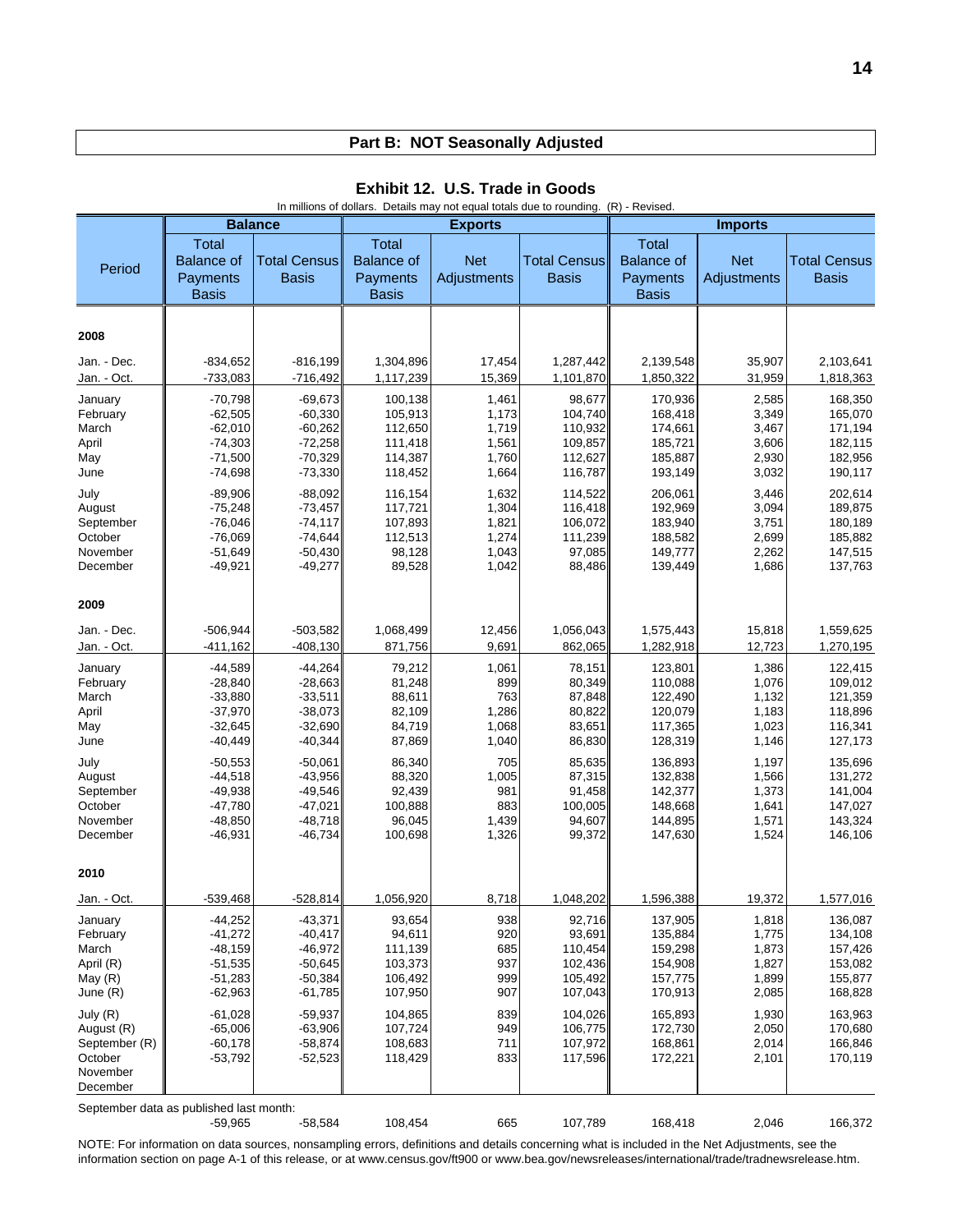|                                                                                                                                                                   |                                                                                                                                                                                       |                                                                                                                                                         |                                                                                                                        |                                                                                                |                                                                                                                              |                                                                                                                                  | In millions of dollars. Details may not equal totals due to rounding. (R) - Revised.                     |                                                                                                                                  |  |  |  |  |  |  |  |  |  |  |
|-------------------------------------------------------------------------------------------------------------------------------------------------------------------|---------------------------------------------------------------------------------------------------------------------------------------------------------------------------------------|---------------------------------------------------------------------------------------------------------------------------------------------------------|------------------------------------------------------------------------------------------------------------------------|------------------------------------------------------------------------------------------------|------------------------------------------------------------------------------------------------------------------------------|----------------------------------------------------------------------------------------------------------------------------------|----------------------------------------------------------------------------------------------------------|----------------------------------------------------------------------------------------------------------------------------------|--|--|--|--|--|--|--|--|--|--|
|                                                                                                                                                                   |                                                                                                                                                                                       | <b>Balance</b>                                                                                                                                          |                                                                                                                        | <b>Exports</b>                                                                                 |                                                                                                                              |                                                                                                                                  | <b>Imports</b>                                                                                           |                                                                                                                                  |  |  |  |  |  |  |  |  |  |  |
| Period                                                                                                                                                            | <b>Total</b><br><b>Balance of</b><br>Payments<br><b>Basis</b>                                                                                                                         | <b>Total Census</b><br><b>Basis</b>                                                                                                                     | <b>Total</b><br><b>Balance of</b><br>Payments<br><b>Basis</b>                                                          | <b>Net</b><br>Adjustments                                                                      | <b>Total Census</b><br><b>Basis</b>                                                                                          | <b>Total</b><br><b>Balance of</b><br>Payments<br><b>Basis</b>                                                                    | <b>Net</b><br>Adjustments                                                                                | <b>Total Census</b><br><b>Basis</b>                                                                                              |  |  |  |  |  |  |  |  |  |  |
| 2008                                                                                                                                                              |                                                                                                                                                                                       |                                                                                                                                                         |                                                                                                                        |                                                                                                |                                                                                                                              |                                                                                                                                  |                                                                                                          |                                                                                                                                  |  |  |  |  |  |  |  |  |  |  |
| Jan. - Dec.<br>Jan. - Oct.                                                                                                                                        | $-834,652$<br>$-733,083$                                                                                                                                                              | $-816,199$<br>$-716,492$                                                                                                                                | 1,304,896<br>1,117,239                                                                                                 | 17,454<br>15,369                                                                               | 1,287,442<br>1,101,870                                                                                                       | 2,139,548<br>1,850,322                                                                                                           | 35,907<br>31,959                                                                                         | 2,103,641<br>1,818,363                                                                                                           |  |  |  |  |  |  |  |  |  |  |
| January<br>February<br>March<br>April<br>May<br>June<br>July<br>August<br>September<br>October                                                                    | $-70,798$<br>$-62,505$<br>$-62,010$<br>$-74,303$<br>$-71,500$<br>$-74,698$<br>$-89,906$<br>$-75,248$<br>$-76,046$<br>$-76,069$                                                        | $-69.673$<br>$-60,330$<br>$-60,262$<br>$-72,258$<br>$-70,329$<br>$-73,330$<br>$-88,092$<br>-73,457<br>$-74, 117$<br>$-74,644$                           | 100,138<br>105,913<br>112,650<br>111,418<br>114,387<br>118,452<br>116,154<br>117,721<br>107,893<br>112,513             | 1,461<br>1,173<br>1,719<br>1,561<br>1,760<br>1,664<br>1,632<br>1,304<br>1,821<br>1,274         | 98,677<br>104,740<br>110,932<br>109,857<br>112,627<br>116,787<br>114,522<br>116,418<br>106,072<br>111,239                    | 170.936<br>168,418<br>174,661<br>185,721<br>185,887<br>193,149<br>206,061<br>192,969<br>183,940<br>188,582                       | 2,585<br>3,349<br>3,467<br>3,606<br>2,930<br>3,032<br>3,446<br>3,094<br>3,751<br>2,699                   | 168,350<br>165,070<br>171,194<br>182,115<br>182,956<br>190,117<br>202,614<br>189,875<br>180,189<br>185,882                       |  |  |  |  |  |  |  |  |  |  |
| November<br>December<br>2009                                                                                                                                      | $-51,649$<br>$-49,921$                                                                                                                                                                | $-50,430$<br>$-49,277$                                                                                                                                  | 98,128<br>89,528                                                                                                       | 1,043<br>1,042                                                                                 | 97,085<br>88,486                                                                                                             | 149,777<br>139,449                                                                                                               | 2,262<br>1,686                                                                                           | 147,515<br>137,763                                                                                                               |  |  |  |  |  |  |  |  |  |  |
| Jan. - Dec.<br>Jan. - Oct.                                                                                                                                        | $-506,944$<br>$-411,162$                                                                                                                                                              | $-503,582$<br>$-408,130$                                                                                                                                | 1,068,499<br>871,756                                                                                                   | 12,456<br>9,691                                                                                | 1,056,043<br>862,065                                                                                                         | 1,575,443<br>1,282,918                                                                                                           | 15,818<br>12,723                                                                                         | 1,559,625<br>1,270,195                                                                                                           |  |  |  |  |  |  |  |  |  |  |
| January<br>February<br>March<br>April<br>May<br>June<br>July<br>August<br>September<br>October<br>November<br>December                                            | $-44,589$<br>$-28,840$<br>$-33,880$<br>$-37,970$<br>$-32,645$<br>$-40,449$<br>$-50,553$<br>$-44,518$<br>$-49,938$<br>$-47,780$<br>$-48,850$<br>$-46,931$                              | $-44,264$<br>$-28,663$<br>$-33,511$<br>$-38,073$<br>$-32,690$<br>$-40,344$<br>$-50,061$<br>$-43,956$<br>$-49,546$<br>-47,021 <br>$-48,718$<br>$-46,734$ | 79,212<br>81,248<br>88,611<br>82,109<br>84,719<br>87,869<br>86,340<br>88,320<br>92,439<br>100,888<br>96,045<br>100,698 | 1,061<br>899<br>763<br>1,286<br>1,068<br>1,040<br>705<br>1,005<br>981<br>883<br>1,439<br>1,326 | 78,151<br>80,349<br>87,848<br>80,822<br>83,651<br>86,830<br>85,635<br>87,315<br>91,458<br>100,005<br>94,607<br>99,372        | 123,801<br>110,088<br>122,490<br>120,079<br>117,365<br>128,319<br>136,893<br>132,838<br>142,377<br>148,668<br>144,895<br>147,630 | 1,386<br>1,076<br>1,132<br>1,183<br>1,023<br>1,146<br>1,197<br>1,566<br>1,373<br>1,641<br>1,571<br>1,524 | 122,415<br>109,012<br>121,359<br>118,896<br>116,341<br>127,173<br>135,696<br>131,272<br>141,004<br>147,027<br>143,324<br>146,106 |  |  |  |  |  |  |  |  |  |  |
| 2010                                                                                                                                                              |                                                                                                                                                                                       |                                                                                                                                                         |                                                                                                                        |                                                                                                |                                                                                                                              |                                                                                                                                  |                                                                                                          |                                                                                                                                  |  |  |  |  |  |  |  |  |  |  |
| Jan. - Oct.<br>January<br>February<br>March<br>April (R)<br>May $(R)$<br>June $(R)$<br>July (R)<br>August (R)<br>September (R)<br>October<br>November<br>December | -539,468<br>$-44,252$<br>$-41,272$<br>$-48,159$<br>$-51,535$<br>$-51,283$<br>$-62,963$<br>$-61,028$<br>$-65,006$<br>$-60,178$<br>$-53,792$<br>September data as published last month: | -528,814<br>$-43,371$<br>$-40,417$<br>$-46,972$<br>$-50,645$<br>$-50,384$<br>$-61,785$<br>$-59,937$<br>$-63,906$<br>$-58,874$<br>$-52,523$              | 1,056,920<br>93,654<br>94,611<br>111,139<br>103,373<br>106,492<br>107,950<br>104,865<br>107,724<br>108,683<br>118,429  | 8,718<br>938<br>920<br>685<br>937<br>999<br>907<br>839<br>949<br>711<br>833                    | <u>1,048,202</u><br>92,716<br>93,691<br>110,454<br>102,436<br>105,492<br>107,043<br>104,026<br>106,775<br>107,972<br>117,596 | <u>1,596,388</u><br>137,905<br>135,884<br>159,298<br>154,908<br>157,775<br>170,913<br>165,893<br>172,730<br>168,861<br>172,221   | <u> 19,372</u><br>1,818<br>1,775<br>1,873<br>1,827<br>1,899<br>2,085<br>1,930<br>2,050<br>2,014<br>2,101 | 1,577,016<br>136,087<br>134,108<br>157,426<br>153,082<br>155,877<br>168,828<br>163,963<br>170,680<br>166,846<br>170,119          |  |  |  |  |  |  |  |  |  |  |

**Exhibit 12. U.S. Trade in Goods**

-59,965 -58,584 108,454 665 107,789 168,418 2,046 166,372 NOTE: For information on data sources, nonsampling errors, definitions and details concerning what is included in the Net Adjustments, see the information section on page A-1 of this release, or at www.census.gov/ft900 or www.bea.gov/newsreleases/international/trade/tradnewsrelease.htm.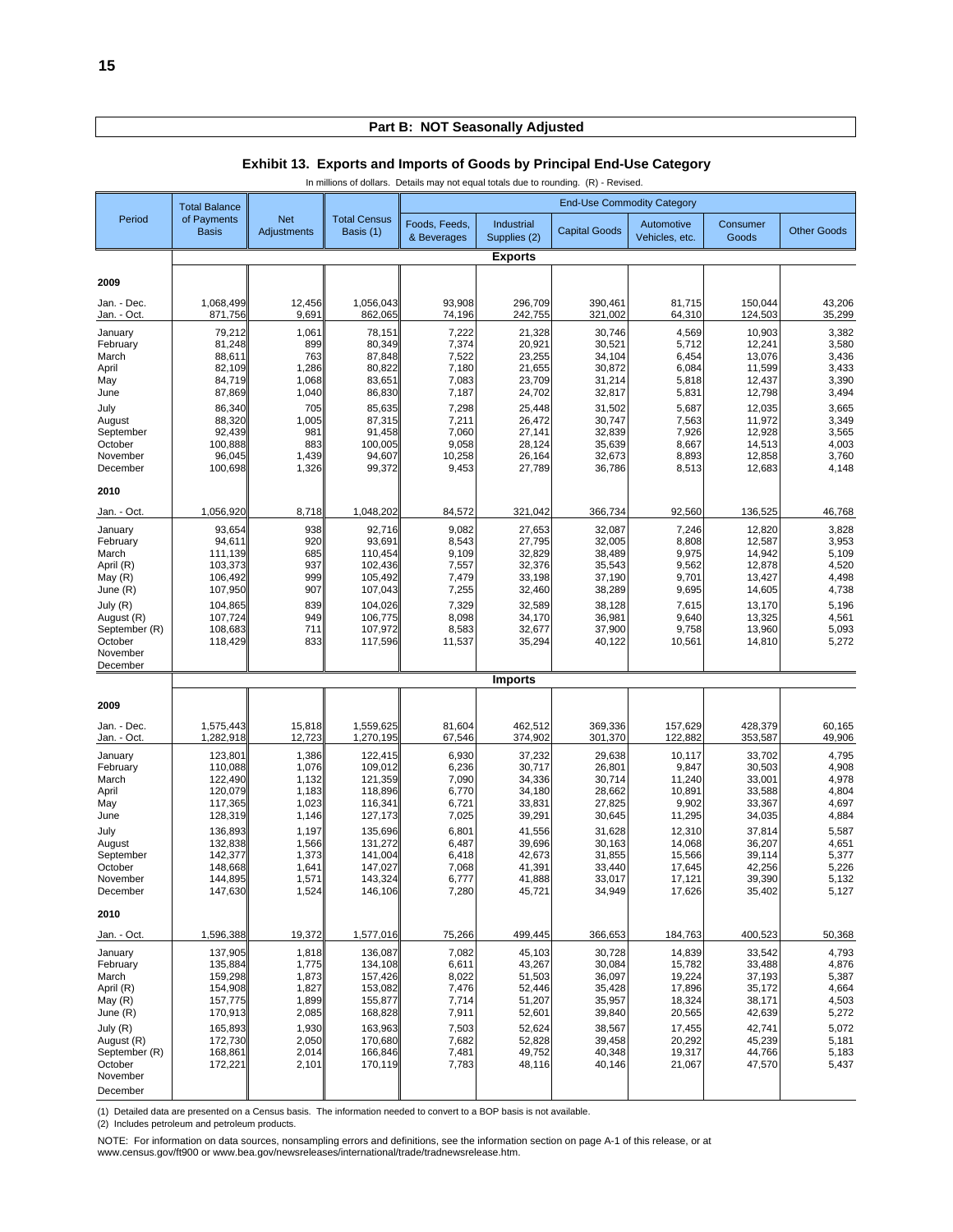|                             | In millions of dollars. Details may not equal totals due to rounding. (R) - Revised. |                                  |                                  |                              |                            |                                   |                              |                    |                    |  |  |  |
|-----------------------------|--------------------------------------------------------------------------------------|----------------------------------|----------------------------------|------------------------------|----------------------------|-----------------------------------|------------------------------|--------------------|--------------------|--|--|--|
|                             | <b>Total Balance</b>                                                                 |                                  |                                  |                              |                            | <b>End-Use Commodity Category</b> |                              |                    |                    |  |  |  |
| Period                      | of Payments<br><b>Basis</b>                                                          | <b>Net</b><br><b>Adjustments</b> | <b>Total Census</b><br>Basis (1) | Foods, Feeds,<br>& Beverages | Industrial<br>Supplies (2) | <b>Capital Goods</b>              | Automotive<br>Vehicles, etc. | Consumer<br>Goods  | <b>Other Goods</b> |  |  |  |
|                             |                                                                                      |                                  |                                  |                              | <b>Exports</b>             |                                   |                              |                    |                    |  |  |  |
| 2009                        |                                                                                      |                                  |                                  |                              |                            |                                   |                              |                    |                    |  |  |  |
| Jan. - Dec.<br>Jan. - Oct.  | 1,068,499<br>871,756                                                                 | 12,456<br>9,691                  | 1,056,043<br>862,065             | 93,908<br>74,196             | 296,709<br>242,755         | 390,461<br>321,002                | 81,715<br>64,310             | 150,044<br>124,503 | 43,206<br>35,299   |  |  |  |
| January                     | 79,212                                                                               | 1,061                            | 78,151                           | 7,222                        | 21,328                     | 30,746                            | 4,569                        | 10,903             | 3,382              |  |  |  |
| February<br>March           | 81,248<br>88,611                                                                     | 899<br>763                       | 80,349<br>87,848                 | 7,374<br>7,522               | 20,921<br>23,255           | 30,521<br>34,104                  | 5,712<br>6,454               | 12,241<br>13,076   | 3,580<br>3,436     |  |  |  |
| April                       | 82,109                                                                               | 1,286                            | 80,822                           | 7,180                        | 21,655                     | 30,872                            | 6,084                        | 11,599             | 3,433              |  |  |  |
| May<br>June                 | 84,719<br>87,869                                                                     | 1,068<br>1,040                   | 83,651<br>86,830                 | 7,083<br>7,187               | 23,709<br>24,702           | 31,214<br>32,817                  | 5,818<br>5,831               | 12,437<br>12,798   | 3,390<br>3,494     |  |  |  |
| July                        | 86,340                                                                               | 705                              | 85,635                           | 7,298                        | 25,448                     | 31,502                            | 5,687                        | 12,035             | 3,665              |  |  |  |
| August                      | 88,320                                                                               | 1,005                            | 87,315                           | 7,211                        | 26,472                     | 30,747                            | 7,563                        | 11,972             | 3,349              |  |  |  |
| September                   | 92,439                                                                               | 981                              | 91,458                           | 7,060                        | 27,141                     | 32,839                            | 7,926                        | 12,928             | 3,565              |  |  |  |
| October<br>November         | 100,888<br>96,045                                                                    | 883<br>1,439                     | 100,005<br>94,607                | 9,058<br>10,258              | 28,124<br>26,164           | 35,639<br>32,673                  | 8,667<br>8,893               | 14,513<br>12,858   | 4,003<br>3,760     |  |  |  |
| December                    | 100,698                                                                              | 1,326                            | 99,372                           | 9,453                        | 27,789                     | 36,786                            | 8,513                        | 12,683             | 4,148              |  |  |  |
| 2010                        |                                                                                      |                                  |                                  |                              |                            |                                   |                              |                    |                    |  |  |  |
| Jan. - Oct.                 | 1,056,920                                                                            | 8,718                            | 1,048,202                        | 84,572                       | 321,042                    | 366,734                           | 92,560                       | 136,525            | 46,768             |  |  |  |
| January                     | 93,654                                                                               | 938                              | 92,716                           | 9,082                        | 27,653                     | 32,087                            | 7,246                        | 12,820             | 3,828              |  |  |  |
| February<br>March           | 94,611<br>111,139                                                                    | 920<br>685                       | 93,691<br>110,454                | 8,543<br>9,109               | 27,795<br>32,829           | 32,005<br>38,489                  | 8,808<br>9,975               | 12,587<br>14,942   | 3,953<br>5,109     |  |  |  |
| April (R)                   | 103,373                                                                              | 937                              | 102,436                          | 7,557                        | 32,376                     | 35,543                            | 9,562                        | 12,878             | 4,520              |  |  |  |
| May (R)                     | 106,492                                                                              | 999                              | 105,492                          | 7,479                        | 33,198                     | 37,190                            | 9,701                        | 13,427             | 4,498              |  |  |  |
| June (R)                    | 107,950                                                                              | 907                              | 107,043                          | 7,255                        | 32,460                     | 38,289                            | 9,695                        | 14,605             | 4,738              |  |  |  |
| July (R)<br>August (R)      | 104,865<br>107,724                                                                   | 839<br>949                       | 104,026<br>106,775               | 7,329<br>8,098               | 32,589<br>34,170           | 38,128<br>36,981                  | 7,615<br>9,640               | 13,170<br>13,325   | 5,196<br>4,561     |  |  |  |
| September (R)               | 108,683                                                                              | 711                              | 107,972                          | 8,583                        | 32,677                     | 37,900                            | 9,758                        | 13,960             | 5,093              |  |  |  |
| October                     | 118,429                                                                              | 833                              | 117,596                          | 11,537                       | 35,294                     | 40,122                            | 10,561                       | 14,810             | 5,272              |  |  |  |
| November<br>December        |                                                                                      |                                  |                                  |                              |                            |                                   |                              |                    |                    |  |  |  |
|                             |                                                                                      |                                  |                                  |                              | <b>Imports</b>             |                                   |                              |                    |                    |  |  |  |
| 2009                        |                                                                                      |                                  |                                  |                              |                            |                                   |                              |                    |                    |  |  |  |
| Jan. - Dec.<br>Jan. - Oct.  | 1,575,443<br>1,282,918                                                               | 15,818<br>12,723                 | 1,559,625<br>1,270,195           | 81,604<br>67,546             | 462,512<br>374,902         | 369,336<br>301,370                | 157,629<br>122,882           | 428,379<br>353,587 | 60,165<br>49,906   |  |  |  |
| January                     | 123,801                                                                              | 1,386                            | 122,415                          | 6,930                        | 37,232                     | 29,638                            | 10,117                       | 33,702             | 4,795              |  |  |  |
| February                    | 110,088                                                                              | 1,076                            | 109,012                          | 6,236                        | 30,717                     | 26,801                            | 9,847                        | 30,503             | 4,908              |  |  |  |
| March<br>April              | 122,490<br>120,079                                                                   | 1,132<br>1,183                   | 121,359<br>118,896               | 7,090<br>6,770               | 34,336<br>34,180           | 30,714<br>28,662                  | 11,240<br>10,891             | 33,001<br>33,588   | 4,978<br>4,804     |  |  |  |
| May                         | 117,365                                                                              | 1,023                            | 116,341                          | 6,721                        | 33,831                     | 27,825                            | 9,902                        | 33,367             | 4,697              |  |  |  |
| June                        | 128,319                                                                              | 1,146                            | 127,173                          | 7,025                        | 39,291                     | 30,645                            | 11,295                       | 34,035             | 4,884              |  |  |  |
| July                        | 136,893                                                                              | 1,197                            | 135,696                          | 6,801                        | 41,556                     | 31,628                            | 12,310                       | 37,814             | 5,587              |  |  |  |
| August<br>September         | 132,838<br>142,377                                                                   | 1,566<br>1,373                   | 131,272<br>141,004               | 6,487<br>6,418               | 39,696<br>42,673           | 30,163<br>31,855                  | 14,068<br>15,566             | 36,207<br>39,114   | 4,651<br>5,377     |  |  |  |
| October                     | 148,668                                                                              | 1,641                            | 147,027                          | 7,068                        | 41,391                     | 33,440                            | 17,645                       | 42,256             | 5,226              |  |  |  |
| November<br>December        | 144,895<br>147,630                                                                   | 1,571<br>1,524                   | 143,324<br>146,106               | 6,777<br>7,280               | 41,888<br>45,721           | 33,017<br>34,949                  | 17,121<br>17,626             | 39,390<br>35,402   | 5,132<br>5,127     |  |  |  |
| 2010                        |                                                                                      |                                  |                                  |                              |                            |                                   |                              |                    |                    |  |  |  |
| Jan. - Oct.                 | 1,596,388                                                                            | 19,372                           | 1,577,016                        | 75,266                       | 499,445                    | 366,653                           | 184,763                      | 400,523            | 50,368             |  |  |  |
| January                     | 137,905                                                                              | 1,818                            | 136,087                          | 7,082                        | 45,103                     | 30,728                            | 14,839                       | 33,542             | 4,793              |  |  |  |
| February                    | 135,884                                                                              | 1,775                            | 134,108                          | 6,611                        | 43,267                     | 30,084                            | 15,782                       | 33,488             | 4,876              |  |  |  |
| March                       | 159,298<br>154,908                                                                   | 1,873<br>1,827                   | 157,426<br>153,082               | 8,022                        | 51,503                     | 36,097                            | 19,224                       | 37,193<br>35,172   | 5,387              |  |  |  |
| April (R)<br>May (R)        | 157,775                                                                              | 1,899                            | 155,877                          | 7,476<br>7,714               | 52,446<br>51,207           | 35,428<br>35,957                  | 17,896<br>18,324             | 38,171             | 4,664<br>4,503     |  |  |  |
| June (R)                    | 170,913                                                                              | 2,085                            | 168,828                          | 7,911                        | 52,601                     | 39,840                            | 20,565                       | 42,639             | 5,272              |  |  |  |
| July (R)                    | 165,893                                                                              | 1,930                            | 163,963                          | 7,503                        | 52,624                     | 38,567                            | 17,455                       | 42,741             | 5,072              |  |  |  |
| August (R)<br>September (R) | 172,730<br>168,861                                                                   | 2,050<br>2,014                   | 170,680<br>166,846               | 7,682<br>7,481               | 52,828<br>49,752           | 39,458<br>40,348                  | 20,292<br>19,317             | 45,239<br>44,766   | 5,181              |  |  |  |
| October                     | 172,221                                                                              | 2,101                            | 170,119                          | 7,783                        | 48,116                     | 40,146                            | 21,067                       | 47,570             | 5,183<br>5,437     |  |  |  |
| November                    |                                                                                      |                                  |                                  |                              |                            |                                   |                              |                    |                    |  |  |  |
| December                    |                                                                                      |                                  |                                  |                              |                            |                                   |                              |                    |                    |  |  |  |

#### **Exhibit 13. Exports and Imports of Goods by Principal End-Use Category**

(1) Detailed data are presented on a Census basis. The information needed to convert to a BOP basis is not available. (2) Includes petroleum and petroleum products.

NOTE: For information on data sources, nonsampling errors and definitions, see the information section on page A-1 of this release, or at<br>www.census.gov/ft900 or www.bea.gov/newsreleases/international/trade/tradnewsrelease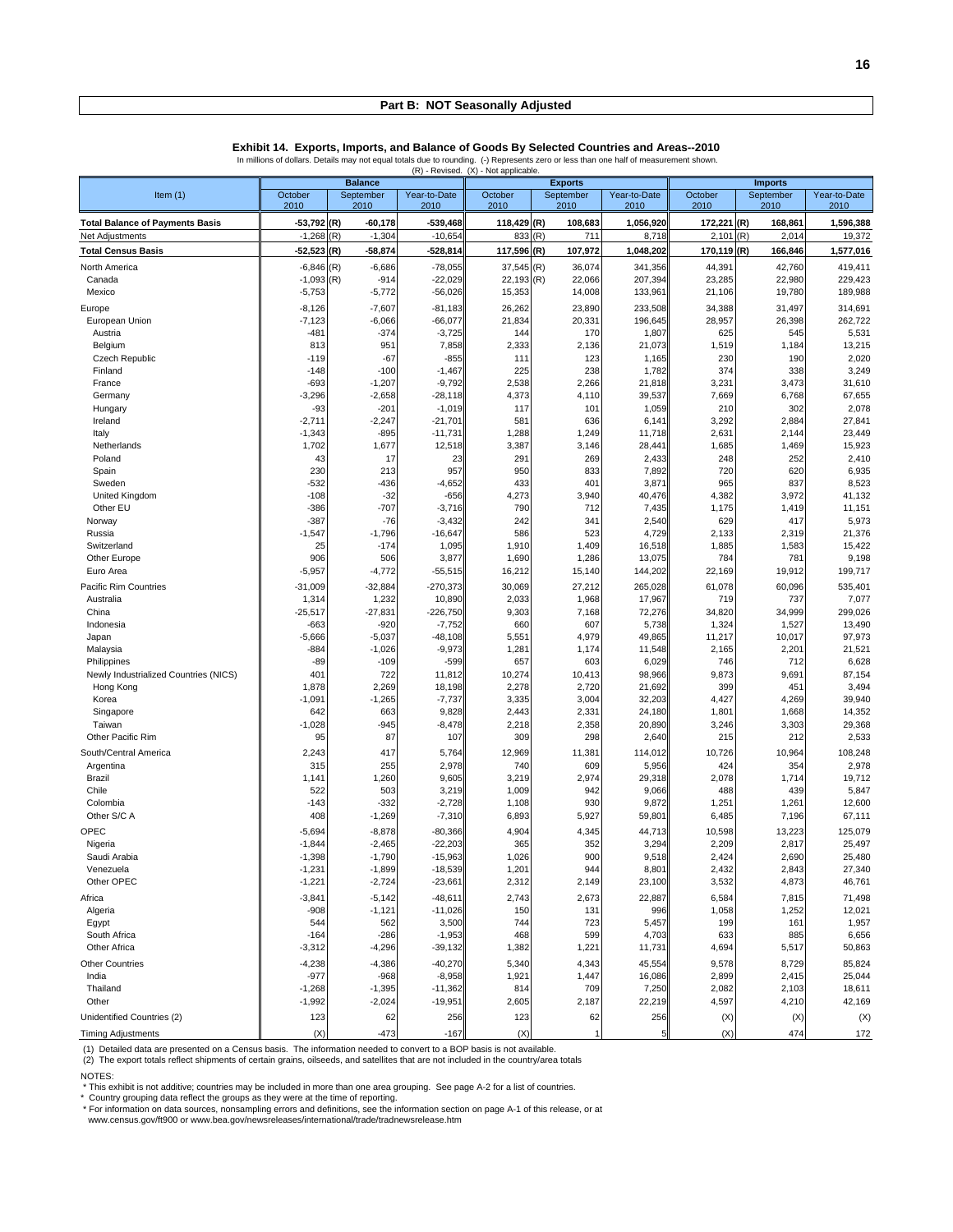**Exhibit 14. Exports, Imports, and Balance of Goods By Selected Countries and Areas--2010**

In millions of dollars. Details may not equal totals due to rounding. (-) Represents zero or less than one half of measurement shown.

|                                        |                  |                   |                    | (R) - Revised. (X) - Not applicable. |                |                 |                |                 |                  |
|----------------------------------------|------------------|-------------------|--------------------|--------------------------------------|----------------|-----------------|----------------|-----------------|------------------|
|                                        |                  | <b>Balance</b>    |                    |                                      | <b>Exports</b> |                 |                | <b>Imports</b>  |                  |
| Item $(1)$                             | October          | September         | Year-to-Date       | October                              | September      | Year-to-Date    | October        | September       | Year-to-Date     |
|                                        | 2010             | 2010              | 2010               | 2010                                 | 2010           | 2010            | 2010           | 2010            | 2010             |
| <b>Total Balance of Payments Basis</b> | $-53,792$ (R)    | $-60,178$         | $-539,468$         | 118,429 (R)                          | 108,683        | 1,056,920       | 172,221 (R)    | 168,861         | 1,596,388        |
| Net Adjustments                        | $-1,268$         | (R)<br>$-1,304$   | $-10,654$          | 833                                  | (R)<br>711     | 8,718           | 2,101          | (R)<br>2,014    | 19,372           |
| <b>Total Census Basis</b>              | $-52,523$        | (R)<br>-58,874    | $-528,814$         | 117,596 (R)                          | 107,972        | 1,048,202       | 170,119 (R)    | 166,846         | 1,577,016        |
| North America                          | $-6,846$ (R)     | $-6,686$          | $-78,055$          | 37,545                               | (R)<br>36,074  | 341,356         | 44,391         | 42,760          | 419,411          |
| Canada                                 | $-1,093$ (R)     | $-914$            | $-22,029$          | $22,193$ (R)                         | 22,066         | 207,394         | 23,285         | 22,980          | 229,423          |
| Mexico                                 | $-5,753$         | $-5,772$          | $-56,026$          | 15,353                               | 14,008         | 133,961         | 21,106         | 19,780          | 189,988          |
| Europe                                 | $-8,126$         | $-7,607$          | $-81,183$          | 26,262                               | 23,890         | 233,508         | 34,388         | 31,497          | 314,691          |
| European Union                         | $-7,123$         | $-6,066$          | $-66,077$          | 21,834                               | 20,331         | 196,645         | 28,957         | 26,398          | 262,722          |
| Austria                                | $-481$           | $-374$            | $-3,725$           | 144                                  | 170            | 1,807           | 625            | 545             | 5,531            |
| Belgium                                | 813              | 951               | 7,858              | 2,333                                | 2,136          | 21,073          | 1,519          | 1,184           | 13,215           |
| Czech Republic<br>Finland              | $-119$<br>$-148$ | $-67$<br>$-100$   | $-855$<br>$-1,467$ | 111<br>225                           | 123<br>238     | 1,165<br>1,782  | 230<br>374     | 190<br>338      | 2,020<br>3,249   |
| France                                 | $-693$           | $-1,207$          | $-9,792$           | 2,538                                | 2,266          | 21,818          | 3,231          | 3,473           | 31,610           |
| Germany                                | $-3,296$         | $-2,658$          | $-28,118$          | 4,373                                | 4,110          | 39,537          | 7,669          | 6,768           | 67,655           |
| Hungary                                | $-93$            | $-201$            | $-1,019$           | 117                                  | 101            | 1,059           | 210            | 302             | 2,078            |
| Ireland                                | $-2,711$         | $-2,247$          | $-21,701$          | 581                                  | 636            | 6,141           | 3,292          | 2,884           | 27,841           |
| Italy                                  | $-1,343$         | $-895$            | $-11,731$          | 1,288                                | 1,249          | 11,718          | 2,631          | 2,144           | 23,449           |
| Netherlands                            | 1,702            | 1,677             | 12,518             | 3,387                                | 3,146          | 28,441          | 1,685          | 1,469           | 15,923           |
| Poland                                 | 43               | 17                | 23                 | 291                                  | 269            | 2,433           | 248            | 252             | 2,410            |
| Spain                                  | 230              | 213               | 957                | 950                                  | 833            | 7,892           | 720            | 620             | 6,935            |
| Sweden                                 | $-532$           | $-436$            | $-4,652$           | 433                                  | 401            | 3,871           | 965            | 837             | 8,523            |
| United Kingdom                         | $-108$           | $-32$             | $-656$             | 4,273                                | 3,940          | 40,476          | 4,382          | 3,972           | 41,132           |
| Other EU                               | $-386$           | $-707$            | $-3,716$           | 790                                  | 712            | 7,435           | 1,175          | 1,419           | 11,151           |
| Norway                                 | $-387$           | $-76$<br>$-1,796$ | $-3,432$           | 242<br>586                           | 341<br>523     | 2,540           | 629            | 417<br>2,319    | 5,973            |
| Russia<br>Switzerland                  | $-1,547$<br>25   | $-174$            | $-16,647$<br>1,095 | 1,910                                | 1,409          | 4,729<br>16,518 | 2,133<br>1,885 | 1,583           | 21,376<br>15,422 |
| Other Europe                           | 906              | 506               | 3,877              | 1,690                                | 1,286          | 13,075          | 784            | 781             | 9,198            |
| Euro Area                              | $-5,957$         | $-4,772$          | $-55,515$          | 16,212                               | 15,140         | 144,202         | 22,169         | 19,912          | 199,717          |
| Pacific Rim Countries                  | $-31,009$        | $-32,884$         | $-270,373$         | 30,069                               | 27,212         | 265,028         | 61,078         | 60,096          | 535,401          |
| Australia                              | 1,314            | 1,232             | 10,890             | 2,033                                | 1,968          | 17,967          | 719            | 737             | 7,077            |
| China                                  | $-25,517$        | $-27,831$         | $-226,750$         | 9,303                                | 7,168          | 72,276          | 34,820         | 34,999          | 299,026          |
| Indonesia                              | $-663$           | $-920$            | $-7,752$           | 660                                  | 607            | 5,738           | 1,324          | 1,527           | 13,490           |
| Japan                                  | $-5,666$         | $-5,037$          | $-48,108$          | 5,551                                | 4,979          | 49,865          | 11,217         | 10,017          | 97,973           |
| Malaysia                               | $-884$           | $-1,026$          | $-9,973$           | 1,281                                | 1,174          | 11,548          | 2,165          | 2,201           | 21,521           |
| Philippines                            | $-89$            | $-109$            | $-599$             | 657                                  | 603            | 6,029           | 746            | 712             | 6,628            |
| Newly Industrialized Countries (NICS)  | 40 <sup>°</sup>  | 722               | 11,812             | 10,274                               | 10,413         | 98,966          | 9,873          | 9,691           | 87,154           |
| Hong Kong                              | 1,878            | 2,269             | 18,198             | 2,278                                | 2,720          | 21,692          | 399            | 45 <sup>′</sup> | 3,494            |
| Korea                                  | $-1,091$         | $-1,265$          | $-7,737$           | 3,335                                | 3,004          | 32,203          | 4,427          | 4,269           | 39,940           |
| Singapore                              | 642              | 663<br>$-945$     | 9,828<br>$-8,478$  | 2,443                                | 2,331          | 24,180          | 1,801          | 1,668           | 14,352           |
| Taiwan<br>Other Pacific Rim            | $-1,028$<br>95   | 87                | 107                | 2,218<br>309                         | 2,358<br>298   | 20,890<br>2,640 | 3,246<br>215   | 3,303<br>212    | 29,368<br>2,533  |
|                                        |                  |                   |                    |                                      |                |                 |                |                 |                  |
| South/Central America                  | 2,243            | 417               | 5,764              | 12,969                               | 11,381         | 114,012         | 10,726         | 10,964          | 108,248          |
| Argentina<br>Brazil                    | 315<br>1,141     | 255<br>1,260      | 2,978<br>9,605     | 740<br>3,219                         | 609<br>2,974   | 5,956<br>29,318 | 424<br>2,078   | 354<br>1,714    | 2,978<br>19,712  |
| Chile                                  | 522              | 503               | 3,219              | 1,009                                | 942            | 9,066           | 488            | 439             | 5,847            |
| Colombia                               | $-143$           | $-332$            | $-2,728$           | 1,108                                | 930            | 9,872           | 1,251          | 1,261           | 12,600           |
| Other S/C A                            | 408              | $-1,269$          | $-7,310$           | 6,893                                | 5,927          | 59,801          | 6,485          | 7,196           | 67,111           |
| OPEC                                   | $-5,694$         | $-8,878$          | $-80,366$          | 4,904                                | 4,345          | 44,713          | 10,598         | 13,223          | 125,079          |
| Nigeria                                | $-1,844$         | $-2,465$          | $-22,203$          | 365                                  | 352            | 3,294           | 2,209          | 2,817           | 25,497           |
| Saudi Arabia                           | $-1,398$         | $-1,790$          | $-15,963$          | 1,026                                | 900            | 9,518           | 2,424          | 2,690           | 25,480           |
| Venezuela                              | $-1,231$         | $-1,899$          | $-18,539$          | 1,201                                | 944            | 8,801           | 2,432          | 2,843           | 27,340           |
| Other OPEC                             | $-1,221$         | $-2,724$          | $-23,661$          | 2,312                                | 2,149          | 23,100          | 3,532          | 4,873           | 46,761           |
| Africa                                 | $-3,841$         | $-5,142$          | $-48,611$          | 2,743                                | 2,673          | 22,887          | 6,584          | 7,815           | 71,498           |
| Algeria                                | $-908$           | $-1,121$          | $-11,026$          | 150                                  | 131            | 996             | 1,058          | 1,252           | 12,021           |
| Egypt                                  | 544              | 562               | 3,500              | 744                                  | 723            | 5,457           | 199            | 161             | 1,957            |
| South Africa                           | $-164$           | $-286$            | $-1,953$           | 468                                  | 599            | 4,703           | 633            | 885             | 6,656            |
| Other Africa                           | $-3,312$         | $-4,296$          | $-39,132$          | 1,382                                | 1,221          | 11,731          | 4,694          | 5,517           | 50,863           |
| <b>Other Countries</b>                 | $-4,238$         | $-4,386$          | $-40,270$          | 5,340                                | 4,343          | 45,554          | 9,578          | 8,729           | 85,824           |
| India                                  | $-977$           | $-968$            | $-8,958$           | 1,921                                | 1,447          | 16,086          | 2,899          | 2,415           | 25,044           |
| Thailand                               | $-1,268$         | $-1,395$          | $-11,362$          | 814                                  | 709            | 7,250           | 2,082          | 2,103           | 18,611           |
| Other                                  | $-1,992$         | $-2,024$          | $-19,951$          | 2,605                                | 2,187          | 22,219          | 4,597          | 4,210           | 42,169           |
| Unidentified Countries (2)             | 123              | 62                | 256                | 123                                  | 62             | 256             | (X)            | (X)             | (X)              |
| <b>Timing Adjustments</b>              | (X)              | $-473$            | $-167$             | (X)                                  |                | 5               | (X)            | 474             | 172              |

(1) Detailed data are presented on a Census basis. The information needed to convert to a BOP basis is not available.<br>(2) The export totals reflect shipments of certain grains, oilseeds, and satellites that are not include

NOTES:

\* This exhibit is not additive; countries may be included in more than one area grouping. See page A-2 for a list of countries.<br>\* Country grouping data reflect the groups as they were at the time of reporting.<br>\* For inform

www.census.gov/ft900 or www.bea.gov/newsreleases/international/trade/tradnewsrelease.htm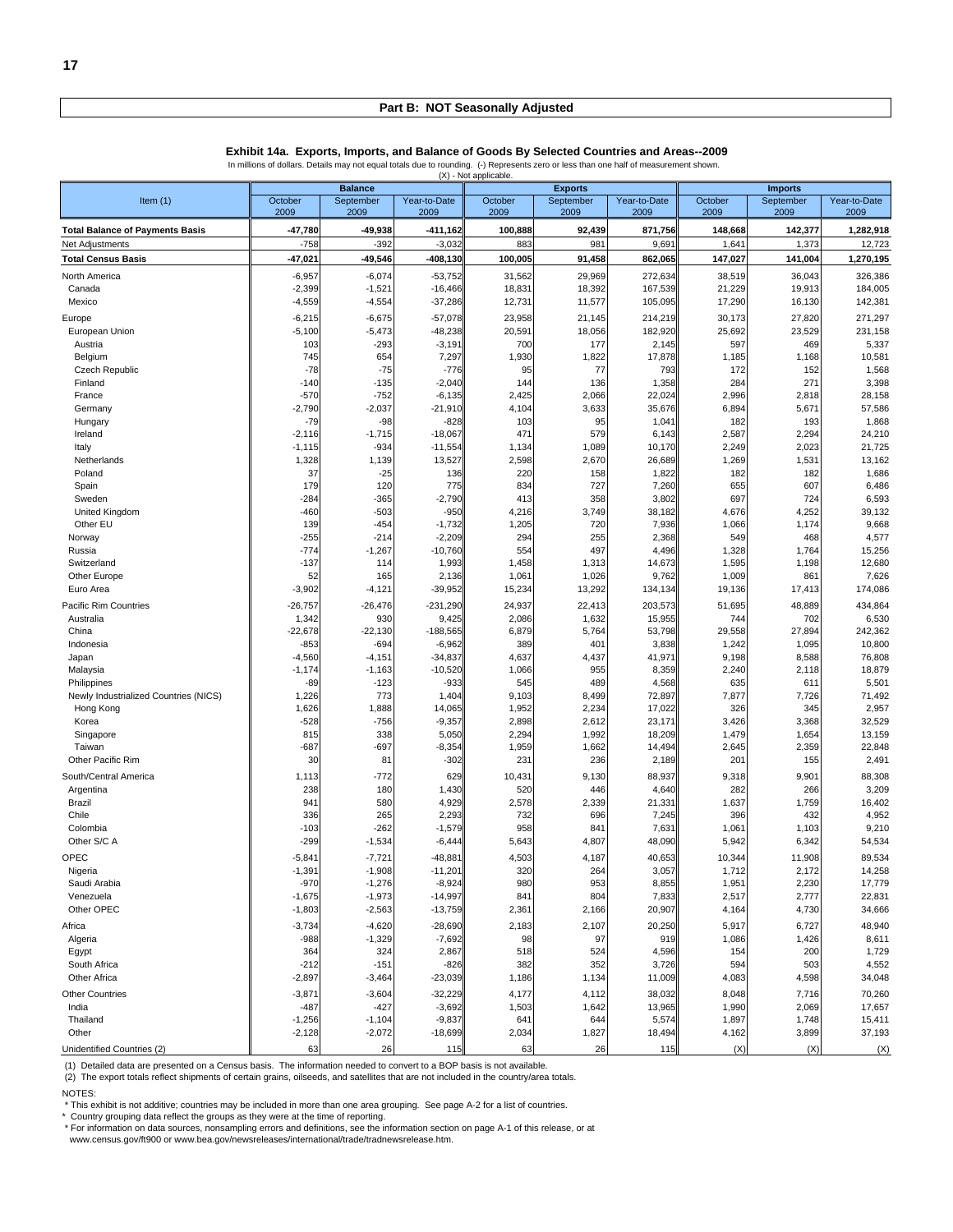|                                        |                    |                  |                       | (A) - ivot applicable |                 |                   |               |                |                  |
|----------------------------------------|--------------------|------------------|-----------------------|-----------------------|-----------------|-------------------|---------------|----------------|------------------|
|                                        |                    | <b>Balance</b>   |                       |                       | <b>Exports</b>  |                   |               | <b>Imports</b> |                  |
| Item $(1)$                             | October            | September        | Year-to-Date          | October               | September       | Year-to-Date      | October       | September      | Year-to-Date     |
|                                        | 2009               | 2009             | 2009                  | 2009                  | 2009            | 2009              | 2009          | 2009           | 2009             |
| <b>Total Balance of Payments Basis</b> | $-47,780$          | $-49,938$        | -411,162              | 100,888               | 92,439          | 871,756           | 148,668       | 142,377        | 1,282,918        |
| Net Adjustments                        | $-758$             | $-392$           | $-3,032$              | 883                   | 98 <sup>′</sup> | 9,691             | 1,641         | 1,373          | 12,723           |
| <b>Total Census Basis</b>              | $-47,021$          | $-49,546$        | $-408,130$            | 100,005               | 91,458          | 862,065           | 147,027       | 141,004        | 1,270,195        |
| North America                          | $-6,957$           | $-6,074$         | $-53,752$             | 31,562                | 29,969          | 272,634           | 38,519        | 36,043         | 326,386          |
| Canada                                 | $-2,399$           | $-1,521$         | $-16,466$             | 18,831                | 18,392          | 167,539           | 21,229        | 19,913         | 184,005          |
| Mexico                                 | $-4,559$           | $-4,554$         | $-37,286$             | 12,731                | 11,577          | 105,095           | 17,290        | 16,130         | 142,381          |
| Europe                                 | $-6,215$           | $-6,675$         | $-57,078$             | 23,958                | 21,145          | 214,219           | 30,173        | 27,820         | 271,297          |
| European Union                         | $-5,100$           | $-5,473$         | $-48,238$             | 20,591                | 18,056          | 182,920           | 25,692        | 23,529         | 231,158          |
| Austria                                | 103                | $-293$           | $-3,191$              | 700                   | 177             | 2,145             | 597           | 469            | 5,337            |
| Belgium                                | 745                | 654              | 7,297                 | 1,930                 | 1,822           | 17,878            | 1,185         | 1,168          | 10,581           |
| <b>Czech Republic</b>                  | $-78$              | $-75$            | $-776$                | 95                    | 77              | 793               | 172           | 152            | 1,568            |
| Finland                                | $-140$             | $-135$           | $-2,040$              | 144                   | 136             | 1,358             | 284           | 271            | 3,398            |
| France                                 | $-570$             | $-752$           | $-6,135$              | 2,425                 | 2,066           | 22,024            | 2,996         | 2,818          | 28,158           |
| Germany                                | $-2,790$           | $-2,037$         | $-21,910$             | 4,104                 | 3,633           | 35,676            | 6,894         | 5,671          | 57,586           |
| Hungary                                | $-79$              | -98              | $-828$                | 103                   | 95              | 1,041             | 182           | 193            | 1,868            |
| Ireland                                | $-2,116$           | $-1,715$         | $-18,067$             | 471                   | 579             | 6,143             | 2,587         | 2,294          | 24,210           |
| Italy                                  | $-1,115$           | $-934$           | $-11,554$             | 1,134                 | 1,089           | 10,170            | 2,249         | 2,023          | 21,725           |
| Netherlands                            | 1,328              | 1,139            | 13,527                | 2,598                 | 2,670           | 26,689            | 1,269         | 1,531          | 13,162           |
| Poland                                 | 37                 | $-25$            | 136                   | 220                   | 158             | 1,822             | 182           | 182            | 1,686            |
| Spain                                  | 179                | 120              | 775                   | 834                   | 727             | 7,260             | 655           | 607            | 6,486            |
| Sweden                                 | $-284$             | $-365$           | $-2,790$              | 413                   | 358             | 3,802             | 697           | 724            | 6,593            |
| United Kingdom                         | $-460$             | $-503$           | $-950$                | 4,216                 | 3,749           | 38,182            | 4,676         | 4,252          | 39,132           |
| Other EU                               | 139                | $-454$<br>$-214$ | $-1,732$              | 1,205<br>294          | 720             | 7,936<br>2,368    | 1,066<br>549  | 1,174<br>468   | 9,668            |
| Norway<br>Russia                       | $-255$<br>$-774$   | $-1,267$         | $-2,209$<br>$-10,760$ | 554                   | 255<br>497      | 4,496             | 1,328         | 1,764          | 4,577<br>15,256  |
| Switzerland                            | $-137$             | 114              | 1,993                 | 1,458                 | 1,313           | 14,673            | 1,595         | 1,198          | 12,680           |
| Other Europe                           | 52                 | 165              | 2,136                 | 1,061                 | 1,026           | 9,762             | 1,009         | 861            | 7,626            |
| Euro Area                              | $-3,902$           | $-4,121$         | $-39,952$             | 15,234                | 13,292          | 134,134           | 19,136        | 17,413         | 174,086          |
| Pacific Rim Countries                  |                    |                  |                       |                       |                 |                   |               |                |                  |
| Australia                              | $-26,757$<br>1,342 | $-26,476$<br>930 | $-231,290$<br>9,425   | 24,937<br>2,086       | 22,413<br>1,632 | 203,573<br>15,955 | 51,695<br>744 | 48,889<br>702  | 434,864<br>6,530 |
| China                                  | $-22,678$          | $-22,130$        | $-188,565$            | 6,879                 | 5,764           | 53,798            | 29,558        | 27,894         | 242,362          |
| Indonesia                              | $-853$             | $-694$           | $-6,962$              | 389                   | 401             | 3,838             | 1,242         | 1,095          | 10,800           |
| Japan                                  | $-4,560$           | $-4,151$         | $-34,837$             | 4,637                 | 4,437           | 41,971            | 9,198         | 8,588          | 76,808           |
| Malaysia                               | $-1,174$           | $-1,163$         | $-10,520$             | 1,066                 | 955             | 8,359             | 2,240         | 2,118          | 18,879           |
| Philippines                            | $-89$              | $-123$           | $-933$                | 545                   | 489             | 4,568             | 635           | 611            | 5,501            |
| Newly Industrialized Countries (NICS)  | 1,226              | 773              | 1,404                 | 9,103                 | 8,499           | 72,897            | 7,877         | 7,726          | 71,492           |
| Hong Kong                              | 1,626              | 1,888            | 14,065                | 1,952                 | 2,234           | 17,022            | 326           | 345            | 2,957            |
| Korea                                  | $-528$             | $-756$           | $-9,357$              | 2,898                 | 2,612           | 23,171            | 3,426         | 3,368          | 32,529           |
| Singapore                              | 815                | 338              | 5,050                 | 2,294                 | 1,992           | 18,209            | 1,479         | 1,654          | 13,159           |
| Taiwan                                 | -687               | $-697$           | $-8,354$              | 1,959                 | 1,662           | 14,494            | 2,645         | 2,359          | 22,848           |
| Other Pacific Rim                      | 30                 | 81               | $-302$                | 231                   | 236             | 2,189             | 201           | 155            | 2,491            |
| South/Central America                  | 1,113              | $-772$           | 629                   | 10,431                | 9,130           | 88,937            | 9,318         | 9,901          | 88,308           |
| Argentina                              | 238                | 180              | 1,430                 | 520                   | 446             | 4,640             | 282           | 266            | 3,209            |
| Brazil                                 | 941                | 580              | 4,929                 | 2,578                 | 2,339           | 21,331            | 1,637         | 1,759          | 16,402           |
| Chile                                  | 336                | 265              | 2,293                 | 732                   | 696             | 7,245             | 396           | 432            | 4,952            |
| Colombia                               | $-103$             | $-262$           | $-1,579$              | 958                   | 84 <sup>′</sup> | 7,631             | 1,061         | 1,103          | 9,210            |
| Other S/C A                            | $-299$             | $-1,534$         | $-6,444$              | 5,643                 | 4,807           | 48,090            | 5,942         | 6,342          | 54,534           |
| OPEC                                   | $-5,841$           | $-7,721$         | $-48,881$             | 4,503                 | 4,187           | 40,653            | 10,344        | 11,908         | 89,534           |
| Nigeria                                | $-1,391$           | $-1,908$         | $-11,201$             | 320                   | 264             | 3,057             | 1,712         | 2,172          | 14,258           |
| Saudi Arabia                           | $-970$             | $-1,276$         | $-8,924$              | 980                   | 953             | 8,855             | 1,951         | 2,230          | 17,779           |
| Venezuela                              | $-1,675$           | $-1,973$         | $-14,997$             | 841                   | 804             | 7,833             | 2,517         | 2,777          | 22,831           |
| Other OPEC                             | $-1,803$           | $-2,563$         | $-13,759$             | 2,361                 | 2,166           | 20,907            | 4,164         | 4,730          | 34,666           |
| Africa                                 | $-3,734$           | $-4,620$         | $-28,690$             | 2,183                 | 2,107           | 20,250            | 5,917         | 6,727          | 48,940           |
| Algeria                                | $-988$             | $-1,329$         | $-7,692$              | 98                    | 97              | 919               | 1,086         | 1,426          | 8,611            |
| Egypt                                  | 364                | 324              | 2,867                 | 518                   | 524             | 4,596             | 154           | 200            | 1,729            |
| South Africa                           | $-212$             | $-151$           | $-826$                | 382                   | 352             | 3,726             | 594           | 503            | 4,552            |
| Other Africa                           | $-2,897$           | $-3,464$         | $-23,039$             | 1,186                 | 1,134           | 11,009            | 4,083         | 4,598          | 34,048           |
| <b>Other Countries</b>                 | $-3,871$           | $-3,604$         | $-32,229$             | 4,177                 | 4,112           | 38,032            | 8,048         | 7,716          | 70,260           |

India -487 -427 -3,692 1,503 1,642 13,965 1,990 2,069 17,657 Thailand -1,256 -1,104 -9,837 641 644 5,574 1,897 1,748 15,411 Other -2,128 -2,072 -18,699 2,034 1,827 18,494 4,162 3,899 37,193  $\frac{1 \text{ indicating a Count of 20} (x)}{2 \text{ of 20} (x)}$   $\frac{1}{2 \text{ of 3}}$   $\frac{2 \text{ of 30} (x)}{2 \text{ of 30} (x)}$   $\frac{1}{2 \text{ of 30} (x)}$   $\frac{1}{2 \text{ of 30} (x)}$   $\frac{1}{2 \text{ of 30} (x)}$   $\frac{1}{2 \text{ of 30} (x)}$   $\frac{1}{2 \text{ of 30} (x)}$ 

#### **Exhibit 14a. Exports, Imports, and Balance of Goods By Selected Countries and Areas--2009**

In millions of dollars. Details may not equal totals due to rounding. (-) Represents zero or less than one half of measurement shown. (X) - Not applicable.

(1) Detailed data are presented on a Census basis. The information needed to convert to a BOP basis is not available.

(2) The export totals reflect shipments of certain grains, oilseeds, and satellites that are not included in the country/area totals.

NOTES:

\* This exhibit is not additive; countries may be included in more than one area grouping. See page A-2 for a list of countries.

\* Country grouping data reflect the groups as they were at the time of reporting.

\* For information on data sources, nonsampling errors and definitions, see the information section on page A-1 of this release, or at

www.census.gov/ft900 or www.bea.gov/newsreleases/international/trade/tradnewsrelease.htm.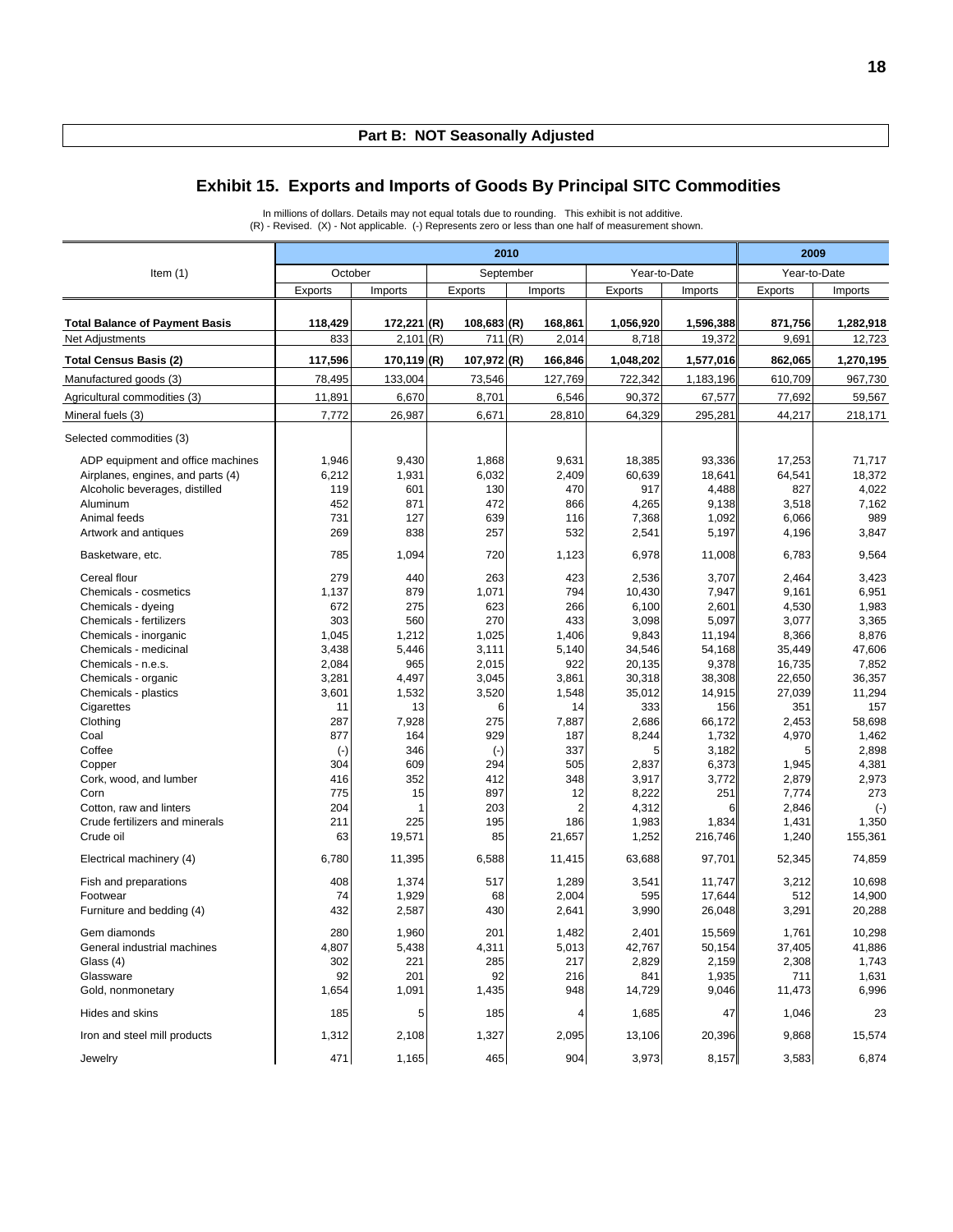#### **Exhibit 15. Exports and Imports of Goods By Principal SITC Commodities**

In millions of dollars. Details may not equal totals due to rounding. This exhibit is not additive. (R) - Revised. (X) - Not applicable. (-) Represents zero or less than one half of measurement shown.

|                                       | 2010      |               |               |                |                |           | 2009         |           |  |
|---------------------------------------|-----------|---------------|---------------|----------------|----------------|-----------|--------------|-----------|--|
| Item $(1)$                            | October   |               |               | September      | Year-to-Date   |           | Year-to-Date |           |  |
|                                       | Exports   | Imports       | Exports       | Imports        | <b>Exports</b> | Imports   | Exports      | Imports   |  |
|                                       |           |               |               |                |                |           |              |           |  |
| <b>Total Balance of Payment Basis</b> | 118,429   | 172,221 (R)   | $108,683$ (R) | 168,861        | 1,056,920      | 1,596,388 | 871,756      | 1,282,918 |  |
| Net Adjustments                       | 833       | $2,101$ (R)   | 711           | (R)<br>2,014   | 8,718          | 19,372    | 9,691        | 12,723    |  |
| <b>Total Census Basis (2)</b>         | 117,596   | $170,119$ (R) | 107,972 (R)   | 166,846        | 1,048,202      | 1,577,016 | 862,065      | 1,270,195 |  |
| Manufactured goods (3)                | 78,495    | 133,004       | 73,546        | 127,769        | 722,342        | 1,183,196 | 610,709      | 967,730   |  |
| Agricultural commodities (3)          | 11,891    | 6,670         | 8,701         | 6,546          | 90,372         | 67,577    | 77,692       | 59,567    |  |
| Mineral fuels (3)                     | 7,772     | 26,987        | 6,671         | 28,810         | 64,329         | 295,281   | 44,217       | 218,171   |  |
| Selected commodities (3)              |           |               |               |                |                |           |              |           |  |
| ADP equipment and office machines     | 1,946     | 9,430         | 1,868         | 9,631          | 18,385         | 93,336    | 17,253       | 71,717    |  |
| Airplanes, engines, and parts (4)     | 6,212     | 1,931         | 6,032         | 2,409          | 60,639         | 18,641    | 64,541       | 18,372    |  |
| Alcoholic beverages, distilled        | 119       | 601           | 130           | 470            | 917            | 4,488     | 827          | 4,022     |  |
| Aluminum                              | 452       | 871           | 472           | 866            | 4,265          | 9,138     | 3,518        | 7,162     |  |
| Animal feeds                          | 731       | 127           | 639           | 116            | 7,368          | 1,092     | 6,066        | 989       |  |
| Artwork and antiques                  | 269       | 838           | 257           | 532            | 2,541          | 5,197     | 4,196        | 3,847     |  |
| Basketware, etc.                      | 785       | 1,094         | 720           | 1,123          | 6,978          | 11,008    | 6,783        | 9,564     |  |
| Cereal flour                          | 279       | 440           | 263           | 423            | 2,536          | 3,707     | 2,464        | 3,423     |  |
| Chemicals - cosmetics                 | 1,137     | 879           | 1,071         | 794            | 10,430         | 7,947     | 9,161        | 6,951     |  |
| Chemicals - dyeing                    | 672       | 275           | 623           | 266            | 6,100          | 2,601     | 4,530        | 1,983     |  |
| Chemicals - fertilizers               | 303       | 560           | 270           | 433            | 3,098          | 5,097     | 3,077        | 3,365     |  |
| Chemicals - inorganic                 | 1,045     | 1,212         | 1,025         | 1,406          | 9,843          | 11,194    | 8,366        | 8,876     |  |
| Chemicals - medicinal                 | 3,438     | 5,446         | 3,111         | 5,140          | 34,546         | 54,168    | 35,449       | 47,606    |  |
| Chemicals - n.e.s.                    | 2,084     | 965           | 2,015         | 922            | 20,135         | 9,378     | 16,735       | 7,852     |  |
| Chemicals - organic                   | 3,281     | 4,497         | 3,045         | 3,861          | 30,318         | 38,308    | 22.650       | 36,357    |  |
| Chemicals - plastics                  | 3,601     | 1,532         | 3,520         | 1,548          | 35,012         | 14,915    | 27,039       | 11,294    |  |
| Cigarettes                            | 11        | 13            | 6             | 14             | 333            | 156       | 351          | 157       |  |
| Clothing                              | 287       | 7,928         | 275           | 7,887          | 2,686          | 66,172    | 2,453        | 58,698    |  |
| Coal                                  | 877       | 164           | 929           | 187            | 8,244          | 1,732     | 4,970        | 1,462     |  |
| Coffee                                | $(\cdot)$ | 346           | $(\cdot)$     | 337            | 5              | 3,182     | 5            | 2,898     |  |
| Copper                                | 304       | 609           | 294           | 505            | 2,837          | 6,373     | 1,945        | 4,381     |  |
| Cork, wood, and lumber                | 416       | 352           | 412           | 348            | 3,917          | 3,772     | 2,879        | 2,973     |  |
| Corn                                  | 775       | 15            | 897           | 12             |                | 251       |              | 273       |  |
|                                       | 204       |               | 203           | $\overline{2}$ | 8,222          |           | 7,774        |           |  |
| Cotton, raw and linters               |           |               | 195           |                | 4,312          | 6         | 2,846        | $(\cdot)$ |  |
| Crude fertilizers and minerals        | 211       | 225           |               | 186            | 1,983          | 1,834     | 1,431        | 1,350     |  |
| Crude oil                             | 63        | 19,571        | 85            | 21,657         | 1,252          | 216,746   | 1,240        | 155,361   |  |
| Electrical machinery (4)              | 6,780     | 11,395        | 6,588         | 11,415         | 63,688         | 97,701    | 52,345       | 74,859    |  |
| Fish and preparations                 | 408       | 1,374         | 517           | 1,289          | 3,541          | 11,747    | 3,212        | 10,698    |  |
| Footwear                              | 74        | 1,929         | 68            | 2,004          | 595            | 17,644    | 512          | 14,900    |  |
| Furniture and bedding (4)             | 432       | 2,587         | 430           | 2,641          | 3,990          | 26,048    | 3,291        | 20,288    |  |
| Gem diamonds                          | 280       | 1,960         | 201           | 1,482          | 2,401          | 15,569    | 1,761        | 10,298    |  |
| General industrial machines           | 4,807     | 5,438         | 4,311         | 5,013          | 42,767         | 50,154    | 37,405       | 41,886    |  |
| Glass (4)                             | 302       | 221           | 285           | 217            | 2,829          | 2,159     | 2,308        | 1,743     |  |
| Glassware                             | 92        | 201           | 92            | 216            | 841            | 1,935     | 711          | 1,631     |  |
| Gold, nonmonetary                     | 1,654     | 1,091         | 1,435         | 948            | 14,729         | 9,046     | 11,473       | 6,996     |  |
| Hides and skins                       | 185       | 5             | 185           | 4              | 1,685          | 47        | 1,046        | 23        |  |
| Iron and steel mill products          | 1,312     | 2,108         | 1,327         | 2,095          | 13,106         | 20,396    | 9,868        | 15,574    |  |
| Jewelry                               | 471       | 1,165         | 465           | 904            | 3,973          | 8,157     | 3,583        | 6,874     |  |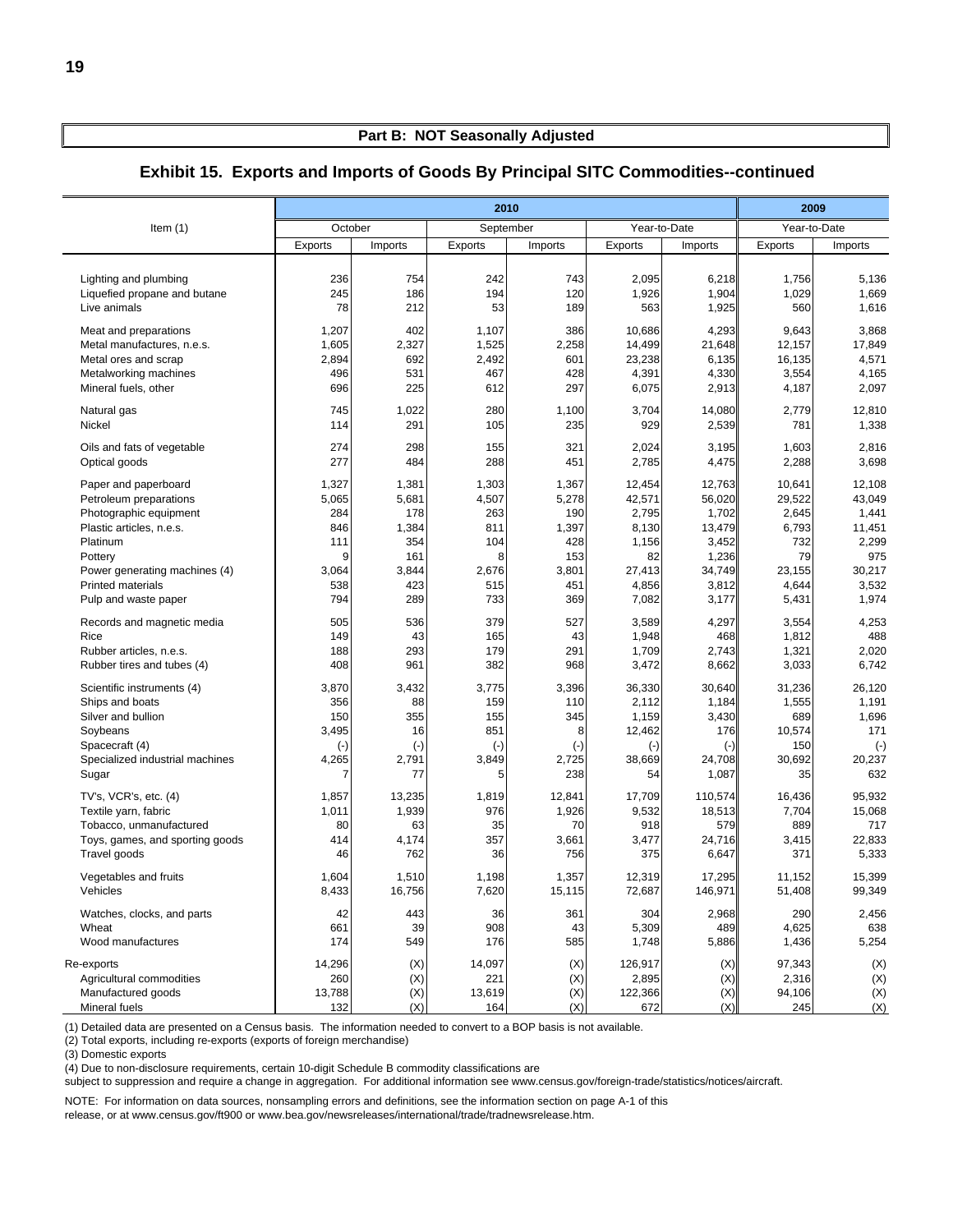|                                                                                                                                               |                                                    |                                                      |                                                       | 2010                                                  |                                                                 |                                                             | 2009                                                    |                                                               |
|-----------------------------------------------------------------------------------------------------------------------------------------------|----------------------------------------------------|------------------------------------------------------|-------------------------------------------------------|-------------------------------------------------------|-----------------------------------------------------------------|-------------------------------------------------------------|---------------------------------------------------------|---------------------------------------------------------------|
| Item $(1)$                                                                                                                                    | October                                            |                                                      |                                                       | September                                             | Year-to-Date                                                    |                                                             | Year-to-Date                                            |                                                               |
|                                                                                                                                               | Exports                                            | Imports                                              | Exports                                               | Imports                                               | Exports                                                         | Imports                                                     | Exports                                                 | Imports                                                       |
| Lighting and plumbing                                                                                                                         | 236                                                | 754                                                  | 242                                                   | 743                                                   | 2,095                                                           | 6,218                                                       | 1,756                                                   | 5,136                                                         |
| Liquefied propane and butane                                                                                                                  | 245                                                | 186                                                  | 194                                                   | 120                                                   | 1,926                                                           | 1,904                                                       | 1,029                                                   | 1,669                                                         |
| Live animals                                                                                                                                  | 78                                                 | 212                                                  | 53                                                    | 189                                                   | 563                                                             | 1,925                                                       | 560                                                     | 1,616                                                         |
| Meat and preparations                                                                                                                         | 1,207                                              | 402                                                  | 1,107                                                 | 386                                                   | 10,686                                                          | 4,293                                                       | 9,643                                                   | 3,868                                                         |
| Metal manufactures, n.e.s.                                                                                                                    | 1,605                                              | 2,327                                                | 1,525                                                 | 2,258                                                 | 14,499                                                          | 21,648                                                      | 12,157                                                  | 17,849                                                        |
| Metal ores and scrap                                                                                                                          | 2,894                                              | 692                                                  | 2,492                                                 | 601                                                   | 23,238                                                          | 6,135                                                       | 16,135                                                  | 4,571                                                         |
| Metalworking machines                                                                                                                         | 496                                                | 531                                                  | 467                                                   | 428                                                   | 4,391                                                           | 4,330                                                       | 3,554                                                   | 4,165                                                         |
| Mineral fuels, other                                                                                                                          | 696                                                | 225                                                  | 612                                                   | 297                                                   | 6,075                                                           | 2,913                                                       | 4,187                                                   | 2,097                                                         |
| Natural gas                                                                                                                                   | 745                                                | 1,022                                                | 280                                                   | 1,100                                                 | 3,704                                                           | 14,080                                                      | 2,779                                                   | 12,810                                                        |
| Nickel                                                                                                                                        | 114                                                | 291                                                  | 105                                                   | 235                                                   | 929                                                             | 2,539                                                       | 781                                                     | 1,338                                                         |
| Oils and fats of vegetable                                                                                                                    | 274                                                | 298                                                  | 155                                                   | 321                                                   | 2,024                                                           | 3,195                                                       | 1,603                                                   | 2,816                                                         |
| Optical goods                                                                                                                                 | 277                                                | 484                                                  | 288                                                   | 451                                                   | 2,785                                                           | 4,475                                                       | 2,288                                                   | 3,698                                                         |
| Paper and paperboard                                                                                                                          | 1,327                                              | 1,381                                                | 1,303                                                 | 1,367                                                 | 12,454                                                          | 12,763                                                      | 10,641                                                  | 12,108                                                        |
| Petroleum preparations                                                                                                                        | 5,065                                              | 5,681                                                | 4,507                                                 | 5,278                                                 | 42,571                                                          | 56,020                                                      | 29,522                                                  | 43,049                                                        |
| Photographic equipment                                                                                                                        | 284                                                | 178                                                  | 263                                                   | 190                                                   | 2,795                                                           | 1,702                                                       | 2,645                                                   | 1,441                                                         |
| Plastic articles, n.e.s.                                                                                                                      | 846                                                | 1,384                                                | 811                                                   | 1,397                                                 | 8,130                                                           | 13,479                                                      | 6,793                                                   | 11,451                                                        |
| Platinum                                                                                                                                      | 111                                                | 354                                                  | 104                                                   | 428                                                   | 1,156                                                           | 3,452                                                       | 732                                                     | 2,299                                                         |
| Pottery                                                                                                                                       | 9                                                  | 161                                                  | 8                                                     | 153                                                   | 82                                                              | 1,236                                                       | 79                                                      | 975                                                           |
| Power generating machines (4)                                                                                                                 | 3,064                                              | 3,844                                                | 2,676                                                 | 3,801                                                 | 27,413                                                          | 34,749                                                      | 23,155                                                  | 30,217                                                        |
| <b>Printed materials</b>                                                                                                                      | 538                                                | 423                                                  | 515                                                   | 451                                                   | 4,856                                                           | 3,812                                                       | 4,644                                                   | 3,532                                                         |
| Pulp and waste paper                                                                                                                          | 794                                                | 289                                                  | 733                                                   | 369                                                   | 7,082                                                           | 3,177                                                       | 5,431                                                   | 1,974                                                         |
| Records and magnetic media                                                                                                                    | 505                                                | 536                                                  | 379                                                   | 527                                                   | 3,589                                                           | 4,297                                                       | 3,554                                                   | 4,253                                                         |
| Rice                                                                                                                                          | 149                                                | 43                                                   | 165                                                   | 43                                                    | 1,948                                                           | 468                                                         | 1,812                                                   | 488                                                           |
| Rubber articles, n.e.s.                                                                                                                       | 188                                                | 293                                                  | 179                                                   | 291                                                   | 1,709                                                           | 2,743                                                       | 1,321                                                   | 2,020                                                         |
| Rubber tires and tubes (4)                                                                                                                    | 408                                                | 961                                                  | 382                                                   | 968                                                   | 3,472                                                           | 8,662                                                       | 3,033                                                   | 6,742                                                         |
| Scientific instruments (4)<br>Ships and boats<br>Silver and bullion<br>Soybeans<br>Spacecraft (4)<br>Specialized industrial machines<br>Sugar | 3,870<br>356<br>150<br>3,495<br>$(\cdot)$<br>4,265 | 3,432<br>88<br>355<br>16<br>$(\cdot)$<br>2,791<br>77 | 3,775<br>159<br>155<br>851<br>$(\cdot)$<br>3,849<br>5 | 3,396<br>110<br>345<br>8<br>$(\cdot)$<br>2,725<br>238 | 36,330<br>2,112<br>1,159<br>12,462<br>$(\cdot)$<br>38,669<br>54 | 30,640<br>1,184<br>3,430<br>176<br>$(-)$<br>24,708<br>1,087 | 31,236<br>1,555<br>689<br>10,574<br>150<br>30,692<br>35 | 26,120<br>1,191<br>1,696<br>171<br>$(\cdot)$<br>20,237<br>632 |
| TV's, VCR's, etc. (4)                                                                                                                         | 1,857                                              | 13,235                                               | 1,819                                                 | 12,841                                                | 17,709                                                          | 110,574                                                     | 16,436                                                  | 95,932                                                        |
| Textile yarn, fabric                                                                                                                          | 1,011                                              | 1,939                                                | 976                                                   | 1,926                                                 | 9,532                                                           | 18,513                                                      | 7,704                                                   | 15,068                                                        |
| Tobacco, unmanufactured                                                                                                                       | 80                                                 | 63                                                   | 35                                                    | 70                                                    | 918                                                             | 579                                                         | 889                                                     | 717                                                           |
| Toys, games, and sporting goods                                                                                                               | 414                                                | 4,174                                                | 357                                                   | 3,661                                                 | 3,477                                                           | 24,716                                                      | 3,415                                                   | 22,833                                                        |
| Travel goods                                                                                                                                  | 46                                                 | 762                                                  | 36                                                    | 756                                                   | 375                                                             | 6,647                                                       | 371                                                     | 5,333                                                         |
| Vegetables and fruits                                                                                                                         | 1,604                                              | 1,510                                                | 1,198                                                 | 1,357                                                 | 12,319                                                          | 17,295                                                      | 11,152                                                  | 15,399                                                        |
| Vehicles                                                                                                                                      | 8,433                                              | 16,756                                               | 7,620                                                 | 15,115                                                | 72,687                                                          | 146,971                                                     | 51,408                                                  | 99,349                                                        |
| Watches, clocks, and parts                                                                                                                    | 42                                                 | 443                                                  | 36                                                    | 361                                                   | 304                                                             | 2,968                                                       | 290                                                     | 2,456                                                         |
| Wheat                                                                                                                                         | 661                                                | 39                                                   | 908                                                   | 43                                                    | 5,309                                                           | 489                                                         | 4,625                                                   | 638                                                           |
| Wood manufactures                                                                                                                             | 174                                                | 549                                                  | 176                                                   | 585                                                   | 1,748                                                           | 5,886                                                       | 1,436                                                   | 5,254                                                         |
| Re-exports                                                                                                                                    | 14,296                                             | (X)                                                  | 14,097                                                | (X)                                                   | 126,917                                                         | (X)                                                         | 97,343                                                  | (X)                                                           |
| Agricultural commodities                                                                                                                      | 260                                                | (X)                                                  | 221                                                   | (X)                                                   | 2,895                                                           | (X)                                                         | 2,316                                                   | (X)                                                           |
| Manufactured goods                                                                                                                            | 13,788                                             | $(\mathsf{X})$                                       | 13,619                                                | (X)                                                   | 122,366                                                         | (X)                                                         | 94,106                                                  | (X)                                                           |
| Mineral fuels                                                                                                                                 | 132                                                | (X)                                                  | 164                                                   | (X)                                                   | 672                                                             | (X)                                                         | 245                                                     | (X)                                                           |

#### **Exhibit 15. Exports and Imports of Goods By Principal SITC Commodities--continued**

(1) Detailed data are presented on a Census basis. The information needed to convert to a BOP basis is not available.

(2) Total exports, including re-exports (exports of foreign merchandise)

(3) Domestic exports

(4) Due to non-disclosure requirements, certain 10-digit Schedule B commodity classifications are

subject to suppression and require a change in aggregation. For additional information see www.census.gov/foreign-trade/statistics/notices/aircraft.

NOTE: For information on data sources, nonsampling errors and definitions, see the information section on page A-1 of this

release, or at www.census.gov/ft900 or www.bea.gov/newsreleases/international/trade/tradnewsrelease.htm.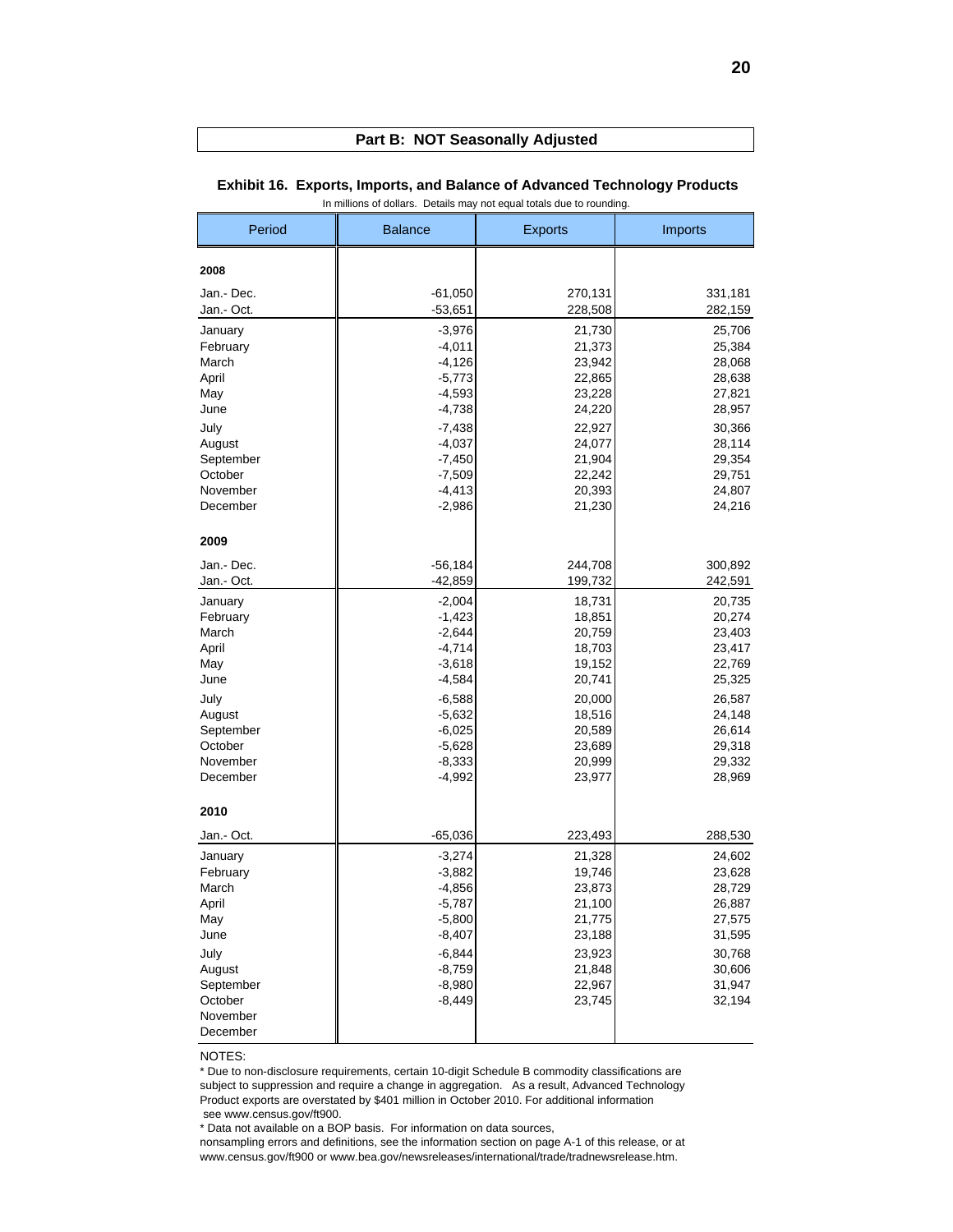| Period     | <b>Balance</b> | <b>Exports</b> | <b>Imports</b> |
|------------|----------------|----------------|----------------|
| 2008       |                |                |                |
| Jan.- Dec. | $-61,050$      | 270,131        | 331,181        |
| Jan.- Oct. | $-53,651$      | 228,508        | 282,159        |
| January    | $-3,976$       | 21,730         | 25,706         |
| February   | $-4,011$       | 21,373         | 25,384         |
| March      | $-4,126$       | 23,942         | 28,068         |
| April      | $-5,773$       | 22,865         | 28,638         |
| May        | $-4,593$       | 23,228         | 27,821         |
| June       | $-4,738$       | 24,220         | 28,957         |
| July       | $-7,438$       | 22,927         | 30,366         |
| August     | $-4,037$       | 24,077         | 28,114         |
| September  | $-7,450$       | 21,904         | 29,354         |
| October    | $-7,509$       | 22,242         | 29,751         |
| November   | $-4,413$       | 20,393         | 24,807         |
| December   | $-2,986$       | 21,230         | 24,216         |
| 2009       |                |                |                |
| Jan.- Dec. | $-56,184$      | 244,708        | 300,892        |
| Jan.- Oct. | $-42,859$      | 199,732        | 242,591        |
| January    | $-2,004$       | 18,731         | 20,735         |
| February   | $-1,423$       | 18,851         | 20,274         |
| March      | $-2,644$       | 20,759         | 23,403         |
| April      | $-4,714$       | 18,703         | 23,417         |
| May        | $-3,618$       | 19,152         | 22,769         |
| June       | $-4,584$       | 20,741         | 25,325         |
| July       | $-6,588$       | 20,000         | 26,587         |
| August     | $-5,632$       | 18,516         | 24,148         |
| September  | $-6,025$       | 20,589         | 26,614         |
| October    | $-5,628$       | 23,689         | 29,318         |
| November   | $-8,333$       | 20,999         | 29,332         |
| December   | $-4,992$       | 23,977         | 28,969         |
| 2010       |                |                |                |
| Jan.- Oct. | $-65,036$      | 223,493        | 288,530        |
| January    | $-3,274$       | 21,328         | 24,602         |
| February   | $-3,882$       | 19,746         | 23,628         |
| March      | $-4,856$       | 23,873         | 28,729         |
| April      | $-5,787$       | 21,100         | 26,887         |
| May        | $-5,800$       | 21,775         | 27,575         |
| June       | $-8,407$       | 23,188         | 31,595         |
| July       | $-6,844$       | 23,923         | 30,768         |
| August     | $-8,759$       | 21,848         | 30,606         |
| September  | $-8,980$       | 22,967         | 31,947         |
| October    | $-8,449$       | 23,745         | 32,194         |
| November   |                |                |                |
| December   |                |                |                |

#### **Exhibit 16. Exports, Imports, and Balance of Advanced Technology Products** In millions of dollars. Details may not equal totals due to rounding.

NOTES:

\* Due to non-disclosure requirements, certain 10-digit Schedule B commodity classifications are subject to suppression and require a change in aggregation. As a result, Advanced Technology Product exports are overstated by \$401 million in October 2010. For additional information see www.census.gov/ft900.

\* Data not available on a BOP basis. For information on data sources,

nonsampling errors and definitions, see the information section on page A-1 of this release, or at www.census.gov/ft900 or www.bea.gov/newsreleases/international/trade/tradnewsrelease.htm.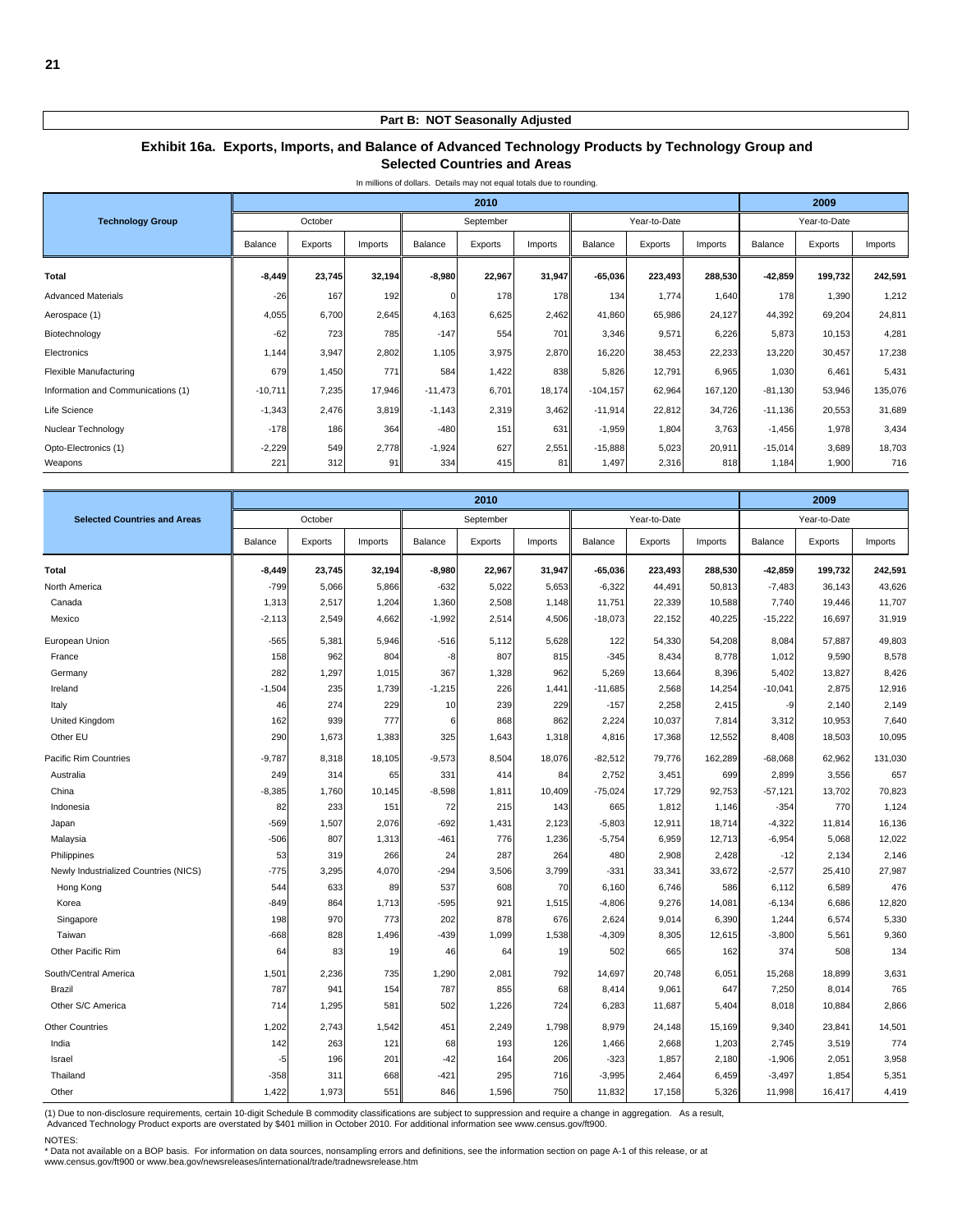#### **Exhibit 16a. Exports, Imports, and Balance of Advanced Technology Products by Technology Group and Selected Countries and Areas**

|                                    |           |         |         |             | 2010      |         |             |              |         |           | 2009         |         |
|------------------------------------|-----------|---------|---------|-------------|-----------|---------|-------------|--------------|---------|-----------|--------------|---------|
| <b>Technology Group</b>            |           | October |         |             | September |         |             | Year-to-Date |         |           | Year-to-Date |         |
|                                    | Balance   | Exports | Imports | Balance     | Exports   | Imports | Balance     | Exports      | Imports | Balance   | Exports      | Imports |
| Total                              | $-8,449$  | 23,745  | 32,194  | $-8,980$    | 22,967    | 31,947  | $-65,036$   | 223,493      | 288,530 | $-42,859$ | 199,732      | 242,591 |
| <b>Advanced Materials</b>          | $-26$     | 167     | 192     | $\mathbf 0$ | 178       | 178     | 134         | 1,774        | 1,640   | 178       | 1,390        | 1,212   |
| Aerospace (1)                      | 4,055     | 6,700   | 2,645   | 4,163       | 6,625     | 2,462   | 41,860      | 65,986       | 24,127  | 44,392    | 69,204       | 24,811  |
| Biotechnology                      | $-62$     | 723     | 785     | $-147$      | 554       | 701     | 3,346       | 9,571        | 6,226   | 5,873     | 10,153       | 4,281   |
| Electronics                        | 1,144     | 3,947   | 2,802   | 1,105       | 3,975     | 2,870   | 16,220      | 38,453       | 22,233  | 13,220    | 30,457       | 17,238  |
| Flexible Manufacturing             | 679       | 1,450   | 771     | 584         | 1,422     | 838     | 5,826       | 12,791       | 6,965   | 1,030     | 6,461        | 5,431   |
| Information and Communications (1) | $-10,711$ | 7,235   | 17,946  | $-11,473$   | 6,701     | 18,174  | $-104, 157$ | 62,964       | 167,120 | $-81,130$ | 53,946       | 135,076 |
| Life Science                       | $-1,343$  | 2,476   | 3,819   | $-1,143$    | 2,319     | 3,462   | $-11,914$   | 22,812       | 34,726  | $-11,136$ | 20,553       | 31,689  |
| Nuclear Technology                 | $-178$    | 186     | 364     | $-480$      | 151       | 631     | $-1,959$    | 1,804        | 3,763   | $-1,456$  | 1,978        | 3,434   |
| Opto-Electronics (1)               | $-2,229$  | 549     | 2,778   | $-1,924$    | 627       | 2,551   | $-15,888$   | 5,023        | 20,911  | $-15,014$ | 3,689        | 18,703  |
| Weapons                            | 221       | 312     | 91      | 334         | 415       | 81      | 1,497       | 2,316        | 818     | 1,184     | 1,900        | 716     |

In millions of dollars. Details may not equal totals due to rounding.

|                                       |          |         |         |          | 2010      |         |           |              |         | 2009      |              |         |
|---------------------------------------|----------|---------|---------|----------|-----------|---------|-----------|--------------|---------|-----------|--------------|---------|
| <b>Selected Countries and Areas</b>   |          | October |         |          | September |         |           | Year-to-Date |         |           | Year-to-Date |         |
|                                       | Balance  | Exports | Imports | Balance  | Exports   | Imports | Balance   | Exports      | Imports | Balance   | Exports      | Imports |
| <b>Total</b>                          | $-8,449$ | 23,745  | 32,194  | $-8,980$ | 22,967    | 31,947  | $-65,036$ | 223,493      | 288,530 | $-42,859$ | 199,732      | 242,591 |
| North America                         | $-799$   | 5,066   | 5,866   | $-632$   | 5,022     | 5,653   | $-6,322$  | 44,491       | 50,813  | $-7,483$  | 36,143       | 43,626  |
| Canada                                | 1,313    | 2,517   | 1,204   | 1,360    | 2,508     | 1,148   | 11,751    | 22,339       | 10,588  | 7,740     | 19,446       | 11,707  |
| Mexico                                | $-2,113$ | 2,549   | 4,662   | $-1,992$ | 2,514     | 4,506   | $-18,073$ | 22,152       | 40,225  | $-15,222$ | 16,697       | 31,919  |
| European Union                        | $-565$   | 5,381   | 5,946   | $-516$   | 5,112     | 5,628   | 122       | 54,330       | 54,208  | 8,084     | 57,887       | 49,803  |
| France                                | 158      | 962     | 804     | -8       | 807       | 815     | $-345$    | 8,434        | 8.778   | 1,012     | 9,590        | 8,578   |
| Germany                               | 282      | 1,297   | 1,015   | 367      | 1,328     | 962     | 5,269     | 13,664       | 8,396   | 5,402     | 13,827       | 8,426   |
| Ireland                               | $-1,504$ | 235     | 1,739   | $-1,215$ | 226       | 1,441   | $-11,685$ | 2,568        | 14,254  | $-10,041$ | 2,875        | 12,916  |
| Italy                                 | 46       | 274     | 229     | 10       | 239       | 229     | $-157$    | 2,258        | 2,415   | -9        | 2,140        | 2,149   |
| United Kingdom                        | 162      | 939     | 777     | 6        | 868       | 862     | 2,224     | 10,037       | 7,814   | 3,312     | 10,953       | 7,640   |
| Other EU                              | 290      | 1,673   | 1,383   | 325      | 1,643     | 1,318   | 4,816     | 17,368       | 12,552  | 8,408     | 18,503       | 10,095  |
| Pacific Rim Countries                 | $-9,787$ | 8,318   | 18,105  | $-9,573$ | 8,504     | 18,076  | $-82,512$ | 79,776       | 162,289 | $-68,068$ | 62,962       | 131,030 |
| Australia                             | 249      | 314     | 65      | 331      | 414       | 84      | 2,752     | 3,451        | 699     | 2.899     | 3,556        | 657     |
| China                                 | $-8,385$ | 1,760   | 10,145  | $-8,598$ | 1,811     | 10,409  | $-75,024$ | 17,729       | 92,753  | $-57,121$ | 13,702       | 70,823  |
| Indonesia                             | 82       | 233     | 151     | 72       | 215       | 143     | 665       | 1,812        | 1,146   | $-354$    | 770          | 1,124   |
| Japan                                 | $-569$   | 1,507   | 2.076   | $-692$   | 1,431     | 2,123   | $-5,803$  | 12,911       | 18,714  | $-4,322$  | 11,814       | 16,136  |
| Malaysia                              | $-506$   | 807     | 1,313   | $-461$   | 776       | 1,236   | $-5,754$  | 6,959        | 12,713  | $-6,954$  | 5,068        | 12,022  |
| Philippines                           | 53       | 319     | 266     | 24       | 287       | 264     | 480       | 2,908        | 2,428   | $-12$     | 2,134        | 2,146   |
| Newly Industrialized Countries (NICS) | $-775$   | 3,295   | 4,070   | $-294$   | 3,506     | 3,799   | $-331$    | 33,341       | 33,672  | $-2,577$  | 25,410       | 27,987  |
| Hong Kong                             | 544      | 633     | 89      | 537      | 608       | 70      | 6,160     | 6,746        | 586     | 6,112     | 6,589        | 476     |
| Korea                                 | $-849$   | 864     | 1,713   | $-595$   | 921       | 1,515   | $-4,806$  | 9,276        | 14,081  | $-6,134$  | 6,686        | 12,820  |
| Singapore                             | 198      | 970     | 773     | 202      | 878       | 676     | 2,624     | 9,014        | 6,390   | 1,244     | 6,574        | 5,330   |
| Taiwan                                | $-668$   | 828     | 1,496   | $-439$   | 1,099     | 1,538   | $-4,309$  | 8,305        | 12,615  | $-3,800$  | 5,561        | 9,360   |
| Other Pacific Rim                     | 64       | 83      | 19      | 46       | 64        | 19      | 502       | 665          | 162     | 374       | 508          | 134     |
| South/Central America                 | 1,501    | 2,236   | 735     | 1,290    | 2,081     | 792     | 14,697    | 20,748       | 6,051   | 15,268    | 18,899       | 3,631   |
| Brazil                                | 787      | 941     | 154     | 787      | 855       | 68      | 8,414     | 9,061        | 647     | 7,250     | 8,014        | 765     |
| Other S/C America                     | 714      | 1,295   | 581     | 502      | 1,226     | 724     | 6,283     | 11,687       | 5,404   | 8,018     | 10,884       | 2,866   |
| <b>Other Countries</b>                | 1,202    | 2,743   | 1,542   | 451      | 2,249     | 1,798   | 8,979     | 24,148       | 15,169  | 9,340     | 23,841       | 14,501  |
| India                                 | 142      | 263     | 121     | 68       | 193       | 126     | 1,466     | 2,668        | 1,203   | 2,745     | 3,519        | 774     |
| Israel                                | -5       | 196     | 201     | -42      | 164       | 206     | $-323$    | 1,857        | 2,180   | $-1,906$  | 2,051        | 3,958   |
| Thailand                              | $-358$   | 311     | 668     | $-421$   | 295       | 716     | $-3,995$  | 2,464        | 6,459   | $-3,497$  | 1,854        | 5,351   |
| Other                                 | 1,422    | 1,973   | 551     | 846      | 1,596     | 750     | 11,832    | 17,158       | 5,326   | 11,998    | 16,417       | 4,419   |

(1) Due to non-disclosure requirements, certain 10-digit Schedule B commodity classifications are subject to suppression and require a change in aggregation. As a result,<br>Advanced Technology Product exports are overstated

NOTES:<br>\* Data not available on a BOP basis. For information on data sources, nonsampling errors and definitions, see the information section on page A-1 of this release, or at www.census.gov/ft900 or www.bea.gov/newsreleases/international/trade/tradnewsrelease.htm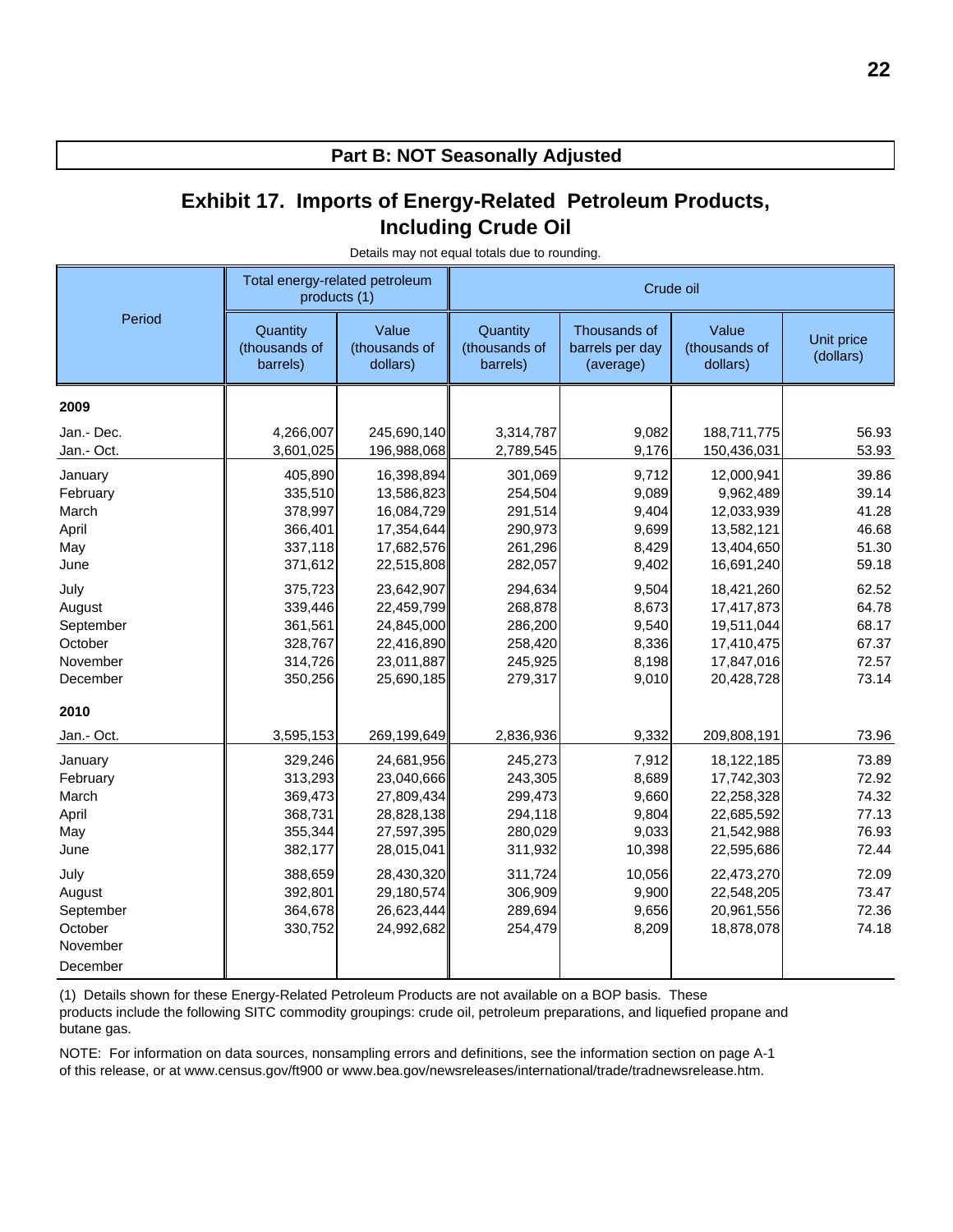### **Exhibit 17. Imports of Energy-Related Petroleum Products, Including Crude Oil**

|                                                                        | Total energy-related petroleum<br>products (1)                                       |                                                                                                              |                                                                                      | Crude oil                                                              |                                                                                                              |                                                                      |
|------------------------------------------------------------------------|--------------------------------------------------------------------------------------|--------------------------------------------------------------------------------------------------------------|--------------------------------------------------------------------------------------|------------------------------------------------------------------------|--------------------------------------------------------------------------------------------------------------|----------------------------------------------------------------------|
| Period                                                                 | Quantity<br>(thousands of<br>barrels)                                                | Value<br>(thousands of<br>dollars)                                                                           | Quantity<br>(thousands of<br>barrels)                                                | Thousands of<br>barrels per day<br>(average)                           | Value<br>(thousands of<br>dollars)                                                                           | Unit price<br>(dollars)                                              |
| 2009                                                                   |                                                                                      |                                                                                                              |                                                                                      |                                                                        |                                                                                                              |                                                                      |
| Jan.- Dec.<br>Jan.- Oct.                                               | 4,266,007<br>3,601,025                                                               | 245,690,140<br>196,988,068                                                                                   | 3,314,787<br>2,789,545                                                               | 9,082<br>9,176                                                         | 188,711,775<br>150,436,031                                                                                   | 56.93<br>53.93                                                       |
| January<br>February<br>March<br>April<br>May<br>June                   | 405,890<br>335,510<br>378,997<br>366,401<br>337,118<br>371,612                       | 16,398,894<br>13,586,823<br>16,084,729<br>17,354,644<br>17,682,576<br>22,515,808                             | 301,069<br>254,504<br>291,514<br>290,973<br>261,296<br>282,057                       | 9,712<br>9,089<br>9,404<br>9,699<br>8,429<br>9,402                     | 12,000,941<br>9,962,489<br>12,033,939<br>13,582,121<br>13,404,650<br>16,691,240                              | 39.86<br>39.14<br>41.28<br>46.68<br>51.30<br>59.18                   |
| July<br>August<br>September<br>October<br>November<br>December         | 375,723<br>339,446<br>361,561<br>328,767<br>314,726<br>350,256                       | 23,642,907<br>22,459,799<br>24,845,000<br>22,416,890<br>23,011,887<br>25,690,185                             | 294,634<br>268,878<br>286,200<br>258,420<br>245,925<br>279,317                       | 9,504<br>8,673<br>9,540<br>8,336<br>8,198<br>9,010                     | 18,421,260<br>17,417,873<br>19,511,044<br>17,410,475<br>17,847,016<br>20,428,728                             | 62.52<br>64.78<br>68.17<br>67.37<br>72.57<br>73.14                   |
| 2010<br>Jan.- Oct.                                                     | 3,595,153                                                                            | 269,199,649                                                                                                  | 2,836,936                                                                            | 9,332                                                                  | 209,808,191                                                                                                  | 73.96                                                                |
| January<br>February<br>March<br>April<br>May<br>June<br>July<br>August | 329,246<br>313,293<br>369,473<br>368,731<br>355,344<br>382,177<br>388,659<br>392,801 | 24,681,956<br>23,040,666<br>27,809,434<br>28,828,138<br>27,597,395<br>28,015,041<br>28,430,320<br>29,180,574 | 245,273<br>243,305<br>299,473<br>294,118<br>280,029<br>311,932<br>311,724<br>306,909 | 7,912<br>8,689<br>9,660<br>9,804<br>9,033<br>10,398<br>10,056<br>9,900 | 18,122,185<br>17,742,303<br>22,258,328<br>22,685,592<br>21,542,988<br>22,595,686<br>22,473,270<br>22,548,205 | 73.89<br>72.92<br>74.32<br>77.13<br>76.93<br>72.44<br>72.09<br>73.47 |
| September<br>October<br>November<br>December                           | 364,678<br>330,752                                                                   | 26,623,444<br>24,992,682                                                                                     | 289,694<br>254,479                                                                   | 9,656<br>8,209                                                         | 20,961,556<br>18,878,078                                                                                     | 72.36<br>74.18                                                       |

Details may not equal totals due to rounding.

(1) Details shown for these Energy-Related Petroleum Products are not available on a BOP basis. These products include the following SITC commodity groupings: crude oil, petroleum preparations, and liquefied propane and butane gas.

NOTE: For information on data sources, nonsampling errors and definitions, see the information section on page A-1 of this release, or at www.census.gov/ft900 or www.bea.gov/newsreleases/international/trade/tradnewsrelease.htm.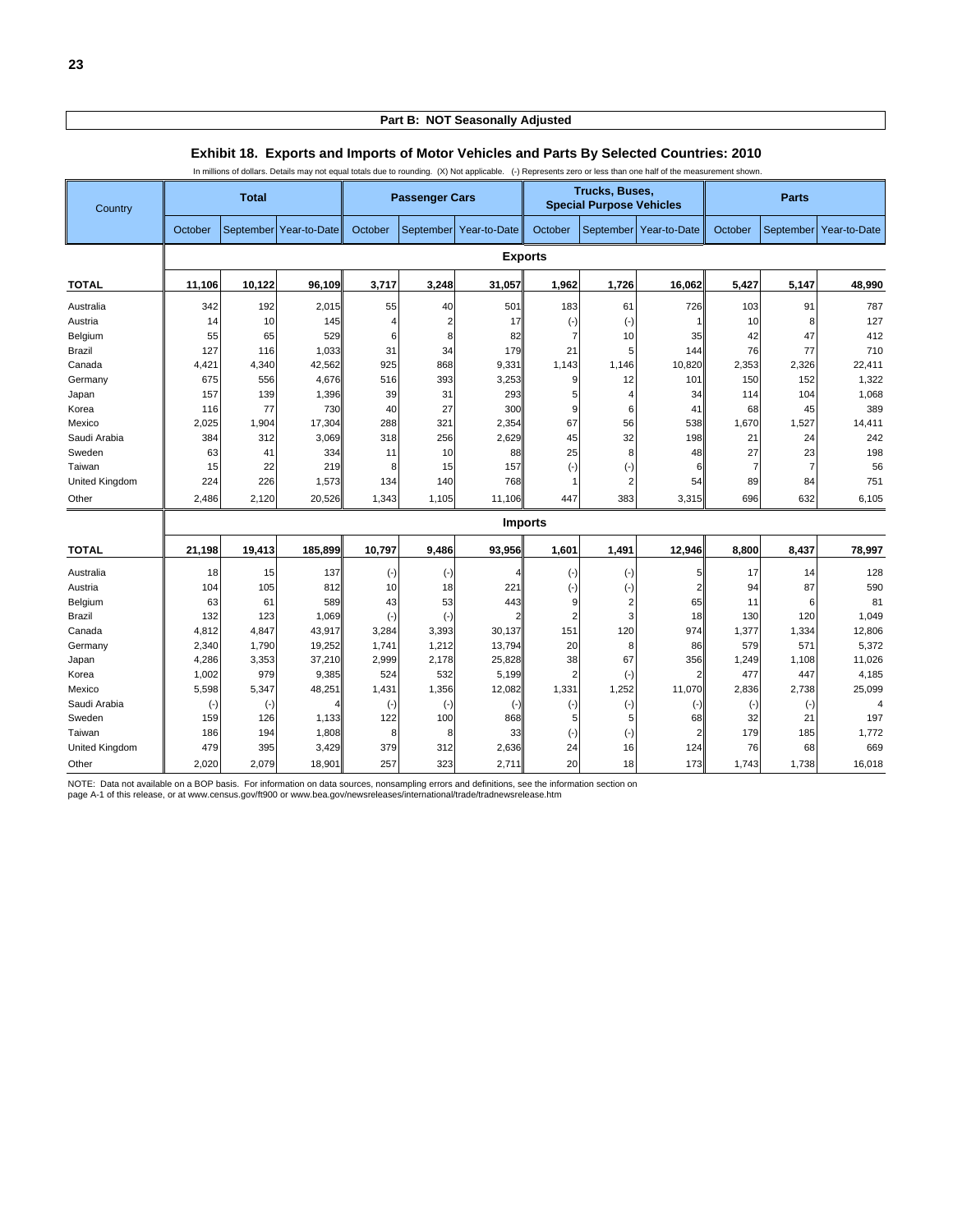#### In millions of dollars. Details may not equal totals due to rounding. (X) Not applicable. (-) Represents zero or less than one half of the measurement shown. **Country Total Passenger Cars Passenger Cars Passenger Cars Special Purpose Vehicles Parts** October September Year-to-Date October September Year-to-Date October September Year-to-Date October September Year-to-Date **Exports TOTAL 11,106 10,122 96,109 3,717 3,248 31,057 1,962 1,726 16,062 5,427 5,147 48,990** Australia || 342| 192| 2,015|| 55| 40| 501|| 183| 61| 726|| 103| 91| 787 Austria || 14| 10| 145|| 4| 2| 17|| (-)| (-)| 1|| 10| 8| 127 Belgium || 55| 65| 529|| 6| 8| 82|| 7| 10| 35|| 42| 47| 412 Brazil 127 116 1,033 31 34 179 21 5 144 76 77 710 Canada 4,421 4,340 42,562 925 868 9,331 1,143 1,146 10,820| 2,353 2,326 22,411 Germany || 675| 556| 4,676|| 516| 393| 3,253|| 9| 12| 101|| 150| 152| 1,322 Japan || 157| 139| 1,396|| 39| 31| 293|| 5| 4| 34|| 114| 104| 1,068 Korea || 116| 77| 730|| 40| 27| 300|| 9| 6| 41|| 68| 45| 389 Mexico || 2,025| 1,904| 17,304|| 288| 321| 2,354|| 67| 56| 538|| 1,670| 1,527| 14,411 Saudi Arabia || 384| 312| 3,069|| 318| 256| 2,629|| 45| 32| 198|| 21| 24| 242 Sweden || 63| 41| 334|| 11| 10| 88|| 25| 8| 48|| 27| 23| 198 Taiwan || 15| 22| 219|| 8| 15| 157|| (-)| (-)| 6|| 7| 7| 56 United Kingdom || 224| 226| 1,573|| 134| 140| 768|| 1| 2| 54|| 89| 84| 751 Other 2,486 2,120 20,526 1,343 1,105 11,106 447 383 3,315 696 632 6,105 **Imports TOTAL 21,198 19,413 185,899 10,797 9,486 93,956 1,601 1,491 12,946 8,800 8,437 78,997** Australia 18 | 15 | 137|| (-)| 4|| (-)| (-)| 5|| 17 | 14 | 128 Austria || 104| 105| 812|| 10| 18| 221|| (-)| (-)| 2|| 94| 87| 590 Belgium || 63| 61| 589|| 43| 53| 443|| 9| 2| 65|| 11| 6| 81 Brazil 132 123 1,069 (-) (-) 2 2 3 18 130 120 1,049 Canada 4,812 4,847 43,917|| 3,284 3,393 30,137|| 151| 120 974|| 1,377 1,334 12,806 Germany 2,340 1,790 19,252 1,741 1,212 13,794 20 8 86 579 571 5,372 Japan || 4,286 3,353 37,210|| 2,999| 2,178| 25,828|| 38| 67| 356|| 1,249| 1,108| 11,026 Korea 1,002 979 9,385 524 532 5,199 2 (-) 2 477 447 4,185 Mexico 5,598 5,347 48,251 1,431 1,356 1,3082 1,331 1,252 11,070|| 2,836 2,738 25,099 Saudi Arabia (-) (-) 4 (-) (-) (-) (-) (-) (-) (-) (-) 4 Sweden || 159| 126| 1,133|| 122| 100| 868|| 5| 5| 68|| 32| 21| 197 Taiwan || 186| 194| 1,808|| 8| 8| 33|| (-)| (-)| 2|| 179| 185| 1,772 United Kingdom || 479| 395| 3,429|| 379| 312| 2,636|| 24| 16| 124|| 76| 68| 669 Other 2,020 2,079 18,901 257 323 2,711 20 18 173 1,743 1,738 16,018

#### **Exhibit 18. Exports and Imports of Motor Vehicles and Parts By Selected Countries: 2010**

NOTE: Data not available on a BOP basis. For information on data sources, nonsampling errors and definitions, see the information section on

page A-1 of this release, or at www.census.gov/ft900 or www.bea.gov/newsreleases/international/trade/tradnewsrelease.htm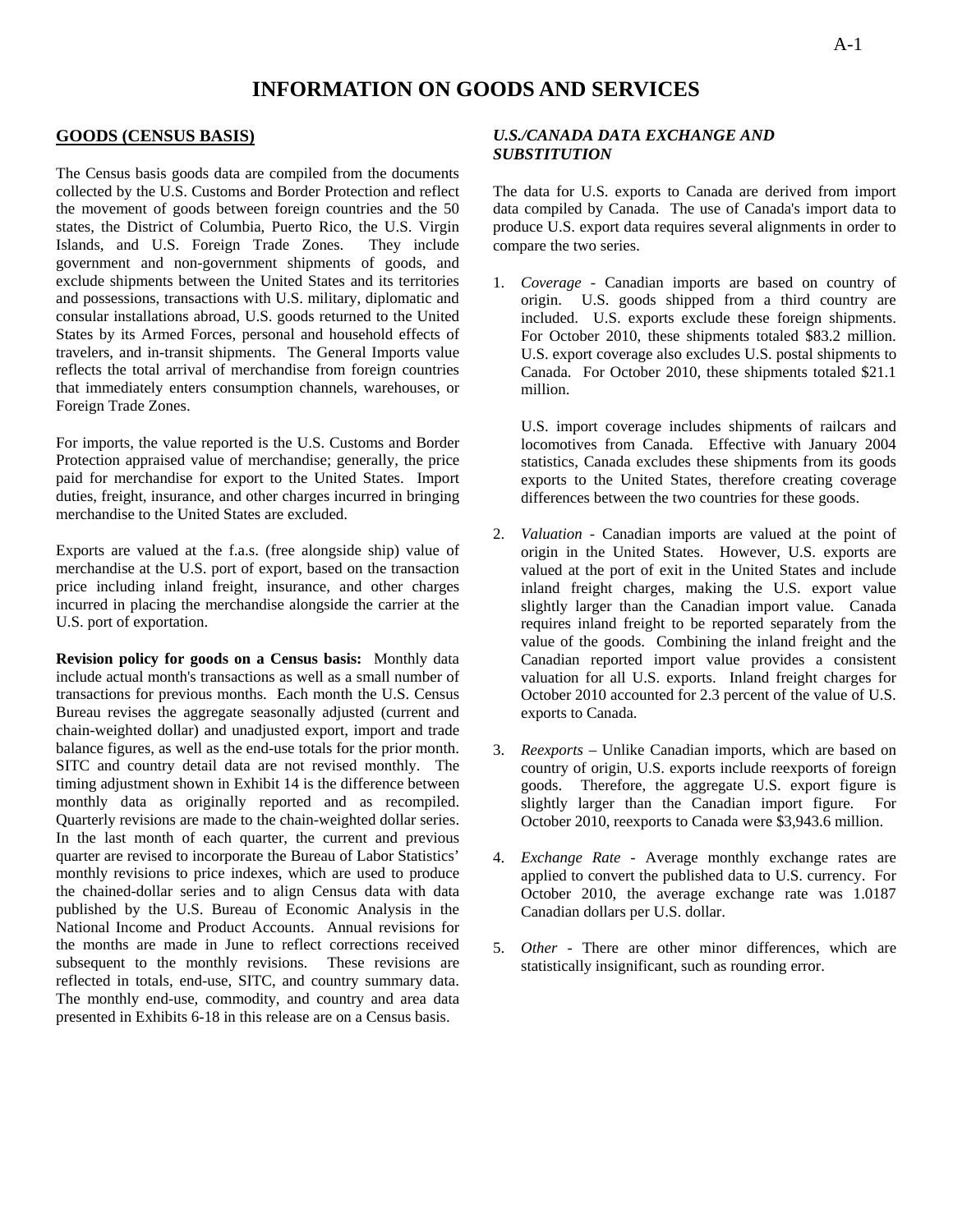#### **GOODS (CENSUS BASIS)**

The Census basis goods data are compiled from the documents collected by the U.S. Customs and Border Protection and reflect the movement of goods between foreign countries and the 50 states, the District of Columbia, Puerto Rico, the U.S. Virgin Islands, and U.S. Foreign Trade Zones. They include government and non-government shipments of goods, and exclude shipments between the United States and its territories and possessions, transactions with U.S. military, diplomatic and consular installations abroad, U.S. goods returned to the United States by its Armed Forces, personal and household effects of travelers, and in-transit shipments. The General Imports value reflects the total arrival of merchandise from foreign countries that immediately enters consumption channels, warehouses, or Foreign Trade Zones.

For imports, the value reported is the U.S. Customs and Border Protection appraised value of merchandise; generally, the price paid for merchandise for export to the United States. Import duties, freight, insurance, and other charges incurred in bringing merchandise to the United States are excluded.

Exports are valued at the f.a.s. (free alongside ship) value of merchandise at the U.S. port of export, based on the transaction price including inland freight, insurance, and other charges incurred in placing the merchandise alongside the carrier at the U.S. port of exportation.

**Revision policy for goods on a Census basis:** Monthly data include actual month's transactions as well as a small number of transactions for previous months. Each month the U.S. Census Bureau revises the aggregate seasonally adjusted (current and chain-weighted dollar) and unadjusted export, import and trade balance figures, as well as the end-use totals for the prior month. SITC and country detail data are not revised monthly. The timing adjustment shown in Exhibit 14 is the difference between monthly data as originally reported and as recompiled. Quarterly revisions are made to the chain-weighted dollar series. In the last month of each quarter, the current and previous quarter are revised to incorporate the Bureau of Labor Statistics' monthly revisions to price indexes, which are used to produce the chained-dollar series and to align Census data with data published by the U.S. Bureau of Economic Analysis in the National Income and Product Accounts. Annual revisions for the months are made in June to reflect corrections received subsequent to the monthly revisions. These revisions are reflected in totals, end-use, SITC, and country summary data. The monthly end-use, commodity, and country and area data presented in Exhibits 6-18 in this release are on a Census basis.

#### *U.S./CANADA DATA EXCHANGE AND SUBSTITUTION*

The data for U.S. exports to Canada are derived from import data compiled by Canada. The use of Canada's import data to produce U.S. export data requires several alignments in order to compare the two series.

1. *Coverage* - Canadian imports are based on country of origin. U.S. goods shipped from a third country are included. U.S. exports exclude these foreign shipments. For October 2010, these shipments totaled \$83.2 million. U.S. export coverage also excludes U.S. postal shipments to Canada. For October 2010, these shipments totaled \$21.1 million.

U.S. import coverage includes shipments of railcars and locomotives from Canada. Effective with January 2004 statistics, Canada excludes these shipments from its goods exports to the United States, therefore creating coverage differences between the two countries for these goods.

- 2. *Valuation* Canadian imports are valued at the point of origin in the United States. However, U.S. exports are valued at the port of exit in the United States and include inland freight charges, making the U.S. export value slightly larger than the Canadian import value. Canada requires inland freight to be reported separately from the value of the goods. Combining the inland freight and the Canadian reported import value provides a consistent valuation for all U.S. exports. Inland freight charges for October 2010 accounted for 2.3 percent of the value of U.S. exports to Canada.
- 3. *Reexports* Unlike Canadian imports, which are based on country of origin, U.S. exports include reexports of foreign goods. Therefore, the aggregate U.S. export figure is slightly larger than the Canadian import figure. For October 2010, reexports to Canada were \$3,943.6 million.
- 4. *Exchange Rate* Average monthly exchange rates are applied to convert the published data to U.S. currency. For October 2010, the average exchange rate was 1.0187 Canadian dollars per U.S. dollar.
- 5. *Other* There are other minor differences, which are statistically insignificant, such as rounding error.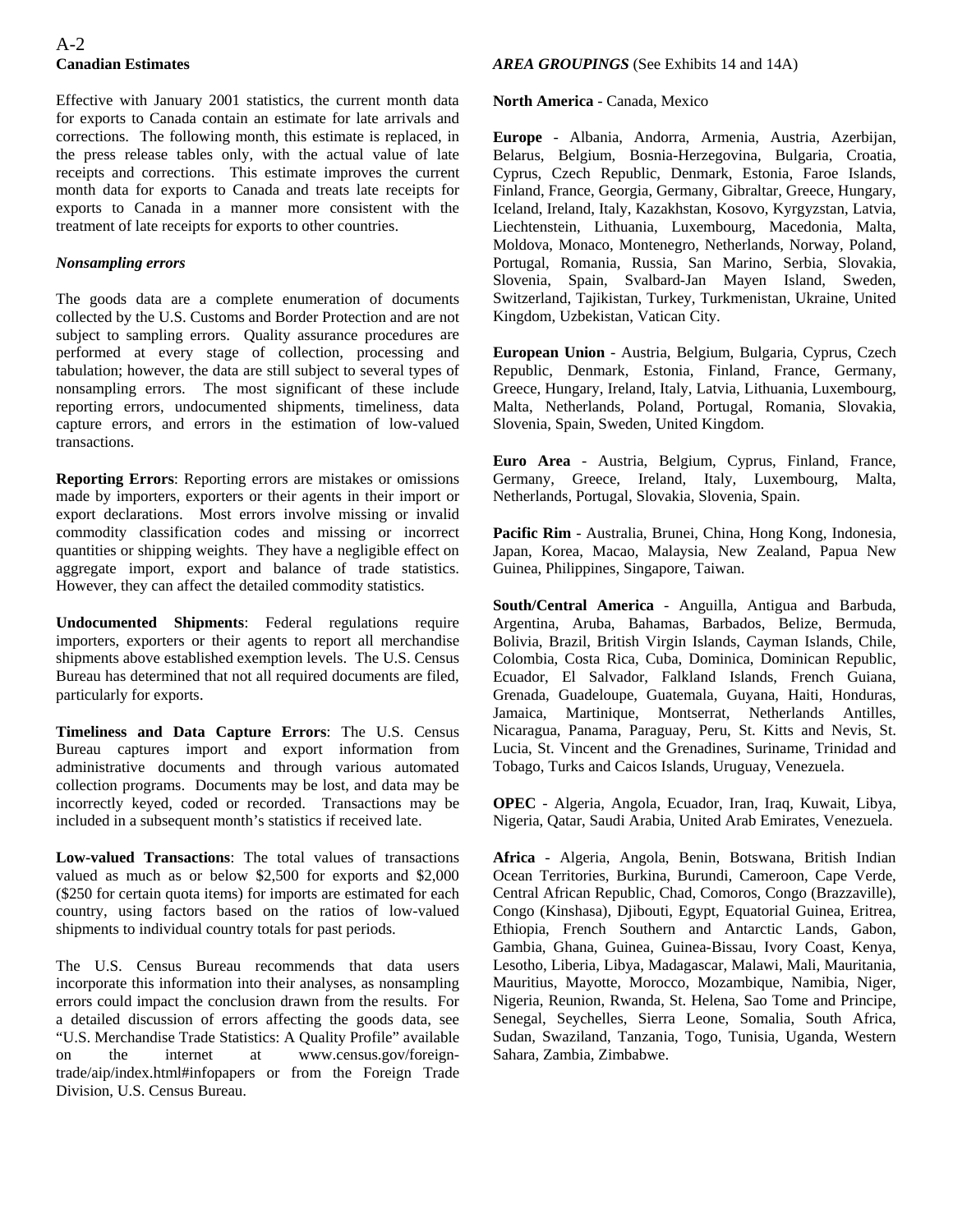#### A-2 **Canadian Estimates**

Effective with January 2001 statistics, the current month data for exports to Canada contain an estimate for late arrivals and corrections. The following month, this estimate is replaced, in the press release tables only, with the actual value of late receipts and corrections. This estimate improves the current month data for exports to Canada and treats late receipts for exports to Canada in a manner more consistent with the treatment of late receipts for exports to other countries.

#### *Nonsampling errors*

The goods data are a complete enumeration of documents collected by the U.S. Customs and Border Protection and are not subject to sampling errors. Quality assurance procedures are performed at every stage of collection, processing and tabulation; however, the data are still subject to several types of nonsampling errors. The most significant of these include reporting errors, undocumented shipments, timeliness, data capture errors, and errors in the estimation of low-valued transactions.

**Reporting Errors**: Reporting errors are mistakes or omissions made by importers, exporters or their agents in their import or export declarations. Most errors involve missing or invalid commodity classification codes and missing or incorrect quantities or shipping weights. They have a negligible effect on aggregate import, export and balance of trade statistics. However, they can affect the detailed commodity statistics.

**Undocumented Shipments**: Federal regulations require importers, exporters or their agents to report all merchandise shipments above established exemption levels. The U.S. Census Bureau has determined that not all required documents are filed, particularly for exports.

**Timeliness and Data Capture Errors**: The U.S. Census Bureau captures import and export information from administrative documents and through various automated collection programs. Documents may be lost, and data may be incorrectly keyed, coded or recorded. Transactions may be included in a subsequent month's statistics if received late.

**Low-valued Transactions**: The total values of transactions valued as much as or below \$2,500 for exports and \$2,000 (\$250 for certain quota items) for imports are estimated for each country, using factors based on the ratios of low-valued shipments to individual country totals for past periods.

The U.S. Census Bureau recommends that data users incorporate this information into their analyses, as nonsampling errors could impact the conclusion drawn from the results. For a detailed discussion of errors affecting the goods data, see "U.S. Merchandise Trade Statistics: A Quality Profile" available on the internet at www.census.gov/foreigntrade/aip/index.html#infopapers or from the Foreign Trade Division, U.S. Census Bureau.

#### *AREA GROUPINGS* (See Exhibits 14 and 14A)

**North America** - Canada, Mexico

**Europe** - Albania, Andorra, Armenia, Austria, Azerbijan, Belarus, Belgium, Bosnia-Herzegovina, Bulgaria, Croatia, Cyprus, Czech Republic, Denmark, Estonia, Faroe Islands, Finland, France, Georgia, Germany, Gibraltar, Greece, Hungary, Iceland, Ireland, Italy, Kazakhstan, Kosovo, Kyrgyzstan, Latvia, Liechtenstein, Lithuania, Luxembourg, Macedonia, Malta, Moldova, Monaco, Montenegro, Netherlands, Norway, Poland, Portugal, Romania, Russia, San Marino, Serbia, Slovakia, Slovenia, Spain, Svalbard-Jan Mayen Island, Sweden, Switzerland, Tajikistan, Turkey, Turkmenistan, Ukraine, United Kingdom, Uzbekistan, Vatican City.

**European Union** - Austria, Belgium, Bulgaria, Cyprus, Czech Republic, Denmark, Estonia, Finland, France, Germany, Greece, Hungary, Ireland, Italy, Latvia, Lithuania, Luxembourg, Malta, Netherlands, Poland, Portugal, Romania, Slovakia, Slovenia, Spain, Sweden, United Kingdom.

**Euro Area** - Austria, Belgium, Cyprus, Finland, France, Germany, Greece, Ireland, Italy, Luxembourg, Malta, Netherlands, Portugal, Slovakia, Slovenia, Spain.

**Pacific Rim** - Australia, Brunei, China, Hong Kong, Indonesia, Japan, Korea, Macao, Malaysia, New Zealand, Papua New Guinea, Philippines, Singapore, Taiwan.

**South/Central America** - Anguilla, Antigua and Barbuda, Argentina, Aruba, Bahamas, Barbados, Belize, Bermuda, Bolivia, Brazil, British Virgin Islands, Cayman Islands, Chile, Colombia, Costa Rica, Cuba, Dominica, Dominican Republic, Ecuador, El Salvador, Falkland Islands, French Guiana, Grenada, Guadeloupe, Guatemala, Guyana, Haiti, Honduras, Jamaica, Martinique, Montserrat, Netherlands Antilles, Nicaragua, Panama, Paraguay, Peru, St. Kitts and Nevis, St. Lucia, St. Vincent and the Grenadines, Suriname, Trinidad and Tobago, Turks and Caicos Islands, Uruguay, Venezuela.

**OPEC** - Algeria, Angola, Ecuador, Iran, Iraq, Kuwait, Libya, Nigeria, Qatar, Saudi Arabia, United Arab Emirates, Venezuela.

**Africa** - Algeria, Angola, Benin, Botswana, British Indian Ocean Territories, Burkina, Burundi, Cameroon, Cape Verde, Central African Republic, Chad, Comoros, Congo (Brazzaville), Congo (Kinshasa), Djibouti, Egypt, Equatorial Guinea, Eritrea, Ethiopia, French Southern and Antarctic Lands, Gabon, Gambia, Ghana, Guinea, Guinea-Bissau, Ivory Coast, Kenya, Lesotho, Liberia, Libya, Madagascar, Malawi, Mali, Mauritania, Mauritius, Mayotte, Morocco, Mozambique, Namibia, Niger, Nigeria, Reunion, Rwanda, St. Helena, Sao Tome and Principe, Senegal, Seychelles, Sierra Leone, Somalia, South Africa, Sudan, Swaziland, Tanzania, Togo, Tunisia, Uganda, Western Sahara, Zambia, Zimbabwe.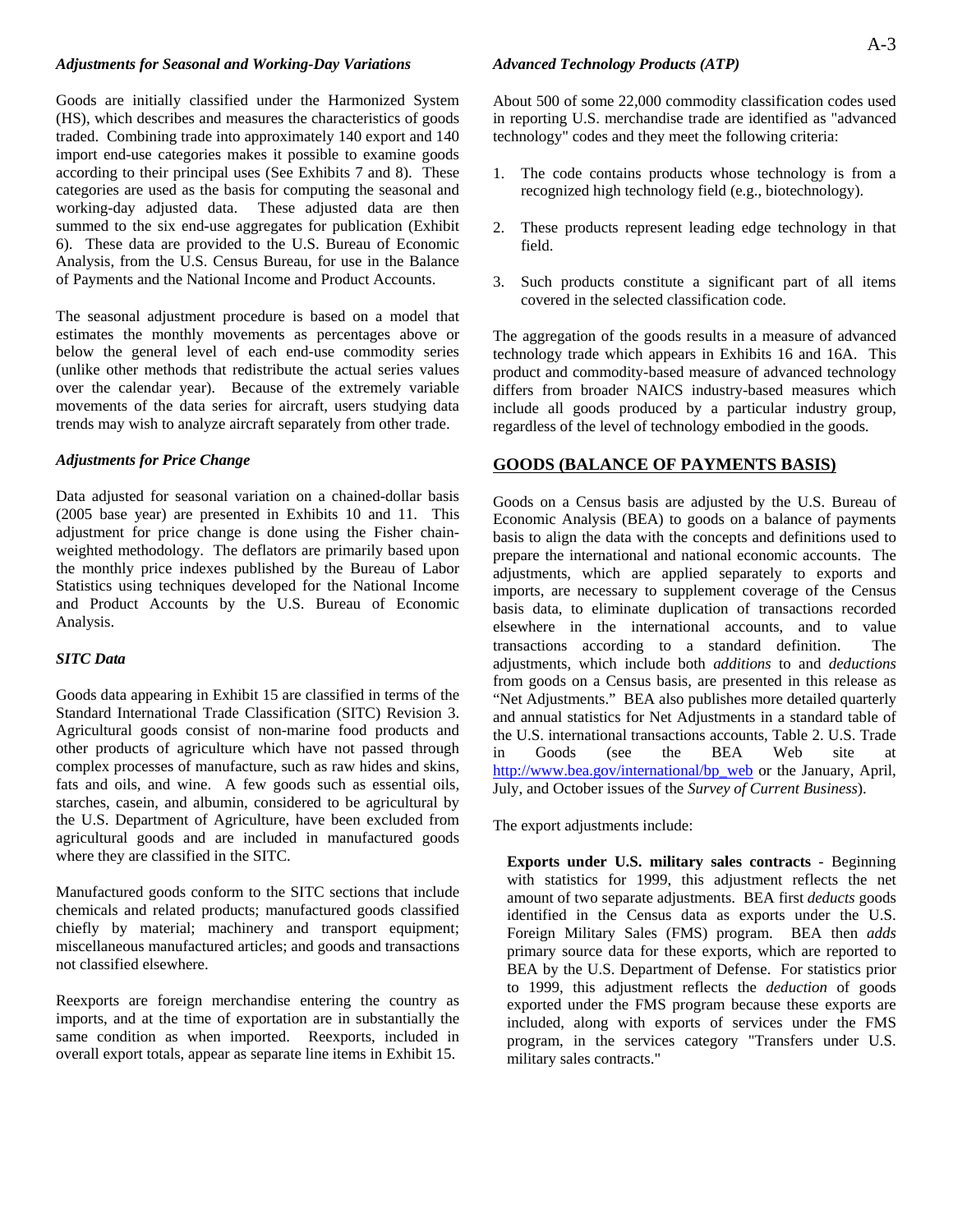#### *Adjustments for Seasonal and Working-Day Variations*

Goods are initially classified under the Harmonized System (HS), which describes and measures the characteristics of goods traded. Combining trade into approximately 140 export and 140 import end-use categories makes it possible to examine goods according to their principal uses (See Exhibits 7 and 8). These categories are used as the basis for computing the seasonal and working-day adjusted data. These adjusted data are then summed to the six end-use aggregates for publication (Exhibit 6). These data are provided to the U.S. Bureau of Economic Analysis, from the U.S. Census Bureau, for use in the Balance of Payments and the National Income and Product Accounts.

The seasonal adjustment procedure is based on a model that estimates the monthly movements as percentages above or below the general level of each end-use commodity series (unlike other methods that redistribute the actual series values over the calendar year). Because of the extremely variable movements of the data series for aircraft, users studying data trends may wish to analyze aircraft separately from other trade.

#### *Adjustments for Price Change*

Data adjusted for seasonal variation on a chained-dollar basis (2005 base year) are presented in Exhibits 10 and 11. This adjustment for price change is done using the Fisher chainweighted methodology. The deflators are primarily based upon the monthly price indexes published by the Bureau of Labor Statistics using techniques developed for the National Income and Product Accounts by the U.S. Bureau of Economic Analysis.

#### *SITC Data*

Goods data appearing in Exhibit 15 are classified in terms of the Standard International Trade Classification (SITC) Revision 3. Agricultural goods consist of non-marine food products and other products of agriculture which have not passed through complex processes of manufacture, such as raw hides and skins, fats and oils, and wine. A few goods such as essential oils, starches, casein, and albumin, considered to be agricultural by the U.S. Department of Agriculture, have been excluded from agricultural goods and are included in manufactured goods where they are classified in the SITC.

Manufactured goods conform to the SITC sections that include chemicals and related products; manufactured goods classified chiefly by material; machinery and transport equipment; miscellaneous manufactured articles; and goods and transactions not classified elsewhere.

Reexports are foreign merchandise entering the country as imports, and at the time of exportation are in substantially the same condition as when imported. Reexports, included in overall export totals, appear as separate line items in Exhibit 15.

#### *Advanced Technology Products (ATP)*

About 500 of some 22,000 commodity classification codes used in reporting U.S. merchandise trade are identified as "advanced technology" codes and they meet the following criteria:

- 1. The code contains products whose technology is from a recognized high technology field (e.g., biotechnology).
- 2. These products represent leading edge technology in that field.
- 3. Such products constitute a significant part of all items covered in the selected classification code.

The aggregation of the goods results in a measure of advanced technology trade which appears in Exhibits 16 and 16A. This product and commodity-based measure of advanced technology differs from broader NAICS industry-based measures which include all goods produced by a particular industry group, regardless of the level of technology embodied in the goods.

#### **GOODS (BALANCE OF PAYMENTS BASIS)**

Goods on a Census basis are adjusted by the U.S. Bureau of Economic Analysis (BEA) to goods on a balance of payments basis to align the data with the concepts and definitions used to prepare the international and national economic accounts. The adjustments, which are applied separately to exports and imports, are necessary to supplement coverage of the Census basis data, to eliminate duplication of transactions recorded elsewhere in the international accounts, and to value transactions according to a standard definition. The adjustments, which include both *additions* to and *deductions* from goods on a Census basis, are presented in this release as "Net Adjustments." BEA also publishes more detailed quarterly and annual statistics for Net Adjustments in a standard table of the U.S. international transactions accounts, Table 2. U.S. Trade in Goods (see the BEA Web site at http://www.bea.gov/international/bp\_web or the January, April, July, and October issues of the *Survey of Current Business*).

The export adjustments include:

**Exports under U.S. military sales contracts** - Beginning with statistics for 1999, this adjustment reflects the net amount of two separate adjustments. BEA first *deducts* goods identified in the Census data as exports under the U.S. Foreign Military Sales (FMS) program. BEA then *adds* primary source data for these exports, which are reported to BEA by the U.S. Department of Defense. For statistics prior to 1999, this adjustment reflects the *deduction* of goods exported under the FMS program because these exports are included, along with exports of services under the FMS program, in the services category "Transfers under U.S. military sales contracts."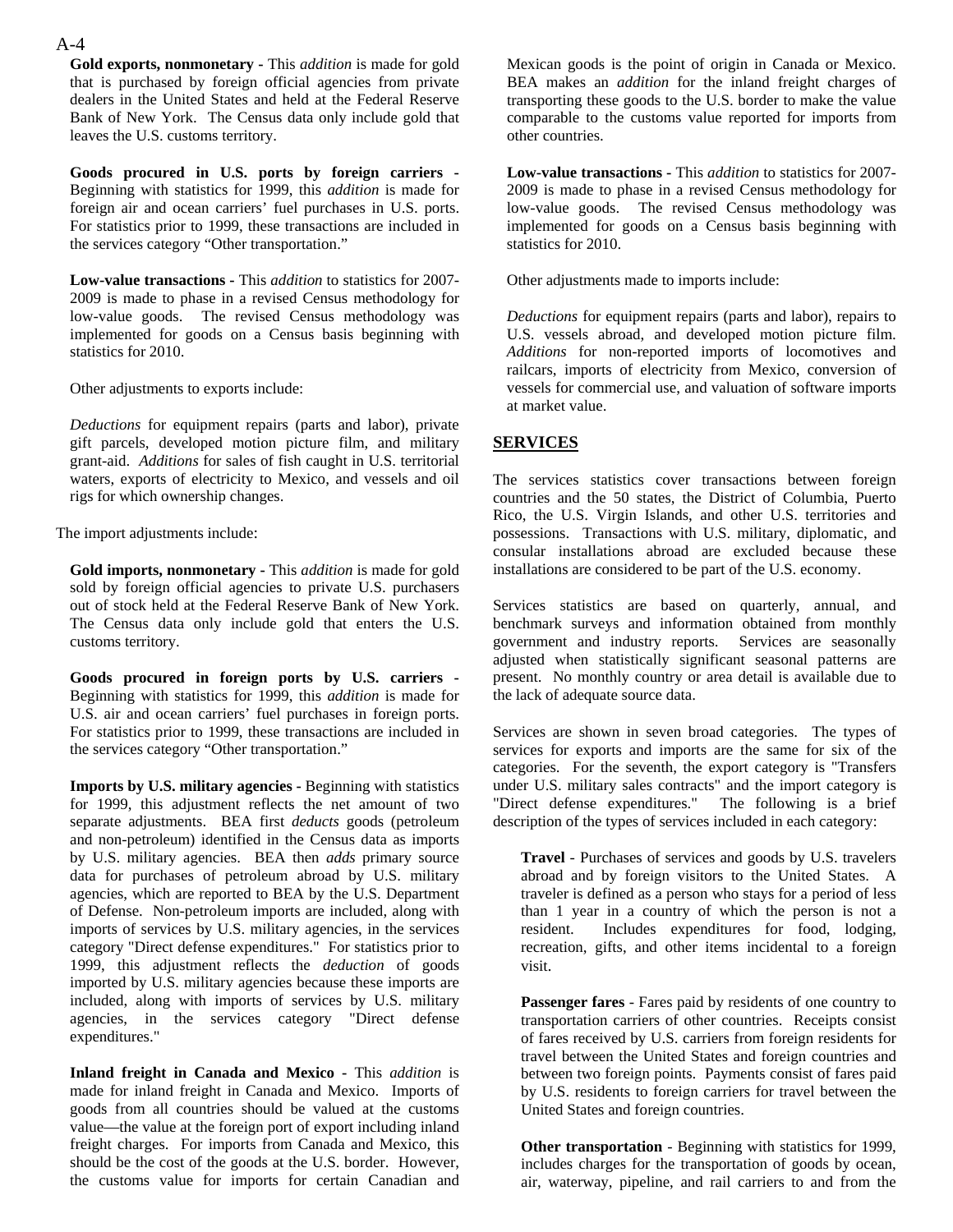**Gold exports, nonmonetary -** This *addition* is made for gold that is purchased by foreign official agencies from private dealers in the United States and held at the Federal Reserve Bank of New York. The Census data only include gold that leaves the U.S. customs territory.

**Goods procured in U.S. ports by foreign carriers -**  Beginning with statistics for 1999, this *addition* is made for foreign air and ocean carriers' fuel purchases in U.S. ports. For statistics prior to 1999, these transactions are included in the services category "Other transportation."

**Low-value transactions -** This *addition* to statistics for 2007- 2009 is made to phase in a revised Census methodology for low-value goods. The revised Census methodology was implemented for goods on a Census basis beginning with statistics for 2010.

Other adjustments to exports include:

*Deductions* for equipment repairs (parts and labor), private gift parcels, developed motion picture film, and military grant-aid. *Additions* for sales of fish caught in U.S. territorial waters, exports of electricity to Mexico, and vessels and oil rigs for which ownership changes.

The import adjustments include:

**Gold imports, nonmonetary -** This *addition* is made for gold sold by foreign official agencies to private U.S. purchasers out of stock held at the Federal Reserve Bank of New York. The Census data only include gold that enters the U.S. customs territory.

**Goods procured in foreign ports by U.S. carriers -**  Beginning with statistics for 1999, this *addition* is made for U.S. air and ocean carriers' fuel purchases in foreign ports. For statistics prior to 1999, these transactions are included in the services category "Other transportation."

**Imports by U.S. military agencies -** Beginning with statistics for 1999, this adjustment reflects the net amount of two separate adjustments. BEA first *deducts* goods (petroleum and non-petroleum) identified in the Census data as imports by U.S. military agencies. BEA then *adds* primary source data for purchases of petroleum abroad by U.S. military agencies, which are reported to BEA by the U.S. Department of Defense. Non-petroleum imports are included, along with imports of services by U.S. military agencies, in the services category "Direct defense expenditures." For statistics prior to 1999, this adjustment reflects the *deduction* of goods imported by U.S. military agencies because these imports are included, along with imports of services by U.S. military agencies, in the services category "Direct defense expenditures."

**Inland freight in Canada and Mexico -** This *addition* is made for inland freight in Canada and Mexico. Imports of goods from all countries should be valued at the customs value—the value at the foreign port of export including inland freight charges. For imports from Canada and Mexico, this should be the cost of the goods at the U.S. border. However, the customs value for imports for certain Canadian and Mexican goods is the point of origin in Canada or Mexico. BEA makes an *addition* for the inland freight charges of transporting these goods to the U.S. border to make the value comparable to the customs value reported for imports from other countries.

**Low-value transactions -** This *addition* to statistics for 2007- 2009 is made to phase in a revised Census methodology for low-value goods. The revised Census methodology was implemented for goods on a Census basis beginning with statistics for 2010.

Other adjustments made to imports include:

*Deductions* for equipment repairs (parts and labor), repairs to U.S. vessels abroad, and developed motion picture film. *Additions* for non-reported imports of locomotives and railcars, imports of electricity from Mexico, conversion of vessels for commercial use, and valuation of software imports at market value.

#### **SERVICES**

The services statistics cover transactions between foreign countries and the 50 states, the District of Columbia, Puerto Rico, the U.S. Virgin Islands, and other U.S. territories and possessions. Transactions with U.S. military, diplomatic, and consular installations abroad are excluded because these installations are considered to be part of the U.S. economy.

Services statistics are based on quarterly, annual, and benchmark surveys and information obtained from monthly government and industry reports. Services are seasonally adjusted when statistically significant seasonal patterns are present. No monthly country or area detail is available due to the lack of adequate source data.

Services are shown in seven broad categories. The types of services for exports and imports are the same for six of the categories. For the seventh, the export category is "Transfers under U.S. military sales contracts" and the import category is "Direct defense expenditures." The following is a brief description of the types of services included in each category:

**Travel** - Purchases of services and goods by U.S. travelers abroad and by foreign visitors to the United States. A traveler is defined as a person who stays for a period of less than 1 year in a country of which the person is not a resident. Includes expenditures for food, lodging, recreation, gifts, and other items incidental to a foreign visit.

**Passenger fares** - Fares paid by residents of one country to transportation carriers of other countries. Receipts consist of fares received by U.S. carriers from foreign residents for travel between the United States and foreign countries and between two foreign points. Payments consist of fares paid by U.S. residents to foreign carriers for travel between the United States and foreign countries.

**Other transportation** - Beginning with statistics for 1999, includes charges for the transportation of goods by ocean, air, waterway, pipeline, and rail carriers to and from the

#### A-4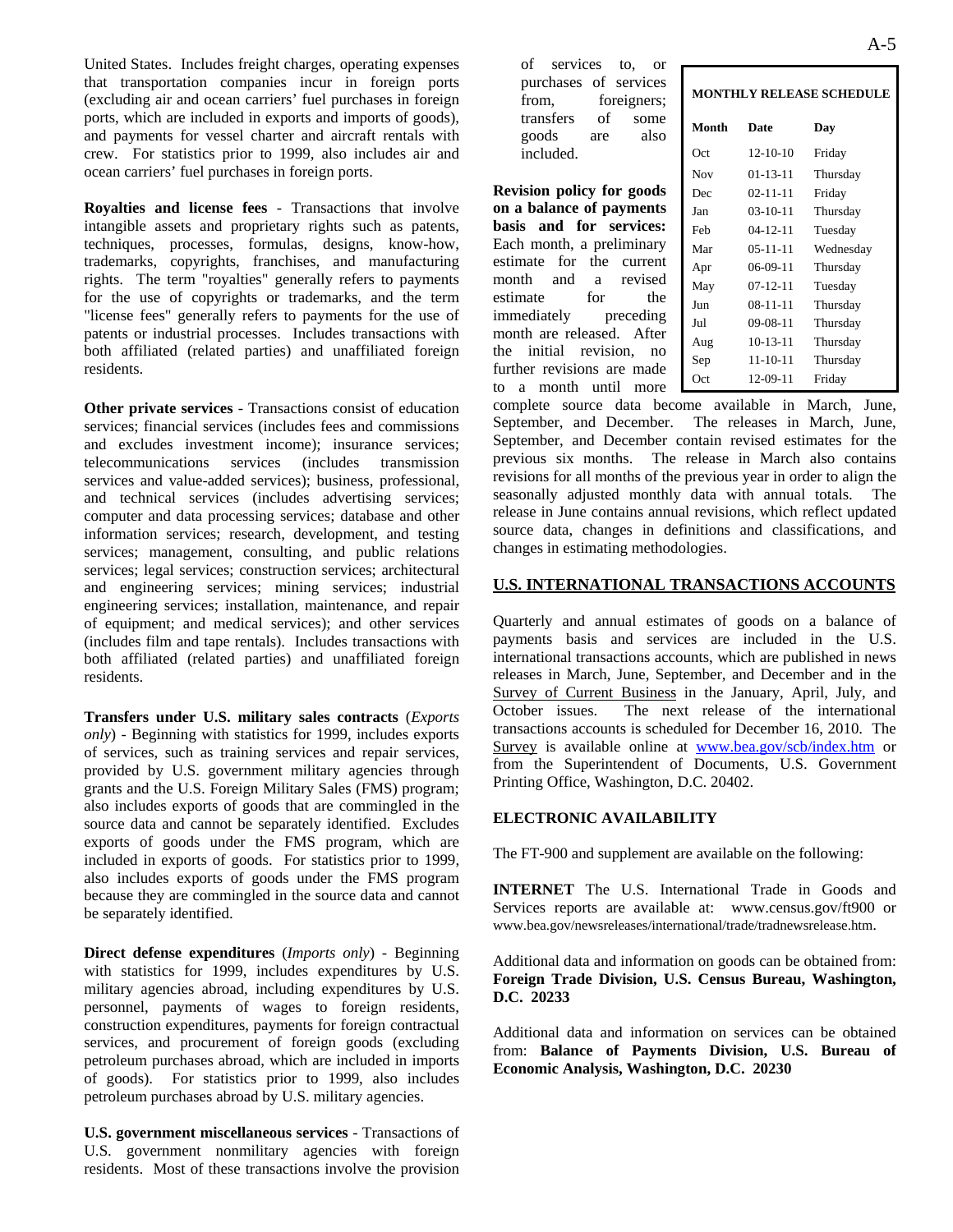United States. Includes freight charges, operating expenses that transportation companies incur in foreign ports (excluding air and ocean carriers' fuel purchases in foreign ports, which are included in exports and imports of goods), and payments for vessel charter and aircraft rentals with crew. For statistics prior to 1999, also includes air and ocean carriers' fuel purchases in foreign ports.

**Royalties and license fees** - Transactions that involve intangible assets and proprietary rights such as patents, techniques, processes, formulas, designs, know-how, trademarks, copyrights, franchises, and manufacturing rights. The term "royalties" generally refers to payments for the use of copyrights or trademarks, and the term "license fees" generally refers to payments for the use of patents or industrial processes. Includes transactions with both affiliated (related parties) and unaffiliated foreign residents.

**Other private services** - Transactions consist of education services; financial services (includes fees and commissions and excludes investment income); insurance services; telecommunications services (includes transmission services and value-added services); business, professional, and technical services (includes advertising services; computer and data processing services; database and other information services; research, development, and testing services; management, consulting, and public relations services; legal services; construction services; architectural and engineering services; mining services; industrial engineering services; installation, maintenance, and repair of equipment; and medical services); and other services (includes film and tape rentals). Includes transactions with both affiliated (related parties) and unaffiliated foreign residents.

**Transfers under U.S. military sales contracts** (*Exports only*) - Beginning with statistics for 1999, includes exports of services, such as training services and repair services, provided by U.S. government military agencies through grants and the U.S. Foreign Military Sales (FMS) program; also includes exports of goods that are commingled in the source data and cannot be separately identified. Excludes exports of goods under the FMS program, which are included in exports of goods. For statistics prior to 1999, also includes exports of goods under the FMS program because they are commingled in the source data and cannot be separately identified.

**Direct defense expenditures** (*Imports only*) - Beginning with statistics for 1999, includes expenditures by U.S. military agencies abroad, including expenditures by U.S. personnel, payments of wages to foreign residents, construction expenditures, payments for foreign contractual services, and procurement of foreign goods (excluding petroleum purchases abroad, which are included in imports of goods). For statistics prior to 1999, also includes petroleum purchases abroad by U.S. military agencies.

**U.S. government miscellaneous services** - Transactions of U.S. government nonmilitary agencies with foreign residents. Most of these transactions involve the provision

of services to, or purchases of services from, foreigners; transfers of some goods are also included.

**Revision policy for goods on a balance of payments basis and for services:** Each month, a preliminary estimate for the current month and a revised estimate for the immediately preceding month are released. After the initial revision, no further revisions are made to a month until more

|       | <b>MONTHLY RELEASE SCHEDULE</b> |           |  |  |  |  |  |  |  |
|-------|---------------------------------|-----------|--|--|--|--|--|--|--|
| Month | Date                            | Day       |  |  |  |  |  |  |  |
| Oct   | $12 - 10 - 10$                  | Friday    |  |  |  |  |  |  |  |
| Nov   | $01 - 13 - 11$                  | Thursday  |  |  |  |  |  |  |  |
| Dec   | $02 - 11 - 11$                  | Friday    |  |  |  |  |  |  |  |
| Jan   | $03-10-11$                      | Thursday  |  |  |  |  |  |  |  |
| Feb   | $04 - 12 - 11$                  | Tuesday   |  |  |  |  |  |  |  |
| Mar   | $05 - 11 - 11$                  | Wednesday |  |  |  |  |  |  |  |
| Apr   | 06-09-11                        | Thursday  |  |  |  |  |  |  |  |
| May   | $07 - 12 - 11$                  | Tuesday   |  |  |  |  |  |  |  |
| Jun   | $08 - 11 - 11$                  | Thursday  |  |  |  |  |  |  |  |
| Jul   | 09-08-11                        | Thursday  |  |  |  |  |  |  |  |
| Aug   | 10-13-11                        | Thursday  |  |  |  |  |  |  |  |
| Sep   | $11 - 10 - 11$                  | Thursday  |  |  |  |  |  |  |  |
| Oct   | 12-09-11                        | Friday    |  |  |  |  |  |  |  |
|       |                                 |           |  |  |  |  |  |  |  |

complete source data become available in March, June, September, and December. The releases in March, June, September, and December contain revised estimates for the previous six months. The release in March also contains revisions for all months of the previous year in order to align the seasonally adjusted monthly data with annual totals. The release in June contains annual revisions, which reflect updated source data, changes in definitions and classifications, and changes in estimating methodologies.

#### **U.S. INTERNATIONAL TRANSACTIONS ACCOUNTS**

Quarterly and annual estimates of goods on a balance of payments basis and services are included in the U.S. international transactions accounts, which are published in news releases in March, June, September, and December and in the Survey of Current Business in the January, April, July, and October issues. The next release of the international transactions accounts is scheduled for December 16, 2010. The Survey is available online at www.bea.gov/scb/index.htm or from the Superintendent of Documents, U.S. Government Printing Office, Washington, D.C. 20402.

#### **ELECTRONIC AVAILABILITY**

The FT-900 and supplement are available on the following:

**INTERNET** The U.S. International Trade in Goods and Services reports are available at: www.census.gov/ft900 or www.bea.gov/newsreleases/international/trade/tradnewsrelease.htm.

Additional data and information on goods can be obtained from: **Foreign Trade Division, U.S. Census Bureau, Washington, D.C. 20233**

Additional data and information on services can be obtained from: **Balance of Payments Division, U.S. Bureau of Economic Analysis, Washington, D.C. 20230**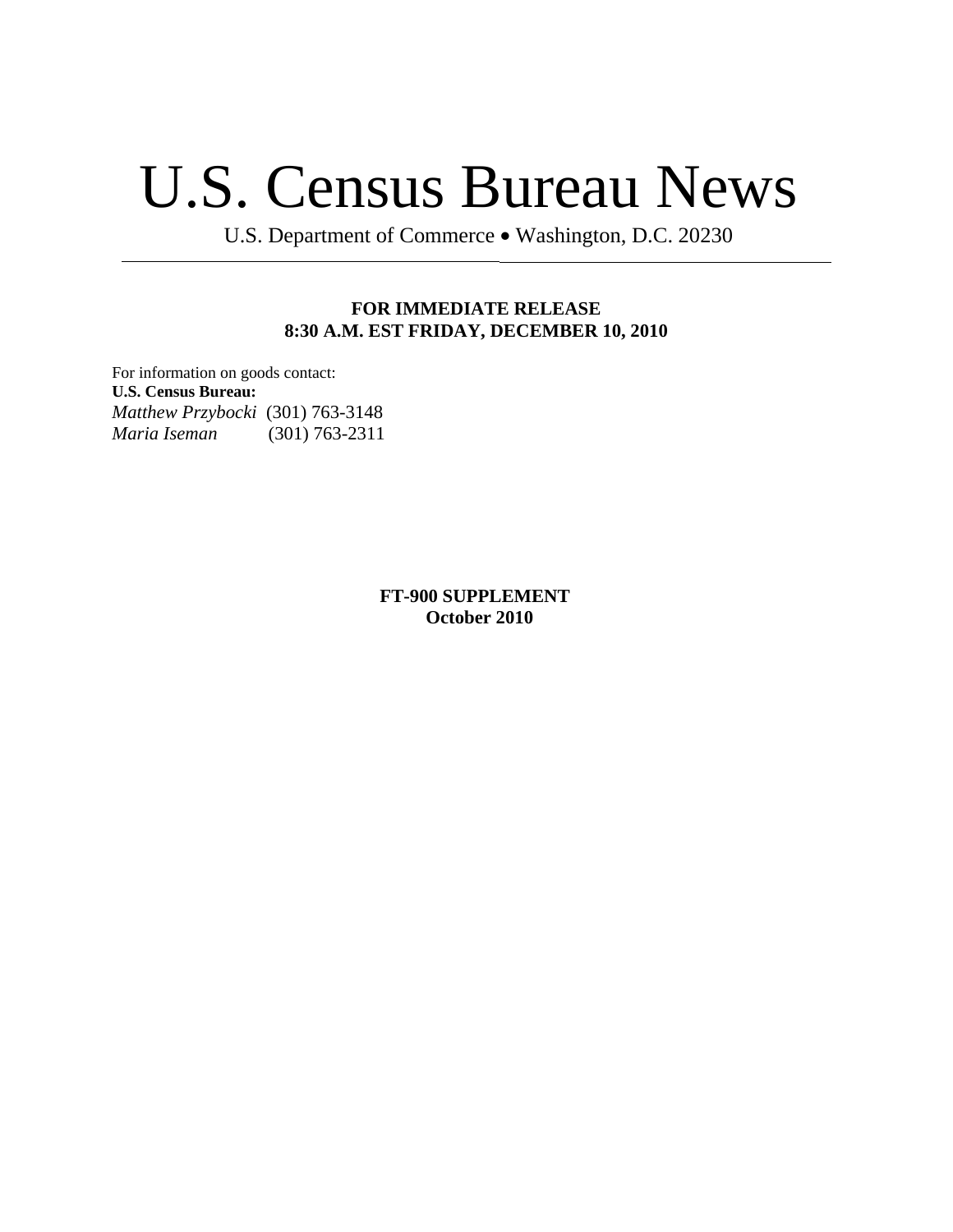# U.S. Census Bureau News

U.S. Department of Commerce • Washington, D.C. 20230

#### **FOR IMMEDIATE RELEASE 8:30 A.M. EST FRIDAY, DECEMBER 10, 2010**

For information on goods contact: **U.S. Census Bureau:** *Matthew Przybocki* (301) 763-3148 *Maria Iseman* (301) 763-2311

> **FT-900 SUPPLEMENT October 2010**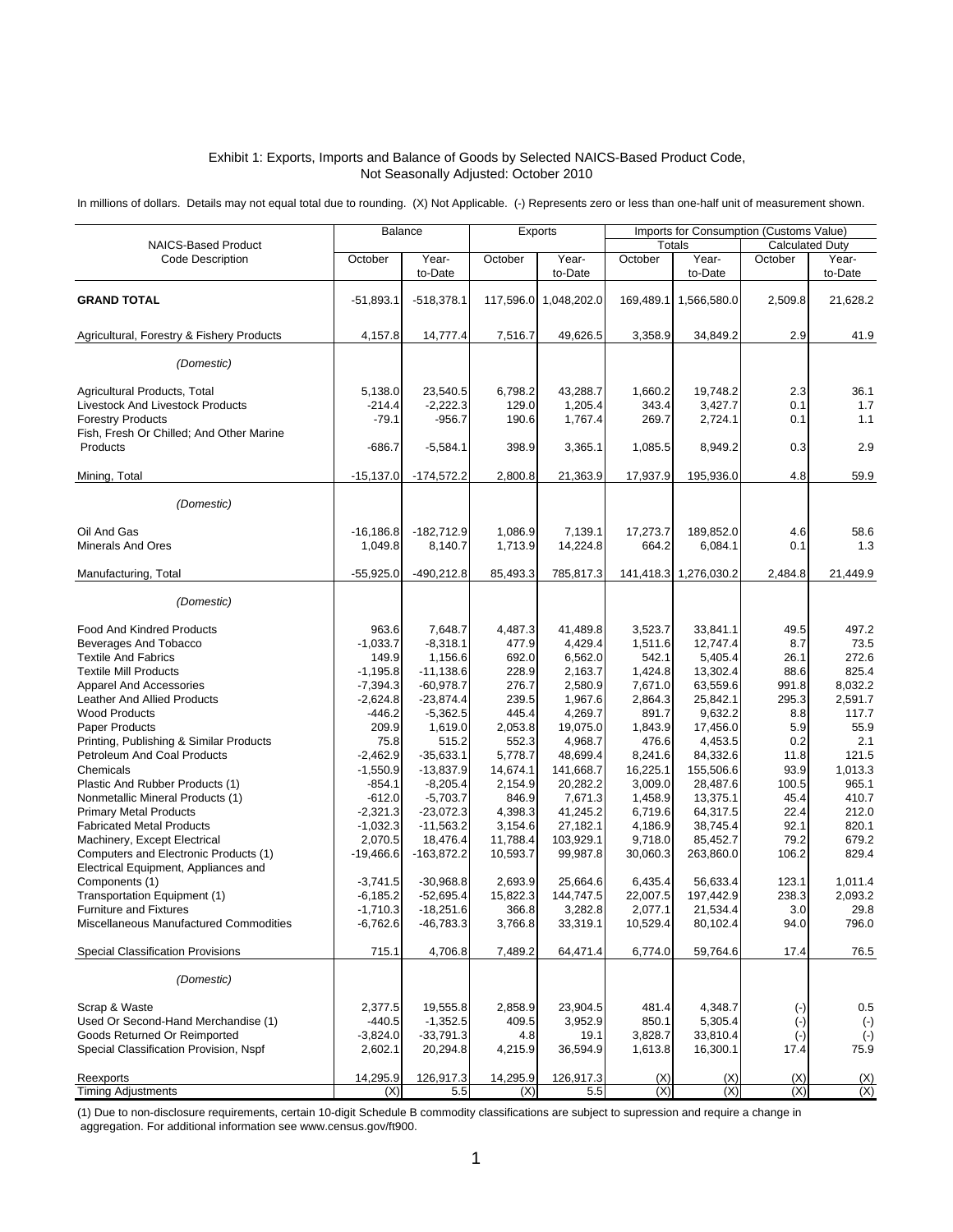#### Exhibit 1: Exports, Imports and Balance of Goods by Selected NAICS-Based Product Code, Not Seasonally Adjusted: October 2010

In millions of dollars. Details may not equal total due to rounding. (X) Not Applicable. (-) Represents zero or less than one-half unit of measurement shown.

|                                           | <b>Balance</b> |              |          | Exports               | Imports for Consumption (Customs Value) |                       |                        |              |
|-------------------------------------------|----------------|--------------|----------|-----------------------|-----------------------------------------|-----------------------|------------------------|--------------|
| <b>NAICS-Based Product</b>                |                |              |          |                       |                                         | <b>Totals</b>         | <b>Calculated Duty</b> |              |
| <b>Code Description</b>                   | October        | Year-        | October  | Year-                 | October                                 | Year-                 | October                | Year-        |
|                                           |                | to-Date      |          | to-Date               |                                         | to-Date               |                        | to-Date      |
|                                           |                |              |          |                       |                                         |                       |                        |              |
| <b>GRAND TOTAL</b>                        | $-51.893.1$    | $-518,378.1$ |          | 117,596.0 1,048,202.0 |                                         | 169,489.1 1,566,580.0 | 2,509.8                | 21,628.2     |
|                                           |                |              |          |                       |                                         |                       |                        |              |
| Agricultural, Forestry & Fishery Products | 4,157.8        | 14,777.4     | 7,516.7  | 49,626.5              | 3,358.9                                 | 34,849.2              | 2.9                    | 41.9         |
|                                           |                |              |          |                       |                                         |                       |                        |              |
| (Domestic)                                |                |              |          |                       |                                         |                       |                        |              |
|                                           |                |              |          |                       |                                         |                       |                        |              |
| Agricultural Products, Total              | 5,138.0        | 23,540.5     | 6,798.2  | 43.288.7              | 1,660.2                                 | 19,748.2              | 2.3                    | 36.1         |
| <b>Livestock And Livestock Products</b>   | $-214.4$       | $-2,222.3$   | 129.0    | 1,205.4               | 343.4                                   | 3,427.7               | 0.1                    | 1.7          |
| <b>Forestry Products</b>                  | $-79.1$        | $-956.7$     | 190.6    | 1,767.4               | 269.7                                   | 2,724.1               | 0.1                    | 1.1          |
| Fish, Fresh Or Chilled; And Other Marine  |                |              |          |                       |                                         |                       |                        |              |
| Products                                  | $-686.7$       | $-5,584.1$   | 398.9    | 3,365.1               | 1,085.5                                 | 8,949.2               | 0.3                    | 2.9          |
|                                           |                |              |          |                       |                                         |                       |                        |              |
| Mining, Total                             | $-15,137.0$    | $-174,572.2$ | 2,800.8  | 21,363.9              | 17,937.9                                | 195,936.0             | 4.8                    | 59.9         |
|                                           |                |              |          |                       |                                         |                       |                        |              |
| (Domestic)                                |                |              |          |                       |                                         |                       |                        |              |
|                                           |                |              |          |                       |                                         |                       |                        |              |
| Oil And Gas                               | $-16, 186.8$   | $-182,712.9$ | 1,086.9  | 7,139.1               | 17,273.7                                | 189,852.0             | 4.6                    | 58.6         |
| <b>Minerals And Ores</b>                  | 1,049.8        | 8,140.7      | 1,713.9  | 14,224.8              | 664.2                                   | 6,084.1               | 0.1                    | 1.3          |
| Manufacturing, Total                      | $-55,925.0$    | $-490,212.8$ | 85,493.3 | 785,817.3             | 141,418.3                               | 1,276,030.2           | 2.484.8                | 21,449.9     |
|                                           |                |              |          |                       |                                         |                       |                        |              |
| (Domestic)                                |                |              |          |                       |                                         |                       |                        |              |
|                                           |                |              |          |                       |                                         |                       |                        |              |
| Food And Kindred Products                 | 963.6          | 7,648.7      | 4,487.3  | 41,489.8              | 3,523.7                                 | 33,841.1              | 49.5                   | 497.2        |
| Beverages And Tobacco                     | $-1,033.7$     | $-8,318.1$   | 477.9    | 4,429.4               | 1,511.6                                 | 12,747.4              | 8.7                    | 73.5         |
| <b>Textile And Fabrics</b>                | 149.9          | 1,156.6      | 692.0    | 6,562.0               | 542.1                                   | 5,405.4               | 26.1                   | 272.6        |
| <b>Textile Mill Products</b>              | $-1,195.8$     | $-11,138.6$  | 228.9    | 2,163.7               | 1,424.8                                 | 13,302.4              | 88.6                   | 825.4        |
| <b>Apparel And Accessories</b>            | $-7,394.3$     | $-60,978.7$  | 276.7    | 2,580.9               | 7,671.0                                 | 63,559.6              | 991.8                  | 8,032.2      |
| <b>Leather And Allied Products</b>        | $-2,624.8$     | $-23,874.4$  | 239.5    | 1,967.6               | 2,864.3                                 | 25,842.1              | 295.3                  | 2,591.7      |
| <b>Wood Products</b>                      | $-446.2$       | $-5,362.5$   | 445.4    | 4,269.7               | 891.7                                   | 9,632.2               | 8.8                    | 117.7        |
| Paper Products                            | 209.9          | 1,619.0      | 2,053.8  | 19,075.0              | 1,843.9                                 | 17,456.0              | 5.9                    | 55.9         |
| Printing, Publishing & Similar Products   | 75.8           | 515.2        | 552.3    | 4,968.7               | 476.6                                   | 4,453.5               | 0.2                    | 2.1          |
| Petroleum And Coal Products               | $-2,462.9$     | $-35,633.1$  | 5,778.7  | 48,699.4              | 8,241.6                                 | 84,332.6              | 11.8                   | 121.5        |
| Chemicals                                 | $-1,550.9$     | $-13,837.9$  | 14,674.1 | 141,668.7             | 16,225.1                                | 155,506.6             | 93.9                   | 1,013.3      |
| Plastic And Rubber Products (1)           | $-854.1$       | $-8,205.4$   | 2,154.9  | 20,282.2              | 3,009.0                                 | 28,487.6              | 100.5                  | 965.1        |
| Nonmetallic Mineral Products (1)          | $-612.0$       | $-5,703.7$   | 846.9    | 7,671.3               | 1,458.9                                 | 13,375.1              | 45.4                   | 410.7        |
| <b>Primary Metal Products</b>             | $-2,321.3$     | $-23,072.3$  | 4,398.3  | 41,245.2              | 6,719.6                                 | 64,317.5              | 22.4                   | 212.0        |
| <b>Fabricated Metal Products</b>          | $-1,032.3$     | $-11,563.2$  | 3,154.6  | 27,182.1              | 4,186.9                                 | 38,745.4              | 92.1                   | 820.1        |
| Machinery, Except Electrical              | 2,070.5        | 18,476.4     | 11,788.4 | 103,929.1             | 9,718.0                                 | 85,452.7              | 79.2                   | 679.2        |
| Computers and Electronic Products (1)     | $-19,466.6$    | $-163,872.2$ | 10,593.7 | 99,987.8              | 30,060.3                                | 263,860.0             | 106.2                  | 829.4        |
| Electrical Equipment, Appliances and      |                |              |          |                       |                                         |                       |                        |              |
| Components (1)                            | $-3,741.5$     | $-30,968.8$  | 2,693.9  | 25,664.6              | 6,435.4                                 | 56,633.4              | 123.1                  | 1,011.4      |
| Transportation Equipment (1)              | $-6,185.2$     | $-52,695.4$  | 15,822.3 | 144,747.5             | 22,007.5                                | 197,442.9             | 238.3                  | 2,093.2      |
| Furniture and Fixtures                    | $-1,710.3$     | $-18,251.6$  | 366.8    | 3,282.8               | 2,077.1                                 | 21,534.4              | 3.0                    | 29.8         |
| Miscellaneous Manufactured Commodities    | $-6,762.6$     | $-46,783.3$  | 3,766.8  | 33,319.1              | 10,529.4                                | 80,102.4              | 94.0                   | 796.0        |
|                                           |                |              |          |                       |                                         |                       |                        |              |
| <b>Special Classification Provisions</b>  | 715.1          | 4,706.8      | 7,489.2  | 64,471.4              | 6,774.0                                 | 59,764.6              | 17.4                   | 76.5         |
| (Domestic)                                |                |              |          |                       |                                         |                       |                        |              |
|                                           |                |              |          |                       |                                         |                       |                        |              |
| Scrap & Waste                             | 2,377.5        | 19,555.8     | 2,858.9  | 23,904.5              | 481.4                                   | 4.348.7               | $(\cdot)$              | 0.5          |
| Used Or Second-Hand Merchandise (1)       | $-440.5$       | $-1,352.5$   | 409.5    | 3,952.9               | 850.1                                   | 5,305.4               | $(\cdot)$              | $(\cdot)$    |
| Goods Returned Or Reimported              | $-3,824.0$     | $-33,791.3$  | 4.8      | 19.1                  | 3,828.7                                 | 33,810.4              | $(\cdot)$              | $(\text{-})$ |
| Special Classification Provision, Nspf    | 2,602.1        | 20,294.8     | 4,215.9  | 36,594.9              | 1,613.8                                 | 16,300.1              | 17.4                   | 75.9         |
|                                           |                |              |          |                       |                                         |                       |                        |              |
| Reexports                                 | 14,295.9       | 126,917.3    | 14,295.9 | 126,917.3             | (X)                                     | (X)                   | (X)                    | (X)          |
| <b>Timing Adjustments</b>                 | (X)            | 5.5          | (X)      | 5.5                   | (X)                                     | (X)                   | (X)                    | (X)          |

 aggregation. For additional information see www.census.gov/ft900. (1) Due to non-disclosure requirements, certain 10-digit Schedule B commodity classifications are subject to supression and require a change in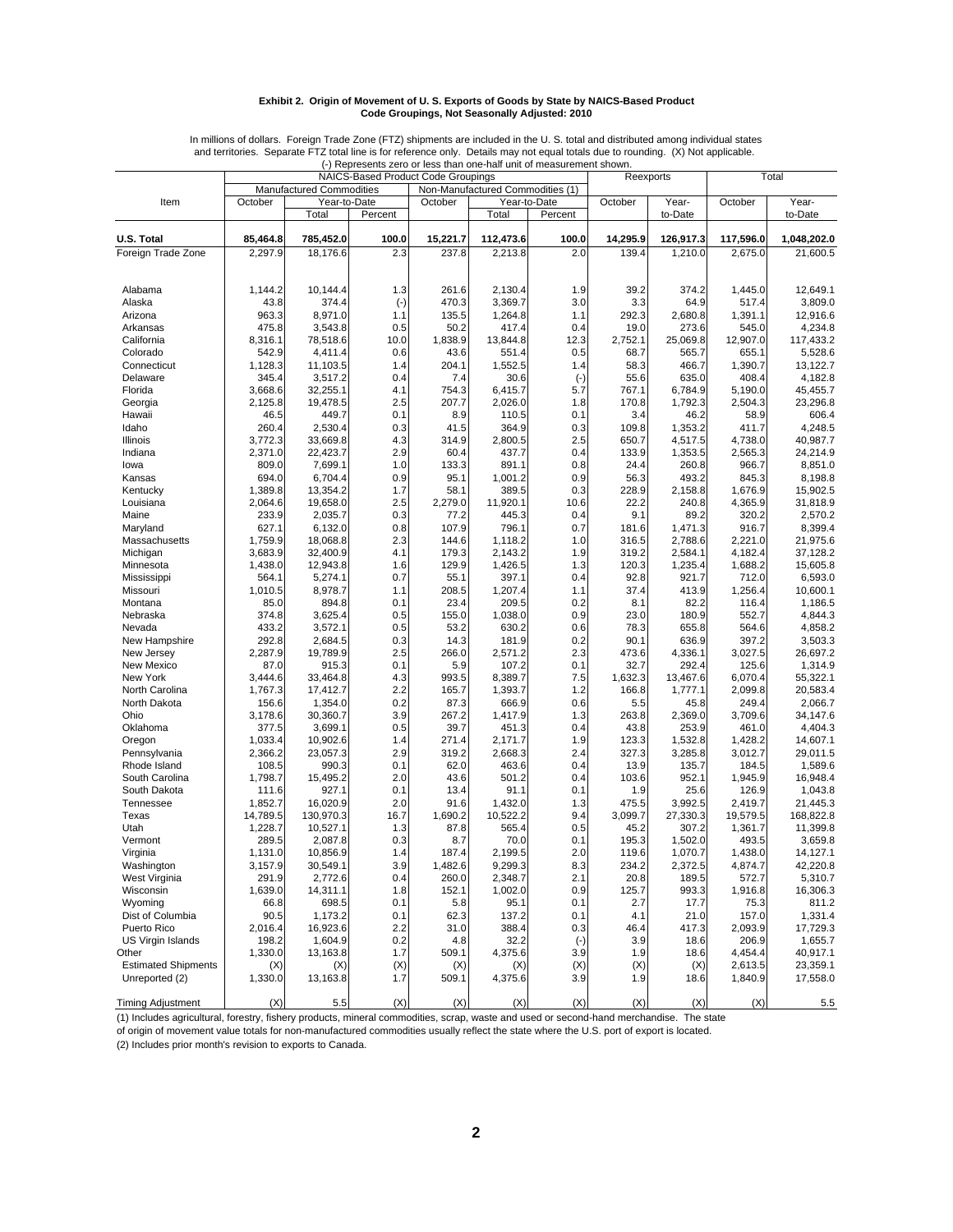#### **Exhibit 2. Origin of Movement of U. S. Exports of Goods by State by NAICS-Based Product Code Groupings, Not Seasonally Adjusted: 2010**

|                            |          |                          |           | ו וויטווטטטווט בטוט טו וטטט נוומון טווט וומון מווג טו וווטמטמוטוווטווג טווטזיו ו |                                  |              |           |           |           |             |
|----------------------------|----------|--------------------------|-----------|----------------------------------------------------------------------------------|----------------------------------|--------------|-----------|-----------|-----------|-------------|
|                            |          |                          |           | NAICS-Based Product Code Groupings                                               |                                  |              | Reexports |           |           | Total       |
|                            |          | Manufactured Commodities |           |                                                                                  | Non-Manufactured Commodities (1) |              |           |           |           |             |
| Item                       | October  | Year-to-Date             |           | October                                                                          |                                  | Year-to-Date | October   | Year-     | October   | Year-       |
|                            |          |                          |           |                                                                                  |                                  |              |           |           |           |             |
|                            |          | Total                    | Percent   |                                                                                  | Total                            | Percent      |           | to-Date   |           | to-Date     |
|                            |          |                          |           |                                                                                  |                                  |              |           |           |           |             |
| U.S. Total                 | 85,464.8 | 785,452.0                | 100.0     | 15,221.7                                                                         | 112,473.6                        | 100.0        | 14,295.9  | 126,917.3 | 117,596.0 | 1,048,202.0 |
| Foreign Trade Zone         | 2,297.9  | 18,176.6                 | 2.3       | 237.8                                                                            | 2,213.8                          | 2.0          | 139.4     | 1,210.0   | 2,675.0   | 21,600.5    |
|                            |          |                          |           |                                                                                  |                                  |              |           |           |           |             |
|                            |          |                          |           |                                                                                  |                                  |              |           |           |           |             |
|                            |          |                          |           |                                                                                  |                                  |              |           |           |           |             |
| Alabama                    | 1,144.2  | 10,144.4                 | 1.3       | 261.6                                                                            | 2,130.4                          | 1.9          | 39.2      | 374.2     | 1,445.0   | 12,649.1    |
| Alaska                     | 43.8     | 374.4                    | $(\cdot)$ | 470.3                                                                            | 3,369.7                          | 3.0          | 3.3       | 64.9      | 517.4     | 3,809.0     |
| Arizona                    | 963.3    | 8,971.0                  | 1.1       | 135.5                                                                            | 1,264.8                          | 1.1          | 292.3     | 2,680.8   | 1,391.1   | 12,916.6    |
|                            |          |                          |           |                                                                                  |                                  |              |           |           |           |             |
| Arkansas                   | 475.8    | 3,543.8                  | 0.5       | 50.2                                                                             | 417.4                            | 0.4          | 19.0      | 273.6     | 545.0     | 4,234.8     |
| California                 | 8,316.1  | 78,518.6                 | 10.0      | 1,838.9                                                                          | 13,844.8                         | 12.3         | 2,752.1   | 25.069.8  | 12,907.0  | 117,433.2   |
| Colorado                   | 542.9    | 4.411.4                  | 0.6       | 43.6                                                                             | 551.4                            | 0.5          | 68.7      | 565.7     | 655.1     | 5,528.6     |
| Connecticut                | 1,128.3  | 11,103.5                 | 1.4       | 204.1                                                                            | 1,552.5                          | 1.4          | 58.3      | 466.7     | 1,390.7   | 13,122.7    |
| Delaware                   | 345.4    | 3,517.2                  | 0.4       | 7.4                                                                              | 30.6                             | $(\cdot)$    | 55.6      | 635.0     | 408.4     | 4,182.8     |
|                            |          |                          |           |                                                                                  |                                  |              |           |           |           |             |
| Florida                    | 3,668.6  | 32,255.1                 | 4.1       | 754.3                                                                            | 6,415.7                          | 5.7          | 767.1     | 6,784.9   | 5,190.0   | 45,455.7    |
| Georgia                    | 2,125.8  | 19,478.5                 | 2.5       | 207.7                                                                            | 2,026.0                          | 1.8          | 170.8     | 1,792.3   | 2,504.3   | 23,296.8    |
| Hawaii                     | 46.5     | 449.7                    | 0.1       | 8.9                                                                              | 110.5                            | 0.1          | 3.4       | 46.2      | 58.9      | 606.4       |
| Idaho                      | 260.4    | 2,530.4                  | 0.3       | 41.5                                                                             | 364.9                            | 0.3          | 109.8     | 1,353.2   | 411.7     | 4,248.5     |
| Illinois                   | 3,772.3  | 33,669.8                 | 4.3       | 314.9                                                                            | 2,800.5                          | 2.5          | 650.7     | 4,517.5   | 4,738.0   | 40,987.7    |
|                            |          |                          |           |                                                                                  |                                  |              |           |           |           |             |
| Indiana                    | 2,371.0  | 22,423.7                 | 2.9       | 60.4                                                                             | 437.7                            | 0.4          | 133.9     | 1,353.5   | 2,565.3   | 24,214.9    |
| lowa                       | 809.0    | 7,699.1                  | 1.0       | 133.3                                                                            | 891.1                            | 0.8          | 24.4      | 260.8     | 966.7     | 8,851.0     |
| Kansas                     | 694.0    | 6,704.4                  | 0.9       | 95.1                                                                             | 1,001.2                          | 0.9          | 56.3      | 493.2     | 845.3     | 8,198.8     |
| Kentucky                   | 1,389.8  | 13,354.2                 | 1.7       | 58.1                                                                             | 389.5                            | 0.3          | 228.9     | 2,158.8   | 1,676.9   | 15,902.5    |
|                            |          |                          |           |                                                                                  |                                  |              |           |           |           |             |
| Louisiana                  | 2,064.6  | 19,658.0                 | 2.5       | 2,279.0                                                                          | 11,920.1                         | 10.6         | 22.2      | 240.8     | 4,365.9   | 31,818.9    |
| Maine                      | 233.9    | 2,035.7                  | 0.3       | 77.2                                                                             | 445.3                            | 0.4          | 9.1       | 89.2      | 320.2     | 2,570.2     |
| Maryland                   | 627.1    | 6,132.0                  | 0.8       | 107.9                                                                            | 796.1                            | 0.7          | 181.6     | 1,471.3   | 916.7     | 8,399.4     |
| Massachusetts              | 1,759.9  | 18,068.8                 | 2.3       | 144.6                                                                            | 1,118.2                          | 1.0          | 316.5     | 2,788.6   | 2,221.0   | 21,975.6    |
| Michigan                   | 3,683.9  | 32,400.9                 | 4.1       | 179.3                                                                            | 2,143.2                          | 1.9          | 319.2     | 2,584.1   | 4.182.4   | 37,128.2    |
|                            |          |                          |           |                                                                                  |                                  |              |           |           |           |             |
| Minnesota                  | 1,438.0  | 12,943.8                 | 1.6       | 129.9                                                                            | 1,426.5                          | 1.3          | 120.3     | 1,235.4   | 1,688.2   | 15,605.8    |
| Mississippi                | 564.1    | 5,274.1                  | 0.7       | 55.1                                                                             | 397.1                            | 0.4          | 92.8      | 921.7     | 712.0     | 6,593.0     |
| Missouri                   | 1,010.5  | 8,978.7                  | 1.1       | 208.5                                                                            | 1,207.4                          | 1.1          | 37.4      | 413.9     | 1,256.4   | 10,600.1    |
| Montana                    | 85.0     | 894.8                    | 0.1       | 23.4                                                                             | 209.5                            | 0.2          | 8.1       | 82.2      | 116.4     | 1,186.5     |
| Nebraska                   | 374.8    | 3,625.4                  | 0.5       | 155.0                                                                            | 1,038.0                          | 0.9          | 23.0      | 180.9     | 552.7     | 4,844.3     |
|                            |          |                          |           |                                                                                  |                                  |              |           |           |           |             |
| Nevada                     | 433.2    | 3,572.1                  | 0.5       | 53.2                                                                             | 630.2                            | 0.6          | 78.3      | 655.8     | 564.6     | 4,858.2     |
| New Hampshire              | 292.8    | 2,684.5                  | 0.3       | 14.3                                                                             | 181.9                            | 0.2          | 90.1      | 636.9     | 397.2     | 3,503.3     |
| New Jersey                 | 2,287.9  | 19,789.9                 | 2.5       | 266.0                                                                            | 2,571.2                          | 2.3          | 473.6     | 4,336.1   | 3,027.5   | 26,697.2    |
| New Mexico                 | 87.0     | 915.3                    | 0.1       | 5.9                                                                              | 107.2                            | 0.1          | 32.7      | 292.4     | 125.6     | 1,314.9     |
| New York                   | 3,444.6  | 33,464.8                 | 4.3       | 993.5                                                                            | 8,389.7                          | 7.5          | 1,632.3   | 13,467.6  | 6,070.4   | 55,322.1    |
|                            |          |                          |           |                                                                                  |                                  |              |           |           |           |             |
| North Carolina             | 1,767.3  | 17,412.7                 | 2.2       | 165.7                                                                            | 1,393.7                          | 1.2          | 166.8     | 1,777.1   | 2,099.8   | 20,583.4    |
| North Dakota               | 156.6    | 1,354.0                  | 0.2       | 87.3                                                                             | 666.9                            | 0.6          | 5.5       | 45.8      | 249.4     | 2,066.7     |
| Ohio                       | 3,178.6  | 30,360.7                 | 3.9       | 267.2                                                                            | 1,417.9                          | 1.3          | 263.8     | 2,369.0   | 3,709.6   | 34,147.6    |
| Oklahoma                   | 377.5    | 3,699.1                  | 0.5       | 39.7                                                                             | 451.3                            | 0.4          | 43.8      | 253.9     | 461.0     | 4,404.3     |
| Oregon                     | 1,033.4  | 10,902.6                 | 1.4       | 271.4                                                                            | 2,171.7                          | 1.9          | 123.3     | 1,532.8   | 1,428.2   | 14,607.1    |
|                            |          |                          |           |                                                                                  |                                  |              |           |           |           |             |
| Pennsylvania               | 2,366.2  | 23,057.3                 | 2.9       | 319.2                                                                            | 2,668.3                          | 2.4          | 327.3     | 3,285.8   | 3,012.7   | 29,011.5    |
| Rhode Island               | 108.5    | 990.3                    | 0.1       | 62.0                                                                             | 463.6                            | 0.4          | 13.9      | 135.7     | 184.5     | 1,589.6     |
| South Carolina             | 1,798.7  | 15,495.2                 | 2.0       | 43.6                                                                             | 501.2                            | 0.4          | 103.6     | 952.1     | 1,945.9   | 16,948.4    |
| South Dakota               | 111.6    | 927.1                    | 0.1       | 13.4                                                                             | 91.1                             | 0.1          | 1.9       | 25.6      | 126.9     | 1,043.8     |
| Tennessee                  |          |                          |           | 91.6                                                                             |                                  |              | 475.5     |           |           | 21,445.3    |
|                            | 1,852.7  | 16,020.9                 | 2.0       |                                                                                  | 1,432.0                          | 1.3          |           | 3,992.5   | 2,419.7   |             |
| Texas                      | 14,789.5 | 130,970.3                | 16.7      | 1,690.2                                                                          | 10,522.2                         | 9.4          | 3,099.7   | 27,330.3  | 19,579.5  | 168,822.8   |
| Utah                       | 1,228.7  | 10,527.1                 | 1.3       | 87.8                                                                             | 565.4                            | 0.5          | 45.2      | 307.2     | 1,361.7   | 11,399.8    |
| Vermont                    | 289.5    | 2,087.8                  | 0.3       | 8.7                                                                              | 70.0                             | 0.1          | 195.3     | 1,502.0   | 493.5     | 3,659.8     |
| Virginia                   | 1,131.0  | 10,856.9                 | 1.4       | 187.4                                                                            | 2,199.5                          | 2.0          | 119.6     | 1,070.7   | 1,438.0   | 14,127.1    |
|                            | 3,157.9  |                          |           |                                                                                  |                                  |              |           | 2,372.5   |           |             |
| Washington                 |          | 30,549.1                 | 3.9       | 1,482.6                                                                          | 9,299.3                          | 8.3          | 234.2     |           | 4,874.7   | 42,220.8    |
| West Virginia              | 291.9    | 2,772.6                  | 0.4       | 260.0                                                                            | 2,348.7                          | 2.1          | 20.8      | 189.5     | 572.7     | 5,310.7     |
| Wisconsin                  | 1,639.0  | 14,311.1                 | 1.8       | 152.1                                                                            | 1,002.0                          | 0.9          | 125.7     | 993.3     | 1,916.8   | 16,306.3    |
| Wyoming                    | 66.8     | 698.5                    | 0.1       | 5.8                                                                              | 95.1                             | 0.1          | 2.7       | 17.7      | 75.3      | 811.2       |
| Dist of Columbia           | 90.5     | 1,173.2                  | 0.1       | 62.3                                                                             | 137.2                            | 0.1          | 4.1       | 21.0      | 157.0     | 1,331.4     |
|                            |          |                          |           |                                                                                  |                                  |              |           |           |           |             |
| Puerto Rico                | 2,016.4  | 16,923.6                 | 2.2       | 31.0                                                                             | 388.4                            | 0.3          | 46.4      | 417.3     | 2,093.9   | 17,729.3    |
| US Virgin Islands          | 198.2    | 1,604.9                  | 0.2       | 4.8                                                                              | 32.2                             | $(\cdot)$    | 3.9       | 18.6      | 206.9     | 1,655.7     |
| Other                      | 1,330.0  | 13,163.8                 | 1.7       | 509.1                                                                            | 4,375.6                          | 3.9          | 1.9       | 18.6      | 4,454.4   | 40,917.1    |
| <b>Estimated Shipments</b> | (X)      | (X)                      | (X)       | (X)                                                                              | (X)                              | (X)          | (X)       | (X)       | 2,613.5   | 23,359.1    |
| Unreported (2)             | 1,330.0  | 13,163.8                 | 1.7       | 509.1                                                                            | 4,375.6                          | 3.9          | 1.9       | 18.6      | 1,840.9   | 17,558.0    |
|                            |          |                          |           |                                                                                  |                                  |              |           |           |           |             |
|                            |          |                          |           |                                                                                  |                                  |              |           |           |           |             |
| <b>Timing Adjustment</b>   | (X)      | 5.5                      | (X)       | (X)                                                                              | (X)                              | (X)          | (X)       | (X)       | (X)       | 5.5         |

In millions of dollars. Foreign Trade Zone (FTZ) shipments are included in the U. S. total and distributed among individual states and territories. Separate FTZ total line is for reference only. Details may not equal totals due to rounding. (X) Not applicable. (-) Represents zero or less than one-half unit of measurement shown.

(1) Includes agricultural, forestry, fishery products, mineral commodities, scrap, waste and used or second-hand merchandise. The state

of origin of movement value totals for non-manufactured commodities usually reflect the state where the U.S. port of export is located.

(2) Includes prior month's revision to exports to Canada.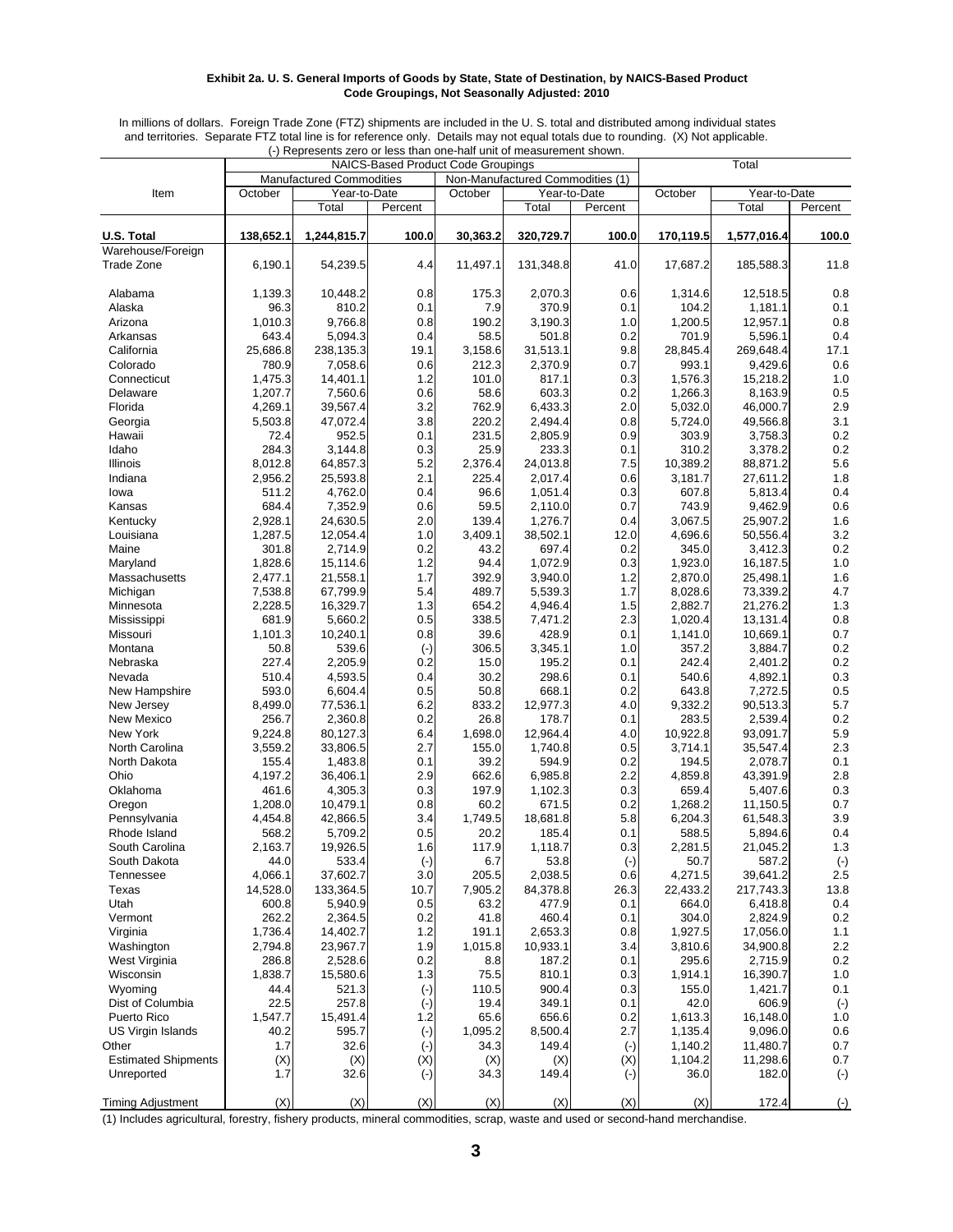#### **Exhibit 2a. U. S. General Imports of Goods by State, State of Destination, by NAICS-Based Product Code Groupings, Not Seasonally Adjusted: 2010**

In millions of dollars. Foreign Trade Zone (FTZ) shipments are included in the U. S. total and distributed among individual states and territories. Separate FTZ total line is for reference only. Details may not equal totals due to rounding. (X) Not applicable. (-) Represents zero or less than one-half unit of measurement shown.

|                             |                  | $\cdot$ ) includes this zero of less than one-half unit of incasurement shown. |              | <b>NAICS-Based Product Code Groupings</b> |                                  |              |                  | Total               |                    |
|-----------------------------|------------------|--------------------------------------------------------------------------------|--------------|-------------------------------------------|----------------------------------|--------------|------------------|---------------------|--------------------|
|                             |                  | <b>Manufactured Commodities</b>                                                |              |                                           | Non-Manufactured Commodities (1) |              |                  |                     |                    |
| Item                        | October          | Year-to-Date                                                                   |              | October                                   |                                  | Year-to-Date | October          | Year-to-Date        |                    |
|                             |                  | Total                                                                          | Percent      |                                           | Total                            | Percent      |                  | Total               | Percent            |
|                             |                  |                                                                                |              |                                           |                                  |              |                  |                     |                    |
| <b>U.S. Total</b>           | 138,652.1        | 1,244,815.7                                                                    | 100.0        | 30,363.2                                  | 320,729.7                        | 100.0        | 170,119.5        | 1,577,016.4         | 100.0              |
| Warehouse/Foreign           |                  |                                                                                |              |                                           |                                  |              |                  |                     |                    |
| <b>Trade Zone</b>           | 6,190.1          | 54,239.5                                                                       | 4.4          | 11,497.1                                  | 131,348.8                        | 41.0         | 17,687.2         | 185,588.3           | 11.8               |
| Alabama                     | 1,139.3          | 10,448.2                                                                       | 0.8          | 175.3                                     | 2,070.3                          | 0.6          | 1,314.6          | 12,518.5            | 0.8                |
| Alaska                      | 96.3             | 810.2                                                                          | 0.1          | 7.9                                       | 370.9                            | 0.1          | 104.2            | 1,181.1             | 0.1                |
| Arizona                     | 1,010.3          | 9,766.8                                                                        | 0.8          | 190.2                                     | 3,190.3                          | 1.0          | 1,200.5          | 12,957.1            | 0.8                |
| Arkansas                    | 643.4            | 5,094.3                                                                        | 0.4          | 58.5                                      | 501.8                            | 0.2          | 701.9            | 5,596.1             | 0.4                |
| California                  | 25,686.8         | 238,135.3                                                                      | 19.1         | 3,158.6                                   | 31,513.1                         | 9.8          | 28,845.4         | 269,648.4           | 17.1               |
| Colorado                    | 780.9            | 7,058.6                                                                        | 0.6          | 212.3                                     | 2,370.9                          | 0.7          | 993.1            | 9,429.6             | 0.6                |
| Connecticut                 | 1,475.3          | 14,401.1                                                                       | 1.2          | 101.0                                     | 817.1                            | 0.3          | 1,576.3          | 15,218.2            | 1.0                |
| Delaware                    | 1,207.7          | 7,560.6                                                                        | 0.6          | 58.6                                      | 603.3                            | 0.2          | 1,266.3          | 8,163.9             | 0.5                |
| Florida                     | 4,269.1          | 39,567.4                                                                       | 3.2          | 762.9                                     | 6,433.3                          | 2.0          | 5,032.0          | 46,000.7            | 2.9                |
| Georgia                     | 5,503.8          | 47,072.4                                                                       | 3.8          | 220.2                                     | 2,494.4                          | 0.8          | 5,724.0          | 49,566.8            | 3.1<br>0.2         |
| Hawaii<br>Idaho             | 72.4<br>284.3    | 952.5<br>3,144.8                                                               | 0.1<br>0.3   | 231.5<br>25.9                             | 2,805.9<br>233.3                 | 0.9<br>0.1   | 303.9<br>310.2   | 3,758.3<br>3,378.2  | 0.2                |
| Illinois                    | 8,012.8          | 64,857.3                                                                       | 5.2          | 2,376.4                                   | 24,013.8                         | 7.5          | 10,389.2         | 88,871.2            | 5.6                |
| Indiana                     | 2,956.2          | 25,593.8                                                                       | 2.1          | 225.4                                     | 2,017.4                          | 0.6          | 3,181.7          | 27,611.2            | 1.8                |
| lowa                        | 511.2            | 4,762.0                                                                        | 0.4          | 96.6                                      | 1,051.4                          | 0.3          | 607.8            | 5,813.4             | 0.4                |
| Kansas                      | 684.4            | 7,352.9                                                                        | 0.6          | 59.5                                      | 2,110.0                          | 0.7          | 743.9            | 9,462.9             | 0.6                |
| Kentucky                    | 2,928.1          | 24,630.5                                                                       | 2.0          | 139.4                                     | 1,276.7                          | 0.4          | 3,067.5          | 25,907.2            | 1.6                |
| Louisiana                   | 1,287.5          | 12,054.4                                                                       | 1.0          | 3,409.1                                   | 38,502.1                         | 12.0         | 4,696.6          | 50,556.4            | 3.2                |
| Maine                       | 301.8            | 2,714.9                                                                        | 0.2          | 43.2                                      | 697.4                            | 0.2          | 345.0            | 3,412.3             | 0.2                |
| Maryland                    | 1,828.6          | 15,114.6                                                                       | 1.2          | 94.4                                      | 1,072.9                          | 0.3          | 1,923.0          | 16,187.5            | 1.0                |
| Massachusetts               | 2,477.1          | 21,558.1                                                                       | 1.7          | 392.9                                     | 3,940.0                          | 1.2          | 2,870.0          | 25,498.1            | 1.6                |
| Michigan                    | 7,538.8          | 67,799.9                                                                       | 5.4          | 489.7                                     | 5,539.3                          | 1.7          | 8,028.6          | 73,339.2            | 4.7                |
| Minnesota                   | 2,228.5          | 16,329.7                                                                       | 1.3          | 654.2                                     | 4,946.4                          | 1.5          | 2,882.7          | 21,276.2            | 1.3                |
| Mississippi                 | 681.9            | 5,660.2                                                                        | 0.5          | 338.5                                     | 7,471.2                          | 2.3          | 1,020.4          | 13,131.4            | 0.8                |
| Missouri                    | 1,101.3          | 10,240.1                                                                       | 0.8          | 39.6                                      | 428.9                            | 0.1          | 1,141.0          | 10,669.1            | 0.7                |
| Montana                     | 50.8             | 539.6                                                                          | $(\cdot)$    | 306.5                                     | 3,345.1                          | 1.0          | 357.2            | 3,884.7             | 0.2                |
| Nebraska                    | 227.4            | 2,205.9                                                                        | 0.2          | 15.0                                      | 195.2                            | 0.1          | 242.4            | 2,401.2             | 0.2                |
| Nevada                      | 510.4<br>593.0   | 4,593.5                                                                        | 0.4          | 30.2<br>50.8                              | 298.6<br>668.1                   | 0.1          | 540.6<br>643.8   | 4,892.1             | 0.3                |
| New Hampshire<br>New Jersey | 8,499.0          | 6,604.4<br>77,536.1                                                            | 0.5<br>6.2   | 833.2                                     | 12,977.3                         | 0.2<br>4.0   | 9,332.2          | 7,272.5<br>90,513.3 | 0.5<br>5.7         |
| New Mexico                  | 256.7            | 2,360.8                                                                        | 0.2          | 26.8                                      | 178.7                            | 0.1          | 283.5            | 2,539.4             | 0.2                |
| New York                    | 9,224.8          | 80,127.3                                                                       | 6.4          | 1,698.0                                   | 12,964.4                         | 4.0          | 10,922.8         | 93,091.7            | 5.9                |
| North Carolina              | 3,559.2          | 33,806.5                                                                       | 2.7          | 155.0                                     | 1,740.8                          | 0.5          | 3,714.1          | 35,547.4            | 2.3                |
| North Dakota                | 155.4            | 1,483.8                                                                        | 0.1          | 39.2                                      | 594.9                            | 0.2          | 194.5            | 2,078.7             | 0.1                |
| Ohio                        | 4,197.2          | 36,406.1                                                                       | 2.9          | 662.6                                     | 6,985.8                          | 2.2          | 4,859.8          | 43,391.9            | 2.8                |
| Oklahoma                    | 461.6            | 4,305.3                                                                        | 0.3          | 197.9                                     | 1,102.3                          | 0.3          | 659.4            | 5,407.6             | 0.3                |
| Oregon                      | 1,208.0          | 10,479.1                                                                       | 0.8          | 60.2                                      | 671.5                            | 0.2          | 1,268.2          | 11,150.5            | 0.7                |
| Pennsylvania                | 4,454.8          | 42,866.5                                                                       | 3.4          | 1,749.5                                   | 18,681.8                         | 5.8          | 6,204.3          | 61,548.3            | 3.9                |
| Rhode Island                | 568.2            | 5,709.2                                                                        | 0.5          | 20.2                                      | 185.4                            | 0.1          | 588.5            | 5,894.6             | 0.4                |
| South Carolina              | 2,163.7          | 19,926.5                                                                       | 1.6          | 117.9                                     | 1,118.7                          | 0.3          | 2,281.5          | 21,045.2            | 1.3                |
| South Dakota                | 44.0             | 533.4                                                                          | $(\cdot)$    | 6.7                                       | 53.8                             | $(\text{-})$ | 50.7             | 587.2               | $(-)$              |
| Tennessee                   | 4,066.1          | 37,602.7                                                                       | 3.0          | 205.5                                     | 2,038.5                          | 0.6          | 4,271.5          | 39,641.2            | 2.5                |
| Texas                       | 14,528.0         | 133,364.5                                                                      | 10.7         | 7,905.2                                   | 84,378.8                         | 26.3         | 22,433.2         | 217,743.3           | 13.8               |
| Utah                        | 600.8            | 5,940.9                                                                        | 0.5          | 63.2                                      | 477.9                            | 0.1          | 664.0            | 6,418.8             | 0.4                |
| Vermont<br>Virginia         | 262.2<br>1,736.4 | 2,364.5<br>14,402.7                                                            | 0.2<br>1.2   | 41.8<br>191.1                             | 460.4<br>2,653.3                 | 0.1<br>0.8   | 304.0<br>1,927.5 | 2,824.9<br>17,056.0 | 0.2<br>1.1         |
| Washington                  | 2,794.8          | 23,967.7                                                                       | 1.9          | 1,015.8                                   | 10,933.1                         | 3.4          | 3,810.6          | 34,900.8            | 2.2                |
| West Virginia               | 286.8            | 2,528.6                                                                        | 0.2          | 8.8                                       | 187.2                            | 0.1          | 295.6            | 2,715.9             | 0.2                |
| Wisconsin                   | 1,838.7          | 15,580.6                                                                       | $1.3$        | 75.5                                      | 810.1                            | 0.3          | 1,914.1          | 16,390.7            | 1.0                |
| Wyoming                     | 44.4             | 521.3                                                                          | $(\text{-})$ | 110.5                                     | 900.4                            | 0.3          | 155.0            | 1,421.7             | 0.1                |
| Dist of Columbia            | 22.5             | 257.8                                                                          | $(\cdot)$    | 19.4                                      | 349.1                            | 0.1          | 42.0             | 606.9               | $(\textnormal{-})$ |
| Puerto Rico                 | 1,547.7          | 15,491.4                                                                       | 1.2          | 65.6                                      | 656.6                            | 0.2          | 1,613.3          | 16,148.0            | 1.0                |
| US Virgin Islands           | 40.2             | 595.7                                                                          | $(\text{-})$ | 1,095.2                                   | 8,500.4                          | 2.7          | 1,135.4          | 9,096.0             | 0.6                |
| Other                       | 1.7              | 32.6                                                                           | $(\cdot)$    | 34.3                                      | 149.4                            | $(-)$        | 1,140.2          | 11,480.7            | 0.7                |
| <b>Estimated Shipments</b>  | (X)              | (X)                                                                            | (X)          | (X)                                       | (X)                              | (X)          | 1,104.2          | 11,298.6            | 0.7                |
| Unreported                  | 1.7              | 32.6                                                                           | $(\cdot)$    | 34.3                                      | 149.4                            | $(\cdot)$    | 36.0             | 182.0               | $(\cdot)$          |
|                             |                  |                                                                                |              |                                           |                                  |              |                  |                     |                    |
| <b>Timing Adjustment</b>    | (X)              | (X)                                                                            | (X)          | (X)                                       | (X)                              | (X)          | (X)              | 172.4               | $(-)$              |

(1) Includes agricultural, forestry, fishery products, mineral commodities, scrap, waste and used or second-hand merchandise.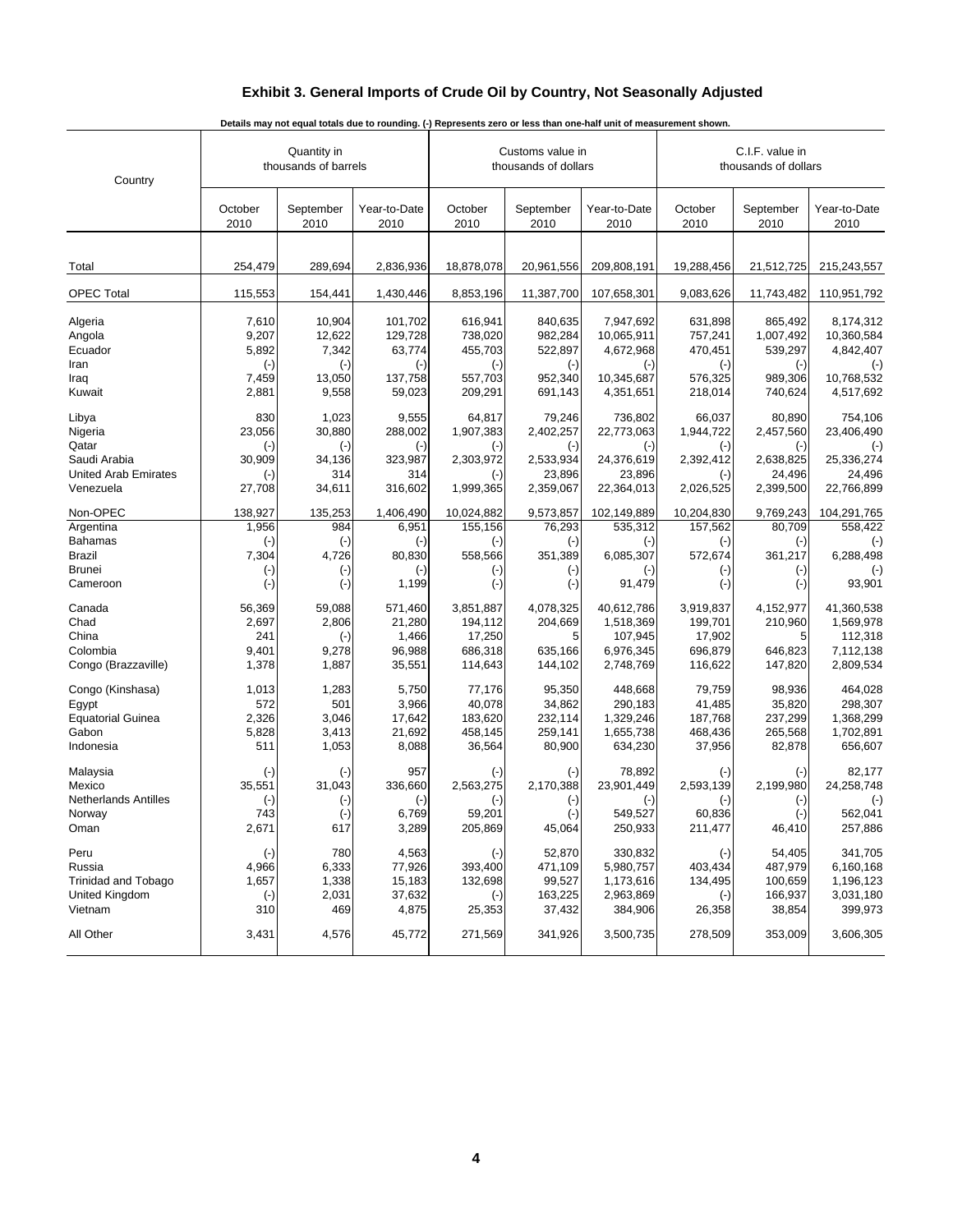#### **Exhibit 3. General Imports of Crude Oil by Country, Not Seasonally Adjusted**

| Country                     |                 | Quantity in<br>thousands of barrels |                      |                 | Customs value in<br>thousands of dollars |                      |           | C.I.F. value in<br>thousands of dollars<br>October<br>September<br>2010<br>2010<br>19,288,456<br>21,512,725<br>9,083,626<br>11,743,482<br>631,898<br>865,492<br>757,241<br>1,007,492<br>470,451<br>539,297<br>$(\cdot)$<br>$(\cdot)$<br>576,325<br>989,306<br>218,014<br>740,624<br>66,037<br>80,890<br>1,944,722<br>2,457,560<br>$(\cdot)$<br>$(-)$<br>2,392,412<br>2,638,825<br>24,496<br>$(\cdot)$<br>2,026,525<br>2,399,500<br>10,204,830<br>9,769,243<br>157,562<br>80,709 |                      |  |
|-----------------------------|-----------------|-------------------------------------|----------------------|-----------------|------------------------------------------|----------------------|-----------|---------------------------------------------------------------------------------------------------------------------------------------------------------------------------------------------------------------------------------------------------------------------------------------------------------------------------------------------------------------------------------------------------------------------------------------------------------------------------------|----------------------|--|
|                             | October<br>2010 | September<br>2010                   | Year-to-Date<br>2010 | October<br>2010 | September<br>2010                        | Year-to-Date<br>2010 |           |                                                                                                                                                                                                                                                                                                                                                                                                                                                                                 | Year-to-Date<br>2010 |  |
|                             |                 |                                     |                      |                 |                                          |                      |           |                                                                                                                                                                                                                                                                                                                                                                                                                                                                                 |                      |  |
| Total                       | 254,479         | 289,694                             | 2,836,936            | 18,878,078      | 20,961,556                               | 209,808,191          |           |                                                                                                                                                                                                                                                                                                                                                                                                                                                                                 | 215,243,557          |  |
| <b>OPEC Total</b>           | 115,553         | 154,441                             | 1,430,446            | 8,853,196       | 11,387,700                               | 107,658,301          |           |                                                                                                                                                                                                                                                                                                                                                                                                                                                                                 | 110,951,792          |  |
| Algeria                     | 7,610           | 10,904                              | 101,702              | 616,941         | 840,635                                  | 7,947,692            |           |                                                                                                                                                                                                                                                                                                                                                                                                                                                                                 | 8,174,312            |  |
| Angola                      | 9,207           | 12,622                              | 129,728              | 738,020         | 982,284                                  | 10,065,911           |           |                                                                                                                                                                                                                                                                                                                                                                                                                                                                                 | 10,360,584           |  |
| Ecuador                     | 5,892           | 7,342                               | 63,774               | 455,703         | 522,897                                  | 4,672,968            |           |                                                                                                                                                                                                                                                                                                                                                                                                                                                                                 | 4,842,407            |  |
| Iran                        | $(\cdot)$       | $(-)$                               | $(\cdot)$            | $(-)$           | $(\cdot)$                                | $(-)$                |           |                                                                                                                                                                                                                                                                                                                                                                                                                                                                                 | $(-)$                |  |
| Iraq                        | 7,459           | 13,050                              | 137,758              | 557,703         | 952,340                                  | 10,345,687           |           |                                                                                                                                                                                                                                                                                                                                                                                                                                                                                 | 10,768,532           |  |
| Kuwait                      | 2,881           | 9,558                               | 59,023               | 209,291         | 691,143                                  | 4,351,651            |           |                                                                                                                                                                                                                                                                                                                                                                                                                                                                                 | 4,517,692            |  |
| Libya                       | 830             | 1,023                               | 9,555                | 64,817          | 79,246                                   | 736,802              |           |                                                                                                                                                                                                                                                                                                                                                                                                                                                                                 | 754,106              |  |
| Nigeria                     | 23,056          | 30,880                              | 288,002              | 1,907,383       | 2,402,257                                | 22,773,063           |           |                                                                                                                                                                                                                                                                                                                                                                                                                                                                                 | 23,406,490           |  |
| Qatar                       | $(\cdot)$       | $(-)$                               | $(-)$                | $(-)$           | $(\cdot)$                                | $(\cdot)$            |           |                                                                                                                                                                                                                                                                                                                                                                                                                                                                                 | $(\cdot)$            |  |
| Saudi Arabia                | 30,909          | 34,136                              | 323,987              | 2,303,972       | 2,533,934                                | 24,376,619           |           |                                                                                                                                                                                                                                                                                                                                                                                                                                                                                 | 25,336,274           |  |
| <b>United Arab Emirates</b> | $(-)$           | 314                                 | 314                  | $(-)$           | 23,896                                   | 23,896               |           |                                                                                                                                                                                                                                                                                                                                                                                                                                                                                 | 24,496               |  |
| Venezuela                   | 27,708          | 34,611                              | 316,602              | 1,999,365       | 2,359,067                                | 22,364,013           |           |                                                                                                                                                                                                                                                                                                                                                                                                                                                                                 | 22,766,899           |  |
| Non-OPEC                    | 138,927         | 135,253                             | 1,406,490            | 10,024,882      | 9,573,857                                | 102,149,889          |           |                                                                                                                                                                                                                                                                                                                                                                                                                                                                                 | 104,291,765          |  |
| Argentina                   | 1,956           | 984                                 | 6,951                | 155,156         | 76,293                                   | 535,312              |           |                                                                                                                                                                                                                                                                                                                                                                                                                                                                                 | 558,422              |  |
| <b>Bahamas</b>              | $(\cdot)$       | $(-)$                               | $(\cdot)$            | $(-)$           | $(\cdot)$                                | $(\cdot)$            | $(\cdot)$ | $(\cdot)$                                                                                                                                                                                                                                                                                                                                                                                                                                                                       | $(\cdot)$            |  |
| <b>Brazil</b>               | 7,304           | 4,726                               | 80,830               | 558,566         | 351,389                                  | 6,085,307            | 572,674   | 361,217                                                                                                                                                                                                                                                                                                                                                                                                                                                                         | 6,288,498            |  |
| <b>Brunei</b>               | $(\cdot)$       | $(\cdot)$                           | $(\cdot)$            | $(\cdot)$       | $(\cdot)$                                | $(\cdot)$            | $(\cdot)$ | $(\cdot)$                                                                                                                                                                                                                                                                                                                                                                                                                                                                       | $(\cdot)$            |  |
| Cameroon                    | $(\cdot)$       | $(-)$                               | 1,199                | $(-)$           | $(\cdot)$                                | 91,479               | $(-)$     | $(-)$                                                                                                                                                                                                                                                                                                                                                                                                                                                                           | 93,901               |  |
| Canada                      | 56,369          | 59,088                              | 571,460              | 3,851,887       | 4,078,325                                | 40,612,786           | 3,919,837 | 4,152,977                                                                                                                                                                                                                                                                                                                                                                                                                                                                       | 41,360,538           |  |
| Chad                        | 2,697           | 2,806                               | 21,280               | 194,112         | 204,669                                  | 1,518,369            | 199,701   | 210,960                                                                                                                                                                                                                                                                                                                                                                                                                                                                         | 1,569,978            |  |
| China                       | 241             | $(-)$                               | 1,466                | 17,250          | 5                                        | 107,945              | 17,902    | 5                                                                                                                                                                                                                                                                                                                                                                                                                                                                               | 112,318              |  |
| Colombia                    | 9,401           | 9,278                               | 96,988               | 686,318         | 635,166                                  | 6,976,345            | 696,879   | 646,823                                                                                                                                                                                                                                                                                                                                                                                                                                                                         | 7,112,138            |  |
| Congo (Brazzaville)         | 1,378           | 1,887                               | 35,551               | 114,643         | 144,102                                  | 2,748,769            | 116,622   | 147,820                                                                                                                                                                                                                                                                                                                                                                                                                                                                         | 2,809,534            |  |
| Congo (Kinshasa)            | 1,013           | 1,283                               | 5,750                | 77,176          | 95,350                                   | 448,668              | 79,759    | 98,936                                                                                                                                                                                                                                                                                                                                                                                                                                                                          | 464,028              |  |
| Egypt                       | 572             | 501                                 | 3,966                | 40,078          | 34,862                                   | 290,183              | 41,485    | 35,820                                                                                                                                                                                                                                                                                                                                                                                                                                                                          | 298,307              |  |
| <b>Equatorial Guinea</b>    | 2,326           | 3,046                               | 17,642               | 183,620         | 232,114                                  | 1,329,246            | 187,768   | 237,299                                                                                                                                                                                                                                                                                                                                                                                                                                                                         | 1,368,299            |  |
| Gabon                       | 5,828           | 3,413                               | 21,692               | 458,145         | 259,141                                  | 1,655,738            | 468,436   | 265,568                                                                                                                                                                                                                                                                                                                                                                                                                                                                         | 1,702,891            |  |
| Indonesia                   | 511             | 1,053                               | 8,088                | 36,564          | 80,900                                   | 634,230              | 37,956    | 82,878                                                                                                                                                                                                                                                                                                                                                                                                                                                                          | 656,607              |  |
| Malaysia                    | $(\text{-})$    | $(-)$                               | 957                  | $(\text{-})$    | $(\cdot)$                                | 78,892               | $(\cdot)$ | $(-)$                                                                                                                                                                                                                                                                                                                                                                                                                                                                           | 82,177               |  |
| Mexico                      | 35,551          | 31,043                              | 336,660              | 2,563,275       | 2,170,388                                | 23,901,449           | 2,593,139 | 2,199,980                                                                                                                                                                                                                                                                                                                                                                                                                                                                       | 24,258,748           |  |
| <b>Netherlands Antilles</b> | $(\cdot)$       | $(\text{-})$                        | $(\cdot)$            | $(-)$           | $(\cdot)$                                | $(-)$                | $(\cdot)$ | $(-)$                                                                                                                                                                                                                                                                                                                                                                                                                                                                           | $(\cdot)$            |  |
| Norway                      | 743             | $(\text{-})$                        | 6,769                | 59,201          | $(\cdot)$                                | 549,527              | 60,836    | $(\cdot)$                                                                                                                                                                                                                                                                                                                                                                                                                                                                       | 562,041              |  |
| Oman                        | 2,671           | 617                                 | 3,289                | 205,869         | 45,064                                   | 250,933              | 211,477   | 46,410                                                                                                                                                                                                                                                                                                                                                                                                                                                                          | 257,886              |  |
| Peru                        | $(\cdot)$       | 780                                 | 4,563                | $(-)$           | 52,870                                   | 330,832              | $(-)$     | 54,405                                                                                                                                                                                                                                                                                                                                                                                                                                                                          | 341,705              |  |
| Russia                      | 4,966           | 6,333                               | 77,926               | 393,400         | 471,109                                  | 5,980,757            | 403,434   | 487,979                                                                                                                                                                                                                                                                                                                                                                                                                                                                         | 6,160,168            |  |
| <b>Trinidad and Tobago</b>  | 1,657           | 1,338                               | 15,183               | 132,698         | 99,527                                   | 1,173,616            | 134,495   | 100,659                                                                                                                                                                                                                                                                                                                                                                                                                                                                         | 1,196,123            |  |
| United Kingdom              | $(\cdot)$       | 2,031                               | 37,632               | $(\cdot)$       | 163,225                                  | 2,963,869            | $(\cdot)$ | 166,937                                                                                                                                                                                                                                                                                                                                                                                                                                                                         | 3,031,180            |  |
| Vietnam                     | 310             | 469                                 | 4,875                | 25,353          | 37,432                                   | 384,906              | 26,358    | 38,854                                                                                                                                                                                                                                                                                                                                                                                                                                                                          | 399,973              |  |
| All Other                   | 3,431           | 4,576                               | 45,772               | 271,569         | 341,926                                  | 3,500,735            | 278,509   | 353,009                                                                                                                                                                                                                                                                                                                                                                                                                                                                         | 3,606,305            |  |

**Details may not equal totals due to rounding. (-) Represents zero or less than one-half unit of measurement shown.**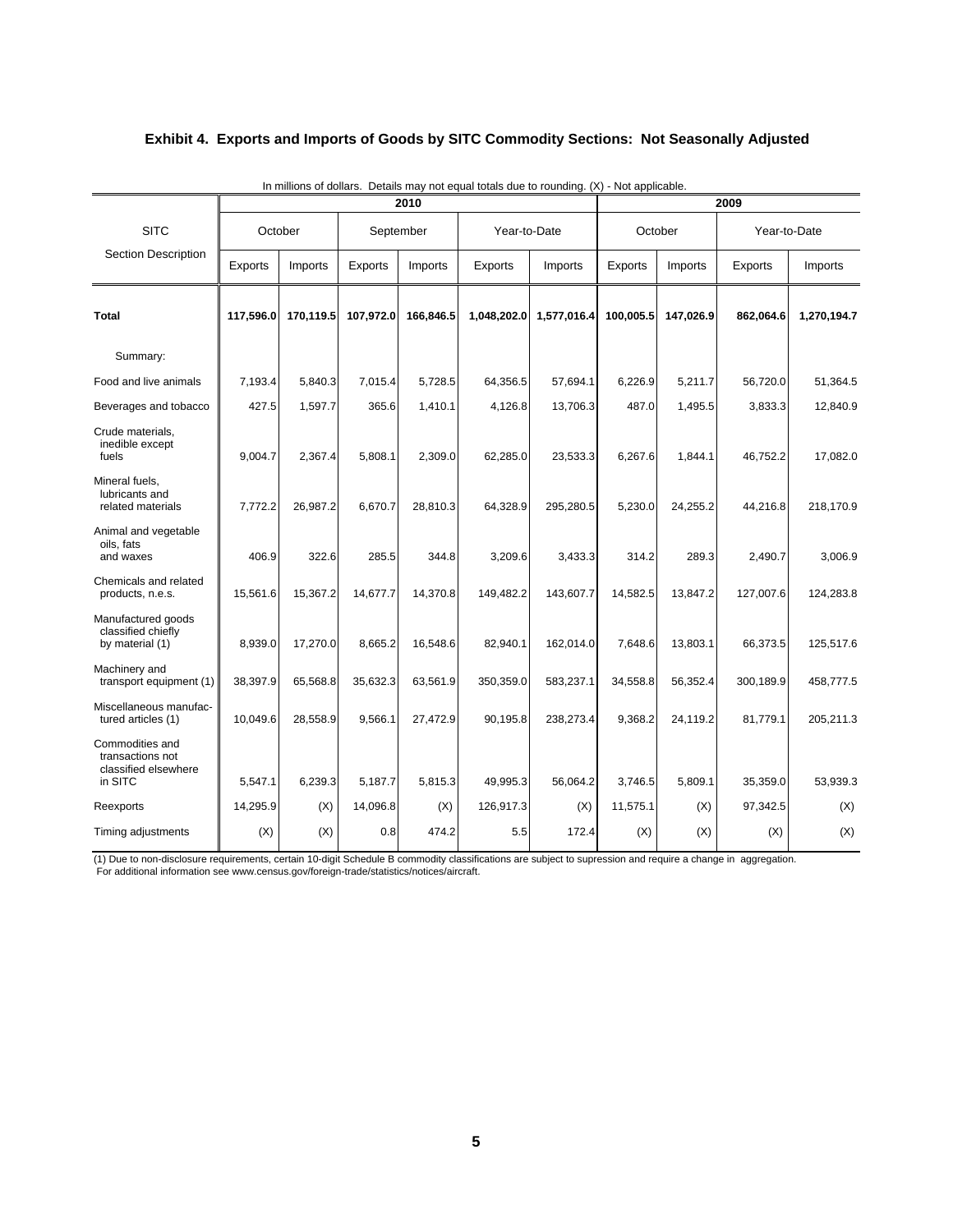#### **Exhibit 4. Exports and Imports of Goods by SITC Commodity Sections: Not Seasonally Adjusted**

|                                                                        |           |           |           | 2010      |              |             | 2009      |           |              |             |
|------------------------------------------------------------------------|-----------|-----------|-----------|-----------|--------------|-------------|-----------|-----------|--------------|-------------|
| <b>SITC</b>                                                            |           | October   |           | September | Year-to-Date |             | October   |           | Year-to-Date |             |
| <b>Section Description</b>                                             | Exports   | Imports   | Exports   | Imports   | Exports      | Imports     | Exports   | Imports   | Exports      | Imports     |
| Total                                                                  | 117,596.0 | 170,119.5 | 107,972.0 | 166,846.5 | 1,048,202.0  | 1,577,016.4 | 100,005.5 | 147,026.9 | 862,064.6    | 1,270,194.7 |
| Summary:                                                               |           |           |           |           |              |             |           |           |              |             |
| Food and live animals                                                  | 7,193.4   | 5,840.3   | 7,015.4   | 5,728.5   | 64,356.5     | 57,694.1    | 6,226.9   | 5,211.7   | 56,720.0     | 51,364.5    |
| Beverages and tobacco                                                  | 427.5     | 1,597.7   | 365.6     | 1,410.1   | 4,126.8      | 13,706.3    | 487.0     | 1,495.5   | 3,833.3      | 12,840.9    |
| Crude materials,<br>inedible except<br>fuels                           | 9,004.7   | 2,367.4   | 5,808.1   | 2,309.0   | 62,285.0     | 23,533.3    | 6,267.6   | 1,844.1   | 46,752.2     | 17,082.0    |
| Mineral fuels,<br>lubricants and<br>related materials                  | 7,772.2   | 26,987.2  | 6,670.7   | 28,810.3  | 64,328.9     | 295,280.5   | 5,230.0   | 24,255.2  | 44,216.8     | 218,170.9   |
| Animal and vegetable<br>oils, fats<br>and waxes                        | 406.9     | 322.6     | 285.5     | 344.8     | 3,209.6      | 3,433.3     | 314.2     | 289.3     | 2,490.7      | 3,006.9     |
| Chemicals and related<br>products, n.e.s.                              | 15,561.6  | 15,367.2  | 14,677.7  | 14,370.8  | 149,482.2    | 143,607.7   | 14,582.5  | 13,847.2  | 127,007.6    | 124,283.8   |
| Manufactured goods<br>classified chiefly<br>by material (1)            | 8,939.0   | 17,270.0  | 8,665.2   | 16,548.6  | 82,940.1     | 162,014.0   | 7,648.6   | 13,803.1  | 66,373.5     | 125,517.6   |
| Machinery and<br>transport equipment (1)                               | 38,397.9  | 65,568.8  | 35,632.3  | 63,561.9  | 350,359.0    | 583,237.1   | 34,558.8  | 56,352.4  | 300,189.9    | 458,777.5   |
| Miscellaneous manufac-<br>tured articles (1)                           | 10,049.6  | 28,558.9  | 9,566.1   | 27,472.9  | 90,195.8     | 238,273.4   | 9,368.2   | 24,119.2  | 81,779.1     | 205,211.3   |
| Commodities and<br>transactions not<br>classified elsewhere<br>in SITC | 5,547.1   | 6,239.3   | 5,187.7   | 5,815.3   | 49,995.3     | 56,064.2    | 3,746.5   | 5,809.1   | 35,359.0     | 53,939.3    |
| Reexports                                                              | 14,295.9  | (X)       | 14,096.8  | (X)       | 126,917.3    | (X)         | 11,575.1  | (X)       | 97,342.5     | (X)         |
| Timing adjustments                                                     | (X)       | (X)       | 0.8       | 474.2     | 5.5          | 172.4       | (X)       | (X)       | (X)          | (X)         |

In millions of dollars. Details may not equal totals due to rounding. (X) - Not applicable.

 For additional information see www.census.gov/foreign-trade/statistics/notices/aircraft. (1) Due to non-disclosure requirements, certain 10-digit Schedule B commodity classifications are subject to supression and require a change in aggregation.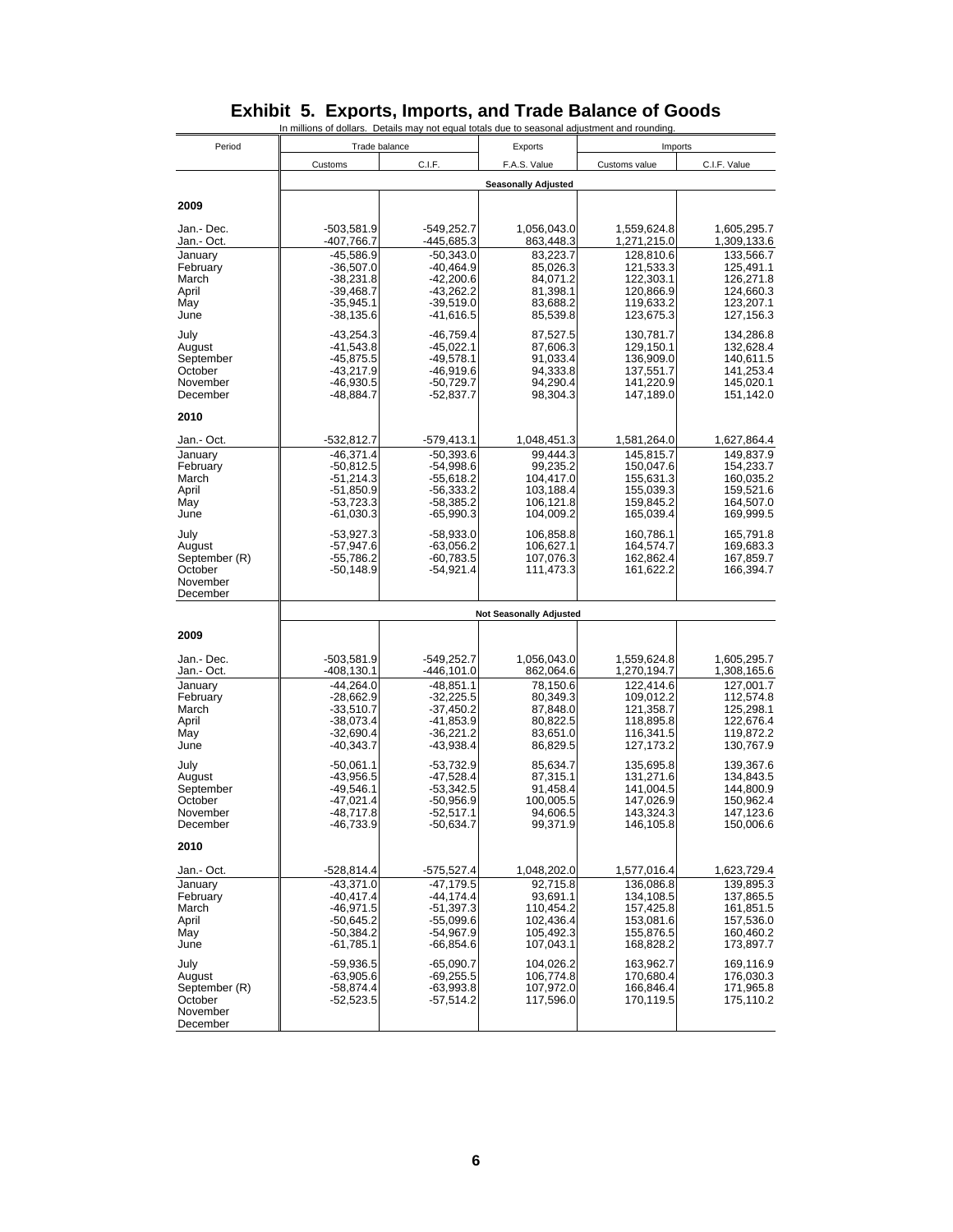|                         | In millions of dollars. Details may not equal totals due to seasonal adjustment and rounding |                               |                                |                            |                            |
|-------------------------|----------------------------------------------------------------------------------------------|-------------------------------|--------------------------------|----------------------------|----------------------------|
| Period                  | Trade balance                                                                                |                               | Exports                        | Imports                    |                            |
|                         | Customs                                                                                      | C.I.F.                        | F.A.S. Value                   | Customs value              | C.I.F. Value               |
|                         |                                                                                              |                               | <b>Seasonally Adjusted</b>     |                            |                            |
| 2009                    |                                                                                              |                               |                                |                            |                            |
| Jan.-Dec.<br>Jan.- Oct. | -503,581.9<br>-407,766.7                                                                     | $-549,252.7$<br>-445,685.3    | 1,056,043.0<br>863,448.3       | 1,559,624.8<br>1,271,215.0 | 1,605,295.7<br>1,309,133.6 |
| January                 | $-45,586.9$                                                                                  | $-50,343.0$                   | 83,223.7                       | 128,810.6                  | 133,566.7                  |
| February<br>March       | $-36,507.0$<br>$-38,231.8$                                                                   | $-40,464.9$<br>$-42,200.6$    | 85,026.3<br>84,071.2           | 121,533.3<br>122,303.1     | 125,491.1<br>126,271.8     |
| April<br>May            | $-39,468.7$<br>$-35,945.1$                                                                   | $-43,262.2$<br>$-39,519.0$    | 81,398.1                       | 120,866.9<br>119,633.2     | 124,660.3                  |
| June                    | $-38,135.6$                                                                                  | $-41,616.5$                   | 83,688.2<br>85,539.8           | 123,675.3                  | 123,207.1<br>127,156.3     |
| July                    | $-43,254.3$                                                                                  | $-46,759.4$                   | 87,527.5                       | 130,781.7                  | 134,286.8                  |
| August<br>September     | $-41,543.8$<br>$-45,875.5$                                                                   | $-45,022.1$<br>$-49,578.1$    | 87,606.3<br>91,033.4           | 129,150.1<br>136,909.0     | 132,628.4<br>140,611.5     |
| October                 | $-43,217.9$                                                                                  | -46,919.6                     | 94,333.8                       | 137,551.7                  | 141,253.4                  |
| November<br>December    | -46,930.5<br>-48,884.7                                                                       | $-50,729.7$<br>-52,837.7      | 94,290.4<br>98,304.3           | 141,220.9<br>147,189.0     | 145,020.1<br>151,142.0     |
| 2010                    |                                                                                              |                               |                                |                            |                            |
| Jan - Oct.              | -532,812.7                                                                                   | -579,413.1                    | 1,048,451.3                    | 1,581,264.0                | 1,627,864.4                |
| January<br>February     | $-46,371.4$<br>$-50,812.5$                                                                   | $-50,393.6$<br>$-54,998.6$    | 99.444.3<br>99,235.2           | 145,815.7<br>150,047.6     | 149.837.9<br>154,233.7     |
| March                   | $-51,214.3$                                                                                  | $-55,618.2$                   | 104,417.0                      | 155,631.3                  | 160,035.2                  |
| April<br>May            | -51,850.9<br>$-53,723.3$                                                                     | -56,333.2<br>$-58,385.2$      | 103,188.4<br>106,121.8         | 155,039.3<br>159,845.2     | 159,521.6<br>164,507.0     |
| June                    | $-61,030.3$                                                                                  | $-65,990.3$                   | 104,009.2                      | 165,039.4                  | 169,999.5                  |
| July                    | $-53,927.3$                                                                                  | $-58,933.0$                   | 106,858.8                      | 160,786.1                  | 165,791.8                  |
| August<br>September (R) | $-57,947.6$<br>$-55,786.2$                                                                   | $-63,056.2$<br>$-60,783.5$    | 106,627.1<br>107,076.3         | 164,574.7<br>162,862.4     | 169,683.3<br>167,859.7     |
| October<br>November     | $-50,148.9$                                                                                  | $-54,921.4$                   | 111,473.3                      | 161,622.2                  | 166,394.7                  |
| December                |                                                                                              |                               |                                |                            |                            |
|                         |                                                                                              |                               | <b>Not Seasonally Adjusted</b> |                            |                            |
| 2009                    |                                                                                              |                               |                                |                            |                            |
| Jan.-Dec.<br>Jan - Oct. | $-503,581.9$<br>$-408, 130.1$                                                                | $-549,252.7$<br>$-446, 101.0$ | 1,056,043.0<br>862,064.6       | 1,559,624.8<br>1,270,194.7 | 1,605,295.7<br>1,308,165.6 |
| January                 | $-44,264.0$                                                                                  | $-48,851.1$                   | 78,150.6                       | 122,414.6                  | 127,001.7                  |
| February<br>March       | $-28,662.9$<br>$-33,510.7$                                                                   | $-32,225.5$<br>$-37,450.2$    | 80,349.3<br>87,848.0           | 109,012.2<br>121,358.7     | 112,574.8<br>125,298.1     |
| April                   | -38,073.4                                                                                    | -41,853.9                     | 80,822.5                       | 118,895.8                  | 122,676.4                  |
| May<br>June             | $-32,690.4$<br>$-40,343.7$                                                                   | $-36,221.2$<br>$-43,938.4$    | 83,651.0<br>86,829.5           | 116,341.5<br>127, 173.2    | 119,872.2<br>130,767.9     |
| July                    | $-50,061.1$                                                                                  | $-53,732.9$                   | 85,634.7                       | 135,695.8                  | 139,367.6                  |
| August<br>September     | $-43,956.5$<br>-49,546.1                                                                     | $-47,528.4$<br>$-53,342.5$    | 87,315.1<br>91,458.4           | 131,271.6<br>141,004.5     | 134,843.5<br>144,800.9     |
| October                 | $-47,021.4$                                                                                  | $-50,956.9$                   | 100,005.5                      | 147,026.9                  | 150,962.4                  |
| November<br>December    | $-48,717.8$<br>-46,733.9                                                                     | $-52,517.1$<br>-50,634.7      | 94,606.5<br>99,371.9           | 143,324.3<br>146,105.8     | 147,123.6<br>150,006.6     |
| 2010                    |                                                                                              |                               |                                |                            |                            |
| Jan - Oct.              | -528,814.4                                                                                   | $-575,527.4$                  | 1,048,202.0                    | 1,577,016.4                | 1,623,729.4                |
| January                 | $-43,371.0$                                                                                  | $-47,179.5$                   | 92,715.8                       | 136,086.8                  | 139,895.3                  |
| February<br>March       | $-40,417.4$<br>$-46,971.5$                                                                   | $-44.174.4$<br>$-51,397.3$    | 93,691.1<br>110,454.2          | 134,108.5<br>157,425.8     | 137,865.5<br>161,851.5     |
| April                   | $-50,645.2$                                                                                  | $-55,099.6$                   | 102,436.4                      | 153,081.6                  | 157,536.0                  |
| May<br>June             | $-50,384.2$<br>$-61,785.1$                                                                   | -54,967.9<br>$-66,854.6$      | 105,492.3<br>107,043.1         | 155,876.5<br>168,828.2     | 160,460.2<br>173,897.7     |
| July                    | $-59,936.5$                                                                                  | $-65,090.7$                   | 104,026.2                      | 163,962.7                  | 169,116.9                  |
| August<br>September (R) | $-63,905.6$<br>$-58,874.4$                                                                   | $-69,255.5$<br>$-63,993.8$    | 106,774.8<br>107,972.0         | 170,680.4<br>166,846.4     | 176,030.3<br>171,965.8     |
| October                 | $-52,523.5$                                                                                  | $-57,514.2$                   | 117,596.0                      | 170,119.5                  | 175,110.2                  |
| November<br>December    |                                                                                              |                               |                                |                            |                            |

#### **Exhibit 5. Exports, Imports, and Trade Balance of Goods**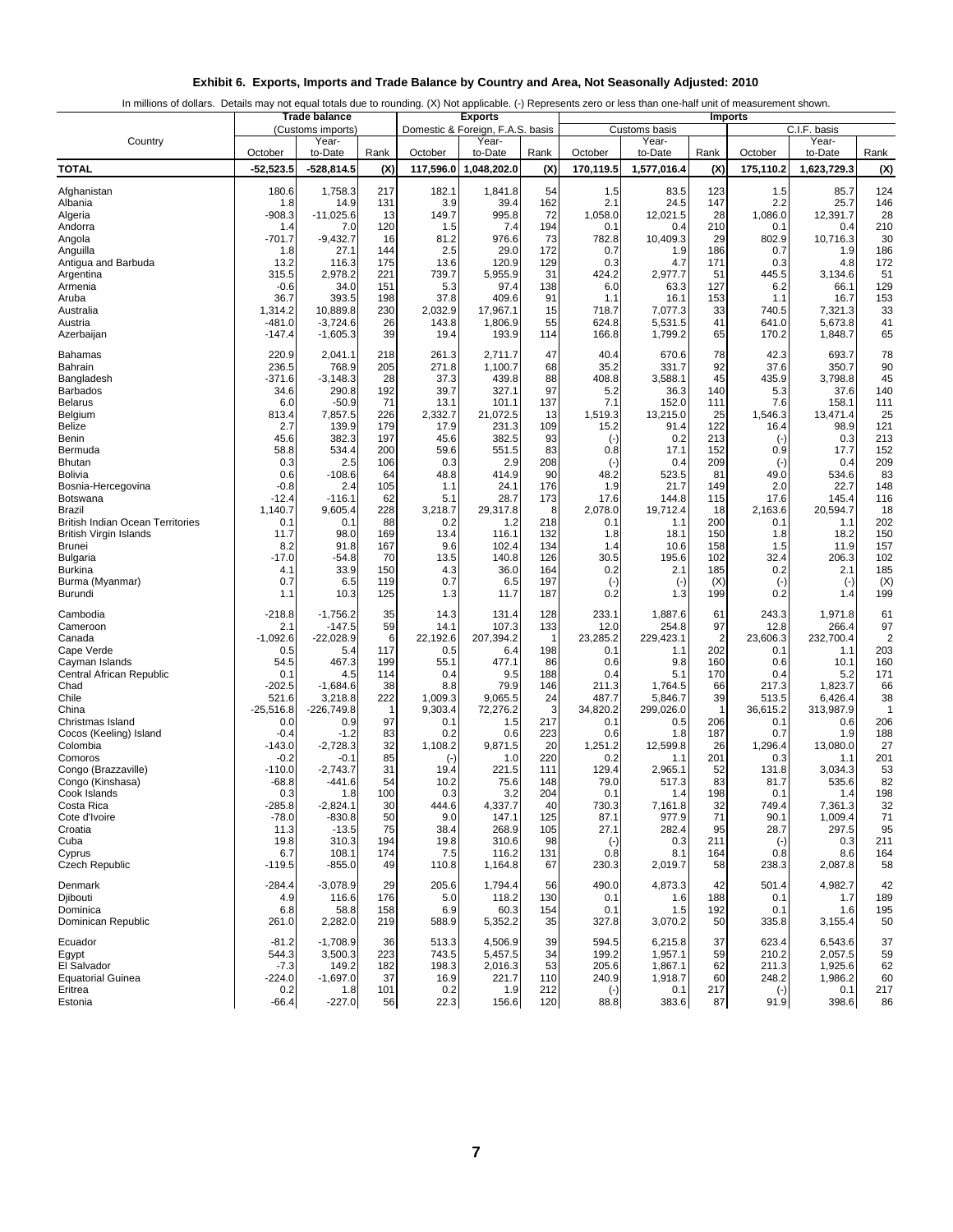|  | Exhibit 6. Exports, Imports and Trade Balance by Country and Area, Not Seasonally Adjusted: 2010 |  |  |  |  |
|--|--------------------------------------------------------------------------------------------------|--|--|--|--|
|--|--------------------------------------------------------------------------------------------------|--|--|--|--|

In millions of dollars. Details may not equal totals due to rounding. (X) Not applicable. (-) Represents zero or less than one-half unit of measurement shown.

|                                                          |                     | Trade balance              |            |                 | <b>Exports</b>                            |            |                  |                        |            | <b>Imports</b>    |                       |            |
|----------------------------------------------------------|---------------------|----------------------------|------------|-----------------|-------------------------------------------|------------|------------------|------------------------|------------|-------------------|-----------------------|------------|
| Country                                                  |                     | (Customs imports)<br>Year- |            |                 | Domestic & Foreign, F.A.S. basis<br>Year- |            |                  | Customs basis<br>Year- |            |                   | C.I.F. basis<br>Year- |            |
|                                                          | October             | to-Date                    | Rank       | October         | to-Date                                   | Rank       | October          | to-Date                | Rank       | October           | to-Date               | Rank       |
| <b>TOTAL</b>                                             | $-52,523.5$         | $-528,814.5$               | (X)        | 117,596.0       | 1,048,202.0                               | (X)        | 170,119.5        | 1,577,016.4            | (X)        | 175,110.2         | 1,623,729.3           | (X)        |
| Afghanistan                                              | 180.6               | 1,758.3                    | 217        | 182.1           | 1,841.8                                   | 54         | 1.5              | 83.5                   | 123        | 1.5               | 85.7                  | 124        |
| Albania                                                  | 1.8                 | 14.9                       | 131        | 3.9             | 39.4                                      | 162        | 2.1              | 24.5                   | 147        | 2.2               | 25.7                  | 146        |
| Algeria                                                  | $-908.3$            | $-11,025.6$                | 13         | 149.7           | 995.8                                     | 72         | 1,058.0          | 12,021.5               | 28         | 1,086.0           | 12,391.7              | 28         |
| Andorra                                                  | 1.4                 | 7.0                        | 120        | 1.5             | 7.4                                       | 194        | 0.1              | 0.4                    | 210        | 0.1               | 0.4                   | 210        |
| Angola<br>Anguilla                                       | $-701.7$<br>1.8     | $-9,432.7$<br>27.1         | 16<br>144  | 81.2<br>2.5     | 976.6<br>29.0                             | 73<br>172  | 782.8<br>0.7     | 10,409.3<br>1.9        | 29<br>186  | 802.9<br>0.7      | 10,716.3<br>1.9       | 30<br>186  |
| Antigua and Barbuda                                      | 13.2                | 116.3                      | 175        | 13.6            | 120.9                                     | 129        | 0.3              | 4.7                    | 171        | 0.3               | 4.8                   | 172        |
| Argentina                                                | 315.5               | 2,978.2                    | 221        | 739.7           | 5,955.9                                   | 31         | 424.2            | 2,977.7                | 51         | 445.5             | 3,134.6               | 51         |
| Armenia                                                  | $-0.6$              | 34.0                       | 151        | 5.3             | 97.4                                      | 138        | 6.0              | 63.3                   | 127        | 6.2               | 66.1                  | 129        |
| Aruba<br>Australia                                       | 36.7<br>1,314.2     | 393.5<br>10,889.8          | 198<br>230 | 37.8<br>2,032.9 | 409.6<br>17,967.1                         | 91<br>15   | 1.1<br>718.7     | 16.1<br>7,077.3        | 153<br>33  | 1.1<br>740.5      | 16.7<br>7,321.3       | 153<br>33  |
| Austria                                                  | -481.0              | $-3,724.6$                 | 26         | 143.8           | 1,806.9                                   | 55         | 624.8            | 5,531.5                | 41         | 641.0             | 5,673.8               | 41         |
| Azerbaijan                                               | $-147.4$            | $-1,605.3$                 | 39         | 19.4            | 193.9                                     | 114        | 166.8            | 1,799.2                | 65         | 170.2             | 1,848.7               | 65         |
| Bahamas                                                  | 220.9               | 2,041.1                    | 218        | 261.3           | 2,711.7                                   | 47         | 40.4             | 670.6                  | 78         | 42.3              | 693.7                 | 78         |
| Bahrain                                                  | 236.5               | 768.9                      | 205        | 271.8           | 1,100.7                                   | 68         | 35.2             | 331.7                  | 92         | 37.6              | 350.7                 | 90         |
| Bangladesh                                               | -371.6              | $-3,148.3$                 | 28         | 37.3            | 439.8                                     | 88         | 408.8            | 3,588.1                | 45         | 435.9             | 3,798.8               | 45         |
| Barbados<br>Belarus                                      | 34.6<br>6.0         | 290.8<br>$-50.9$           | 192<br>71  | 39.7<br>13.1    | 327.1<br>101.1                            | 97<br>137  | 5.2<br>7.1       | 36.3<br>152.0          | 140<br>111 | 5.3<br>7.6        | 37.6<br>158.1         | 140<br>111 |
| Belgium                                                  | 813.4               | 7,857.5                    | 226        | 2,332.7         | 21,072.5                                  | 13         | 1,519.3          | 13,215.0               | 25         | 1,546.3           | 13,471.4              | 25         |
| <b>Belize</b>                                            | 2.7                 | 139.9                      | 179        | 17.9            | 231.3                                     | 109        | 15.2             | 91.4                   | 122        | 16.4              | 98.9                  | 121        |
| Benin                                                    | 45.6                | 382.3                      | 197        | 45.6            | 382.5                                     | 93         | $(\cdot)$        | 0.2                    | 213        | $\left( -\right)$ | 0.3                   | 213        |
| Bermuda<br><b>Bhutan</b>                                 | 58.8<br>0.3         | 534.4<br>2.5               | 200<br>106 | 59.6<br>0.3     | 551.5<br>2.9                              | 83<br>208  | 0.8<br>$(\cdot)$ | 17.1<br>0.4            | 152<br>209 | 0.9<br>$(\cdot)$  | 17.7<br>0.4           | 152<br>209 |
| Bolivia                                                  | 0.6                 | $-108.6$                   | 64         | 48.8            | 414.9                                     | 90         | 48.2             | 523.5                  | 81         | 49.0              | 534.6                 | 83         |
| Bosnia-Hercegovina                                       | $-0.8$              | 2.4                        | 105        | 1.1             | 24.1                                      | 176        | 1.9              | 21.7                   | 149        | 2.0               | 22.7                  | 148        |
| Botswana                                                 | $-12.4$             | $-116.1$                   | 62         | 5.1             | 28.7                                      | 173        | 17.6             | 144.8                  | 115        | 17.6              | 145.4                 | 116        |
| <b>Brazil</b><br><b>British Indian Ocean Territories</b> | 1,140.7<br>0.1      | 9,605.4<br>0.1             | 228<br>88  | 3,218.7<br>0.2  | 29,317.8<br>1.2                           | 8<br>218   | 2,078.0<br>0.1   | 19,712.4<br>1.1        | 18<br>200  | 2,163.6<br>0.1    | 20,594.7<br>1.1       | 18<br>202  |
| British Virgin Islands                                   | 11.7                | 98.0                       | 169        | 13.4            | 116.1                                     | 132        | 1.8              | 18.1                   | 150        | 1.8               | 18.2                  | 150        |
| <b>Brunei</b>                                            | 8.2                 | 91.8                       | 167        | 9.6             | 102.4                                     | 134        | 1.4              | 10.6                   | 158        | 1.5               | 11.9                  | 157        |
| Bulgaria                                                 | $-17.0$             | -54.8                      | 70         | 13.5            | 140.8                                     | 126        | 30.5             | 195.6                  | 102        | 32.4              | 206.3                 | 102        |
| <b>Burkina</b><br>Burma (Myanmar)                        | 4.1<br>0.7          | 33.9<br>6.5                | 150<br>119 | 4.3<br>0.7      | 36.0<br>6.5                               | 164<br>197 | 0.2<br>$(\cdot)$ | 2.1                    | 185<br>(X) | 0.2               | 2.1<br>$(\cdot)$      | 185<br>(X) |
| Burundi                                                  | 1.1                 | 10.3                       | 125        | 1.3             | 11.7                                      | 187        | 0.2              | $(-)$<br>1.3           | 199        | $(\cdot)$<br>0.2  | 1.4                   | 199        |
| Cambodia                                                 | $-218.8$            | $-1,756.2$                 | 35         | 14.3            | 131.4                                     | 128        | 233.1            | 1,887.6                | 61         | 243.3             | 1,971.8               | 61         |
| Cameroon                                                 | 2.1                 | $-147.5$                   | 59         | 14.1            | 107.3                                     | 133        | 12.0             | 254.8                  | 97         | 12.8              | 266.4                 | 97         |
| Canada                                                   | $-1,092.6$          | $-22,028.9$                | 6          | 22,192.6        | 207,394.2                                 | -1         | 23,285.2         | 229,423.1              | 2          | 23,606.3          | 232,700.4             | 2          |
| Cape Verde<br>Cayman Islands                             | 0.5<br>54.5         | 5.4<br>467.3               | 117<br>199 | 0.5<br>55.1     | 6.4<br>477.1                              | 198<br>86  | 0.1<br>0.6       | 1.1<br>9.8             | 202<br>160 | 0.1<br>0.6        | 1.1<br>10.1           | 203<br>160 |
| Central African Republic                                 | 0.1                 | 4.5                        | 114        | 0.4             | 9.5                                       | 188        | 0.4              | 5.1                    | 170        | 0.4               | 5.2                   | 171        |
| Chad                                                     | $-202.5$            | $-1,684.6$                 | 38         | 8.8             | 79.9                                      | 146        | 211.3            | 1,764.5                | 66         | 217.3             | 1,823.7               | 66         |
| Chile                                                    | 521.6               | 3,218.8                    | 222        | 1,009.3         | 9,065.5                                   | 24         | 487.7            | 5,846.7                | 39         | 513.5             | 6,426.4               | 38         |
| China<br>Christmas Island                                | $-25,516.8$<br>0.0  | $-226,749.8$<br>0.9        | 97         | 9,303.4<br>0.1  | 72,276.2<br>1.5                           | 3<br>217   | 34,820.2<br>0.1  | 299,026.0<br>0.5       | 1<br>206   | 36,615.2<br>0.1   | 313,987.9<br>0.6      | -1<br>206  |
| Cocos (Keeling) Island                                   | $-0.4$              | $-1.2$                     | 83         | 0.2             | 0.6                                       | 223        | 0.6              | 1.8                    | 187        | 0.7               | 1.9                   | 188        |
| Colombia                                                 | $-143.0$            | $-2,728.3$                 | 32         | 1,108.2         | 9,871.5                                   | 20         | 1,251.2          | 12,599.8               | 26         | 1,296.4           | 13,080.0              | 27         |
| Comoros                                                  | $-0.2$              | $-0.1$                     | 85         | $(\cdot)$       | 1.0                                       | 220        | 0.2              | 1.1                    | 201        | 0.3               | 1.1                   | 201        |
| Congo (Brazzaville)<br>Congo (Kinshasa)                  | $-110.0$<br>$-68.8$ | $-2.743.7$<br>-441.6       | 31<br>54   | 19.4<br>10.2    | 221.5<br>75.6                             | 111<br>148 | 129.4<br>79.0    | 2,965.1<br>517.3       | 52<br>83   | 131.8<br>81.7     | 3,034.3<br>535.6      | 53<br>82   |
| Cook Islands                                             | 0.3                 | 1.8                        | 100        | 0.3             | 3.2                                       | 204        | 0.1              | 1.4                    | 198        | 0.1               | 1.4                   | 198        |
| Costa Rica                                               | -285.8              | $-2,824.1$                 | 30         | 444.6           | 4,337.7                                   | 40         | 730.3            | 7,161.8                | 32         | 749.4             | 7,361.3               | 32         |
| Cote d'Ivoire                                            | $-78.0$             | $-830.8$                   | 50<br>75   | 9.0             | 147.1<br>268.9                            | 125        | 87.1<br>27.1     | 977.9<br>282.4         | 71<br>95   | 90.1<br>28.7      | 1,009.4<br>297.5      | 71         |
| Croatia<br>Cuba                                          | 11.3<br>19.8        | $-13.5$<br>310.3           | 194        | 38.4<br>19.8    | 310.6                                     | 105<br>98  | $(\cdot)$        | 0.3                    | 211        | $(\cdot)$         | 0.3                   | 95<br>211  |
| Cyprus                                                   | 6.7                 | 108.1                      | 174        | 7.5             | 116.2                                     | 131        | 0.8              | 8.1                    | 164        | 0.8               | 8.6                   | 164        |
| Czech Republic                                           | $-119.5$            | $-855.0$                   | 49         | 110.8           | 1,164.8                                   | 67         | 230.3            | 2,019.7                | 58         | 238.3             | 2,087.8               | 58         |
| Denmark                                                  | $-284.4$            | $-3,078.9$                 | 29         | 205.6           | 1,794.4                                   | 56         | 490.0            | 4,873.3                | 42         | 501.4             | 4,982.7               | 42         |
| Djibouti                                                 | 4.9                 | 116.6                      | 176        | 5.0             | 118.2                                     | 130        | 0.1              | 1.6                    | 188        | 0.1               | 1.7                   | 189        |
| Dominica<br>Dominican Republic                           | 6.8<br>261.0        | 58.8<br>2,282.0            | 158<br>219 | 6.9<br>588.9    | 60.3<br>5,352.2                           | 154<br>35  | 0.1<br>327.8     | 1.5<br>3,070.2         | 192<br>50  | 0.1<br>335.8      | 1.6<br>3,155.4        | 195<br>50  |
|                                                          |                     |                            |            |                 |                                           |            |                  |                        |            |                   |                       |            |
| Ecuador<br>Egypt                                         | $-81.2$<br>544.3    | $-1,708.9$<br>3,500.3      | 36<br>223  | 513.3<br>743.5  | 4,506.9<br>5,457.5                        | 39<br>34   | 594.5<br>199.2   | 6,215.8<br>1,957.1     | 37<br>59   | 623.4<br>210.2    | 6,543.6<br>2,057.5    | 37<br>59   |
| El Salvador                                              | $-7.3$              | 149.2                      | 182        | 198.3           | 2,016.3                                   | 53         | 205.6            | 1,867.1                | 62         | 211.3             | 1,925.6               | 62         |
| <b>Equatorial Guinea</b>                                 | -224.0              | $-1,697.0$                 | 37         | 16.9            | 221.7                                     | 110        | 240.9            | 1,918.7                | 60         | 248.2             | 1,986.2               | 60         |
| Eritrea                                                  | 0.2                 | 1.8                        | 101        | 0.2             | 1.9                                       | 212        | $(-)$            | 0.1                    | 217        | $(\cdot)$         | 0.1                   | 217        |
| Estonia                                                  | $-66.4$             | $-227.0$                   | 56         | 22.3            | 156.6                                     | 120        | 88.8             | 383.6                  | 87         | 91.9              | 398.6                 | 86         |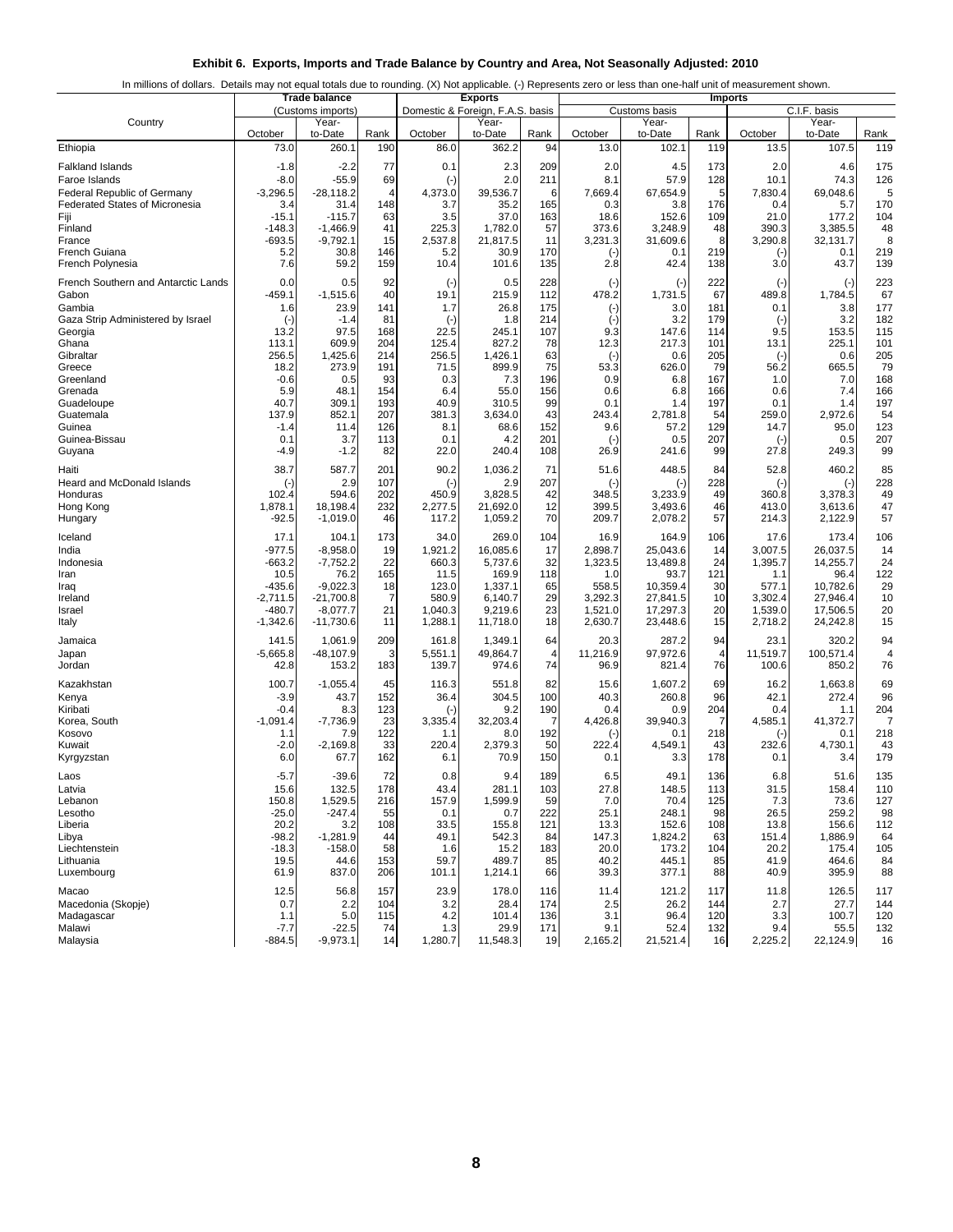|  |  |  | Exhibit 6. Exports, Imports and Trade Balance by Country and Area, Not Seasonally Adjusted: 2010 |  |
|--|--|--|--------------------------------------------------------------------------------------------------|--|
|  |  |  |                                                                                                  |  |

|  | In millions of dollars. Details may not equal totals due to rounding. (X) Not applicable. (-) Represents zero or less than one-half unit of measurement shown. |
|--|----------------------------------------------------------------------------------------------------------------------------------------------------------------|
|  |                                                                                                                                                                |
|  |                                                                                                                                                                |

|                                       |            | <b>Trade balance</b>       |      |           | <b>Exports</b>                            |      |           |                        |      | <b>Imports</b> |                       |                |
|---------------------------------------|------------|----------------------------|------|-----------|-------------------------------------------|------|-----------|------------------------|------|----------------|-----------------------|----------------|
| Country                               |            | (Customs imports)<br>Year- |      |           | Domestic & Foreign, F.A.S. basis<br>Year- |      |           | Customs basis<br>Year- |      |                | C.I.F. basis<br>Year- |                |
|                                       | October    | to-Date                    | Rank | October   | to-Date                                   | Rank | October   | to-Date                | Rank | October        | to-Date               | Rank           |
| Ethiopia                              | 73.0       | 260.1                      | 190  | 86.0      | 362.2                                     | 94   | 13.0      | 102.1                  | 119  | 13.5           | 107.5                 | 119            |
| <b>Falkland Islands</b>               | $-1.8$     | $-2.2$                     | 77   | 0.1       | 2.3                                       | 209  | 2.0       | 4.5                    | 173  | 2.0            | 4.6                   | 175            |
| Faroe Islands                         | $-8.0$     | $-55.9$                    | 69   | $(\cdot)$ | 2.0                                       | 211  | 8.1       | 57.9                   | 128  | 10.1           | 74.3                  | 126            |
| <b>Federal Republic of Germany</b>    | $-3,296.5$ | $-28,118.2$                | 4    | 4,373.0   | 39.536.7                                  | 6    | 7,669.4   | 67,654.9               | 5    | 7,830.4        | 69,048.6              | 5              |
| <b>Federated States of Micronesia</b> | 3.4        | 31.4                       | 148  | 3.7       | 35.2                                      | 165  | 0.3       | 3.8                    | 176  | 0.4            | 5.7                   | 170            |
| Fiji                                  | $-15.1$    | $-115.7$                   | 63   | 3.5       | 37.0                                      | 163  | 18.6      | 152.6                  | 109  | 21.0           | 177.2                 | 104            |
| Finland                               | $-148.3$   | $-1,466.9$                 | 41   | 225.3     | 1,782.0                                   | 57   | 373.6     | 3,248.9                | 48   | 390.3          | 3,385.5               | 48             |
| France                                | $-693.5$   | $-9,792.1$                 | 15   | 2,537.8   | 21,817.5                                  | 11   | 3,231.3   | 31,609.6               | 8    | 3,290.8        | 32,131.7              | 8              |
| <b>French Guiana</b>                  | 5.2        | 30.8                       | 146  | 5.2       | 30.9                                      | 170  | $(\cdot)$ | 0.1                    | 219  | $(\cdot)$      | 0.1                   | 219            |
| French Polynesia                      | 7.6        | 59.2                       | 159  | 10.4      | 101.6                                     | 135  | 2.8       | 42.4                   | 138  | 3.0            | 43.7                  | 139            |
| French Southern and Antarctic Lands   | 0.0        | 0.5                        | 92   | $(\cdot)$ | 0.5                                       | 228  | $(\cdot)$ | $(\cdot)$              | 222  | $(\cdot)$      | $(\cdot)$             | 223            |
| Gabon                                 | -459.1     | $-1,515.6$                 | 40   | 19.1      | 215.9                                     | 112  | 478.2     | 1,731.5                | 67   | 489.8          | 1,784.5               | 67             |
| Gambia                                | 1.6        | 23.9                       | 141  | 1.7       | 26.8                                      | 175  | $(\cdot)$ | 3.0                    | 181  | 0.1            | 3.8                   | 177            |
| Gaza Strip Administered by Israel     | $(\cdot)$  | $-1.4$                     | 81   | $(\cdot)$ | 1.8                                       | 214  | $(\cdot)$ | 3.2                    | 179  | $(-)$          | 3.2                   | 182            |
| Georgia                               | 13.2       | 97.5                       | 168  | 22.5      | 245.1                                     | 107  | 9.3       | 147.6                  | 114  | 9.5            | 153.5                 | 115            |
| Ghana                                 | 113.1      | 609.9                      | 204  | 125.4     | 827.2                                     | 78   | 12.3      | 217.3                  | 101  | 13.1           | 225.1                 | 101            |
| Gibraltar                             | 256.5      | 1,425.6                    | 214  | 256.5     | 1,426.1                                   | 63   | $(-)$     | 0.6                    | 205  | $(\cdot)$      | 0.6                   | 205            |
| Greece                                | 18.2       | 273.9                      | 191  | 71.5      | 899.9                                     | 75   | 53.3      | 626.0                  | 79   | 56.2           | 665.5                 | 79             |
| Greenland                             | $-0.6$     | 0.5                        | 93   | 0.3       | 7.3                                       | 196  | 0.9       | 6.8                    | 167  | 1.0            | 7.0                   | 168            |
| Grenada                               | 5.9        | 48.1                       | 154  | 6.4       | 55.0                                      | 156  | 0.6       | 6.8                    | 166  | 0.6            | 7.4                   | 166            |
| Guadeloupe                            | 40.7       | 309.1                      | 193  | 40.9      | 310.5                                     | 99   | 0.1       | 1.4                    | 197  | 0.1            | 1.4                   | 197            |
| Guatemala                             | 137.9      | 852.1                      | 207  | 381.3     | 3,634.0                                   | 43   | 243.4     | 2,781.8                | 54   | 259.0          | 2,972.6               | 54             |
| Guinea                                | $-1.4$     | 11.4                       | 126  | 8.1       | 68.6                                      | 152  | 9.6       | 57.2                   | 129  | 14.7           | 95.0                  | 123            |
| Guinea-Bissau                         | 0.1        | 3.7                        | 113  | 0.1       | 4.2                                       | 201  | $(-)$     | 0.5                    | 207  | $(\cdot)$      | 0.5                   | 207            |
| Guyana                                | -4.9       | $-1.2$                     | 82   | 22.0      | 240.4                                     | 108  | 26.9      | 241.6                  | 99   | 27.8           | 249.3                 | 99             |
| Haiti                                 | 38.7       | 587.7                      | 201  | 90.2      | 1,036.2                                   | 71   | 51.6      | 448.5                  | 84   | 52.8           | 460.2                 | 85             |
| <b>Heard and McDonald Islands</b>     | $(\cdot)$  | 2.9                        | 107  | $(-)$     | 2.9                                       | 207  | $(-)$     | $(-)$                  | 228  | $(\cdot)$      | $(\cdot)$             | 228            |
| Honduras                              | 102.4      | 594.6                      | 202  | 450.9     | 3,828.5                                   | 42   | 348.5     | 3,233.9                | 49   | 360.8          | 3,378.3               | 49             |
| Hong Kong                             | 1,878.1    | 18,198.4                   | 232  | 2,277.5   | 21,692.0                                  | 12   | 399.5     | 3,493.6                | 46   | 413.0          | 3,613.6               | 47             |
| Hungary                               | -92.5      | $-1,019.0$                 | 46   | 117.2     | 1,059.2                                   | 70   | 209.7     | 2,078.2                | 57   | 214.3          | 2,122.9               | 57             |
| Iceland                               | 17.1       | 104.1                      | 173  | 34.0      | 269.0                                     | 104  | 16.9      | 164.9                  | 106  | 17.6           | 173.4                 | 106            |
| India                                 | -977.5     | $-8,958.0$                 | 19   | 1,921.2   | 16,085.6                                  | 17   | 2,898.7   | 25,043.6               | 14   | 3,007.5        | 26,037.5              | 14             |
| Indonesia                             | $-663.2$   | $-7,752.2$                 | 22   | 660.3     | 5,737.6                                   | 32   | 1,323.5   | 13,489.8               | 24   | 1,395.7        | 14,255.7              | 24             |
| Iran                                  | 10.5       | 76.2                       | 165  | 11.5      | 169.9                                     | 118  | 1.0       | 93.7                   | 121  | 1.1            | 96.4                  | 122            |
| Iraq                                  | -435.6     | $-9,022.3$                 | 18   | 123.0     | 1,337.1                                   | 65   | 558.5     | 10,359.4               | 30   | 577.1          | 10,782.6              | 29             |
| Ireland                               | -2,711.5   | $-21,700.8$                | 7    | 580.9     | 6,140.7                                   | 29   | 3,292.3   | 27,841.5               | 10   | 3,302.4        | 27,946.4              | 10             |
| Israel                                | $-480.7$   | $-8,077.7$                 | 21   | 1,040.3   | 9,219.6                                   | 23   | 1,521.0   | 17,297.3               | 20   | 1,539.0        | 17,506.5              | 20             |
| Italy                                 | $-1,342.6$ | $-11,730.6$                | 11   | 1,288.1   | 11,718.0                                  | 18   | 2,630.7   | 23,448.6               | 15   | 2,718.2        | 24,242.8              | 15             |
| Jamaica                               | 141.5      | 1,061.9                    | 209  | 161.8     | 1,349.1                                   | 64   | 20.3      | 287.2                  | 94   | 23.1           | 320.2                 | 94             |
| Japan                                 | $-5,665.8$ | $-48,107.9$                | 3    | 5,551.1   | 49,864.7                                  | 4    | 11,216.9  | 97,972.6               | 4    | 11,519.7       | 100,571.4             | 4              |
| Jordan                                | 42.8       | 153.2                      | 183  | 139.7     | 974.6                                     | 74   | 96.9      | 821.4                  | 76   | 100.6          | 850.2                 | 76             |
| Kazakhstan                            | 100.7      | $-1,055.4$                 | 45   | 116.3     | 551.8                                     | 82   | 15.6      | 1,607.2                | 69   | 16.2           | 1,663.8               | 69             |
| Kenya                                 | $-3.9$     | 43.7                       | 152  | 36.4      | 304.5                                     | 100  | 40.3      | 260.8                  | 96   | 42.1           | 272.4                 | 96             |
| Kiribati                              | $-0.4$     | 8.3                        | 123  | $(\cdot)$ | 9.2                                       | 190  | 0.4       | 0.9                    | 204  | 0.4            | 1.1                   | 204            |
| Korea, South                          | $-1,091.4$ | $-7,736.9$                 | 23   | 3,335.4   | 32,203.4                                  | 7    | 4,426.8   | 39,940.3               | 7    | 4,585.1        | 41,372.7              | $\overline{7}$ |
| Kosovo                                | 1.1        | 7.9                        | 122  | 1.1       | 8.0                                       | 192  | $(-)$     | 0.1                    | 218  | $(\cdot)$      | 0.1                   | 218            |
| Kuwait                                | $-2.0$     | $-2.169.8$                 | 33   | 220.4     | 2,379.3                                   | 50   | 222.4     | 4,549.1                | 43   | 232.6          | 4,730.1               | 43             |
| Kyrgyzstan                            | 6.0        | 67.7                       | 162  | 6.1       | 70.9                                      | 150  | 0.1       | 3.3                    | 178  | 0.1            | 3.4                   | 179            |
| Laos                                  | -5.7       | $-39.6$                    | 72   | 0.8       | 9.4                                       | 189  | 6.5       | 49.1                   | 136  | 6.8            | 51.6                  | 135            |
| Latvia                                | 15.6       | 132.5                      | 178  | 43.4      | 281.1                                     | 103  | 27.8      | 148.5                  | 113  | 31.5           | 158.4                 | 110            |
| Lebanon                               | 150.8      | 1,529.5                    | 216  | 157.9     | 1,599.9                                   | 59   | 7.0       | 70.4                   | 125  | 7.3            | 73.6                  | 127            |
| Lesotho                               | $-25.0$    | $-247.4$                   | 55   | 0.1       | 0.7                                       | 222  | 25.1      | 248.1                  | 98   | 26.5           | 259.2                 | 98             |
| Liberia                               | 20.2       | 3.2                        | 108  | 33.5      | 155.8                                     | 121  | 13.3      | 152.6                  | 108  | 13.8           | 156.6                 | 112            |
| Libya                                 | $-98.2$    | $-1,281.9$                 | 44   | 49.1      | 542.3                                     | 84   | 147.3     | 1,824.2                | 63   | 151.4          | 1,886.9               | 64             |
| Liechtenstein                         | $-18.3$    | $-158.0$                   | 58   | 1.6       | 15.2                                      | 183  | 20.0      | 173.2                  | 104  | 20.2           | 175.4                 | 105            |
| Lithuania                             | 19.5       | 44.6                       | 153  | 59.7      | 489.7                                     | 85   | 40.2      | 445.1                  | 85   | 41.9           | 464.6                 | 84             |
| Luxembourg                            | 61.9       | 837.0                      | 206  | 101.1     | 1,214.1                                   | 66   | 39.3      | 377.1                  | 88   | 40.9           | 395.9                 | 88             |
| Macao                                 | 12.5       | 56.8                       | 157  | 23.9      | 178.0                                     | 116  | 11.4      | 121.2                  | 117  | 11.8           | 126.5                 | 117            |
| Macedonia (Skopje)                    | 0.7        | 2.2                        | 104  | 3.2       | 28.4                                      | 174  | 2.5       | 26.2                   | 144  | 2.7            | 27.7                  | 144            |
| Madagascar                            | 1.1        | 5.0                        | 115  | 4.2       | 101.4                                     | 136  | 3.1       | 96.4                   | 120  | 3.3            | 100.7                 | 120            |
| Malawi                                | $-7.7$     | $-22.5$                    | 74   | 1.3       | 29.9                                      | 171  | 9.1       | 52.4                   | 132  | 9.4            | 55.5                  | 132            |
| Malaysia                              | $-884.5$   | $-9,973.1$                 | 14   | 1,280.7   | 11,548.3                                  | 19   | 2,165.2   | 21,521.4               | 16   | 2,225.2        | 22,124.9              | 16             |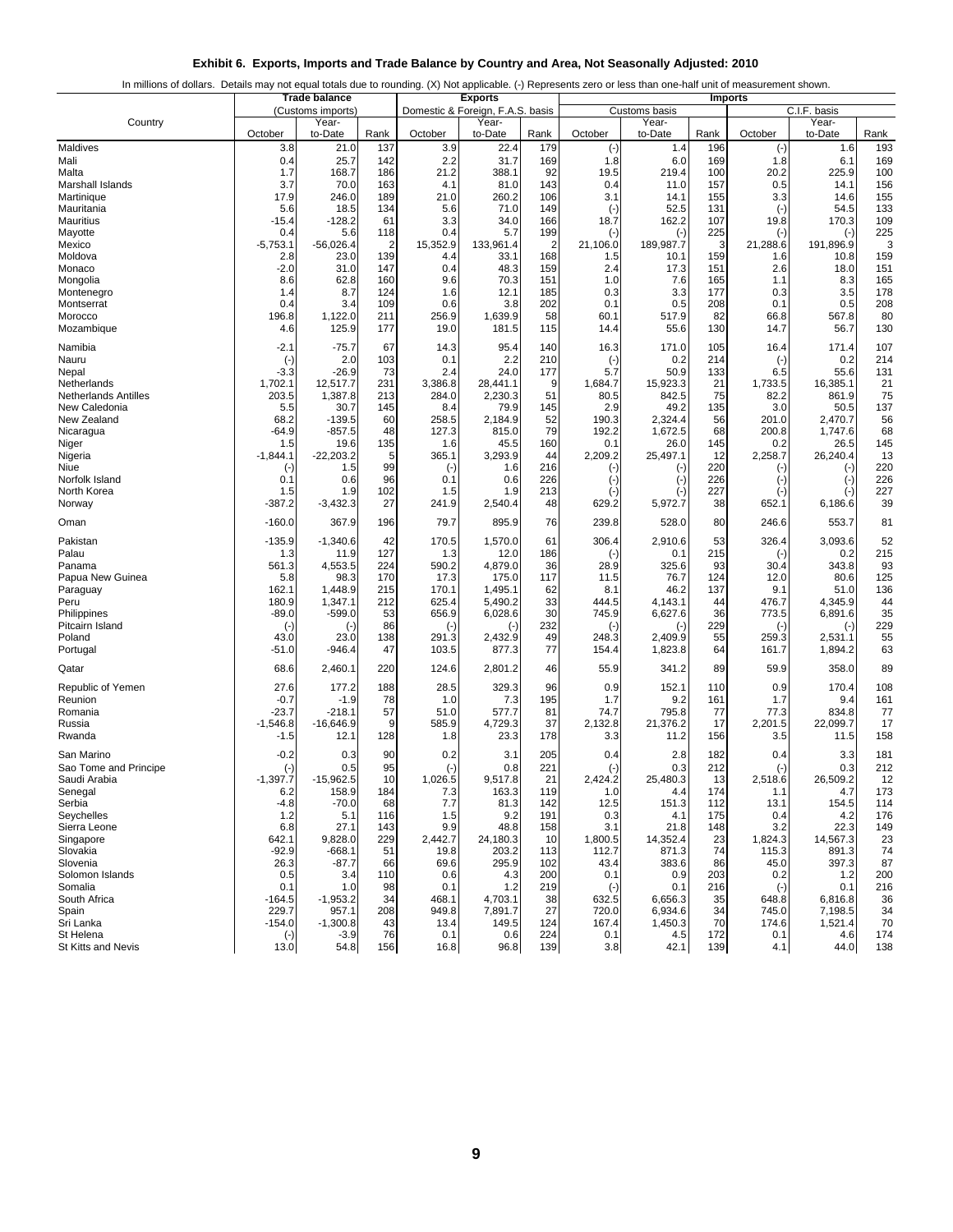| Exhibit 6. Exports, Imports and Trade Balance by Country and Area, Not Seasonally Adjusted: 2010 |  |  |  |
|--------------------------------------------------------------------------------------------------|--|--|--|
|                                                                                                  |  |  |  |

| In millions of dollars. Details may not equal totals due to rounding. (X) Not applicable. (-) Represents zero or less than one-half unit of measurement shown. |  |  |
|----------------------------------------------------------------------------------------------------------------------------------------------------------------|--|--|
|                                                                                                                                                                |  |  |
|                                                                                                                                                                |  |  |

|                               |                   | <b>Trade balance</b> |                |                | <b>Exports</b>                   |                 |                    |                  |            | <b>Imports</b>    |                      |            |
|-------------------------------|-------------------|----------------------|----------------|----------------|----------------------------------|-----------------|--------------------|------------------|------------|-------------------|----------------------|------------|
|                               |                   | (Customs imports)    |                |                | Domestic & Foreign, F.A.S. basis |                 |                    | Customs basis    |            |                   | C.I.F. basis         |            |
| Country                       | October           | Year-<br>to-Date     | Rank           | October        | Year-<br>to-Date                 | Rank            | October            | Year-<br>to-Date | Rank       | October           | Year-<br>to-Date     | Rank       |
| Maldives                      | 3.8               | 21.0                 | 137            | 3.9            | 22.4                             | 179             | $(\cdot)$          | 1.4              | 196        | $(\cdot)$         | 1.6                  | 193        |
| Mali                          | 0.4               | 25.7                 | 142            | 2.2            | 31.7                             | 169             | 1.8                | 6.0              | 169        | 1.8               | 6.1                  | 169        |
| Malta                         | 1.7               | 168.7                | 186            | 21.2           | 388.1                            | 92              | 19.5               | 219.4            | 100        | 20.2              | 225.9                | 100        |
| Marshall Islands              | 3.7               | 70.0                 | 163            | 4.1            | 81.0                             | 143             | 0.4                | 11.0             | 157        | 0.5               | 14.1                 | 156        |
| Martinique<br>Mauritania      | 17.9<br>5.6       | 246.0<br>18.5        | 189<br>134     | 21.0<br>5.6    | 260.2<br>71.0                    | 106<br>149      | 3.1                | 14.1<br>52.5     | 155<br>131 | 3.3               | 14.6<br>54.5         | 155<br>133 |
| Mauritius                     | $-15.4$           | $-128.2$             | 61             | 3.3            | 34.0                             | 166             | $(\cdot)$<br>18.7  | 162.2            | 107        | $(-)$<br>19.8     | 170.3                | 109        |
| Mayotte                       | 0.4               | 5.6                  | 118            | 0.4            | 5.7                              | 199             | $(-)$              | $(-)$            | 225        | $(\cdot)$         | $(\cdot)$            | 225        |
| Mexico                        | $-5,753.1$        | $-56,026.4$          | $\overline{2}$ | 15,352.9       | 133,961.4                        | $\overline{2}$  | 21,106.0           | 189,987.7        | 3          | 21,288.6          | 191,896.9            | 3          |
| Moldova                       | 2.8               | 23.0                 | 139            | 4.4            | 33.1                             | 168             | 1.5                | 10.1             | 159        | 1.6               | 10.8                 | 159        |
| Monaco                        | $-2.0$            | 31.0                 | 147            | 0.4            | 48.3                             | 159             | 2.4                | 17.3             | 151        | 2.6               | 18.0                 | 151        |
| Mongolia<br>Montenegro        | 8.6<br>1.4        | 62.8<br>8.7          | 160<br>124     | 9.6<br>1.6     | 70.3<br>12.1                     | 151<br>185      | 1.0<br>0.3         | 7.6<br>3.3       | 165<br>177 | 1.1<br>0.3        | 8.3<br>3.5           | 165<br>178 |
| Montserrat                    | 0.4               | 3.4                  | 109            | 0.6            | 3.8                              | 202             | 0.1                | 0.5              | 208        | 0.1               | 0.5                  | 208        |
| Morocco                       | 196.8             | 1,122.0              | 211            | 256.9          | 1,639.9                          | 58              | 60.1               | 517.9            | 82         | 66.8              | 567.8                | 80         |
| Mozambique                    | 4.6               | 125.9                | 177            | 19.0           | 181.5                            | 115             | 14.4               | 55.6             | 130        | 14.7              | 56.7                 | 130        |
| Namibia                       | $-2.1$            | -75.7                | 67             | 14.3           | 95.4                             | 140             | 16.3               | 171.0            | 105        | 16.4              | 171.4                | 107        |
| Nauru                         | $(\cdot)$         | 2.0                  | 103            | 0.1            | 2.2                              | 210             | $(-)$              | 0.2              | 214        | $(-)$             | 0.2                  | 214        |
| Nepal                         | -3.3              | $-26.9$              | 73             | 2.4            | 24.0                             | 177             | 5.7                | 50.9             | 133        | 6.5               | 55.6                 | 131        |
| Netherlands                   | 1,702.1           | 12,517.7             | 231            | 3,386.8        | 28,441.1                         | 9               | 1,684.7            | 15,923.3         | 21         | 1,733.5           | 16,385.1             | 21         |
| <b>Netherlands Antilles</b>   | 203.5             | 1,387.8              | 213            | 284.0          | 2,230.3                          | 51              | 80.5<br>2.9        | 842.5<br>49.2    | 75<br>135  | 82.2<br>3.0       | 861.9                | 75         |
| New Caledonia<br>New Zealand  | 5.5<br>68.2       | 30.7<br>$-139.5$     | 145<br>60      | 8.4<br>258.5   | 79.9<br>2,184.9                  | 145<br>52       | 190.3              | 2,324.4          | 56         | 201.0             | 50.5<br>2,470.7      | 137<br>56  |
| Nicaragua                     | -64.9             | $-857.5$             | 48             | 127.3          | 815.0                            | 79              | 192.2              | 1,672.5          | 68         | 200.8             | 1,747.6              | 68         |
| Niger                         | 1.5               | 19.6                 | 135            | 1.6            | 45.5                             | 160             | 0.1                | 26.0             | 145        | 0.2               | 26.5                 | 145        |
| Nigeria                       | $-1,844.1$        | $-22,203.2$          | 5              | 365.1          | 3,293.9                          | 44              | 2,209.2            | 25,497.1         | 12         | 2,258.7           | 26,240.4             | 13         |
| Niue                          | $(\cdot)$         | 1.5                  | 99             | $(\cdot)$      | 1.6                              | 216             | $(\cdot)$          | $(\cdot)$        | 220        | (-)               | $(-)$                | 220        |
| Norfolk Island<br>North Korea | 0.1<br>1.5        | 0.6<br>1.9           | 96<br>102      | 0.1<br>1.5     | 0.6<br>1.9                       | 226<br>213      | $(\cdot)$          | $(-)$            | 226<br>227 | $(\cdot)$         | $(-)$                | 226<br>227 |
| Norway                        | $-387.2$          | $-3,432.3$           | 27             | 241.9          | 2,540.4                          | 48              | $(\cdot)$<br>629.2 | $(-)$<br>5,972.7 | 38         | (∹<br>652.1       | $(\cdot)$<br>6,186.6 | 39         |
|                               |                   |                      |                |                |                                  |                 |                    |                  |            |                   |                      |            |
| Oman                          | $-160.0$          | 367.9                | 196            | 79.7           | 895.9                            | 76              | 239.8              | 528.0            | 80         | 246.6             | 553.7                | 81         |
| Pakistan                      | -135.9            | $-1,340.6$           | 42             | 170.5          | 1,570.0                          | 61              | 306.4              | 2,910.6          | 53         | 326.4             | 3,093.6              | 52         |
| Palau<br>Panama               | 1.3<br>561.3      | 11.9<br>4,553.5      | 127<br>224     | 1.3<br>590.2   | 12.0<br>4,879.0                  | 186<br>36       | $(-)$<br>28.9      | 0.1<br>325.6     | 215<br>93  | $(\cdot)$<br>30.4 | 0.2<br>343.8         | 215<br>93  |
| Papua New Guinea              | 5.8               | 98.3                 | 170            | 17.3           | 175.0                            | 117             | 11.5               | 76.7             | 124        | 12.0              | 80.6                 | 125        |
| Paraguay                      | 162.1             | 1,448.9              | 215            | 170.1          | 1,495.1                          | 62              | 8.1                | 46.2             | 137        | 9.1               | 51.0                 | 136        |
| Peru                          | 180.9             | 1,347.1              | 212            | 625.4          | 5,490.2                          | 33              | 444.5              | 4,143.1          | 44         | 476.7             | 4,345.9              | 44         |
| Philippines                   | -89.0             | $-599.0$             | 53             | 656.9          | 6,028.6                          | 30              | 745.9              | 6,627.6          | 36         | 773.5             | 6,891.6              | 35         |
| Pitcairn Island<br>Poland     | $(\cdot)$<br>43.0 | $(\cdot)$<br>23.0    | 86<br>138      | $(-)$<br>291.3 | $(-)$<br>2,432.9                 | 232<br>49       | $(-)$<br>248.3     | $(-)$<br>2,409.9 | 229<br>55  | (∹<br>259.3       | $(-)$<br>2,531.1     | 229<br>55  |
| Portugal                      | -51.0             | -946.4               | 47             | 103.5          | 877.3                            | 77              | 154.4              | 1,823.8          | 64         | 161.7             | 1,894.2              | 63         |
| Qatar                         | 68.6              | 2,460.1              | 220            | 124.6          | 2,801.2                          | 46              | 55.9               | 341.2            | 89         | 59.9              | 358.0                | 89         |
| Republic of Yemen             | 27.6              | 177.2                | 188            | 28.5           | 329.3                            | 96              | 0.9                | 152.1            | 110        | 0.9               | 170.4                | 108        |
| Reunion                       | $-0.7$            | $-1.9$               | 78             | 1.0            | 7.3                              | 195             | 1.7                | 9.2              | 161        | 1.7               | 9.4                  | 161        |
| Romania                       | $-23.7$           | $-218.1$             | 57             | 51.0           | 577.7                            | 81              | 74.7               | 795.8            | 77         | 77.3              | 834.8                | 77         |
| Russia                        | $-1,546.8$        | $-16,646.9$          | 9              | 585.9          | 4,729.3                          | 37              | 2,132.8            | 21,376.2         | 17         | 2,201.5           | 22,099.7             | 17         |
| Rwanda                        | $-1.5$            | 12.1                 | 128            | 1.8            | 23.3                             | 178             | 3.3                | 11.2             | 156        | 3.5               | 11.5                 | 158        |
| San Marino                    | $-0.2$            | 0.3                  | 90             | 0.2            | 3.1                              | 205             | 0.4                | 2.8              | 182        | 0.4               | 3.3                  | 181        |
| Sao Tome and Principe         | $(\cdot)$         | 0.5                  | 95             | $(\cdot)$      | 0.8                              | 221             | $(\cdot)$          | 0.3              | 212        | $(\cdot)$         | 0.3                  | 212        |
| Saudi Arabia                  | $-1,397.7$        | $-15,962.5$          | 10             | 1,026.5        | 9,517.8                          | 21              | 2,424.2            | 25,480.3         | 13         | 2,518.6           | 26,509.2             | 12         |
| Senegal<br>Serbia             | 0.Z<br>$-4.8$     | 158.9<br>$-70.0$     | 184<br>68      | 7.3<br>7.7     | 163.3<br>81.3                    | 119<br>142      | Ί.Ο<br>12.5        | 4.4<br>151.3     | 174<br>112 | 1.1<br>13.1       | 4.7<br>154.5         | 173<br>114 |
| Seychelles                    | 1.2               | 5.1                  | 116            | 1.5            | 9.2                              | 191             | 0.3                | 4.1              | 175        | 0.4               | 4.2                  | 176        |
| Sierra Leone                  | 6.8               | 27.1                 | 143            | 9.9            | 48.8                             | 158             | 3.1                | 21.8             | 148        | 3.2               | 22.3                 | 149        |
| Singapore                     | 642.1             | 9,828.0              | 229            | 2,442.7        | 24,180.3                         | 10 <sup>1</sup> | 1,800.5            | 14,352.4         | 23         | 1,824.3           | 14,567.3             | 23         |
| Slovakia                      | $-92.9$           | $-668.1$             | 51             | 19.8           | 203.2                            | 113             | 112.7              | 871.3            | 74         | 115.3             | 891.3                | 74         |
| Slovenia                      | 26.3              | -87.7                | 66             | 69.6           | 295.9                            | 102             | 43.4               | 383.6            | 86         | 45.0              | 397.3                | 87         |
| Solomon Islands<br>Somalia    | 0.5<br>0.1        | 3.4<br>1.0           | 110<br>98      | 0.6<br>0.1     | 4.3<br>1.2                       | 200<br>219      | 0.1<br>$(-)$       | 0.9<br>0.1       | 203<br>216 | 0.2<br>$(-)$      | 1.2<br>0.1           | 200<br>216 |
| South Africa                  | $-164.5$          | $-1,953.2$           | 34             | 468.1          | 4,703.1                          | 38              | 632.5              | 6,656.3          | 35         | 648.8             | 6,816.8              | 36         |
| Spain                         | 229.7             | 957.1                | 208            | 949.8          | 7,891.7                          | 27              | 720.0              | 6,934.6          | 34         | 745.0             | 7,198.5              | 34         |
| Sri Lanka                     | $-154.0$          | $-1,300.8$           | 43             | 13.4           | 149.5                            | 124             | 167.4              | 1,450.3          | 70         | 174.6             | 1,521.4              | 70         |
| St Helena                     | $(\cdot)$         | $-3.9$               | 76             | 0.1            | 0.6                              | 224             | 0.1                | 4.5              | 172        | 0.1               | 4.6                  | 174        |
| St Kitts and Nevis            | 13.0              | 54.8                 | 156            | 16.8           | 96.8                             | 139             | 3.8                | 42.1             | 139        | 4.1               | 44.0                 | 138        |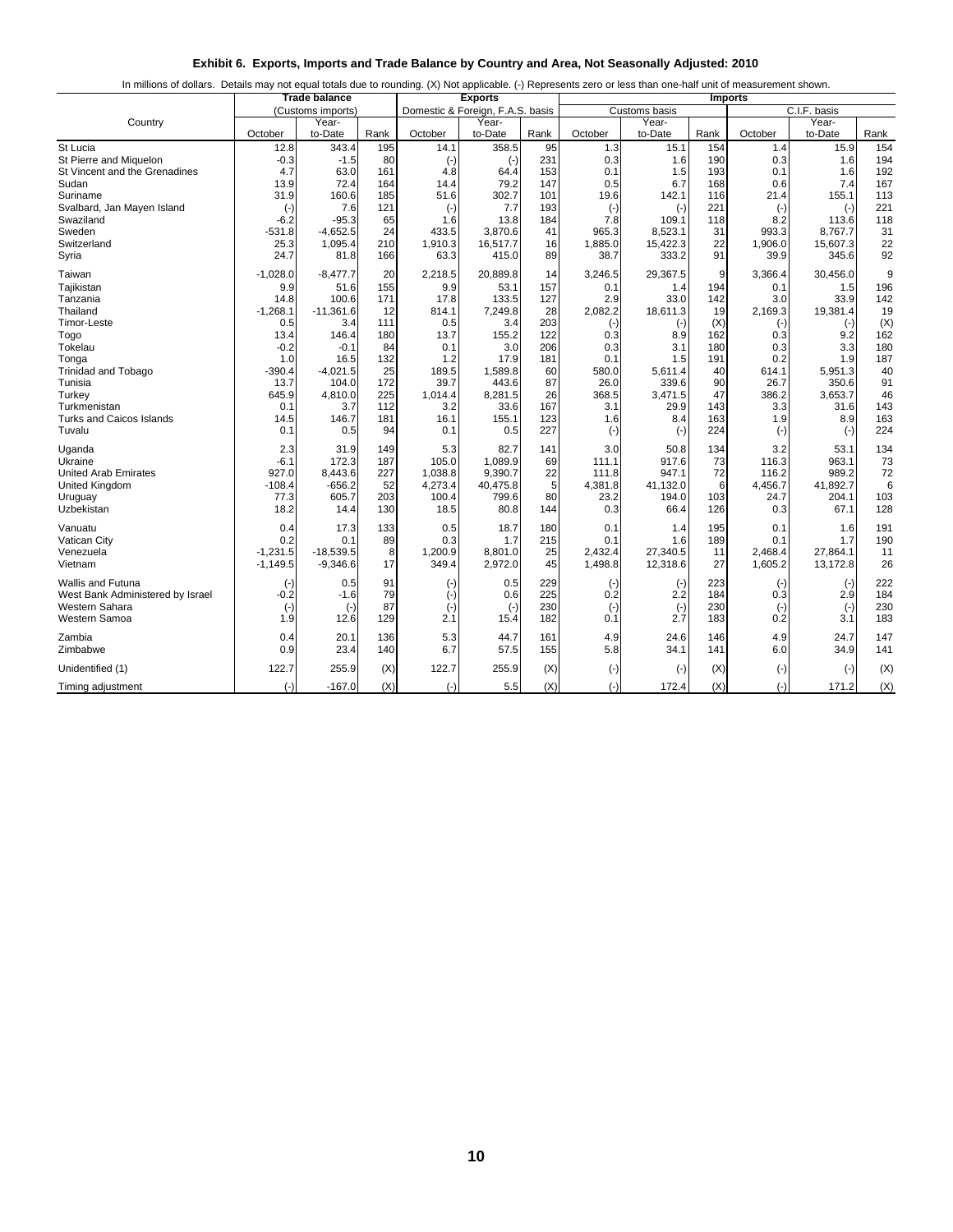| Exhibit 6. Exports, Imports and Trade Balance by Country and Area, Not Seasonally Adjusted: 2010 |  |  |  |
|--------------------------------------------------------------------------------------------------|--|--|--|
|--------------------------------------------------------------------------------------------------|--|--|--|

|  | In millions of dollars. Details may not equal totals due to rounding. (X) Not applicable. (-) Represents zero or less than one-half unit of measurement shown. |
|--|----------------------------------------------------------------------------------------------------------------------------------------------------------------|
|  |                                                                                                                                                                |

|                                         |                     | <b>Trade balance</b> |           |                    | <b>Exports</b>                   |            |                     |                   |              | <b>Imports</b>   |                   |            |
|-----------------------------------------|---------------------|----------------------|-----------|--------------------|----------------------------------|------------|---------------------|-------------------|--------------|------------------|-------------------|------------|
|                                         |                     | (Customs imports)    |           |                    | Domestic & Foreign, F.A.S. basis |            |                     | Customs basis     |              |                  | C.I.F. basis      |            |
| Country                                 |                     | Year-                |           |                    | Year-                            |            |                     | Year-             |              |                  | Year-             |            |
|                                         | October             | to-Date              | Rank      | October            | to-Date                          | Rank       | October             | to-Date           | Rank         | October          | to-Date           | Rank       |
| St Lucia                                | 12.8                | 343.4                | 195       | 14.1               | 358.5                            | 95         | 1.3                 | 15.1              | 154          | 1.4              | 15.9              | 154        |
| St Pierre and Miquelon                  | $-0.3$              | $-1.5$               | 80        | $(-)$              | $(-)$                            | 231        | 0.3                 | 1.6               | 190          | 0.3              | 1.6               | 194        |
| St Vincent and the Grenadines           | 4.7                 | 63.0                 | 161       | 4.8                | 64.4                             | 153        | 0.1                 | 1.5               | 193          | 0.1              | 1.6               | 192        |
| Sudan                                   | 13.9                | 72.4                 | 164       | 14.4               | 79.2                             | 147        | 0.5                 | 6.7               | 168          | 0.6              | 7.4               | 167        |
| Suriname                                | 31.9                | 160.6                | 185       | 51.6               | 302.7                            | 101        | 19.6                | 142.1             | 116<br>221   | 21.4             | 155.1             | 113<br>221 |
| Svalbard, Jan Mayen Island<br>Swaziland | $(\cdot)$<br>$-6.2$ | 7.6<br>$-95.3$       | 121<br>65 | $(-)$<br>1.6       | 7.7<br>13.8                      | 193<br>184 | $(\text{-})$<br>7.8 | $(-)$<br>109.1    | 118          | $(-)$<br>8.2     | $(-)$<br>113.6    | 118        |
| Sweden                                  | $-531.8$            | $-4,652.5$           | 24        | 433.5              | 3,870.6                          | 41         | 965.3               | 8,523.1           | 31           | 993.3            | 8,767.7           | 31         |
| Switzerland                             | 25.3                | 1,095.4              | 210       | 1,910.3            | 16,517.7                         | 16         | 1,885.0             | 15,422.3          | 22           | 1,906.0          | 15,607.3          | 22         |
| Syria                                   | 24.7                | 81.8                 | 166       | 63.3               | 415.0                            | 89         | 38.7                | 333.2             | 91           | 39.9             | 345.6             | 92         |
|                                         |                     |                      |           |                    |                                  |            |                     |                   |              |                  |                   |            |
| Taiwan                                  | $-1,028.0$          | $-8,477.7$           | 20        | 2,218.5            | 20,889.8                         | 14         | 3,246.5             | 29,367.5          | $\mathbf{Q}$ | 3,366.4          | 30,456.0          | 9          |
| Tajikistan                              | 9.9                 | 51.6                 | 155       | 9.9                | 53.1                             | 157        | 0.1                 | 1.4               | 194          | 0.1              | 1.5               | 196        |
| Tanzania                                | 14.8                | 100.6                | 171       | 17.8               | 133.5                            | 127        | 2.9                 | 33.0              | 142          | 3.0              | 33.9              | 142        |
| Thailand                                | $-1,268.1$          | $-11,361.6$          | 12        | 814.1              | 7,249.8                          | 28         | 2,082.2             | 18,611.3          | 19           | 2,169.3          | 19,381.4          | 19         |
| Timor-Leste                             | 0.5                 | 3.4                  | 111       | 0.5                | 3.4                              | 203        | $(-)$               | $(-)$             | (X)          | $(\cdot)$        | $(-)$             | (X)        |
| Togo                                    | 13.4                | 146.4                | 180<br>84 | 13.7               | 155.2                            | 122        | 0.3                 | 8.9               | 162<br>180   | 0.3<br>0.3       | 9.2<br>3.3        | 162        |
| Tokelau                                 | $-0.2$<br>1.0       | $-0.1$<br>16.5       | 132       | 0.1<br>1.2         | 3.0<br>17.9                      | 206<br>181 | 0.3<br>0.1          | 3.1<br>1.5        | 191          | 0.2              | 1.9               | 180<br>187 |
| Tonga<br><b>Trinidad and Tobago</b>     | $-390.4$            | $-4,021.5$           | 25        | 189.5              | 1,589.8                          | 60         | 580.0               | 5,611.4           | 40           | 614.1            | 5,951.3           | 40         |
| Tunisia                                 | 13.7                | 104.0                | 172       | 39.7               | 443.6                            | 87         | 26.0                | 339.6             | 90           | 26.7             | 350.6             | 91         |
| Turkey                                  | 645.9               | 4,810.0              | 225       | 1,014.4            | 8,281.5                          | 26         | 368.5               | 3,471.5           | 47           | 386.2            | 3,653.7           | 46         |
| Turkmenistan                            | 0.1                 | 3.7                  | 112       | 3.2                | 33.6                             | 167        | 3.1                 | 29.9              | 143          | 3.3              | 31.6              | 143        |
| <b>Turks and Caicos Islands</b>         | 14.5                | 146.7                | 181       | 16.1               | 155.1                            | 123        | 1.6                 | 8.4               | 163          | 1.9              | 8.9               | 163        |
| Tuvalu                                  | 0.1                 | 0.5                  | 94        | 0.1                | 0.5                              | 227        | $(\cdot)$           | $(-)$             | 224          | $(-)$            | $(-)$             | 224        |
|                                         |                     |                      |           |                    |                                  |            |                     |                   |              |                  |                   |            |
| Uganda                                  | 2.3                 | 31.9                 | 149       | 5.3                | 82.7                             | 141        | 3.0                 | 50.8              | 134          | 3.2              | 53.1              | 134        |
| Ukraine                                 | $-6.1$              | 172.3                | 187       | 105.0              | 1,089.9                          | 69         | 111.1               | 917.6             | 73           | 116.3            | 963.1             | 73         |
| United Arab Emirates<br>United Kingdom  | 927.0<br>$-108.4$   | 8,443.6<br>$-656.2$  | 227<br>52 | 1,038.8<br>4,273.4 | 9,390.7<br>40,475.8              | 22<br>5    | 111.8<br>4,381.8    | 947.1<br>41,132.0 | 72<br>6      | 116.2<br>4,456.7 | 989.2<br>41,892.7 | 72<br>6    |
| Uruguay                                 | 77.3                | 605.7                | 203       | 100.4              | 799.6                            | 80         | 23.2                | 194.0             | 103          | 24.7             | 204.1             | 103        |
| Uzbekistan                              | 18.2                | 14.4                 | 130       | 18.5               | 80.8                             | 144        | 0.3                 | 66.4              | 126          | 0.3              | 67.1              | 128        |
|                                         |                     |                      |           |                    |                                  |            |                     |                   |              |                  |                   |            |
| Vanuatu                                 | 0.4                 | 17.3                 | 133       | 0.5                | 18.7                             | 180        | 0.1                 | 1.4               | 195          | 0.1              | 1.6               | 191        |
| Vatican City                            | 0.2                 | 0.1                  | 89        | 0.3                | 1.7                              | 215        | 0.1                 | 1.6               | 189          | 0.1              | 1.7               | 190        |
| Venezuela                               | $-1,231.5$          | $-18,539.5$          | 8         | 1,200.9            | 8.801.0                          | 25         | 2,432.4             | 27,340.5          | 11           | 2,468.4          | 27,864.1          | 11         |
| Vietnam                                 | $-1,149.5$          | $-9,346.6$           | 17        | 349.4              | 2,972.0                          | 45         | 1,498.8             | 12,318.6          | 27           | 1,605.2          | 13,172.8          | 26         |
| <b>Wallis and Futuna</b>                | $(\cdot)$           | 0.5                  | 91        | $(-)$              | 0.5                              | 229        | $(\cdot)$           | $(-)$             | 223          | $(\cdot)$        | $(-)$             | 222        |
| West Bank Administered by Israel        | $-0.2$              | $-1.6$               | 79        | $(\cdot)$          | 0.6                              | 225        | 0.2                 | 2.2               | 184          | 0.3              | 2.9               | 184        |
| Western Sahara                          | $(\cdot)$           | $(\cdot)$            | 87        | $(\cdot)$          | $(\cdot)$                        | 230        | $(\cdot)$           | $(\cdot)$         | 230          | $(-)$            | $(-)$             | 230        |
| Western Samoa                           | 1.9                 | 12.6                 | 129       | 2.1                | 15.4                             | 182        | 0.1                 | 2.7               | 183          | 0.2              | 3.1               | 183        |
| Zambia                                  | 0.4                 | 20.1                 | 136       | 5.3                | 44.7                             | 161        | 4.9                 | 24.6              | 146          | 4.9              | 24.7              | 147        |
| Zimbabwe                                | 0.9                 | 23.4                 | 140       | 6.7                | 57.5                             | 155        | 5.8                 | 34.1              | 141          | 6.0              | 34.9              | 141        |
| Unidentified (1)                        | 122.7               | 255.9                | (X)       | 122.7              | 255.9                            | (X)        | $(-)$               | $(-)$             | (X)          | $(-)$            | $(-)$             | (X)        |
| Timing adjustment                       | $(-)$               | $-167.0$             | (X)       | $(-)$              | 5.5                              | (X)        | $(-)$               | 172.4             | (X)          | $(-)$            | 171.2             | (X)        |
|                                         |                     |                      |           |                    |                                  |            |                     |                   |              |                  |                   |            |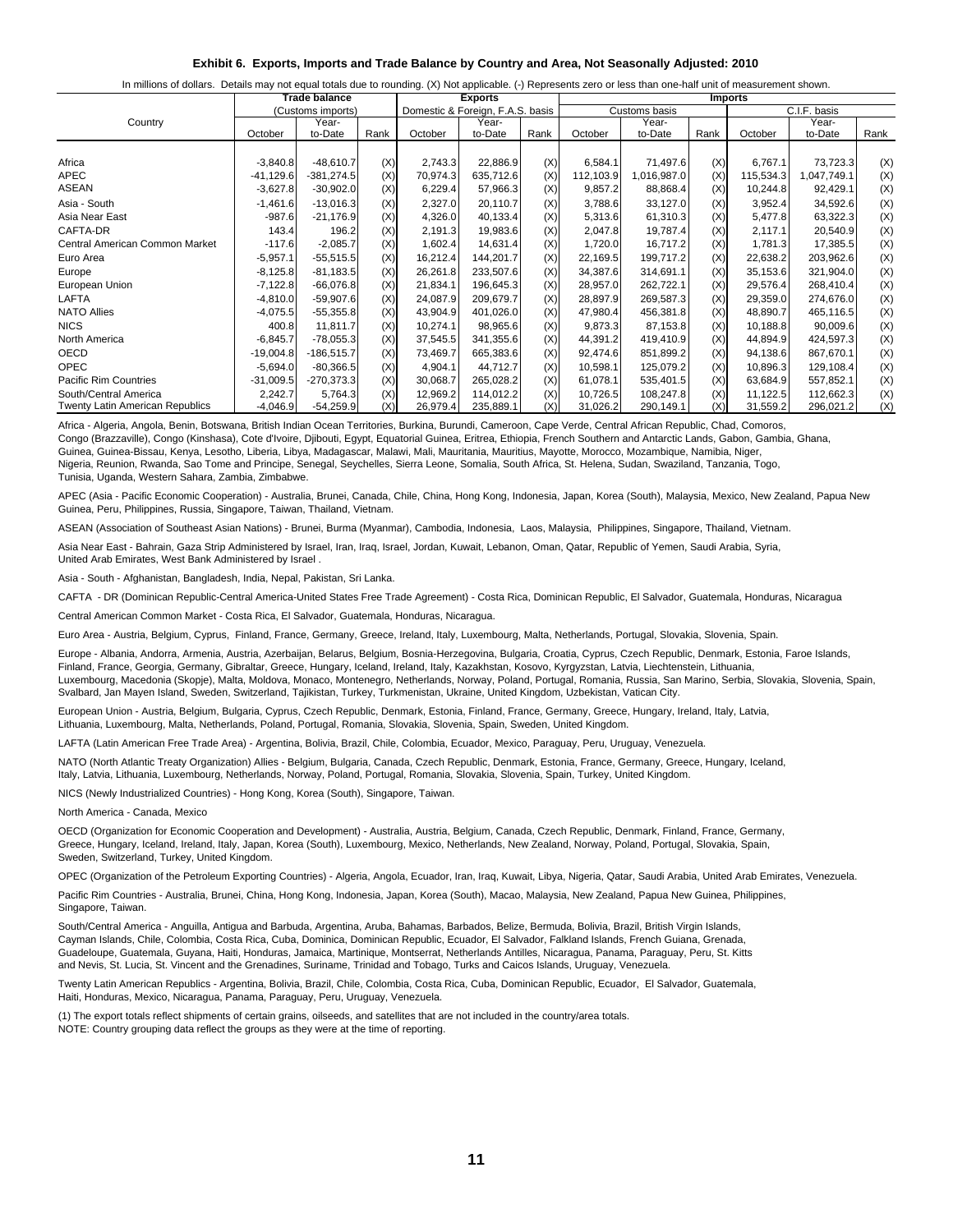| Exhibit 6. Exports, Imports and Trade Balance by Country and Area, Not Seasonally Adjusted: 2010 |  |  |  |  |  |  |  |
|--------------------------------------------------------------------------------------------------|--|--|--|--|--|--|--|
|--------------------------------------------------------------------------------------------------|--|--|--|--|--|--|--|

|  |  |  |  | In millions of dollars. Details may not equal totals due to rounding. (X) Not applicable. (-) Represents zero or less than one-half unit of measurement shown. |  |
|--|--|--|--|----------------------------------------------------------------------------------------------------------------------------------------------------------------|--|
|--|--|--|--|----------------------------------------------------------------------------------------------------------------------------------------------------------------|--|

|                                        | Trade balance |                   |      |          | <b>Exports</b>                   |      |           | <b>Imports</b> |      |           |              |      |
|----------------------------------------|---------------|-------------------|------|----------|----------------------------------|------|-----------|----------------|------|-----------|--------------|------|
|                                        |               | (Customs imports) |      |          | Domestic & Foreign, F.A.S. basis |      |           | Customs basis  |      |           | C.I.F. basis |      |
| Country                                |               | Year-             |      |          | Year-                            |      |           | Year-          |      |           | Year-        |      |
|                                        | October       | to-Date           | Rank | October  | to-Date                          | Rank | October   | to-Date        | Rank | October   | to-Date      | Rank |
|                                        |               |                   |      |          |                                  |      |           |                |      |           |              |      |
| Africa                                 | $-3,840.8$    | $-48,610.7$       | (X)  | 2,743.3  | 22,886.9                         | (X)  | 6,584.1   | 71,497.6       | (X)  | 6,767.1   | 73,723.3     | (X)  |
| APEC                                   | $-41,129.6$   | $-381,274.5$      | (X)  | 70,974.3 | 635,712.6                        | (X)  | 112,103.9 | 1,016,987.0    | (X)  | 115,534.3 | 1,047,749.1  | (X)  |
| ASEAN                                  | $-3,627.8$    | $-30,902.0$       | (X)  | 6,229.4  | 57,966.3                         | (X)  | 9,857.2   | 88,868.4       | (X)  | 10,244.8  | 92,429.1     | (X)  |
| Asia - South                           | $-1,461.6$    | $-13,016.3$       | (X)  | 2,327.0  | 20,110.7                         | (X)  | 3,788.6   | 33,127.0       | (X)  | 3,952.4   | 34,592.6     | (X)  |
| Asia Near East                         | $-987.6$      | $-21,176.9$       | (X)  | 4,326.0  | 40,133.4                         | (X)  | 5,313.6   | 61,310.3       | (X)  | 5,477.8   | 63,322.3     | (X)  |
| CAFTA-DR                               | 143.4         | 196.2             | (X)  | 2,191.3  | 19,983.6                         | (X)  | 2,047.8   | 19,787.4       | (X)  | 2,117.1   | 20,540.9     | (X)  |
| Central American Common Market         | $-117.6$      | $-2,085.7$        | (X)  | 1,602.4  | 14,631.4                         | (X)  | 1,720.0   | 16,717.2       | (X)  | 1,781.3   | 17,385.5     | (X)  |
| Euro Area                              | $-5,957.1$    | $-55,515.5$       | (X)  | 16,212.4 | 144,201.7                        | (X)  | 22,169.5  | 199,717.2      | (X)  | 22,638.2  | 203,962.6    | (X)  |
| Europe                                 | $-8,125.8$    | $-81,183.5$       | (X)  | 26,261.8 | 233,507.6                        | (X)  | 34,387.6  | 314,691.1      | (X)  | 35,153.6  | 321,904.0    | (X)  |
| European Union                         | $-7,122.8$    | $-66,076.8$       | (X)  | 21,834.1 | 196,645.3                        | (X)  | 28,957.0  | 262,722.1      | (X)  | 29,576.4  | 268,410.4    | (X)  |
| LAFTA                                  | $-4,810.0$    | $-59,907.6$       | (X)  | 24,087.9 | 209,679.7                        | (X)  | 28,897.9  | 269,587.3      | (X)  | 29,359.0  | 274,676.0    | (X)  |
| <b>NATO Allies</b>                     | $-4,075.5$    | $-55,355.8$       | (X)  | 43,904.9 | 401,026.0                        | (X)  | 47,980.4  | 456,381.8      | (X)  | 48,890.7  | 465,116.5    | (X)  |
| <b>NICS</b>                            | 400.8         | 11,811.7          | (X)  | 10,274.1 | 98,965.6                         | (X)  | 9,873.3   | 87,153.8       | (X)  | 10,188.8  | 90,009.6     | (X)  |
| North America                          | $-6,845.7$    | $-78,055.3$       | (X)  | 37,545.5 | 341,355.6                        | (X)  | 44,391.2  | 419,410.9      | (X)  | 44,894.9  | 424,597.3    | (X)  |
| <b>OECD</b>                            | $-19,004.8$   | $-186,515.7$      | (X)  | 73,469.7 | 665,383.6                        | (X)  | 92,474.6  | 851,899.2      | (X)  | 94,138.6  | 867,670.1    | (X)  |
| OPEC                                   | $-5,694.0$    | $-80,366.5$       | (X)  | 4,904.1  | 44,712.7                         | (X)  | 10,598.1  | 125,079.2      | (X)  | 10,896.3  | 129,108.4    | (X)  |
| <b>Pacific Rim Countries</b>           | $-31,009.5$   | $-270,373.3$      | (X)  | 30,068.7 | 265,028.2                        | (X)  | 61,078.1  | 535,401.5      | (X)  | 63,684.9  | 557,852.1    | (X)  |
| South/Central America                  | 2,242.7       | 5,764.3           | (X)  | 12,969.2 | 114,012.2                        | (X)  | 10,726.5  | 108,247.8      | (X)  | 11,122.5  | 112,662.3    | (X)  |
| <b>Twenty Latin American Republics</b> | $-4,046.9$    | $-54,259.9$       | (X)  | 26,979.4 | 235,889.1                        | (X)  | 31,026.2  | 290,149.1      | (X)  | 31,559.2  | 296,021.2    | (X)  |

Africa - Algeria, Angola, Benin, Botswana, British Indian Ocean Territories, Burkina, Burundi, Cameroon, Cape Verde, Central African Republic, Chad, Comoros,

Congo (Brazzaville), Congo (Kinshasa), Cote d'Ivoire, Djibouti, Egypt, Equatorial Guinea, Eritrea, Ethiopia, French Southern and Antarctic Lands, Gabon, Gambia, Ghana,

Guinea, Guinea-Bissau, Kenya, Lesotho, Liberia, Libya, Madagascar, Malawi, Mali, Mauritania, Mauritius, Mayotte, Morocco, Mozambique, Namibia, Niger, Nigeria, Reunion, Rwanda, Sao Tome and Principe, Senegal, Seychelles, Sierra Leone, Somalia, South Africa, St. Helena, Sudan, Swaziland, Tanzania, Togo, Tunisia, Uganda, Western Sahara, Zambia, Zimbabwe.

APEC (Asia - Pacific Economic Cooperation) - Australia, Brunei, Canada, Chile, China, Hong Kong, Indonesia, Japan, Korea (South), Malaysia, Mexico, New Zealand, Papua New Guinea, Peru, Philippines, Russia, Singapore, Taiwan, Thailand, Vietnam.

ASEAN (Association of Southeast Asian Nations) - Brunei, Burma (Myanmar), Cambodia, Indonesia, Laos, Malaysia, Philippines, Singapore, Thailand, Vietnam.

Asia Near East - Bahrain, Gaza Strip Administered by Israel, Iran, Iraq, Israel, Jordan, Kuwait, Lebanon, Oman, Qatar, Republic of Yemen, Saudi Arabia, Syria, United Arab Emirates, West Bank Administered by Israel .

Asia - South - Afghanistan, Bangladesh, India, Nepal, Pakistan, Sri Lanka.

CAFTA - DR (Dominican Republic-Central America-United States Free Trade Agreement) - Costa Rica, Dominican Republic, El Salvador, Guatemala, Honduras, Nicaragua

Central American Common Market - Costa Rica, El Salvador, Guatemala, Honduras, Nicaragua.

Euro Area - Austria, Belgium, Cyprus, Finland, France, Germany, Greece, Ireland, Italy, Luxembourg, Malta, Netherlands, Portugal, Slovakia, Slovenia, Spain.

Europe - Albania, Andorra, Armenia, Austria, Azerbaijan, Belarus, Belgium, Bosnia-Herzegovina, Bulgaria, Croatia, Cyprus, Czech Republic, Denmark, Estonia, Faroe Islands, Finland, France, Georgia, Germany, Gibraltar, Greece, Hungary, Iceland, Ireland, Italy, Kazakhstan, Kosovo, Kyrgyzstan, Latvia, Liechtenstein, Lithuania, Luxembourg, Macedonia (Skopje), Malta, Moldova, Monaco, Montenegro, Netherlands, Norway, Poland, Portugal, Romania, Russia, San Marino, Serbia, Slovakia, Slovenia, Spain, Svalbard, Jan Mayen Island, Sweden, Switzerland, Tajikistan, Turkey, Turkmenistan, Ukraine, United Kingdom, Uzbekistan, Vatican City.

European Union - Austria, Belgium, Bulgaria, Cyprus, Czech Republic, Denmark, Estonia, Finland, France, Germany, Greece, Hungary, Ireland, Italy, Latvia, Lithuania, Luxembourg, Malta, Netherlands, Poland, Portugal, Romania, Slovakia, Slovenia, Spain, Sweden, United Kingdom.

LAFTA (Latin American Free Trade Area) - Argentina, Bolivia, Brazil, Chile, Colombia, Ecuador, Mexico, Paraguay, Peru, Uruguay, Venezuela.

NATO (North Atlantic Treaty Organization) Allies - Belgium, Bulgaria, Canada, Czech Republic, Denmark, Estonia, France, Germany, Greece, Hungary, Iceland,

Italy, Latvia, Lithuania, Luxembourg, Netherlands, Norway, Poland, Portugal, Romania, Slovakia, Slovenia, Spain, Turkey, United Kingdom.

NICS (Newly Industrialized Countries) - Hong Kong, Korea (South), Singapore, Taiwan.

North America - Canada, Mexico

OECD (Organization for Economic Cooperation and Development) - Australia, Austria, Belgium, Canada, Czech Republic, Denmark, Finland, France, Germany, Greece, Hungary, Iceland, Ireland, Italy, Japan, Korea (South), Luxembourg, Mexico, Netherlands, New Zealand, Norway, Poland, Portugal, Slovakia, Spain, Sweden, Switzerland, Turkey, United Kingdom.

OPEC (Organization of the Petroleum Exporting Countries) - Algeria, Angola, Ecuador, Iran, Iraq, Kuwait, Libya, Nigeria, Qatar, Saudi Arabia, United Arab Emirates, Venezuela.

Pacific Rim Countries - Australia, Brunei, China, Hong Kong, Indonesia, Japan, Korea (South), Macao, Malaysia, New Zealand, Papua New Guinea, Philippines, Singapore, Taiwan.

South/Central America - Anguilla, Antigua and Barbuda, Argentina, Aruba, Bahamas, Barbados, Belize, Bermuda, Bolivia, Brazil, British Virgin Islands, Cayman Islands, Chile, Colombia, Costa Rica, Cuba, Dominica, Dominican Republic, Ecuador, El Salvador, Falkland Islands, French Guiana, Grenada, Guadeloupe, Guatemala, Guyana, Haiti, Honduras, Jamaica, Martinique, Montserrat, Netherlands Antilles, Nicaragua, Panama, Paraguay, Peru, St. Kitts and Nevis, St. Lucia, St. Vincent and the Grenadines, Suriname, Trinidad and Tobago, Turks and Caicos Islands, Uruguay, Venezuela.

Twenty Latin American Republics - Argentina, Bolivia, Brazil, Chile, Colombia, Costa Rica, Cuba, Dominican Republic, Ecuador, El Salvador, Guatemala, Haiti, Honduras, Mexico, Nicaragua, Panama, Paraguay, Peru, Uruguay, Venezuela.

(1) The export totals reflect shipments of certain grains, oilseeds, and satellites that are not included in the country/area totals. NOTE: Country grouping data reflect the groups as they were at the time of reporting.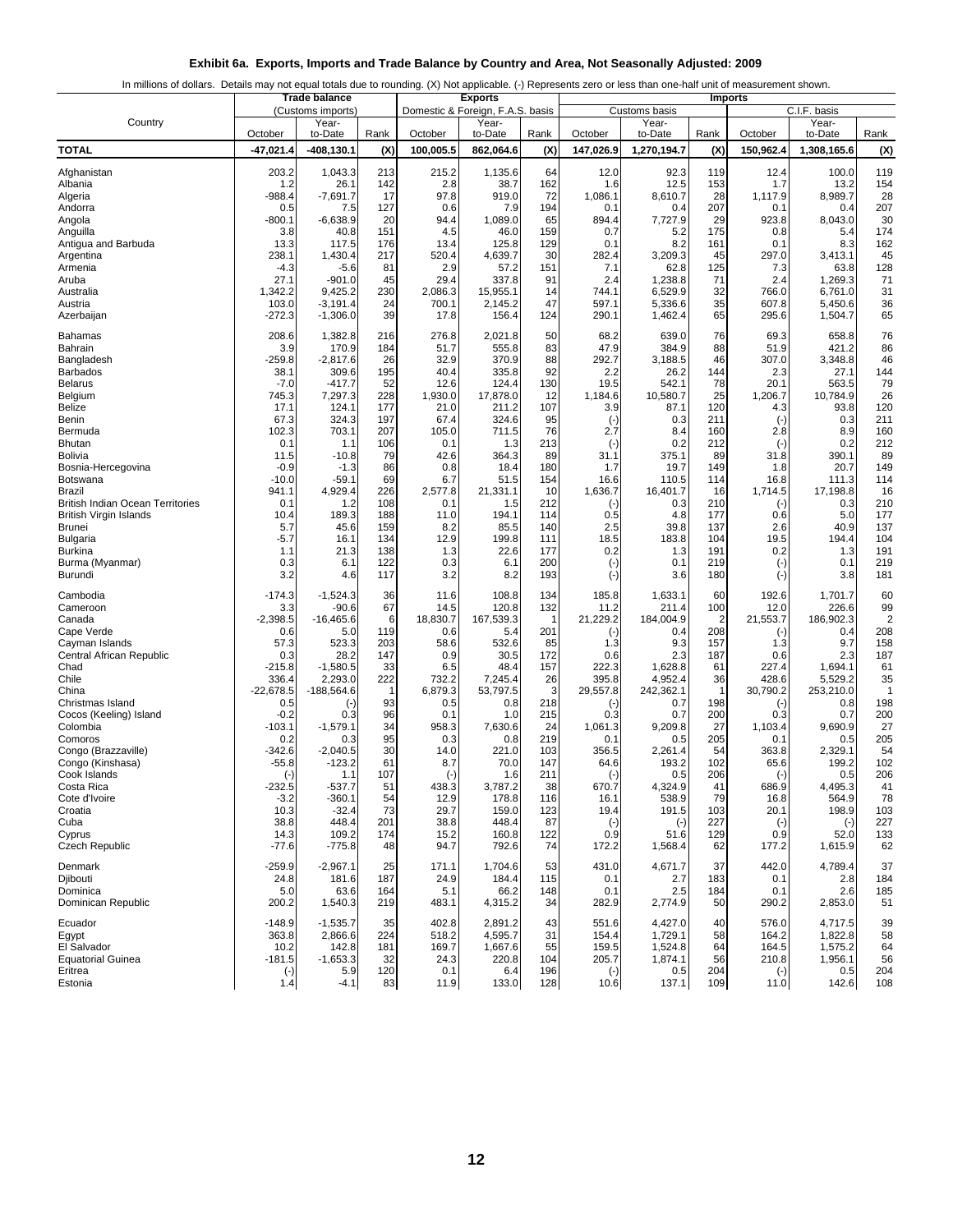| Exhibit 6a. Exports, Imports and Trade Balance by Country and Area, Not Seasonally Adjusted: 2009 |  |  |
|---------------------------------------------------------------------------------------------------|--|--|
|                                                                                                   |  |  |

|  |  | In millions of dollars. Details may not equal totals due to rounding. (X) Not applicable. (-) Represents zero or less than one-half unit of measurement shown. |  |
|--|--|----------------------------------------------------------------------------------------------------------------------------------------------------------------|--|

| <b>Trade balance</b>                                              |                       |                        |            |                  | <b>Exports</b>                   |                    |                   |                    |            | <b>Imports</b>            |                    |                |
|-------------------------------------------------------------------|-----------------------|------------------------|------------|------------------|----------------------------------|--------------------|-------------------|--------------------|------------|---------------------------|--------------------|----------------|
|                                                                   |                       | (Customs imports)      |            |                  | Domestic & Foreign, F.A.S. basis |                    |                   | Customs basis      |            |                           | C.I.F. basis       |                |
| Country                                                           | October               | Year-<br>to-Date       | Rank       | October          | Year-<br>to-Date                 | Rank               | October           | Year-<br>to-Date   | Rank       | October                   | Year-<br>to-Date   | Rank           |
| <b>TOTAL</b>                                                      | $-47,021.4$           | $-408, 130.1$          | (X)        | 100,005.5        | 862,064.6                        | (X)                | 147,026.9         | 1,270,194.7        | (X)        | 150,962.4                 | 1,308,165.6        | (X)            |
|                                                                   |                       |                        |            |                  |                                  |                    |                   |                    |            |                           |                    |                |
| Afghanistan                                                       | 203.2                 | 1,043.3                | 213        | 215.2            | 1.135.6                          | 64                 | 12.0              | 92.3               | 119        | 12.4                      | 100.0              | 119            |
| Albania<br>Algeria                                                | 1.2<br>-988.4         | 26.1<br>$-7,691.7$     | 142<br>17  | 2.8<br>97.8      | 38.7<br>919.0                    | 162<br>72          | 1.6<br>1,086.1    | 12.5<br>8,610.7    | 153<br>28  | 1.7<br>1,117.9            | 13.2<br>8,989.7    | 154<br>28      |
| Andorra                                                           | 0.5                   | 7.5                    | 127        | 0.6              | 7.9                              | 194                | 0.1               | 0.4                | 207        | 0.1                       | 0.4                | 207            |
| Angola                                                            | $-800.1$              | $-6,638.9$             | 20         | 94.4             | 1,089.0                          | 65                 | 894.4             | 7,727.9            | 29         | 923.8                     | 8,043.0            | 30             |
| Anguilla                                                          | 3.8                   | 40.8                   | 151        | 4.5              | 46.0                             | 159                | 0.7               | 5.2                | 175        | 0.8                       | 5.4                | 174            |
| Antigua and Barbuda<br>Argentina                                  | 13.3<br>238.1         | 117.5<br>1,430.4       | 176<br>217 | 13.4<br>520.4    | 125.8<br>4,639.7                 | 129<br>30          | 0.1<br>282.4      | 8.2<br>3,209.3     | 161<br>45  | 0.1<br>297.0              | 8.3<br>3,413.1     | 162<br>45      |
| Armenia                                                           | $-4.3$                | $-5.6$                 | 81         | 2.9              | 57.2                             | 151                | 7.1               | 62.8               | 125        | 7.3                       | 63.8               | 128            |
| Aruba                                                             | 27.1                  | $-901.0$               | 45         | 29.4             | 337.8                            | 91                 | 2.4               | 1,238.8            | 71         | 2.4                       | 1,269.3            | 71             |
| Australia<br>Austria                                              | 1,342.2<br>103.0      | 9,425.2<br>$-3,191.4$  | 230<br>24  | 2,086.3<br>700.1 | 15,955.1<br>2,145.2              | 14<br>47           | 744.1<br>597.1    | 6,529.9<br>5,336.6 | 32<br>35   | 766.0<br>607.8            | 6,761.0<br>5,450.6 | 31<br>36       |
| Azerbaijan                                                        | $-272.3$              | $-1,306.0$             | 39         | 17.8             | 156.4                            | 124                | 290.1             | 1,462.4            | 65         | 295.6                     | 1,504.7            | 65             |
|                                                                   |                       |                        |            |                  |                                  |                    |                   |                    |            |                           |                    |                |
| Bahamas<br>Bahrain                                                | 208.6<br>3.9          | 1,382.8<br>170.9       | 216<br>184 | 276.8<br>51.7    | 2,021.8<br>555.8                 | 50<br>83           | 68.2<br>47.9      | 639.0<br>384.9     | 76<br>88   | 69.3<br>51.9              | 658.8<br>421.2     | 76<br>86       |
| Bangladesh                                                        | -259.8                | $-2,817.6$             | 26         | 32.9             | 370.9                            | 88                 | 292.7             | 3,188.5            | 46         | 307.0                     | 3,348.8            | 46             |
| <b>Barbados</b>                                                   | 38.1                  | 309.6                  | 195        | 40.4             | 335.8                            | 92                 | 2.2               | 26.2               | 144        | 2.3                       | 27.1               | 144            |
| <b>Belarus</b>                                                    | $-7.0$                | $-417.7$               | 52         | 12.6             | 124.4                            | 130                | 19.5              | 542.1              | 78         | 20.1<br>1,206.7           | 563.5<br>10.784.9  | 79             |
| Belgium<br>Belize                                                 | 745.3<br>17.1         | 7,297.3<br>124.1       | 228<br>177 | 1,930.0<br>21.0  | 17,878.0<br>211.2                | 12<br>107          | 1,184.6<br>3.9    | 10,580.7<br>87.1   | 25<br>120  | 4.3                       | 93.8               | 26<br>120      |
| Benin                                                             | 67.3                  | 324.3                  | 197        | 67.4             | 324.6                            | 95                 | $(\cdot)$         | 0.3                | 211        | $(\cdot)$                 | 0.3                | 211            |
| Bermuda                                                           | 102.3                 | 703.1                  | 207        | 105.0            | 711.5                            | 76                 | 2.7               | 8.4                | 160        | 2.8                       | 8.9                | 160            |
| <b>Bhutan</b><br>Bolivia                                          | 0.1                   | 1.1<br>$-10.8$         | 106<br>79  | 0.1<br>42.6      | 1.3<br>364.3                     | 213<br>89          | $(\cdot)$<br>31.1 | 0.2<br>375.1       | 212<br>89  | $\left( -\right)$<br>31.8 | 0.2<br>390.1       | 212<br>89      |
| Bosnia-Hercegovina                                                | 11.5<br>$-0.9$        | $-1.3$                 | 86         | 0.8              | 18.4                             | 180                | 1.7               | 19.7               | 149        | 1.8                       | 20.7               | 149            |
| Botswana                                                          | $-10.0$               | $-59.1$                | 69         | 6.7              | 51.5                             | 154                | 16.6              | 110.5              | 114        | 16.8                      | 111.3              | 114            |
| Brazil                                                            | 941.1                 | 4,929.4                | 226        | 2.577.8          | 21.331.1                         | 10                 | 1,636.7           | 16,401.7           | 16         | 1,714.5                   | 17,198.8           | 16             |
| <b>British Indian Ocean Territories</b><br>British Virgin Islands | 0.1<br>10.4           | 1.2<br>189.3           | 108<br>188 | 0.1<br>11.0      | 1.5<br>194.1                     | 212<br>114         | $(\cdot)$<br>0.5  | 0.3<br>4.8         | 210<br>177 | $(\cdot)$<br>0.6          | 0.3<br>5.0         | 210<br>177     |
| <b>Brunei</b>                                                     | 5.7                   | 45.6                   | 159        | 8.2              | 85.5                             | 140                | 2.5               | 39.8               | 137        | 2.6                       | 40.9               | 137            |
| Bulgaria                                                          | $-5.7$                | 16.1                   | 134        | 12.9             | 199.8                            | 111                | 18.5              | 183.8              | 104        | 19.5                      | 194.4              | 104            |
| <b>Burkina</b>                                                    | 1.1                   | 21.3                   | 138        | 1.3              | 22.6                             | 177                | 0.2               | 1.3                | 191        | 0.2                       | 1.3                | 191            |
| Burma (Myanmar)<br>Burundi                                        | 0.3<br>3.2            | 6.1<br>4.6             | 122<br>117 | 0.3<br>3.2       | 6.1<br>8.2                       | 200<br>193         | $(\cdot)$         | 0.1<br>3.6         | 219<br>180 | $(\cdot)$<br>$(\cdot)$    | 0.1<br>3.8         | 219<br>181     |
|                                                                   |                       |                        |            |                  |                                  |                    | $(\cdot)$         |                    |            |                           |                    |                |
| Cambodia                                                          | $-174.3$              | $-1,524.3$             | 36         | 11.6             | 108.8                            | 134                | 185.8             | 1,633.1            | 60         | 192.6                     | 1,701.7            | 60             |
| Cameroon<br>Canada                                                | 3.3<br>$-2,398.5$     | $-90.6$<br>$-16,465.6$ | 67<br>6    | 14.5<br>18,830.7 | 120.8<br>167,539.3               | 132<br>$\mathbf 1$ | 11.2<br>21,229.2  | 211.4<br>184,004.9 | 100<br>2   | 12.0<br>21,553.7          | 226.6<br>186,902.3 | 99<br>2        |
| Cape Verde                                                        | 0.6                   | 5.0                    | 119        | 0.6              | 5.4                              | 201                | $(\cdot)$         | 0.4                | 208        | $(\cdot)$                 | 0.4                | 208            |
| Cayman Islands                                                    | 57.3                  | 523.3                  | 203        | 58.6             | 532.6                            | 85                 | 1.3               | 9.3                | 157        | 1.3                       | 9.7                | 158            |
| Central African Republic<br>Chad                                  | 0.3<br>$-215.8$       | 28.2<br>$-1,580.5$     | 147<br>33  | 0.9<br>6.5       | 30.5<br>48.4                     | 172<br>157         | 0.6<br>222.3      | 2.3<br>1,628.8     | 187<br>61  | 0.6<br>227.4              | 2.3<br>1,694.1     | 187<br>61      |
| Chile                                                             | 336.4                 | 2,293.0                | 222        | 732.2            | 7,245.4                          | 26                 | 395.8             | 4,952.4            | 36         | 428.6                     | 5,529.2            | 35             |
| China                                                             | $-22,678.5$           | $-188,564.6$           |            | 6,879.3          | 53,797.5                         | 3                  | 29,557.8          | 242,362.1          | -1         | 30,790.2                  | 253,210.0          | $\overline{1}$ |
| Christmas Island                                                  | 0.5                   | $(\cdot)$              | 93         | 0.5              | 0.8                              | 218                | $(-)$             | 0.7                | 198        | $(\cdot)$                 | 0.8                | 198            |
| Cocos (Keeling) Island<br>Colombia                                | $-0.2$<br>$-103.1$    | 0.3<br>$-1,579.1$      | 96<br>34   | 0.1<br>958.3     | 1.0<br>7,630.6                   | 215<br>24          | 0.3<br>1,061.3    | 0.7<br>9,209.8     | 200<br>27  | 0.3<br>1,103.4            | 0.7<br>9,690.9     | 200<br>27      |
| Comoros                                                           | 0.2                   | 0.3                    | 95         | 0.3              | 0.8                              | 219                | 0.1               | 0.5                | 205        | 0.1                       | 0.5                | 205            |
| Congo (Brazzaville)                                               | -342.6                | $-2,040.5$             | 30         | 14.0             | 221.0                            | 103                | 356.5             | 2,261.4            | 54         | 363.8                     | 2,329.1            | 54             |
| Congo (Kinshasa)<br>Cook Islands                                  | $-55.8$<br>$(\cdot)$  | $-123.2$<br>1.1        | 61<br>107  | 8.7<br>$(\cdot)$ | 70.0<br>1.6                      | 147<br>211         | 64.6<br>$(\cdot)$ | 193.2<br>0.5       | 102<br>206 | 65.6                      | 199.2<br>0.5       | 102<br>206     |
| Costa Rica                                                        | $-232.5$              | $-537.7$               | 51         | 438.3            | 3,787.2                          | 38                 | 670.7             | 4,324.9            | 41         | $(\cdot)$<br>686.9        | 4,495.3            | 41             |
| Cote d'Ivoire                                                     | $-3.2$                | $-360.1$               | 54         | 12.9             | 178.8                            | 116                | 16.1              | 538.9              | 79         | 16.8                      | 564.9              | 78             |
| Croatia                                                           | 10.3                  | $-32.4$                | 73         | 29.7             | 159.0                            | 123                | 19.4              | 191.5              | 103        | 20.1                      | 198.9              | 103            |
| Cuba<br>Cyprus                                                    | 38.8<br>14.3          | 448.4<br>109.2         | 201<br>174 | 38.8<br>15.2     | 448.4<br>160.8                   | 87<br>122          | $(\cdot)$<br>0.9  | $(-)$<br>51.6      | 227<br>129 | $(\cdot)$<br>0.9          | $(\cdot)$<br>52.0  | 227<br>133     |
| Czech Republic                                                    | $-77.6$               | $-775.8$               | 48         | 94.7             | 792.6                            | 74                 | 172.2             | 1,568.4            | 62         | 177.2                     | 1,615.9            | 62             |
| Denmark                                                           |                       | $-2,967.1$             |            |                  |                                  |                    |                   |                    | 37         |                           |                    | 37             |
| <b>Diibouti</b>                                                   | $-259.9$<br>24.8      | 181.6                  | 25<br>187  | 171.1<br>24.9    | 1,704.6<br>184.4                 | 53<br>115          | 431.0<br>0.1      | 4,671.7<br>2.7     | 183        | 442.0<br>0.1              | 4,789.4<br>2.8     | 184            |
| Dominica                                                          | 5.0                   | 63.6                   | 164        | 5.1              | 66.2                             | 148                | 0.1               | 2.5                | 184        | 0.1                       | 2.6                | 185            |
| Dominican Republic                                                | 200.2                 | 1,540.3                | 219        | 483.1            | 4,315.2                          | 34                 | 282.9             | 2,774.9            | 50         | 290.2                     | 2,853.0            | 51             |
| Ecuador                                                           | $-148.9$              | $-1,535.7$             | 35         | 402.8            | 2,891.2                          | 43                 | 551.6             | 4,427.0            | 40         | 576.0                     | 4,717.5            | 39             |
| Egypt                                                             | 363.8                 | 2,866.6                | 224        | 518.2            | 4,595.7                          | 31                 | 154.4             | 1,729.1            | 58         | 164.2                     | 1,822.8            | 58             |
| El Salvador                                                       | 10.2                  | 142.8                  | 181        | 169.7            | 1,667.6                          | 55                 | 159.5             | 1,524.8            | 64         | 164.5                     | 1,575.2            | 64             |
| <b>Equatorial Guinea</b><br>Eritrea                               | $-181.5$<br>$(\cdot)$ | $-1,653.3$<br>5.9      | 32<br>120  | 24.3<br>0.1      | 220.8<br>6.4                     | 104<br>196         | 205.7<br>$(-)$    | 1,874.1<br>0.5     | 56<br>204  | 210.8<br>$(\cdot)$        | 1,956.1<br>0.5     | 56<br>204      |
| Estonia                                                           | 1.4                   | $-4.1$                 | 83         | 11.9             | 133.0                            | 128                | 10.6              | 137.1              | 109        | 11.0                      | 142.6              | 108            |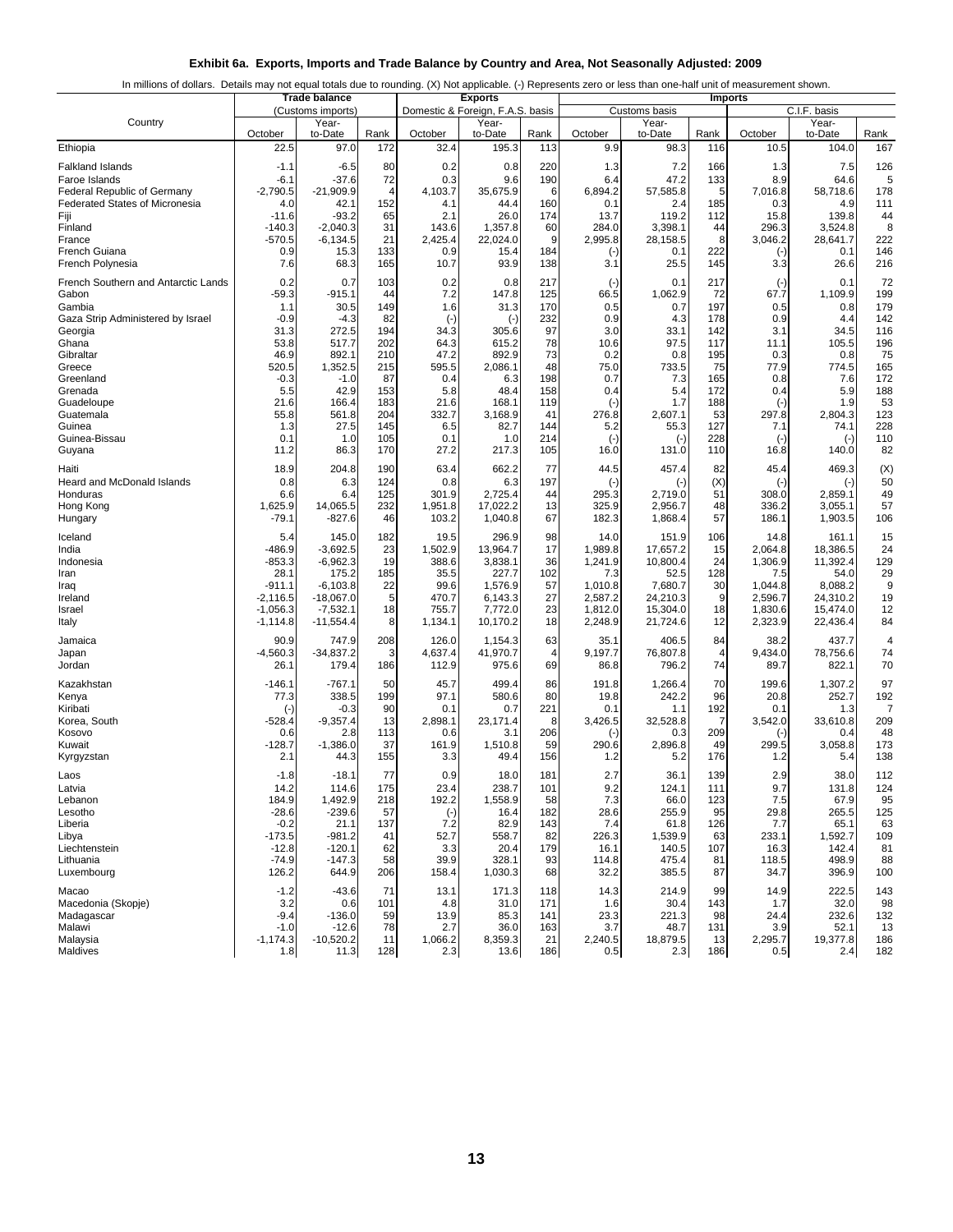|  |  | Exhibit 6a. Exports, Imports and Trade Balance by Country and Area, Not Seasonally Adjusted: 2009 |
|--|--|---------------------------------------------------------------------------------------------------|
|  |  |                                                                                                   |

|  |  | In millions of dollars. Details may not equal totals due to rounding. (X) Not applicable. (-) Represents zero or less than one-half unit of measurement shown. |
|--|--|----------------------------------------------------------------------------------------------------------------------------------------------------------------|
|  |  |                                                                                                                                                                |
|  |  |                                                                                                                                                                |

| Domestic & Foreign, F.A.S. basis<br>C.I.F. basis<br>(Customs imports)<br>Customs basis<br>Country<br>Year-<br>Year-<br>Year-<br>Year-<br>to-Date<br>Rank<br>to-Date<br>to-Date<br>October<br>October<br>to-Date<br>Rank<br>October<br>Rank<br>October<br>Rank<br>167<br>22.5<br>97.0<br>172<br>32.4<br>195.3<br>113<br>9.9<br>98.3<br>10.5<br>104.0<br>Ethiopia<br>116<br>80<br>0.2<br>220<br>7.2<br>126<br><b>Falkland Islands</b><br>$-1.1$<br>$-6.5$<br>0.8<br>1.3<br>166<br>1.3<br>7.5<br>$-6.1$<br>$-37.6$<br>72<br>0.3<br>9.6<br>190<br>47.2<br>133<br>8.9<br>64.6<br>5<br>Faroe Islands<br>6.4<br><b>Federal Republic of Germany</b><br>$-2,790.5$<br>$-21,909.9$<br>4<br>4,103.7<br>35,675.9<br>6<br>6.894.2<br>57,585.8<br>5<br>7,016.8<br>58,718.6<br>178<br>160<br>111<br><b>Federated States of Micronesia</b><br>4.0<br>42.1<br>152<br>4.1<br>44.4<br>0.1<br>2.4<br>185<br>0.3<br>4.9<br>Fiji<br>$-11.6$<br>-93.2<br>65<br>2.1<br>26.0<br>174<br>13.7<br>119.2<br>112<br>15.8<br>139.8<br>44<br>$-140.3$<br>$-2,040.3$<br>284.0<br>3,398.1<br>8<br>Finland<br>31<br>143.6<br>1,357.8<br>60<br>44<br>296.3<br>3,524.8<br>$-570.5$<br>$-6, 134.5$<br>21<br>2,425.4<br>22,024.0<br>2,995.8<br>222<br>France<br>9<br>28,158.5<br>8<br>3,046.2<br>28,641.7<br>0.9<br>184<br>222<br>146<br><b>French Guiana</b><br>15.3<br>133<br>0.9<br>15.4<br>0.1<br>0.1<br>$(\cdot)$<br>$(\cdot)$<br>French Polynesia<br>68.3<br>165<br>10.7<br>93.9<br>138<br>3.1<br>25.5<br>145<br>26.6<br>216<br>7.6<br>3.3<br>French Southern and Antarctic Lands<br>0.7<br>103<br>0.2<br>0.8<br>217<br>217<br>0.1<br>72<br>0.2<br>0.1<br>$(\cdot)$<br>$(\cdot)$<br>7.2<br>199<br>Gabon<br>-59.3<br>-915.1<br>44<br>147.8<br>125<br>66.5<br>1,062.9<br>72<br>67.7<br>1,109.9<br>Gambia<br>30.5<br>149<br>1.6<br>170<br>0.5<br>197<br>0.5<br>0.8<br>179<br>31.3<br>0.7<br>1.1<br>$-4.3$<br>82<br>232<br>0.9<br>4.3<br>178<br>142<br>Gaza Strip Administered by Israel<br>$-0.9$<br>$(\cdot)$<br>0.9<br>4.4<br>$(\cdot)$<br>97<br>194<br>3.0<br>34.5<br>116<br>Georgia<br>31.3<br>272.5<br>34.3<br>305.6<br>33.1<br>142<br>3.1<br>517.7<br>202<br>64.3<br>78<br>97.5<br>196<br>Ghana<br>53.8<br>615.2<br>10.6<br>117<br>105.5<br>11.1<br>73<br>75<br>Gibraltar<br>46.9<br>892.1<br>210<br>47.2<br>892.9<br>0.2<br>0.8<br>195<br>0.3<br>0.8<br>520.5<br>595.5<br>48<br>75.0<br>165<br>Greece<br>1,352.5<br>215<br>2,086.1<br>733.5<br>75<br>77.9<br>774.5<br>198<br>7.6<br>Greenland<br>$-0.3$<br>$-1.0$<br>87<br>0.4<br>6.3<br>0.7<br>7.3<br>165<br>0.8<br>172<br>42.9<br>188<br>Grenada<br>5.5<br>153<br>5.8<br>48.4<br>158<br>0.4<br>5.4<br>172<br>0.4<br>5.9<br>183<br>168.1<br>119<br>1.7<br>188<br>1.9<br>53<br>Guadeloupe<br>21.6<br>166.4<br>21.6<br>←<br>$\left( -\right)$<br>55.8<br>561.8<br>204<br>332.7<br>41<br>276.8<br>53<br>297.8<br>2,804.3<br>123<br>Guatemala<br>3,168.9<br>2,607.1<br>228<br>27.5<br>145<br>6.5<br>55.3<br>127<br>Guinea<br>1.3<br>82.7<br>144<br>74.1<br>5.2<br>7.1<br>228<br>110<br>Guinea-Bissau<br>0.1<br>105<br>0.1<br>214<br>1.0<br>1.0<br>$(-)$<br>$(\cdot)$<br>$(-)$<br>$(-)$<br>27.2<br>82<br>Guyana<br>11.2<br>86.3<br>170<br>217.3<br>105<br>16.0<br>131.0<br>110<br>16.8<br>140.0<br>662.2<br>77<br>45.4<br>469.3<br>(X)<br>Haiti<br>18.9<br>204.8<br>190<br>63.4<br>44.5<br>457.4<br>82<br>0.8<br>6.3<br>124<br>0.8<br>6.3<br>197<br>(X)<br>$(-)$<br>50<br>Heard and McDonald Islands<br>$(-)$<br>$(\cdot)$<br>$(\cdot)$<br>301.9<br>295.3<br>51<br>308.0<br>49<br>Honduras<br>6.6<br>6.4<br>125<br>2,725.4<br>44<br>2,859.1<br>2,719.0<br>232<br>14,065.5<br>1,951.8<br>17,022.2<br>13<br>325.9<br>2,956.7<br>48<br>57<br>Hong Kong<br>1,625.9<br>336.2<br>3,055.1<br>67<br>57<br>106<br>$-79.1$<br>-827.6<br>46<br>103.2<br>1,040.8<br>182.3<br>1,868.4<br>186.1<br>1,903.5<br>Hungary<br>Iceland<br>5.4<br>145.0<br>182<br>19.5<br>296.9<br>98<br>14.0<br>151.9<br>106<br>14.8<br>161.1<br>15<br>$-486.9$<br>$-3,692.5$<br>23<br>1,502.9<br>13,964.7<br>17<br>1,989.8<br>17,657.2<br>24<br>India<br>15<br>2,064.8<br>18,386.5<br>$-853.3$<br>$-6,962.3$<br>19<br>36<br>1,241.9<br>10,800.4<br>24<br>1,306.9<br>11,392.4<br>129<br>388.6<br>3,838.1<br>Indonesia<br>102<br>128<br>29<br>28.1<br>175.2<br>185<br>35.5<br>227.7<br>7.3<br>52.5<br>54.0<br>Iran<br>7.5<br>22<br>99.6<br>57<br>7,680.7<br>9<br>-911.1<br>$-6,103.8$<br>1,576.9<br>1,010.8<br>30<br>1,044.8<br>8,088.2<br>Iraq<br>27<br>19<br>Ireland<br>$-2,116.5$<br>$-18,067.0$<br>5<br>470.7<br>6,143.3<br>2,587.2<br>24,210.3<br>9<br>2,596.7<br>24,310.2<br>23<br>$-1,056.3$<br>$-7,532.1$<br>18<br>755.7<br>7,772.0<br>1,812.0<br>15,304.0<br>18<br>1,830.6<br>15,474.0<br>12<br>Israel<br>2,323.9<br>$-1,114.8$<br>$-11,554.4$<br>8<br>1,134.1<br>10,170.2<br>18<br>2,248.9<br>21,724.6<br>12<br>22,436.4<br>84<br>Italy<br>90.9<br>747.9<br>126.0<br>406.5<br>84<br>437.7<br>Jamaica<br>208<br>1,154.3<br>63<br>35.1<br>38.2<br>4<br>$-34,837.2$<br>41,970.7<br>74<br>$-4,560.3$<br>3<br>4,637.4<br>9,197.7<br>76,807.8<br>9,434.0<br>78,756.6<br>Japan<br>4<br>4<br>74<br>69<br>70<br>Jordan<br>26.1<br>179.4<br>186<br>112.9<br>975.6<br>86.8<br>796.2<br>89.7<br>822.1<br>$-767.1$<br>45.7<br>499.4<br>70<br>1,307.2<br>97<br>Kazakhstan<br>$-146.1$<br>50<br>86<br>191.8<br>1,266.4<br>199.6<br>77.3<br>338.5<br>199<br>97.1<br>580.6<br>80<br>19.8<br>242.2<br>96<br>20.8<br>252.7<br>192<br>Kenya<br>90<br>221<br>192<br>Kiribati<br>$-0.3$<br>0.1<br>0.7<br>0.1<br>1.1<br>0.1<br>7<br>1.3<br>$(\cdot)$<br>13<br>$-9,357.4$<br>2,898.1<br>3,426.5<br>32,528.8<br>$\overline{7}$<br>3,542.0<br>33,610.8<br>209<br>Korea, South<br>-528.4<br>23,171.4<br>8<br>206<br>209<br>48<br>Kosovo<br>113<br>0.6<br>0.6<br>2.8<br>3.1<br>0.3<br>0.4<br>$(\cdot)$<br>$(-)$<br>37<br>173<br>Kuwait<br>$-128.7$<br>$-1,386.0$<br>161.9<br>1,510.8<br>59<br>290.6<br>2,896.8<br>49<br>299.5<br>3,058.8<br>138<br>44.3<br>155<br>49.4<br>156<br>176<br>Kyrgyzstan<br>2.1<br>3.3<br>1.2<br>5.2<br>1.2<br>5.4<br>77<br>0.9<br>181<br>36.1<br>139<br>38.0<br>112<br>$-1.8$<br>$-18.1$<br>18.0<br>2.7<br>2.9<br>Laos<br>175<br>23.4<br>238.7<br>9.2<br>9.7<br>14.2<br>114.6<br>101<br>124.1<br>131.8<br>124<br>111<br>Latvia<br>7.3<br>7.5<br>95<br>184.9<br>1,492.9<br>218<br>192.2<br>1,558.9<br>58<br>66.0<br>123<br>67.9<br>Lebanon<br>$-239.6$<br>Lesotho<br>$-28.6$<br>57<br>182<br>28.6<br>255.9<br>95<br>29.8<br>265.5<br>125<br>$(\cdot)$<br>16.4<br>7.2<br>143<br>7.4<br>Liberia<br>$-0.2$<br>21.1<br>137<br>82.9<br>61.8<br>126<br>7.7<br>65.1<br>63<br>$-981.2$<br>-173.5<br>41<br>52.7<br>558.7<br>82<br>226.3<br>1,539.9<br>63<br>233.1<br>1,592.7<br>109<br>Libya<br>Liechtenstein<br>$-12.8$<br>$-120.1$<br>62<br>3.3<br>20.4<br>179<br>16.1<br>140.5<br>107<br>16.3<br>142.4<br>81<br>$-147.3$<br>39.9<br>328.1<br>498.9<br>$-74.9$<br>58<br>93<br>114.8<br>475.4<br>81<br>118.5<br>88<br>Lithuania<br>126.2<br>396.9<br>Luxembourg<br>644.9<br>206<br>158.4<br>1,030.3<br>68<br>32.2<br>385.5<br>87<br>34.7<br>100<br>$-43.6$<br>214.9<br>222.5<br>143<br>71<br>13.1<br>171.3<br>118<br>14.3<br>99<br>14.9<br>Macao<br>-1.2<br>101<br>30.4<br>143<br>32.0<br>98<br>Macedonia (Skopje)<br>3.2<br>0.6<br>4.8<br>31.0<br>171<br>1.6<br>1.7<br>232.6<br>Madagascar<br>$-9.4$<br>$-136.0$<br>59<br>13.9<br>85.3<br>141<br>23.3<br>221.3<br>98<br>24.4<br>132<br>36.0<br>3.7<br>Malawi<br>$-1.0$<br>$-12.6$<br>78<br>2.7<br>163<br>48.7<br>131<br>3.9<br>52.1<br>13<br>$-10,520.2$<br>8,359.3<br>21<br>19,377.8<br>Malaysia<br>$-1,174.3$<br>11<br>1,066.2<br>2,240.5<br>18,879.5<br>13<br>2,295.7<br>186<br>Maldives<br>11.3<br>186<br>2.4<br>182<br>1.8<br>128<br>2.3<br>13.6<br>0.5<br>186<br>0.5<br>2.3 | <b>Trade balance</b> |  |  | <b>Exports</b> | <b>Imports</b> |  |  |  |  |  |
|--------------------------------------------------------------------------------------------------------------------------------------------------------------------------------------------------------------------------------------------------------------------------------------------------------------------------------------------------------------------------------------------------------------------------------------------------------------------------------------------------------------------------------------------------------------------------------------------------------------------------------------------------------------------------------------------------------------------------------------------------------------------------------------------------------------------------------------------------------------------------------------------------------------------------------------------------------------------------------------------------------------------------------------------------------------------------------------------------------------------------------------------------------------------------------------------------------------------------------------------------------------------------------------------------------------------------------------------------------------------------------------------------------------------------------------------------------------------------------------------------------------------------------------------------------------------------------------------------------------------------------------------------------------------------------------------------------------------------------------------------------------------------------------------------------------------------------------------------------------------------------------------------------------------------------------------------------------------------------------------------------------------------------------------------------------------------------------------------------------------------------------------------------------------------------------------------------------------------------------------------------------------------------------------------------------------------------------------------------------------------------------------------------------------------------------------------------------------------------------------------------------------------------------------------------------------------------------------------------------------------------------------------------------------------------------------------------------------------------------------------------------------------------------------------------------------------------------------------------------------------------------------------------------------------------------------------------------------------------------------------------------------------------------------------------------------------------------------------------------------------------------------------------------------------------------------------------------------------------------------------------------------------------------------------------------------------------------------------------------------------------------------------------------------------------------------------------------------------------------------------------------------------------------------------------------------------------------------------------------------------------------------------------------------------------------------------------------------------------------------------------------------------------------------------------------------------------------------------------------------------------------------------------------------------------------------------------------------------------------------------------------------------------------------------------------------------------------------------------------------------------------------------------------------------------------------------------------------------------------------------------------------------------------------------------------------------------------------------------------------------------------------------------------------------------------------------------------------------------------------------------------------------------------------------------------------------------------------------------------------------------------------------------------------------------------------------------------------------------------------------------------------------------------------------------------------------------------------------------------------------------------------------------------------------------------------------------------------------------------------------------------------------------------------------------------------------------------------------------------------------------------------------------------------------------------------------------------------------------------------------------------------------------------------------------------------------------------------------------------------------------------------------------------------------------------------------------------------------------------------------------------------------------------------------------------------------------------------------------------------------------------------------------------------------------------------------------------------------------------------------------------------------------------------------------------------------------------------------------------------------------------------------------------------------------------------------------------------------------------------------------------------------------------------------------------------------------------------------------------------------------------------------------------------------------------------------------------------------------------------------------------------------------------------------------------------------------------------------------------------------------------------------------------------------------------------------------------------------------------------------------------------------------------------------------------------------------------------------------------------------------------------------------------------------------------------------------------------------------------------------------------------------------------------------------------------------------------------------------------------------------------------------------------------------------------------------------------------------------------------------------------------------------------------------------------------------------------------------------------------------------------------------------------------------------------------------------------------------------------------------------------------------------------------------------------------------------------------------------------------------------------------------------------------------------------------------------------------------------------------------------------------------------------------------------------------------------------------------------------------------------------------------------------------------------------------------------------|----------------------|--|--|----------------|----------------|--|--|--|--|--|
|                                                                                                                                                                                                                                                                                                                                                                                                                                                                                                                                                                                                                                                                                                                                                                                                                                                                                                                                                                                                                                                                                                                                                                                                                                                                                                                                                                                                                                                                                                                                                                                                                                                                                                                                                                                                                                                                                                                                                                                                                                                                                                                                                                                                                                                                                                                                                                                                                                                                                                                                                                                                                                                                                                                                                                                                                                                                                                                                                                                                                                                                                                                                                                                                                                                                                                                                                                                                                                                                                                                                                                                                                                                                                                                                                                                                                                                                                                                                                                                                                                                                                                                                                                                                                                                                                                                                                                                                                                                                                                                                                                                                                                                                                                                                                                                                                                                                                                                                                                                                                                                                                                                                                                                                                                                                                                                                                                                                                                                                                                                                                                                                                                                                                                                                                                                                                                                                                                                                                                                                                                                                                                                                                                                                                                                                                                                                                                                                                                                                                                                                                                                                                                                                                                                                                                                                                                                                                                                                                                                                                                                                                                                                                                                                                                                                                                                                                                                                                                                                                                                                                                                                                                                                                                              |                      |  |  |                |                |  |  |  |  |  |
|                                                                                                                                                                                                                                                                                                                                                                                                                                                                                                                                                                                                                                                                                                                                                                                                                                                                                                                                                                                                                                                                                                                                                                                                                                                                                                                                                                                                                                                                                                                                                                                                                                                                                                                                                                                                                                                                                                                                                                                                                                                                                                                                                                                                                                                                                                                                                                                                                                                                                                                                                                                                                                                                                                                                                                                                                                                                                                                                                                                                                                                                                                                                                                                                                                                                                                                                                                                                                                                                                                                                                                                                                                                                                                                                                                                                                                                                                                                                                                                                                                                                                                                                                                                                                                                                                                                                                                                                                                                                                                                                                                                                                                                                                                                                                                                                                                                                                                                                                                                                                                                                                                                                                                                                                                                                                                                                                                                                                                                                                                                                                                                                                                                                                                                                                                                                                                                                                                                                                                                                                                                                                                                                                                                                                                                                                                                                                                                                                                                                                                                                                                                                                                                                                                                                                                                                                                                                                                                                                                                                                                                                                                                                                                                                                                                                                                                                                                                                                                                                                                                                                                                                                                                                                                              |                      |  |  |                |                |  |  |  |  |  |
|                                                                                                                                                                                                                                                                                                                                                                                                                                                                                                                                                                                                                                                                                                                                                                                                                                                                                                                                                                                                                                                                                                                                                                                                                                                                                                                                                                                                                                                                                                                                                                                                                                                                                                                                                                                                                                                                                                                                                                                                                                                                                                                                                                                                                                                                                                                                                                                                                                                                                                                                                                                                                                                                                                                                                                                                                                                                                                                                                                                                                                                                                                                                                                                                                                                                                                                                                                                                                                                                                                                                                                                                                                                                                                                                                                                                                                                                                                                                                                                                                                                                                                                                                                                                                                                                                                                                                                                                                                                                                                                                                                                                                                                                                                                                                                                                                                                                                                                                                                                                                                                                                                                                                                                                                                                                                                                                                                                                                                                                                                                                                                                                                                                                                                                                                                                                                                                                                                                                                                                                                                                                                                                                                                                                                                                                                                                                                                                                                                                                                                                                                                                                                                                                                                                                                                                                                                                                                                                                                                                                                                                                                                                                                                                                                                                                                                                                                                                                                                                                                                                                                                                                                                                                                                              |                      |  |  |                |                |  |  |  |  |  |
|                                                                                                                                                                                                                                                                                                                                                                                                                                                                                                                                                                                                                                                                                                                                                                                                                                                                                                                                                                                                                                                                                                                                                                                                                                                                                                                                                                                                                                                                                                                                                                                                                                                                                                                                                                                                                                                                                                                                                                                                                                                                                                                                                                                                                                                                                                                                                                                                                                                                                                                                                                                                                                                                                                                                                                                                                                                                                                                                                                                                                                                                                                                                                                                                                                                                                                                                                                                                                                                                                                                                                                                                                                                                                                                                                                                                                                                                                                                                                                                                                                                                                                                                                                                                                                                                                                                                                                                                                                                                                                                                                                                                                                                                                                                                                                                                                                                                                                                                                                                                                                                                                                                                                                                                                                                                                                                                                                                                                                                                                                                                                                                                                                                                                                                                                                                                                                                                                                                                                                                                                                                                                                                                                                                                                                                                                                                                                                                                                                                                                                                                                                                                                                                                                                                                                                                                                                                                                                                                                                                                                                                                                                                                                                                                                                                                                                                                                                                                                                                                                                                                                                                                                                                                                                              |                      |  |  |                |                |  |  |  |  |  |
|                                                                                                                                                                                                                                                                                                                                                                                                                                                                                                                                                                                                                                                                                                                                                                                                                                                                                                                                                                                                                                                                                                                                                                                                                                                                                                                                                                                                                                                                                                                                                                                                                                                                                                                                                                                                                                                                                                                                                                                                                                                                                                                                                                                                                                                                                                                                                                                                                                                                                                                                                                                                                                                                                                                                                                                                                                                                                                                                                                                                                                                                                                                                                                                                                                                                                                                                                                                                                                                                                                                                                                                                                                                                                                                                                                                                                                                                                                                                                                                                                                                                                                                                                                                                                                                                                                                                                                                                                                                                                                                                                                                                                                                                                                                                                                                                                                                                                                                                                                                                                                                                                                                                                                                                                                                                                                                                                                                                                                                                                                                                                                                                                                                                                                                                                                                                                                                                                                                                                                                                                                                                                                                                                                                                                                                                                                                                                                                                                                                                                                                                                                                                                                                                                                                                                                                                                                                                                                                                                                                                                                                                                                                                                                                                                                                                                                                                                                                                                                                                                                                                                                                                                                                                                                              |                      |  |  |                |                |  |  |  |  |  |
|                                                                                                                                                                                                                                                                                                                                                                                                                                                                                                                                                                                                                                                                                                                                                                                                                                                                                                                                                                                                                                                                                                                                                                                                                                                                                                                                                                                                                                                                                                                                                                                                                                                                                                                                                                                                                                                                                                                                                                                                                                                                                                                                                                                                                                                                                                                                                                                                                                                                                                                                                                                                                                                                                                                                                                                                                                                                                                                                                                                                                                                                                                                                                                                                                                                                                                                                                                                                                                                                                                                                                                                                                                                                                                                                                                                                                                                                                                                                                                                                                                                                                                                                                                                                                                                                                                                                                                                                                                                                                                                                                                                                                                                                                                                                                                                                                                                                                                                                                                                                                                                                                                                                                                                                                                                                                                                                                                                                                                                                                                                                                                                                                                                                                                                                                                                                                                                                                                                                                                                                                                                                                                                                                                                                                                                                                                                                                                                                                                                                                                                                                                                                                                                                                                                                                                                                                                                                                                                                                                                                                                                                                                                                                                                                                                                                                                                                                                                                                                                                                                                                                                                                                                                                                                              |                      |  |  |                |                |  |  |  |  |  |
|                                                                                                                                                                                                                                                                                                                                                                                                                                                                                                                                                                                                                                                                                                                                                                                                                                                                                                                                                                                                                                                                                                                                                                                                                                                                                                                                                                                                                                                                                                                                                                                                                                                                                                                                                                                                                                                                                                                                                                                                                                                                                                                                                                                                                                                                                                                                                                                                                                                                                                                                                                                                                                                                                                                                                                                                                                                                                                                                                                                                                                                                                                                                                                                                                                                                                                                                                                                                                                                                                                                                                                                                                                                                                                                                                                                                                                                                                                                                                                                                                                                                                                                                                                                                                                                                                                                                                                                                                                                                                                                                                                                                                                                                                                                                                                                                                                                                                                                                                                                                                                                                                                                                                                                                                                                                                                                                                                                                                                                                                                                                                                                                                                                                                                                                                                                                                                                                                                                                                                                                                                                                                                                                                                                                                                                                                                                                                                                                                                                                                                                                                                                                                                                                                                                                                                                                                                                                                                                                                                                                                                                                                                                                                                                                                                                                                                                                                                                                                                                                                                                                                                                                                                                                                                              |                      |  |  |                |                |  |  |  |  |  |
|                                                                                                                                                                                                                                                                                                                                                                                                                                                                                                                                                                                                                                                                                                                                                                                                                                                                                                                                                                                                                                                                                                                                                                                                                                                                                                                                                                                                                                                                                                                                                                                                                                                                                                                                                                                                                                                                                                                                                                                                                                                                                                                                                                                                                                                                                                                                                                                                                                                                                                                                                                                                                                                                                                                                                                                                                                                                                                                                                                                                                                                                                                                                                                                                                                                                                                                                                                                                                                                                                                                                                                                                                                                                                                                                                                                                                                                                                                                                                                                                                                                                                                                                                                                                                                                                                                                                                                                                                                                                                                                                                                                                                                                                                                                                                                                                                                                                                                                                                                                                                                                                                                                                                                                                                                                                                                                                                                                                                                                                                                                                                                                                                                                                                                                                                                                                                                                                                                                                                                                                                                                                                                                                                                                                                                                                                                                                                                                                                                                                                                                                                                                                                                                                                                                                                                                                                                                                                                                                                                                                                                                                                                                                                                                                                                                                                                                                                                                                                                                                                                                                                                                                                                                                                                              |                      |  |  |                |                |  |  |  |  |  |
|                                                                                                                                                                                                                                                                                                                                                                                                                                                                                                                                                                                                                                                                                                                                                                                                                                                                                                                                                                                                                                                                                                                                                                                                                                                                                                                                                                                                                                                                                                                                                                                                                                                                                                                                                                                                                                                                                                                                                                                                                                                                                                                                                                                                                                                                                                                                                                                                                                                                                                                                                                                                                                                                                                                                                                                                                                                                                                                                                                                                                                                                                                                                                                                                                                                                                                                                                                                                                                                                                                                                                                                                                                                                                                                                                                                                                                                                                                                                                                                                                                                                                                                                                                                                                                                                                                                                                                                                                                                                                                                                                                                                                                                                                                                                                                                                                                                                                                                                                                                                                                                                                                                                                                                                                                                                                                                                                                                                                                                                                                                                                                                                                                                                                                                                                                                                                                                                                                                                                                                                                                                                                                                                                                                                                                                                                                                                                                                                                                                                                                                                                                                                                                                                                                                                                                                                                                                                                                                                                                                                                                                                                                                                                                                                                                                                                                                                                                                                                                                                                                                                                                                                                                                                                                              |                      |  |  |                |                |  |  |  |  |  |
|                                                                                                                                                                                                                                                                                                                                                                                                                                                                                                                                                                                                                                                                                                                                                                                                                                                                                                                                                                                                                                                                                                                                                                                                                                                                                                                                                                                                                                                                                                                                                                                                                                                                                                                                                                                                                                                                                                                                                                                                                                                                                                                                                                                                                                                                                                                                                                                                                                                                                                                                                                                                                                                                                                                                                                                                                                                                                                                                                                                                                                                                                                                                                                                                                                                                                                                                                                                                                                                                                                                                                                                                                                                                                                                                                                                                                                                                                                                                                                                                                                                                                                                                                                                                                                                                                                                                                                                                                                                                                                                                                                                                                                                                                                                                                                                                                                                                                                                                                                                                                                                                                                                                                                                                                                                                                                                                                                                                                                                                                                                                                                                                                                                                                                                                                                                                                                                                                                                                                                                                                                                                                                                                                                                                                                                                                                                                                                                                                                                                                                                                                                                                                                                                                                                                                                                                                                                                                                                                                                                                                                                                                                                                                                                                                                                                                                                                                                                                                                                                                                                                                                                                                                                                                                              |                      |  |  |                |                |  |  |  |  |  |
|                                                                                                                                                                                                                                                                                                                                                                                                                                                                                                                                                                                                                                                                                                                                                                                                                                                                                                                                                                                                                                                                                                                                                                                                                                                                                                                                                                                                                                                                                                                                                                                                                                                                                                                                                                                                                                                                                                                                                                                                                                                                                                                                                                                                                                                                                                                                                                                                                                                                                                                                                                                                                                                                                                                                                                                                                                                                                                                                                                                                                                                                                                                                                                                                                                                                                                                                                                                                                                                                                                                                                                                                                                                                                                                                                                                                                                                                                                                                                                                                                                                                                                                                                                                                                                                                                                                                                                                                                                                                                                                                                                                                                                                                                                                                                                                                                                                                                                                                                                                                                                                                                                                                                                                                                                                                                                                                                                                                                                                                                                                                                                                                                                                                                                                                                                                                                                                                                                                                                                                                                                                                                                                                                                                                                                                                                                                                                                                                                                                                                                                                                                                                                                                                                                                                                                                                                                                                                                                                                                                                                                                                                                                                                                                                                                                                                                                                                                                                                                                                                                                                                                                                                                                                                                              |                      |  |  |                |                |  |  |  |  |  |
|                                                                                                                                                                                                                                                                                                                                                                                                                                                                                                                                                                                                                                                                                                                                                                                                                                                                                                                                                                                                                                                                                                                                                                                                                                                                                                                                                                                                                                                                                                                                                                                                                                                                                                                                                                                                                                                                                                                                                                                                                                                                                                                                                                                                                                                                                                                                                                                                                                                                                                                                                                                                                                                                                                                                                                                                                                                                                                                                                                                                                                                                                                                                                                                                                                                                                                                                                                                                                                                                                                                                                                                                                                                                                                                                                                                                                                                                                                                                                                                                                                                                                                                                                                                                                                                                                                                                                                                                                                                                                                                                                                                                                                                                                                                                                                                                                                                                                                                                                                                                                                                                                                                                                                                                                                                                                                                                                                                                                                                                                                                                                                                                                                                                                                                                                                                                                                                                                                                                                                                                                                                                                                                                                                                                                                                                                                                                                                                                                                                                                                                                                                                                                                                                                                                                                                                                                                                                                                                                                                                                                                                                                                                                                                                                                                                                                                                                                                                                                                                                                                                                                                                                                                                                                                              |                      |  |  |                |                |  |  |  |  |  |
|                                                                                                                                                                                                                                                                                                                                                                                                                                                                                                                                                                                                                                                                                                                                                                                                                                                                                                                                                                                                                                                                                                                                                                                                                                                                                                                                                                                                                                                                                                                                                                                                                                                                                                                                                                                                                                                                                                                                                                                                                                                                                                                                                                                                                                                                                                                                                                                                                                                                                                                                                                                                                                                                                                                                                                                                                                                                                                                                                                                                                                                                                                                                                                                                                                                                                                                                                                                                                                                                                                                                                                                                                                                                                                                                                                                                                                                                                                                                                                                                                                                                                                                                                                                                                                                                                                                                                                                                                                                                                                                                                                                                                                                                                                                                                                                                                                                                                                                                                                                                                                                                                                                                                                                                                                                                                                                                                                                                                                                                                                                                                                                                                                                                                                                                                                                                                                                                                                                                                                                                                                                                                                                                                                                                                                                                                                                                                                                                                                                                                                                                                                                                                                                                                                                                                                                                                                                                                                                                                                                                                                                                                                                                                                                                                                                                                                                                                                                                                                                                                                                                                                                                                                                                                                              |                      |  |  |                |                |  |  |  |  |  |
|                                                                                                                                                                                                                                                                                                                                                                                                                                                                                                                                                                                                                                                                                                                                                                                                                                                                                                                                                                                                                                                                                                                                                                                                                                                                                                                                                                                                                                                                                                                                                                                                                                                                                                                                                                                                                                                                                                                                                                                                                                                                                                                                                                                                                                                                                                                                                                                                                                                                                                                                                                                                                                                                                                                                                                                                                                                                                                                                                                                                                                                                                                                                                                                                                                                                                                                                                                                                                                                                                                                                                                                                                                                                                                                                                                                                                                                                                                                                                                                                                                                                                                                                                                                                                                                                                                                                                                                                                                                                                                                                                                                                                                                                                                                                                                                                                                                                                                                                                                                                                                                                                                                                                                                                                                                                                                                                                                                                                                                                                                                                                                                                                                                                                                                                                                                                                                                                                                                                                                                                                                                                                                                                                                                                                                                                                                                                                                                                                                                                                                                                                                                                                                                                                                                                                                                                                                                                                                                                                                                                                                                                                                                                                                                                                                                                                                                                                                                                                                                                                                                                                                                                                                                                                                              |                      |  |  |                |                |  |  |  |  |  |
|                                                                                                                                                                                                                                                                                                                                                                                                                                                                                                                                                                                                                                                                                                                                                                                                                                                                                                                                                                                                                                                                                                                                                                                                                                                                                                                                                                                                                                                                                                                                                                                                                                                                                                                                                                                                                                                                                                                                                                                                                                                                                                                                                                                                                                                                                                                                                                                                                                                                                                                                                                                                                                                                                                                                                                                                                                                                                                                                                                                                                                                                                                                                                                                                                                                                                                                                                                                                                                                                                                                                                                                                                                                                                                                                                                                                                                                                                                                                                                                                                                                                                                                                                                                                                                                                                                                                                                                                                                                                                                                                                                                                                                                                                                                                                                                                                                                                                                                                                                                                                                                                                                                                                                                                                                                                                                                                                                                                                                                                                                                                                                                                                                                                                                                                                                                                                                                                                                                                                                                                                                                                                                                                                                                                                                                                                                                                                                                                                                                                                                                                                                                                                                                                                                                                                                                                                                                                                                                                                                                                                                                                                                                                                                                                                                                                                                                                                                                                                                                                                                                                                                                                                                                                                                              |                      |  |  |                |                |  |  |  |  |  |
|                                                                                                                                                                                                                                                                                                                                                                                                                                                                                                                                                                                                                                                                                                                                                                                                                                                                                                                                                                                                                                                                                                                                                                                                                                                                                                                                                                                                                                                                                                                                                                                                                                                                                                                                                                                                                                                                                                                                                                                                                                                                                                                                                                                                                                                                                                                                                                                                                                                                                                                                                                                                                                                                                                                                                                                                                                                                                                                                                                                                                                                                                                                                                                                                                                                                                                                                                                                                                                                                                                                                                                                                                                                                                                                                                                                                                                                                                                                                                                                                                                                                                                                                                                                                                                                                                                                                                                                                                                                                                                                                                                                                                                                                                                                                                                                                                                                                                                                                                                                                                                                                                                                                                                                                                                                                                                                                                                                                                                                                                                                                                                                                                                                                                                                                                                                                                                                                                                                                                                                                                                                                                                                                                                                                                                                                                                                                                                                                                                                                                                                                                                                                                                                                                                                                                                                                                                                                                                                                                                                                                                                                                                                                                                                                                                                                                                                                                                                                                                                                                                                                                                                                                                                                                                              |                      |  |  |                |                |  |  |  |  |  |
|                                                                                                                                                                                                                                                                                                                                                                                                                                                                                                                                                                                                                                                                                                                                                                                                                                                                                                                                                                                                                                                                                                                                                                                                                                                                                                                                                                                                                                                                                                                                                                                                                                                                                                                                                                                                                                                                                                                                                                                                                                                                                                                                                                                                                                                                                                                                                                                                                                                                                                                                                                                                                                                                                                                                                                                                                                                                                                                                                                                                                                                                                                                                                                                                                                                                                                                                                                                                                                                                                                                                                                                                                                                                                                                                                                                                                                                                                                                                                                                                                                                                                                                                                                                                                                                                                                                                                                                                                                                                                                                                                                                                                                                                                                                                                                                                                                                                                                                                                                                                                                                                                                                                                                                                                                                                                                                                                                                                                                                                                                                                                                                                                                                                                                                                                                                                                                                                                                                                                                                                                                                                                                                                                                                                                                                                                                                                                                                                                                                                                                                                                                                                                                                                                                                                                                                                                                                                                                                                                                                                                                                                                                                                                                                                                                                                                                                                                                                                                                                                                                                                                                                                                                                                                                              |                      |  |  |                |                |  |  |  |  |  |
|                                                                                                                                                                                                                                                                                                                                                                                                                                                                                                                                                                                                                                                                                                                                                                                                                                                                                                                                                                                                                                                                                                                                                                                                                                                                                                                                                                                                                                                                                                                                                                                                                                                                                                                                                                                                                                                                                                                                                                                                                                                                                                                                                                                                                                                                                                                                                                                                                                                                                                                                                                                                                                                                                                                                                                                                                                                                                                                                                                                                                                                                                                                                                                                                                                                                                                                                                                                                                                                                                                                                                                                                                                                                                                                                                                                                                                                                                                                                                                                                                                                                                                                                                                                                                                                                                                                                                                                                                                                                                                                                                                                                                                                                                                                                                                                                                                                                                                                                                                                                                                                                                                                                                                                                                                                                                                                                                                                                                                                                                                                                                                                                                                                                                                                                                                                                                                                                                                                                                                                                                                                                                                                                                                                                                                                                                                                                                                                                                                                                                                                                                                                                                                                                                                                                                                                                                                                                                                                                                                                                                                                                                                                                                                                                                                                                                                                                                                                                                                                                                                                                                                                                                                                                                                              |                      |  |  |                |                |  |  |  |  |  |
|                                                                                                                                                                                                                                                                                                                                                                                                                                                                                                                                                                                                                                                                                                                                                                                                                                                                                                                                                                                                                                                                                                                                                                                                                                                                                                                                                                                                                                                                                                                                                                                                                                                                                                                                                                                                                                                                                                                                                                                                                                                                                                                                                                                                                                                                                                                                                                                                                                                                                                                                                                                                                                                                                                                                                                                                                                                                                                                                                                                                                                                                                                                                                                                                                                                                                                                                                                                                                                                                                                                                                                                                                                                                                                                                                                                                                                                                                                                                                                                                                                                                                                                                                                                                                                                                                                                                                                                                                                                                                                                                                                                                                                                                                                                                                                                                                                                                                                                                                                                                                                                                                                                                                                                                                                                                                                                                                                                                                                                                                                                                                                                                                                                                                                                                                                                                                                                                                                                                                                                                                                                                                                                                                                                                                                                                                                                                                                                                                                                                                                                                                                                                                                                                                                                                                                                                                                                                                                                                                                                                                                                                                                                                                                                                                                                                                                                                                                                                                                                                                                                                                                                                                                                                                                              |                      |  |  |                |                |  |  |  |  |  |
|                                                                                                                                                                                                                                                                                                                                                                                                                                                                                                                                                                                                                                                                                                                                                                                                                                                                                                                                                                                                                                                                                                                                                                                                                                                                                                                                                                                                                                                                                                                                                                                                                                                                                                                                                                                                                                                                                                                                                                                                                                                                                                                                                                                                                                                                                                                                                                                                                                                                                                                                                                                                                                                                                                                                                                                                                                                                                                                                                                                                                                                                                                                                                                                                                                                                                                                                                                                                                                                                                                                                                                                                                                                                                                                                                                                                                                                                                                                                                                                                                                                                                                                                                                                                                                                                                                                                                                                                                                                                                                                                                                                                                                                                                                                                                                                                                                                                                                                                                                                                                                                                                                                                                                                                                                                                                                                                                                                                                                                                                                                                                                                                                                                                                                                                                                                                                                                                                                                                                                                                                                                                                                                                                                                                                                                                                                                                                                                                                                                                                                                                                                                                                                                                                                                                                                                                                                                                                                                                                                                                                                                                                                                                                                                                                                                                                                                                                                                                                                                                                                                                                                                                                                                                                                              |                      |  |  |                |                |  |  |  |  |  |
|                                                                                                                                                                                                                                                                                                                                                                                                                                                                                                                                                                                                                                                                                                                                                                                                                                                                                                                                                                                                                                                                                                                                                                                                                                                                                                                                                                                                                                                                                                                                                                                                                                                                                                                                                                                                                                                                                                                                                                                                                                                                                                                                                                                                                                                                                                                                                                                                                                                                                                                                                                                                                                                                                                                                                                                                                                                                                                                                                                                                                                                                                                                                                                                                                                                                                                                                                                                                                                                                                                                                                                                                                                                                                                                                                                                                                                                                                                                                                                                                                                                                                                                                                                                                                                                                                                                                                                                                                                                                                                                                                                                                                                                                                                                                                                                                                                                                                                                                                                                                                                                                                                                                                                                                                                                                                                                                                                                                                                                                                                                                                                                                                                                                                                                                                                                                                                                                                                                                                                                                                                                                                                                                                                                                                                                                                                                                                                                                                                                                                                                                                                                                                                                                                                                                                                                                                                                                                                                                                                                                                                                                                                                                                                                                                                                                                                                                                                                                                                                                                                                                                                                                                                                                                                              |                      |  |  |                |                |  |  |  |  |  |
|                                                                                                                                                                                                                                                                                                                                                                                                                                                                                                                                                                                                                                                                                                                                                                                                                                                                                                                                                                                                                                                                                                                                                                                                                                                                                                                                                                                                                                                                                                                                                                                                                                                                                                                                                                                                                                                                                                                                                                                                                                                                                                                                                                                                                                                                                                                                                                                                                                                                                                                                                                                                                                                                                                                                                                                                                                                                                                                                                                                                                                                                                                                                                                                                                                                                                                                                                                                                                                                                                                                                                                                                                                                                                                                                                                                                                                                                                                                                                                                                                                                                                                                                                                                                                                                                                                                                                                                                                                                                                                                                                                                                                                                                                                                                                                                                                                                                                                                                                                                                                                                                                                                                                                                                                                                                                                                                                                                                                                                                                                                                                                                                                                                                                                                                                                                                                                                                                                                                                                                                                                                                                                                                                                                                                                                                                                                                                                                                                                                                                                                                                                                                                                                                                                                                                                                                                                                                                                                                                                                                                                                                                                                                                                                                                                                                                                                                                                                                                                                                                                                                                                                                                                                                                                              |                      |  |  |                |                |  |  |  |  |  |
|                                                                                                                                                                                                                                                                                                                                                                                                                                                                                                                                                                                                                                                                                                                                                                                                                                                                                                                                                                                                                                                                                                                                                                                                                                                                                                                                                                                                                                                                                                                                                                                                                                                                                                                                                                                                                                                                                                                                                                                                                                                                                                                                                                                                                                                                                                                                                                                                                                                                                                                                                                                                                                                                                                                                                                                                                                                                                                                                                                                                                                                                                                                                                                                                                                                                                                                                                                                                                                                                                                                                                                                                                                                                                                                                                                                                                                                                                                                                                                                                                                                                                                                                                                                                                                                                                                                                                                                                                                                                                                                                                                                                                                                                                                                                                                                                                                                                                                                                                                                                                                                                                                                                                                                                                                                                                                                                                                                                                                                                                                                                                                                                                                                                                                                                                                                                                                                                                                                                                                                                                                                                                                                                                                                                                                                                                                                                                                                                                                                                                                                                                                                                                                                                                                                                                                                                                                                                                                                                                                                                                                                                                                                                                                                                                                                                                                                                                                                                                                                                                                                                                                                                                                                                                                              |                      |  |  |                |                |  |  |  |  |  |
|                                                                                                                                                                                                                                                                                                                                                                                                                                                                                                                                                                                                                                                                                                                                                                                                                                                                                                                                                                                                                                                                                                                                                                                                                                                                                                                                                                                                                                                                                                                                                                                                                                                                                                                                                                                                                                                                                                                                                                                                                                                                                                                                                                                                                                                                                                                                                                                                                                                                                                                                                                                                                                                                                                                                                                                                                                                                                                                                                                                                                                                                                                                                                                                                                                                                                                                                                                                                                                                                                                                                                                                                                                                                                                                                                                                                                                                                                                                                                                                                                                                                                                                                                                                                                                                                                                                                                                                                                                                                                                                                                                                                                                                                                                                                                                                                                                                                                                                                                                                                                                                                                                                                                                                                                                                                                                                                                                                                                                                                                                                                                                                                                                                                                                                                                                                                                                                                                                                                                                                                                                                                                                                                                                                                                                                                                                                                                                                                                                                                                                                                                                                                                                                                                                                                                                                                                                                                                                                                                                                                                                                                                                                                                                                                                                                                                                                                                                                                                                                                                                                                                                                                                                                                                                              |                      |  |  |                |                |  |  |  |  |  |
|                                                                                                                                                                                                                                                                                                                                                                                                                                                                                                                                                                                                                                                                                                                                                                                                                                                                                                                                                                                                                                                                                                                                                                                                                                                                                                                                                                                                                                                                                                                                                                                                                                                                                                                                                                                                                                                                                                                                                                                                                                                                                                                                                                                                                                                                                                                                                                                                                                                                                                                                                                                                                                                                                                                                                                                                                                                                                                                                                                                                                                                                                                                                                                                                                                                                                                                                                                                                                                                                                                                                                                                                                                                                                                                                                                                                                                                                                                                                                                                                                                                                                                                                                                                                                                                                                                                                                                                                                                                                                                                                                                                                                                                                                                                                                                                                                                                                                                                                                                                                                                                                                                                                                                                                                                                                                                                                                                                                                                                                                                                                                                                                                                                                                                                                                                                                                                                                                                                                                                                                                                                                                                                                                                                                                                                                                                                                                                                                                                                                                                                                                                                                                                                                                                                                                                                                                                                                                                                                                                                                                                                                                                                                                                                                                                                                                                                                                                                                                                                                                                                                                                                                                                                                                                              |                      |  |  |                |                |  |  |  |  |  |
|                                                                                                                                                                                                                                                                                                                                                                                                                                                                                                                                                                                                                                                                                                                                                                                                                                                                                                                                                                                                                                                                                                                                                                                                                                                                                                                                                                                                                                                                                                                                                                                                                                                                                                                                                                                                                                                                                                                                                                                                                                                                                                                                                                                                                                                                                                                                                                                                                                                                                                                                                                                                                                                                                                                                                                                                                                                                                                                                                                                                                                                                                                                                                                                                                                                                                                                                                                                                                                                                                                                                                                                                                                                                                                                                                                                                                                                                                                                                                                                                                                                                                                                                                                                                                                                                                                                                                                                                                                                                                                                                                                                                                                                                                                                                                                                                                                                                                                                                                                                                                                                                                                                                                                                                                                                                                                                                                                                                                                                                                                                                                                                                                                                                                                                                                                                                                                                                                                                                                                                                                                                                                                                                                                                                                                                                                                                                                                                                                                                                                                                                                                                                                                                                                                                                                                                                                                                                                                                                                                                                                                                                                                                                                                                                                                                                                                                                                                                                                                                                                                                                                                                                                                                                                                              |                      |  |  |                |                |  |  |  |  |  |
|                                                                                                                                                                                                                                                                                                                                                                                                                                                                                                                                                                                                                                                                                                                                                                                                                                                                                                                                                                                                                                                                                                                                                                                                                                                                                                                                                                                                                                                                                                                                                                                                                                                                                                                                                                                                                                                                                                                                                                                                                                                                                                                                                                                                                                                                                                                                                                                                                                                                                                                                                                                                                                                                                                                                                                                                                                                                                                                                                                                                                                                                                                                                                                                                                                                                                                                                                                                                                                                                                                                                                                                                                                                                                                                                                                                                                                                                                                                                                                                                                                                                                                                                                                                                                                                                                                                                                                                                                                                                                                                                                                                                                                                                                                                                                                                                                                                                                                                                                                                                                                                                                                                                                                                                                                                                                                                                                                                                                                                                                                                                                                                                                                                                                                                                                                                                                                                                                                                                                                                                                                                                                                                                                                                                                                                                                                                                                                                                                                                                                                                                                                                                                                                                                                                                                                                                                                                                                                                                                                                                                                                                                                                                                                                                                                                                                                                                                                                                                                                                                                                                                                                                                                                                                                              |                      |  |  |                |                |  |  |  |  |  |
|                                                                                                                                                                                                                                                                                                                                                                                                                                                                                                                                                                                                                                                                                                                                                                                                                                                                                                                                                                                                                                                                                                                                                                                                                                                                                                                                                                                                                                                                                                                                                                                                                                                                                                                                                                                                                                                                                                                                                                                                                                                                                                                                                                                                                                                                                                                                                                                                                                                                                                                                                                                                                                                                                                                                                                                                                                                                                                                                                                                                                                                                                                                                                                                                                                                                                                                                                                                                                                                                                                                                                                                                                                                                                                                                                                                                                                                                                                                                                                                                                                                                                                                                                                                                                                                                                                                                                                                                                                                                                                                                                                                                                                                                                                                                                                                                                                                                                                                                                                                                                                                                                                                                                                                                                                                                                                                                                                                                                                                                                                                                                                                                                                                                                                                                                                                                                                                                                                                                                                                                                                                                                                                                                                                                                                                                                                                                                                                                                                                                                                                                                                                                                                                                                                                                                                                                                                                                                                                                                                                                                                                                                                                                                                                                                                                                                                                                                                                                                                                                                                                                                                                                                                                                                                              |                      |  |  |                |                |  |  |  |  |  |
|                                                                                                                                                                                                                                                                                                                                                                                                                                                                                                                                                                                                                                                                                                                                                                                                                                                                                                                                                                                                                                                                                                                                                                                                                                                                                                                                                                                                                                                                                                                                                                                                                                                                                                                                                                                                                                                                                                                                                                                                                                                                                                                                                                                                                                                                                                                                                                                                                                                                                                                                                                                                                                                                                                                                                                                                                                                                                                                                                                                                                                                                                                                                                                                                                                                                                                                                                                                                                                                                                                                                                                                                                                                                                                                                                                                                                                                                                                                                                                                                                                                                                                                                                                                                                                                                                                                                                                                                                                                                                                                                                                                                                                                                                                                                                                                                                                                                                                                                                                                                                                                                                                                                                                                                                                                                                                                                                                                                                                                                                                                                                                                                                                                                                                                                                                                                                                                                                                                                                                                                                                                                                                                                                                                                                                                                                                                                                                                                                                                                                                                                                                                                                                                                                                                                                                                                                                                                                                                                                                                                                                                                                                                                                                                                                                                                                                                                                                                                                                                                                                                                                                                                                                                                                                              |                      |  |  |                |                |  |  |  |  |  |
|                                                                                                                                                                                                                                                                                                                                                                                                                                                                                                                                                                                                                                                                                                                                                                                                                                                                                                                                                                                                                                                                                                                                                                                                                                                                                                                                                                                                                                                                                                                                                                                                                                                                                                                                                                                                                                                                                                                                                                                                                                                                                                                                                                                                                                                                                                                                                                                                                                                                                                                                                                                                                                                                                                                                                                                                                                                                                                                                                                                                                                                                                                                                                                                                                                                                                                                                                                                                                                                                                                                                                                                                                                                                                                                                                                                                                                                                                                                                                                                                                                                                                                                                                                                                                                                                                                                                                                                                                                                                                                                                                                                                                                                                                                                                                                                                                                                                                                                                                                                                                                                                                                                                                                                                                                                                                                                                                                                                                                                                                                                                                                                                                                                                                                                                                                                                                                                                                                                                                                                                                                                                                                                                                                                                                                                                                                                                                                                                                                                                                                                                                                                                                                                                                                                                                                                                                                                                                                                                                                                                                                                                                                                                                                                                                                                                                                                                                                                                                                                                                                                                                                                                                                                                                                              |                      |  |  |                |                |  |  |  |  |  |
|                                                                                                                                                                                                                                                                                                                                                                                                                                                                                                                                                                                                                                                                                                                                                                                                                                                                                                                                                                                                                                                                                                                                                                                                                                                                                                                                                                                                                                                                                                                                                                                                                                                                                                                                                                                                                                                                                                                                                                                                                                                                                                                                                                                                                                                                                                                                                                                                                                                                                                                                                                                                                                                                                                                                                                                                                                                                                                                                                                                                                                                                                                                                                                                                                                                                                                                                                                                                                                                                                                                                                                                                                                                                                                                                                                                                                                                                                                                                                                                                                                                                                                                                                                                                                                                                                                                                                                                                                                                                                                                                                                                                                                                                                                                                                                                                                                                                                                                                                                                                                                                                                                                                                                                                                                                                                                                                                                                                                                                                                                                                                                                                                                                                                                                                                                                                                                                                                                                                                                                                                                                                                                                                                                                                                                                                                                                                                                                                                                                                                                                                                                                                                                                                                                                                                                                                                                                                                                                                                                                                                                                                                                                                                                                                                                                                                                                                                                                                                                                                                                                                                                                                                                                                                                              |                      |  |  |                |                |  |  |  |  |  |
|                                                                                                                                                                                                                                                                                                                                                                                                                                                                                                                                                                                                                                                                                                                                                                                                                                                                                                                                                                                                                                                                                                                                                                                                                                                                                                                                                                                                                                                                                                                                                                                                                                                                                                                                                                                                                                                                                                                                                                                                                                                                                                                                                                                                                                                                                                                                                                                                                                                                                                                                                                                                                                                                                                                                                                                                                                                                                                                                                                                                                                                                                                                                                                                                                                                                                                                                                                                                                                                                                                                                                                                                                                                                                                                                                                                                                                                                                                                                                                                                                                                                                                                                                                                                                                                                                                                                                                                                                                                                                                                                                                                                                                                                                                                                                                                                                                                                                                                                                                                                                                                                                                                                                                                                                                                                                                                                                                                                                                                                                                                                                                                                                                                                                                                                                                                                                                                                                                                                                                                                                                                                                                                                                                                                                                                                                                                                                                                                                                                                                                                                                                                                                                                                                                                                                                                                                                                                                                                                                                                                                                                                                                                                                                                                                                                                                                                                                                                                                                                                                                                                                                                                                                                                                                              |                      |  |  |                |                |  |  |  |  |  |
|                                                                                                                                                                                                                                                                                                                                                                                                                                                                                                                                                                                                                                                                                                                                                                                                                                                                                                                                                                                                                                                                                                                                                                                                                                                                                                                                                                                                                                                                                                                                                                                                                                                                                                                                                                                                                                                                                                                                                                                                                                                                                                                                                                                                                                                                                                                                                                                                                                                                                                                                                                                                                                                                                                                                                                                                                                                                                                                                                                                                                                                                                                                                                                                                                                                                                                                                                                                                                                                                                                                                                                                                                                                                                                                                                                                                                                                                                                                                                                                                                                                                                                                                                                                                                                                                                                                                                                                                                                                                                                                                                                                                                                                                                                                                                                                                                                                                                                                                                                                                                                                                                                                                                                                                                                                                                                                                                                                                                                                                                                                                                                                                                                                                                                                                                                                                                                                                                                                                                                                                                                                                                                                                                                                                                                                                                                                                                                                                                                                                                                                                                                                                                                                                                                                                                                                                                                                                                                                                                                                                                                                                                                                                                                                                                                                                                                                                                                                                                                                                                                                                                                                                                                                                                                              |                      |  |  |                |                |  |  |  |  |  |
|                                                                                                                                                                                                                                                                                                                                                                                                                                                                                                                                                                                                                                                                                                                                                                                                                                                                                                                                                                                                                                                                                                                                                                                                                                                                                                                                                                                                                                                                                                                                                                                                                                                                                                                                                                                                                                                                                                                                                                                                                                                                                                                                                                                                                                                                                                                                                                                                                                                                                                                                                                                                                                                                                                                                                                                                                                                                                                                                                                                                                                                                                                                                                                                                                                                                                                                                                                                                                                                                                                                                                                                                                                                                                                                                                                                                                                                                                                                                                                                                                                                                                                                                                                                                                                                                                                                                                                                                                                                                                                                                                                                                                                                                                                                                                                                                                                                                                                                                                                                                                                                                                                                                                                                                                                                                                                                                                                                                                                                                                                                                                                                                                                                                                                                                                                                                                                                                                                                                                                                                                                                                                                                                                                                                                                                                                                                                                                                                                                                                                                                                                                                                                                                                                                                                                                                                                                                                                                                                                                                                                                                                                                                                                                                                                                                                                                                                                                                                                                                                                                                                                                                                                                                                                                              |                      |  |  |                |                |  |  |  |  |  |
|                                                                                                                                                                                                                                                                                                                                                                                                                                                                                                                                                                                                                                                                                                                                                                                                                                                                                                                                                                                                                                                                                                                                                                                                                                                                                                                                                                                                                                                                                                                                                                                                                                                                                                                                                                                                                                                                                                                                                                                                                                                                                                                                                                                                                                                                                                                                                                                                                                                                                                                                                                                                                                                                                                                                                                                                                                                                                                                                                                                                                                                                                                                                                                                                                                                                                                                                                                                                                                                                                                                                                                                                                                                                                                                                                                                                                                                                                                                                                                                                                                                                                                                                                                                                                                                                                                                                                                                                                                                                                                                                                                                                                                                                                                                                                                                                                                                                                                                                                                                                                                                                                                                                                                                                                                                                                                                                                                                                                                                                                                                                                                                                                                                                                                                                                                                                                                                                                                                                                                                                                                                                                                                                                                                                                                                                                                                                                                                                                                                                                                                                                                                                                                                                                                                                                                                                                                                                                                                                                                                                                                                                                                                                                                                                                                                                                                                                                                                                                                                                                                                                                                                                                                                                                                              |                      |  |  |                |                |  |  |  |  |  |
|                                                                                                                                                                                                                                                                                                                                                                                                                                                                                                                                                                                                                                                                                                                                                                                                                                                                                                                                                                                                                                                                                                                                                                                                                                                                                                                                                                                                                                                                                                                                                                                                                                                                                                                                                                                                                                                                                                                                                                                                                                                                                                                                                                                                                                                                                                                                                                                                                                                                                                                                                                                                                                                                                                                                                                                                                                                                                                                                                                                                                                                                                                                                                                                                                                                                                                                                                                                                                                                                                                                                                                                                                                                                                                                                                                                                                                                                                                                                                                                                                                                                                                                                                                                                                                                                                                                                                                                                                                                                                                                                                                                                                                                                                                                                                                                                                                                                                                                                                                                                                                                                                                                                                                                                                                                                                                                                                                                                                                                                                                                                                                                                                                                                                                                                                                                                                                                                                                                                                                                                                                                                                                                                                                                                                                                                                                                                                                                                                                                                                                                                                                                                                                                                                                                                                                                                                                                                                                                                                                                                                                                                                                                                                                                                                                                                                                                                                                                                                                                                                                                                                                                                                                                                                                              |                      |  |  |                |                |  |  |  |  |  |
|                                                                                                                                                                                                                                                                                                                                                                                                                                                                                                                                                                                                                                                                                                                                                                                                                                                                                                                                                                                                                                                                                                                                                                                                                                                                                                                                                                                                                                                                                                                                                                                                                                                                                                                                                                                                                                                                                                                                                                                                                                                                                                                                                                                                                                                                                                                                                                                                                                                                                                                                                                                                                                                                                                                                                                                                                                                                                                                                                                                                                                                                                                                                                                                                                                                                                                                                                                                                                                                                                                                                                                                                                                                                                                                                                                                                                                                                                                                                                                                                                                                                                                                                                                                                                                                                                                                                                                                                                                                                                                                                                                                                                                                                                                                                                                                                                                                                                                                                                                                                                                                                                                                                                                                                                                                                                                                                                                                                                                                                                                                                                                                                                                                                                                                                                                                                                                                                                                                                                                                                                                                                                                                                                                                                                                                                                                                                                                                                                                                                                                                                                                                                                                                                                                                                                                                                                                                                                                                                                                                                                                                                                                                                                                                                                                                                                                                                                                                                                                                                                                                                                                                                                                                                                                              |                      |  |  |                |                |  |  |  |  |  |
|                                                                                                                                                                                                                                                                                                                                                                                                                                                                                                                                                                                                                                                                                                                                                                                                                                                                                                                                                                                                                                                                                                                                                                                                                                                                                                                                                                                                                                                                                                                                                                                                                                                                                                                                                                                                                                                                                                                                                                                                                                                                                                                                                                                                                                                                                                                                                                                                                                                                                                                                                                                                                                                                                                                                                                                                                                                                                                                                                                                                                                                                                                                                                                                                                                                                                                                                                                                                                                                                                                                                                                                                                                                                                                                                                                                                                                                                                                                                                                                                                                                                                                                                                                                                                                                                                                                                                                                                                                                                                                                                                                                                                                                                                                                                                                                                                                                                                                                                                                                                                                                                                                                                                                                                                                                                                                                                                                                                                                                                                                                                                                                                                                                                                                                                                                                                                                                                                                                                                                                                                                                                                                                                                                                                                                                                                                                                                                                                                                                                                                                                                                                                                                                                                                                                                                                                                                                                                                                                                                                                                                                                                                                                                                                                                                                                                                                                                                                                                                                                                                                                                                                                                                                                                                              |                      |  |  |                |                |  |  |  |  |  |
|                                                                                                                                                                                                                                                                                                                                                                                                                                                                                                                                                                                                                                                                                                                                                                                                                                                                                                                                                                                                                                                                                                                                                                                                                                                                                                                                                                                                                                                                                                                                                                                                                                                                                                                                                                                                                                                                                                                                                                                                                                                                                                                                                                                                                                                                                                                                                                                                                                                                                                                                                                                                                                                                                                                                                                                                                                                                                                                                                                                                                                                                                                                                                                                                                                                                                                                                                                                                                                                                                                                                                                                                                                                                                                                                                                                                                                                                                                                                                                                                                                                                                                                                                                                                                                                                                                                                                                                                                                                                                                                                                                                                                                                                                                                                                                                                                                                                                                                                                                                                                                                                                                                                                                                                                                                                                                                                                                                                                                                                                                                                                                                                                                                                                                                                                                                                                                                                                                                                                                                                                                                                                                                                                                                                                                                                                                                                                                                                                                                                                                                                                                                                                                                                                                                                                                                                                                                                                                                                                                                                                                                                                                                                                                                                                                                                                                                                                                                                                                                                                                                                                                                                                                                                                                              |                      |  |  |                |                |  |  |  |  |  |
|                                                                                                                                                                                                                                                                                                                                                                                                                                                                                                                                                                                                                                                                                                                                                                                                                                                                                                                                                                                                                                                                                                                                                                                                                                                                                                                                                                                                                                                                                                                                                                                                                                                                                                                                                                                                                                                                                                                                                                                                                                                                                                                                                                                                                                                                                                                                                                                                                                                                                                                                                                                                                                                                                                                                                                                                                                                                                                                                                                                                                                                                                                                                                                                                                                                                                                                                                                                                                                                                                                                                                                                                                                                                                                                                                                                                                                                                                                                                                                                                                                                                                                                                                                                                                                                                                                                                                                                                                                                                                                                                                                                                                                                                                                                                                                                                                                                                                                                                                                                                                                                                                                                                                                                                                                                                                                                                                                                                                                                                                                                                                                                                                                                                                                                                                                                                                                                                                                                                                                                                                                                                                                                                                                                                                                                                                                                                                                                                                                                                                                                                                                                                                                                                                                                                                                                                                                                                                                                                                                                                                                                                                                                                                                                                                                                                                                                                                                                                                                                                                                                                                                                                                                                                                                              |                      |  |  |                |                |  |  |  |  |  |
|                                                                                                                                                                                                                                                                                                                                                                                                                                                                                                                                                                                                                                                                                                                                                                                                                                                                                                                                                                                                                                                                                                                                                                                                                                                                                                                                                                                                                                                                                                                                                                                                                                                                                                                                                                                                                                                                                                                                                                                                                                                                                                                                                                                                                                                                                                                                                                                                                                                                                                                                                                                                                                                                                                                                                                                                                                                                                                                                                                                                                                                                                                                                                                                                                                                                                                                                                                                                                                                                                                                                                                                                                                                                                                                                                                                                                                                                                                                                                                                                                                                                                                                                                                                                                                                                                                                                                                                                                                                                                                                                                                                                                                                                                                                                                                                                                                                                                                                                                                                                                                                                                                                                                                                                                                                                                                                                                                                                                                                                                                                                                                                                                                                                                                                                                                                                                                                                                                                                                                                                                                                                                                                                                                                                                                                                                                                                                                                                                                                                                                                                                                                                                                                                                                                                                                                                                                                                                                                                                                                                                                                                                                                                                                                                                                                                                                                                                                                                                                                                                                                                                                                                                                                                                                              |                      |  |  |                |                |  |  |  |  |  |
|                                                                                                                                                                                                                                                                                                                                                                                                                                                                                                                                                                                                                                                                                                                                                                                                                                                                                                                                                                                                                                                                                                                                                                                                                                                                                                                                                                                                                                                                                                                                                                                                                                                                                                                                                                                                                                                                                                                                                                                                                                                                                                                                                                                                                                                                                                                                                                                                                                                                                                                                                                                                                                                                                                                                                                                                                                                                                                                                                                                                                                                                                                                                                                                                                                                                                                                                                                                                                                                                                                                                                                                                                                                                                                                                                                                                                                                                                                                                                                                                                                                                                                                                                                                                                                                                                                                                                                                                                                                                                                                                                                                                                                                                                                                                                                                                                                                                                                                                                                                                                                                                                                                                                                                                                                                                                                                                                                                                                                                                                                                                                                                                                                                                                                                                                                                                                                                                                                                                                                                                                                                                                                                                                                                                                                                                                                                                                                                                                                                                                                                                                                                                                                                                                                                                                                                                                                                                                                                                                                                                                                                                                                                                                                                                                                                                                                                                                                                                                                                                                                                                                                                                                                                                                                              |                      |  |  |                |                |  |  |  |  |  |
|                                                                                                                                                                                                                                                                                                                                                                                                                                                                                                                                                                                                                                                                                                                                                                                                                                                                                                                                                                                                                                                                                                                                                                                                                                                                                                                                                                                                                                                                                                                                                                                                                                                                                                                                                                                                                                                                                                                                                                                                                                                                                                                                                                                                                                                                                                                                                                                                                                                                                                                                                                                                                                                                                                                                                                                                                                                                                                                                                                                                                                                                                                                                                                                                                                                                                                                                                                                                                                                                                                                                                                                                                                                                                                                                                                                                                                                                                                                                                                                                                                                                                                                                                                                                                                                                                                                                                                                                                                                                                                                                                                                                                                                                                                                                                                                                                                                                                                                                                                                                                                                                                                                                                                                                                                                                                                                                                                                                                                                                                                                                                                                                                                                                                                                                                                                                                                                                                                                                                                                                                                                                                                                                                                                                                                                                                                                                                                                                                                                                                                                                                                                                                                                                                                                                                                                                                                                                                                                                                                                                                                                                                                                                                                                                                                                                                                                                                                                                                                                                                                                                                                                                                                                                                                              |                      |  |  |                |                |  |  |  |  |  |
|                                                                                                                                                                                                                                                                                                                                                                                                                                                                                                                                                                                                                                                                                                                                                                                                                                                                                                                                                                                                                                                                                                                                                                                                                                                                                                                                                                                                                                                                                                                                                                                                                                                                                                                                                                                                                                                                                                                                                                                                                                                                                                                                                                                                                                                                                                                                                                                                                                                                                                                                                                                                                                                                                                                                                                                                                                                                                                                                                                                                                                                                                                                                                                                                                                                                                                                                                                                                                                                                                                                                                                                                                                                                                                                                                                                                                                                                                                                                                                                                                                                                                                                                                                                                                                                                                                                                                                                                                                                                                                                                                                                                                                                                                                                                                                                                                                                                                                                                                                                                                                                                                                                                                                                                                                                                                                                                                                                                                                                                                                                                                                                                                                                                                                                                                                                                                                                                                                                                                                                                                                                                                                                                                                                                                                                                                                                                                                                                                                                                                                                                                                                                                                                                                                                                                                                                                                                                                                                                                                                                                                                                                                                                                                                                                                                                                                                                                                                                                                                                                                                                                                                                                                                                                                              |                      |  |  |                |                |  |  |  |  |  |
|                                                                                                                                                                                                                                                                                                                                                                                                                                                                                                                                                                                                                                                                                                                                                                                                                                                                                                                                                                                                                                                                                                                                                                                                                                                                                                                                                                                                                                                                                                                                                                                                                                                                                                                                                                                                                                                                                                                                                                                                                                                                                                                                                                                                                                                                                                                                                                                                                                                                                                                                                                                                                                                                                                                                                                                                                                                                                                                                                                                                                                                                                                                                                                                                                                                                                                                                                                                                                                                                                                                                                                                                                                                                                                                                                                                                                                                                                                                                                                                                                                                                                                                                                                                                                                                                                                                                                                                                                                                                                                                                                                                                                                                                                                                                                                                                                                                                                                                                                                                                                                                                                                                                                                                                                                                                                                                                                                                                                                                                                                                                                                                                                                                                                                                                                                                                                                                                                                                                                                                                                                                                                                                                                                                                                                                                                                                                                                                                                                                                                                                                                                                                                                                                                                                                                                                                                                                                                                                                                                                                                                                                                                                                                                                                                                                                                                                                                                                                                                                                                                                                                                                                                                                                                                              |                      |  |  |                |                |  |  |  |  |  |
|                                                                                                                                                                                                                                                                                                                                                                                                                                                                                                                                                                                                                                                                                                                                                                                                                                                                                                                                                                                                                                                                                                                                                                                                                                                                                                                                                                                                                                                                                                                                                                                                                                                                                                                                                                                                                                                                                                                                                                                                                                                                                                                                                                                                                                                                                                                                                                                                                                                                                                                                                                                                                                                                                                                                                                                                                                                                                                                                                                                                                                                                                                                                                                                                                                                                                                                                                                                                                                                                                                                                                                                                                                                                                                                                                                                                                                                                                                                                                                                                                                                                                                                                                                                                                                                                                                                                                                                                                                                                                                                                                                                                                                                                                                                                                                                                                                                                                                                                                                                                                                                                                                                                                                                                                                                                                                                                                                                                                                                                                                                                                                                                                                                                                                                                                                                                                                                                                                                                                                                                                                                                                                                                                                                                                                                                                                                                                                                                                                                                                                                                                                                                                                                                                                                                                                                                                                                                                                                                                                                                                                                                                                                                                                                                                                                                                                                                                                                                                                                                                                                                                                                                                                                                                                              |                      |  |  |                |                |  |  |  |  |  |
|                                                                                                                                                                                                                                                                                                                                                                                                                                                                                                                                                                                                                                                                                                                                                                                                                                                                                                                                                                                                                                                                                                                                                                                                                                                                                                                                                                                                                                                                                                                                                                                                                                                                                                                                                                                                                                                                                                                                                                                                                                                                                                                                                                                                                                                                                                                                                                                                                                                                                                                                                                                                                                                                                                                                                                                                                                                                                                                                                                                                                                                                                                                                                                                                                                                                                                                                                                                                                                                                                                                                                                                                                                                                                                                                                                                                                                                                                                                                                                                                                                                                                                                                                                                                                                                                                                                                                                                                                                                                                                                                                                                                                                                                                                                                                                                                                                                                                                                                                                                                                                                                                                                                                                                                                                                                                                                                                                                                                                                                                                                                                                                                                                                                                                                                                                                                                                                                                                                                                                                                                                                                                                                                                                                                                                                                                                                                                                                                                                                                                                                                                                                                                                                                                                                                                                                                                                                                                                                                                                                                                                                                                                                                                                                                                                                                                                                                                                                                                                                                                                                                                                                                                                                                                                              |                      |  |  |                |                |  |  |  |  |  |
|                                                                                                                                                                                                                                                                                                                                                                                                                                                                                                                                                                                                                                                                                                                                                                                                                                                                                                                                                                                                                                                                                                                                                                                                                                                                                                                                                                                                                                                                                                                                                                                                                                                                                                                                                                                                                                                                                                                                                                                                                                                                                                                                                                                                                                                                                                                                                                                                                                                                                                                                                                                                                                                                                                                                                                                                                                                                                                                                                                                                                                                                                                                                                                                                                                                                                                                                                                                                                                                                                                                                                                                                                                                                                                                                                                                                                                                                                                                                                                                                                                                                                                                                                                                                                                                                                                                                                                                                                                                                                                                                                                                                                                                                                                                                                                                                                                                                                                                                                                                                                                                                                                                                                                                                                                                                                                                                                                                                                                                                                                                                                                                                                                                                                                                                                                                                                                                                                                                                                                                                                                                                                                                                                                                                                                                                                                                                                                                                                                                                                                                                                                                                                                                                                                                                                                                                                                                                                                                                                                                                                                                                                                                                                                                                                                                                                                                                                                                                                                                                                                                                                                                                                                                                                                              |                      |  |  |                |                |  |  |  |  |  |
|                                                                                                                                                                                                                                                                                                                                                                                                                                                                                                                                                                                                                                                                                                                                                                                                                                                                                                                                                                                                                                                                                                                                                                                                                                                                                                                                                                                                                                                                                                                                                                                                                                                                                                                                                                                                                                                                                                                                                                                                                                                                                                                                                                                                                                                                                                                                                                                                                                                                                                                                                                                                                                                                                                                                                                                                                                                                                                                                                                                                                                                                                                                                                                                                                                                                                                                                                                                                                                                                                                                                                                                                                                                                                                                                                                                                                                                                                                                                                                                                                                                                                                                                                                                                                                                                                                                                                                                                                                                                                                                                                                                                                                                                                                                                                                                                                                                                                                                                                                                                                                                                                                                                                                                                                                                                                                                                                                                                                                                                                                                                                                                                                                                                                                                                                                                                                                                                                                                                                                                                                                                                                                                                                                                                                                                                                                                                                                                                                                                                                                                                                                                                                                                                                                                                                                                                                                                                                                                                                                                                                                                                                                                                                                                                                                                                                                                                                                                                                                                                                                                                                                                                                                                                                                              |                      |  |  |                |                |  |  |  |  |  |
|                                                                                                                                                                                                                                                                                                                                                                                                                                                                                                                                                                                                                                                                                                                                                                                                                                                                                                                                                                                                                                                                                                                                                                                                                                                                                                                                                                                                                                                                                                                                                                                                                                                                                                                                                                                                                                                                                                                                                                                                                                                                                                                                                                                                                                                                                                                                                                                                                                                                                                                                                                                                                                                                                                                                                                                                                                                                                                                                                                                                                                                                                                                                                                                                                                                                                                                                                                                                                                                                                                                                                                                                                                                                                                                                                                                                                                                                                                                                                                                                                                                                                                                                                                                                                                                                                                                                                                                                                                                                                                                                                                                                                                                                                                                                                                                                                                                                                                                                                                                                                                                                                                                                                                                                                                                                                                                                                                                                                                                                                                                                                                                                                                                                                                                                                                                                                                                                                                                                                                                                                                                                                                                                                                                                                                                                                                                                                                                                                                                                                                                                                                                                                                                                                                                                                                                                                                                                                                                                                                                                                                                                                                                                                                                                                                                                                                                                                                                                                                                                                                                                                                                                                                                                                                              |                      |  |  |                |                |  |  |  |  |  |
|                                                                                                                                                                                                                                                                                                                                                                                                                                                                                                                                                                                                                                                                                                                                                                                                                                                                                                                                                                                                                                                                                                                                                                                                                                                                                                                                                                                                                                                                                                                                                                                                                                                                                                                                                                                                                                                                                                                                                                                                                                                                                                                                                                                                                                                                                                                                                                                                                                                                                                                                                                                                                                                                                                                                                                                                                                                                                                                                                                                                                                                                                                                                                                                                                                                                                                                                                                                                                                                                                                                                                                                                                                                                                                                                                                                                                                                                                                                                                                                                                                                                                                                                                                                                                                                                                                                                                                                                                                                                                                                                                                                                                                                                                                                                                                                                                                                                                                                                                                                                                                                                                                                                                                                                                                                                                                                                                                                                                                                                                                                                                                                                                                                                                                                                                                                                                                                                                                                                                                                                                                                                                                                                                                                                                                                                                                                                                                                                                                                                                                                                                                                                                                                                                                                                                                                                                                                                                                                                                                                                                                                                                                                                                                                                                                                                                                                                                                                                                                                                                                                                                                                                                                                                                                              |                      |  |  |                |                |  |  |  |  |  |
|                                                                                                                                                                                                                                                                                                                                                                                                                                                                                                                                                                                                                                                                                                                                                                                                                                                                                                                                                                                                                                                                                                                                                                                                                                                                                                                                                                                                                                                                                                                                                                                                                                                                                                                                                                                                                                                                                                                                                                                                                                                                                                                                                                                                                                                                                                                                                                                                                                                                                                                                                                                                                                                                                                                                                                                                                                                                                                                                                                                                                                                                                                                                                                                                                                                                                                                                                                                                                                                                                                                                                                                                                                                                                                                                                                                                                                                                                                                                                                                                                                                                                                                                                                                                                                                                                                                                                                                                                                                                                                                                                                                                                                                                                                                                                                                                                                                                                                                                                                                                                                                                                                                                                                                                                                                                                                                                                                                                                                                                                                                                                                                                                                                                                                                                                                                                                                                                                                                                                                                                                                                                                                                                                                                                                                                                                                                                                                                                                                                                                                                                                                                                                                                                                                                                                                                                                                                                                                                                                                                                                                                                                                                                                                                                                                                                                                                                                                                                                                                                                                                                                                                                                                                                                                              |                      |  |  |                |                |  |  |  |  |  |
|                                                                                                                                                                                                                                                                                                                                                                                                                                                                                                                                                                                                                                                                                                                                                                                                                                                                                                                                                                                                                                                                                                                                                                                                                                                                                                                                                                                                                                                                                                                                                                                                                                                                                                                                                                                                                                                                                                                                                                                                                                                                                                                                                                                                                                                                                                                                                                                                                                                                                                                                                                                                                                                                                                                                                                                                                                                                                                                                                                                                                                                                                                                                                                                                                                                                                                                                                                                                                                                                                                                                                                                                                                                                                                                                                                                                                                                                                                                                                                                                                                                                                                                                                                                                                                                                                                                                                                                                                                                                                                                                                                                                                                                                                                                                                                                                                                                                                                                                                                                                                                                                                                                                                                                                                                                                                                                                                                                                                                                                                                                                                                                                                                                                                                                                                                                                                                                                                                                                                                                                                                                                                                                                                                                                                                                                                                                                                                                                                                                                                                                                                                                                                                                                                                                                                                                                                                                                                                                                                                                                                                                                                                                                                                                                                                                                                                                                                                                                                                                                                                                                                                                                                                                                                                              |                      |  |  |                |                |  |  |  |  |  |
|                                                                                                                                                                                                                                                                                                                                                                                                                                                                                                                                                                                                                                                                                                                                                                                                                                                                                                                                                                                                                                                                                                                                                                                                                                                                                                                                                                                                                                                                                                                                                                                                                                                                                                                                                                                                                                                                                                                                                                                                                                                                                                                                                                                                                                                                                                                                                                                                                                                                                                                                                                                                                                                                                                                                                                                                                                                                                                                                                                                                                                                                                                                                                                                                                                                                                                                                                                                                                                                                                                                                                                                                                                                                                                                                                                                                                                                                                                                                                                                                                                                                                                                                                                                                                                                                                                                                                                                                                                                                                                                                                                                                                                                                                                                                                                                                                                                                                                                                                                                                                                                                                                                                                                                                                                                                                                                                                                                                                                                                                                                                                                                                                                                                                                                                                                                                                                                                                                                                                                                                                                                                                                                                                                                                                                                                                                                                                                                                                                                                                                                                                                                                                                                                                                                                                                                                                                                                                                                                                                                                                                                                                                                                                                                                                                                                                                                                                                                                                                                                                                                                                                                                                                                                                                              |                      |  |  |                |                |  |  |  |  |  |
|                                                                                                                                                                                                                                                                                                                                                                                                                                                                                                                                                                                                                                                                                                                                                                                                                                                                                                                                                                                                                                                                                                                                                                                                                                                                                                                                                                                                                                                                                                                                                                                                                                                                                                                                                                                                                                                                                                                                                                                                                                                                                                                                                                                                                                                                                                                                                                                                                                                                                                                                                                                                                                                                                                                                                                                                                                                                                                                                                                                                                                                                                                                                                                                                                                                                                                                                                                                                                                                                                                                                                                                                                                                                                                                                                                                                                                                                                                                                                                                                                                                                                                                                                                                                                                                                                                                                                                                                                                                                                                                                                                                                                                                                                                                                                                                                                                                                                                                                                                                                                                                                                                                                                                                                                                                                                                                                                                                                                                                                                                                                                                                                                                                                                                                                                                                                                                                                                                                                                                                                                                                                                                                                                                                                                                                                                                                                                                                                                                                                                                                                                                                                                                                                                                                                                                                                                                                                                                                                                                                                                                                                                                                                                                                                                                                                                                                                                                                                                                                                                                                                                                                                                                                                                                              |                      |  |  |                |                |  |  |  |  |  |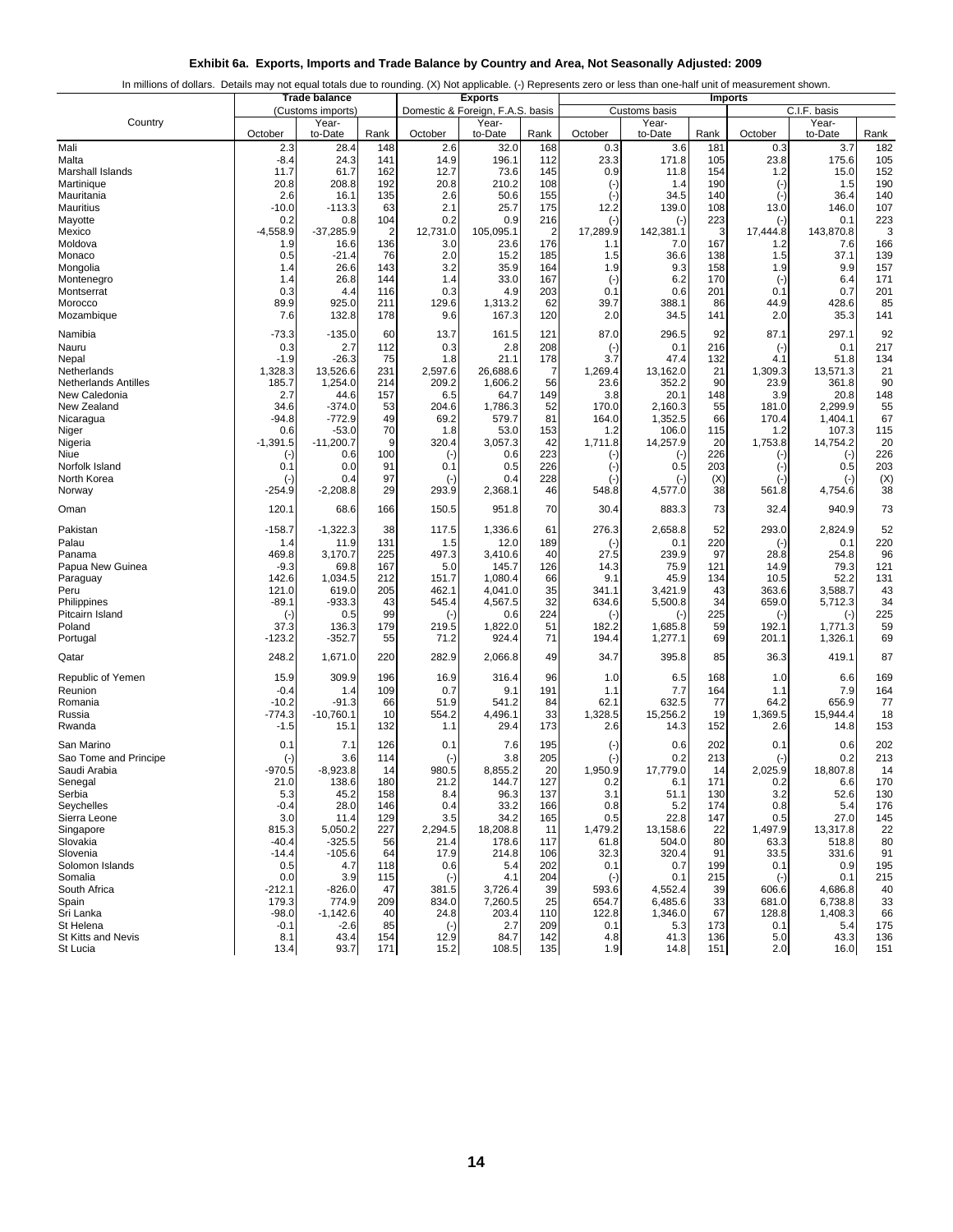|                                |                   | <b>Trade balance</b> |                | <b>Exports</b>                   |                  |                | In millions of dollars. Details may not equal totals due to rounding. (X) Not applicable. (-) Represents zero or less than one-half unit of measurement shown.<br><b>Imports</b> |                      |              |                        |                      |            |
|--------------------------------|-------------------|----------------------|----------------|----------------------------------|------------------|----------------|----------------------------------------------------------------------------------------------------------------------------------------------------------------------------------|----------------------|--------------|------------------------|----------------------|------------|
|                                |                   | (Customs imports)    |                | Domestic & Foreign, F.A.S. basis |                  | Customs basis  |                                                                                                                                                                                  |                      | C.I.F. basis |                        |                      |            |
| Country                        | October           | Year-<br>to-Date     | Rank           | October                          | Year-<br>to-Date | Rank           | October                                                                                                                                                                          | Year-<br>to-Date     | Rank         | October                | Year-<br>to-Date     | Rank       |
| Mali                           | 2.3               | 28.4                 | 148            | 2.6                              | 32.0             | 168            | 0.3                                                                                                                                                                              | 3.6                  | 181          | 0.3                    | 3.7                  | 182        |
| Malta                          | $-8.4$            | 24.3                 | 141            | 14.9                             | 196.1            | 112            | 23.3                                                                                                                                                                             | 171.8                | 105          | 23.8                   | 175.6                | 105        |
| Marshall Islands<br>Martinique | 11.7<br>20.8      | 61.7<br>208.8        | 162<br>192     | 12.7<br>20.8                     | 73.6<br>210.2    | 145<br>108     | 0.9                                                                                                                                                                              | 11.8<br>1.4          | 154<br>190   | 1.2                    | 15.0<br>1.5          | 152<br>190 |
| Mauritania                     | 2.6               | 16.1                 | 135            | 2.6                              | 50.6             | 155            | $(-)$<br>$(-)$                                                                                                                                                                   | 34.5                 | 140          | $(\cdot)$<br>$(\cdot)$ | 36.4                 | 140        |
| <b>Mauritius</b>               | $-10.0$           | $-113.3$             | 63             | 2.1                              | 25.7             | 175            | 12.2                                                                                                                                                                             | 139.0                | 108          | 13.0                   | 146.0                | 107        |
| Mayotte                        | 0.2               | 0.8                  | 104            | 0.2                              | 0.9              | 216            | $(-)$                                                                                                                                                                            | $(\cdot)$            | 223          | $(\cdot)$              | 0.1                  | 223        |
| Mexico                         | $-4,558.9$        | $-37,285.9$          | $\overline{2}$ | 12,731.0                         | 105,095.1        | $\overline{2}$ | 17,289.9                                                                                                                                                                         | 142,381.1            | 3            | 17,444.8               | 143,870.8            | 3          |
| Moldova                        | 1.9               | 16.6                 | 136            | 3.0                              | 23.6             | 176            | 1.1                                                                                                                                                                              | 7.0                  | 167          | 1.2                    | 7.6                  | 166        |
| Monaco                         | 0.5               | $-21.4$              | 76             | 2.0                              | 15.2             | 185            | 1.5                                                                                                                                                                              | 36.6                 | 138          | 1.5                    | 37.1                 | 139        |
| Mongolia<br>Montenegro         | 1.4<br>1.4        | 26.6<br>26.8         | 143<br>144     | 3.2<br>1.4                       | 35.9<br>33.0     | 164<br>167     | 1.9                                                                                                                                                                              | 9.3<br>6.2           | 158<br>170   | 1.9                    | 9.9<br>6.4           | 157<br>171 |
| Montserrat                     | 0.3               | 4.4                  | 116            | 0.3                              | 4.9              | 203            | $(\cdot)$<br>0.1                                                                                                                                                                 | 0.6                  | 201          | $(\cdot)$<br>0.1       | 0.7                  | 201        |
| Morocco                        | 89.9              | 925.0                | 211            | 129.6                            | 1,313.2          | 62             | 39.7                                                                                                                                                                             | 388.1                | 86           | 44.9                   | 428.6                | 85         |
| Mozambique                     | 7.6               | 132.8                | 178            | 9.6                              | 167.3            | 120            | 2.0                                                                                                                                                                              | 34.5                 | 141          | 2.0                    | 35.3                 | 141        |
| Namibia                        | $-73.3$           | $-135.0$             | 60             | 13.7                             | 161.5            | 121            | 87.0                                                                                                                                                                             | 296.5                | 92           | 87.1                   | 297.1                | 92         |
| Nauru                          | 0.3               | 2.7                  | 112            | 0.3                              | 2.8              | 208            | $(\cdot)$                                                                                                                                                                        | 0.1                  | 216          | $(\cdot)$              | 0.1                  | 217        |
| Nepal                          | $-1.9$            | $-26.3$              | 75             | 1.8                              | 21.1             | 178            | 3.7                                                                                                                                                                              | 47.4                 | 132          | 4.1                    | 51.8                 | 134        |
| Netherlands                    | 1,328.3           | 13,526.6             | 231            | 2,597.6                          | 26,688.6         | $\overline{7}$ | 1,269.4                                                                                                                                                                          | 13,162.0             | 21           | 1,309.3                | 13,571.3             | 21         |
| <b>Netherlands Antilles</b>    | 185.7             | 1,254.0              | 214            | 209.2                            | 1,606.2          | 56             | 23.6                                                                                                                                                                             | 352.2                | 90           | 23.9                   | 361.8                | 90         |
| New Caledonia<br>New Zealand   | 2.7<br>34.6       | 44.6<br>$-374.0$     | 157<br>53      | 6.5<br>204.6                     | 64.7<br>1,786.3  | 149<br>52      | 3.8<br>170.0                                                                                                                                                                     | 20.1<br>2,160.3      | 148<br>55    | 3.9<br>181.0           | 20.8<br>2,299.9      | 148<br>55  |
| Nicaragua                      | -94.8             | $-772.9$             | 49             | 69.2                             | 579.7            | 81             | 164.0                                                                                                                                                                            | 1,352.5              | 66           | 170.4                  | 1,404.1              | 67         |
| Niger                          | 0.6               | $-53.0$              | 70             | 1.8                              | 53.0             | 153            | 1.2                                                                                                                                                                              | 106.0                | 115          | 1.2                    | 107.3                | 115        |
| Nigeria                        | $-1,391.5$        | $-11,200.7$          | 9              | 320.4                            | 3,057.3          | 42             | 1,711.8                                                                                                                                                                          | 14,257.9             | 20           | 1,753.8                | 14,754.2             | 20         |
| Niue                           | $(-)$             | 0.6                  | 100            | $(\cdot)$                        | 0.6              | 223            | $(\cdot)$                                                                                                                                                                        | $(\cdot)$            | 226          | $(\cdot)$              | $(\cdot)$            | 226        |
| Norfolk Island                 | 0.1               | 0.0                  | 91             | 0.1                              | 0.5              | 226            | $(-)$                                                                                                                                                                            | 0.5                  | 203          | $(\cdot)$              | 0.5                  | 203        |
| North Korea                    | $(-)$<br>-254.9   | 0.4<br>$-2,208.8$    | 97<br>29       | $(\cdot)$<br>293.9               | 0.4<br>2,368.1   | 228<br>46      | $(-)$<br>548.8                                                                                                                                                                   | $(\cdot)$<br>4,577.0 | (X)<br>38    | $(\cdot)$<br>561.8     | $(\cdot)$<br>4,754.6 | (X)<br>38  |
| Norway                         |                   |                      |                |                                  |                  |                |                                                                                                                                                                                  |                      |              |                        |                      |            |
| Oman                           | 120.1             | 68.6                 | 166            | 150.5                            | 951.8            | 70             | 30.4                                                                                                                                                                             | 883.3                | 73           | 32.4                   | 940.9                | 73         |
| Pakistan                       | -158.7            | $-1,322.3$           | 38             | 117.5                            | 1,336.6          | 61             | 276.3                                                                                                                                                                            | 2,658.8              | 52           | 293.0                  | 2,824.9              | 52         |
| Palau                          | 1.4<br>469.8      | 11.9                 | 131<br>225     | 1.5                              | 12.0             | 189            | $(-)$<br>27.5                                                                                                                                                                    | 0.1<br>239.9         | 220<br>97    | $(\cdot)$              | 0.1                  | 220        |
| Panama<br>Papua New Guinea     | $-9.3$            | 3,170.7<br>69.8      | 167            | 497.3<br>5.0                     | 3,410.6<br>145.7 | 40<br>126      | 14.3                                                                                                                                                                             | 75.9                 | 121          | 28.8<br>14.9           | 254.8<br>79.3        | 96<br>121  |
| Paraguay                       | 142.6             | 1,034.5              | 212            | 151.7                            | 1,080.4          | 66             | 9.1                                                                                                                                                                              | 45.9                 | 134          | 10.5                   | 52.2                 | 131        |
| Peru                           | 121.0             | 619.0                | 205            | 462.1                            | 4,041.0          | 35             | 341.1                                                                                                                                                                            | 3,421.9              | 43           | 363.6                  | 3,588.7              | 43         |
| Philippines                    | $-89.1$           | $-933.3$             | 43             | 545.4                            | 4,567.5          | 32             | 634.6                                                                                                                                                                            | 5,500.8              | 34           | 659.0                  | 5,712.3              | 34         |
| Pitcairn Island                | $(-)$             | 0.5                  | 99             | $(\cdot)$                        | 0.6              | 224            | $(-)$                                                                                                                                                                            | $(\cdot)$            | 225          | $(\cdot)$              | $(\cdot)$            | 225        |
| Poland                         | 37.3              | 136.3                | 179            | 219.5                            | 1,822.0          | 51<br>71       | 182.2                                                                                                                                                                            | 1,685.8              | 59<br>69     | 192.1                  | 1,771.3              | 59<br>69   |
| Portugal                       | -123.2            | $-352.7$             | 55             | 71.2                             | 924.4            |                | 194.4                                                                                                                                                                            | 1,277.1              |              | 201.1                  | 1,326.1              |            |
| Qatar                          | 248.2             | 1,671.0              | 220            | 282.9                            | 2,066.8          | 49             | 34.7                                                                                                                                                                             | 395.8                | 85           | 36.3                   | 419.1                | 87         |
| Republic of Yemen              | 15.9              | 309.9                | 196            | 16.9                             | 316.4            | 96             | 1.0                                                                                                                                                                              | 6.5                  | 168          | 1.0                    | 6.6                  | 169        |
| Reunion<br>Romania             | $-0.4$<br>$-10.2$ | 1.4<br>$-91.3$       | 109<br>66      | 0.7<br>51.9                      | 9.1<br>541.2     | 191<br>84      | 1.1<br>62.1                                                                                                                                                                      | 7.7<br>632.5         | 164<br>77    | 1.1<br>64.2            | 7.9<br>656.9         | 164<br>77  |
| Russia                         | -774.3            | $-10,760.1$          | 10             | 554.2                            | 4,496.1          | 33             | 1,328.5                                                                                                                                                                          | 15,256.2             | 19           | 1,369.5                | 15,944.4             | 18         |
| Rwanda                         | $-1.5$            | 15.1                 | 132            | 1.1                              | 29.4             | 173            | 2.6                                                                                                                                                                              | 14.3                 | 152          | 2.6                    | 14.8                 | 153        |
| San Marino                     | 0.1               | 7.1                  | 126            | 0.1                              | 7.6              | 195            | $(\cdot)$                                                                                                                                                                        | 0.6                  | 202          | 0.1                    | 0.6                  | 202        |
| Sao Tome and Principe          | $(\cdot)$         | 3.6                  | 114            | $(\cdot)$                        | 3.8              | 205            | $(\cdot)$                                                                                                                                                                        | 0.2                  | 213          | $(\cdot)$              | 0.2                  | 213        |
| Saudi Arabia                   | $-970.5$          | $-8,923.8$           | 14             | 980.5                            | 8,855.2          | 20             | 1,950.9                                                                                                                                                                          | 17,779.0             | 14           | 2,025.9                | 18,807.8             | 14         |
| Senegal                        | 21.0              | 138.6                | 180            | 21.2                             | 144.7            | 127            | 0.2                                                                                                                                                                              | 6.1                  | 171          | 0.2                    | 6.6                  | 170        |
| Serbia                         | 5.3               | 45.2                 | 158            | 8.4                              | 96.3             | 137            | 3.1                                                                                                                                                                              | 51.1                 | 130          | 3.2                    | 52.6                 | 130        |
| Seychelles                     | $-0.4$            | 28.0                 | 146            | 0.4                              | 33.2             | 166            | 0.8                                                                                                                                                                              | 5.2                  | 174          | 0.8                    | 5.4                  | 176        |
| Sierra Leone<br>Singapore      | 3.0<br>815.3      | 11.4<br>5,050.2      | 129<br>227     | 3.5<br>2,294.5                   | 34.2<br>18,208.8 | 165<br>11      | 0.5<br>1,479.2                                                                                                                                                                   | 22.8<br>13,158.6     | 147<br>22    | 0.5<br>1,497.9         | 27.0<br>13,317.8     | 145<br>22  |
| Slovakia                       | $-40.4$           | $-325.5$             | 56             | 21.4                             | 178.6            | 117            | 61.8                                                                                                                                                                             | 504.0                | 80           | 63.3                   | 518.8                | 80         |
| Slovenia                       | $-14.4$           | $-105.6$             | 64             | 17.9                             | 214.8            | 106            | 32.3                                                                                                                                                                             | 320.4                | 91           | 33.5                   | 331.6                | 91         |
| Solomon Islands                | 0.5               | 4.7                  | 118            | 0.6                              | 5.4              | 202            | 0.1                                                                                                                                                                              | 0.7                  | 199          | 0.1                    | 0.9                  | 195        |
| Somalia                        | 0.0               | 3.9                  | 115            | $(-)$                            | 4.1              | 204            | $(-)$                                                                                                                                                                            | 0.1                  | 215          | $(\cdot)$              | 0.1                  | 215        |
| South Africa                   | -212.1            | $-826.0$             | 47             | 381.5                            | 3,726.4          | 39             | 593.6                                                                                                                                                                            | 4,552.4              | 39           | 606.6                  | 4,686.8              | 40         |
| Spain                          | 179.3             | 774.9                | 209            | 834.0                            | 7,260.5          | 25             | 654.7                                                                                                                                                                            | 6,485.6              | 33<br>67     | 681.0                  | 6,738.8<br>1,408.3   | 33         |
| Sri Lanka<br>St Helena         | $-98.0$<br>$-0.1$ | $-1,142.6$<br>$-2.6$ | 40<br>85       | 24.8<br>$(\cdot)$                | 203.4<br>2.7     | 110<br>209     | 122.8<br>0.1                                                                                                                                                                     | 1,346.0<br>5.3       | 173          | 128.8<br>0.1           | 5.4                  | 66<br>175  |
| <b>St Kitts and Nevis</b>      | 8.1               | 43.4                 | 154            | 12.9                             | 84.7             | 142            | 4.8                                                                                                                                                                              | 41.3                 | 136          | 5.0                    | 43.3                 | 136        |
| St Lucia                       | 13.4              | 93.7                 | 171            | 15.2                             | 108.5            | 135            | 1.9                                                                                                                                                                              | 14.8                 | 151          | 2.0                    | 16.0                 | 151        |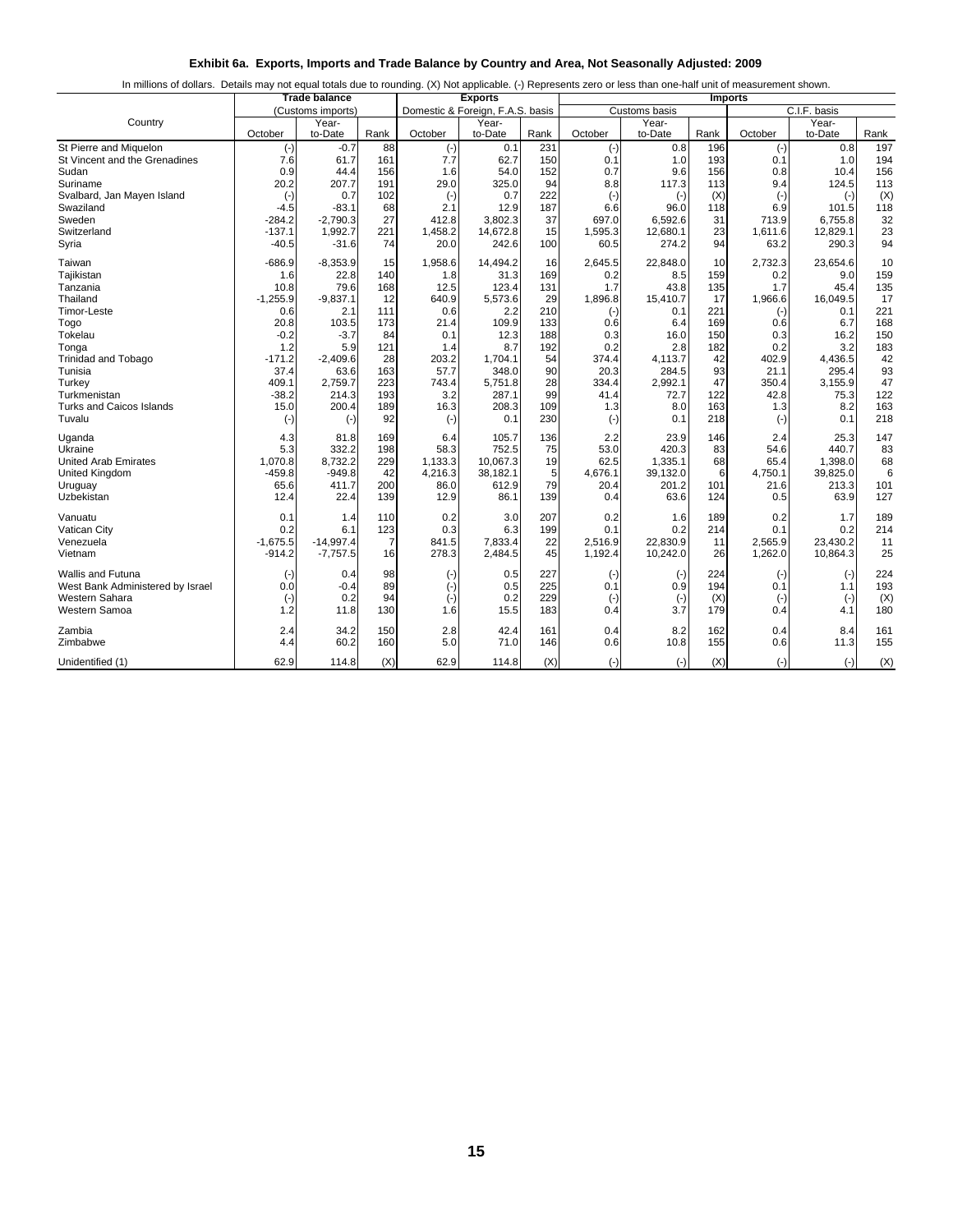|  |  |  | Exhibit 6a. Exports, Imports and Trade Balance by Country and Area, Not Seasonally Adjusted: 2009 |  |  |
|--|--|--|---------------------------------------------------------------------------------------------------|--|--|
|  |  |  |                                                                                                   |  |  |

|                                    | <b>Trade balance</b> |                   |                 |              | <b>Exports</b>                   |          | In millions of dollars. Details may not equal totals due to rounding. (X) Not applicable. (-) Represents zero or less than one-half unit of measurement shown.<br><b>Imports</b> |                  |           |               |                  |           |
|------------------------------------|----------------------|-------------------|-----------------|--------------|----------------------------------|----------|----------------------------------------------------------------------------------------------------------------------------------------------------------------------------------|------------------|-----------|---------------|------------------|-----------|
|                                    |                      | (Customs imports) |                 |              | Domestic & Foreign, F.A.S. basis |          |                                                                                                                                                                                  | Customs basis    |           |               | C.I.F. basis     |           |
| Country                            | October              | Year-<br>to-Date  | Rank            | October      | Year-<br>to-Date                 | Rank     | October                                                                                                                                                                          | Year-<br>to-Date | Rank      | October       | Year-<br>to-Date | Rank      |
| St Pierre and Miquelon             | $(-)$                | $-0.7$            | 88              | $(\cdot)$    | 0.1                              | 231      | $(\cdot)$                                                                                                                                                                        | 0.8              | 196       | $(\cdot)$     | 0.8              | 197       |
| St Vincent and the Grenadines      | 7.6                  | 61.7              | 161             | 7.7          | 62.7                             | 150      | 0.1                                                                                                                                                                              | 1.0              | 193       | 0.1           | 1.0              | 194       |
| Sudan                              | 0.9                  | 44.4              | 156             | 1.6          | 54.0                             | 152      | 0.7                                                                                                                                                                              | 9.6              | 156       | 0.8           | 10.4             | 156       |
| Suriname                           | 20.2                 | 207.7             | 191             | 29.0         | 325.0                            | 94       | 8.8                                                                                                                                                                              | 117.3            | 113       | 9.4           | 124.5            | 113       |
| Svalbard, Jan Mayen Island         | $(\cdot)$            | 0.7               | 102             | $(\cdot)$    | 0.7                              | 222      | $(-)$                                                                                                                                                                            | $(-)$            | (X)       | $(\cdot)$     | $(\cdot)$        | (X)       |
| Swaziland                          | $-4.5$               | $-83.1$           | 68              | 2.1          | 12.9                             | 187      | 6.6                                                                                                                                                                              | 96.0             | 118       | 6.9           | 101.5            | 118       |
| Sweden                             | -284.2               | -2,790.3          | 27              | 412.8        | 3.802.3                          | 37       | 697.0                                                                                                                                                                            | 6,592.6          | 31        | 713.9         | 6,755.8          | 32        |
| Switzerland                        | $-137.1$             | 1,992.7           | 221             | 1,458.2      | 14,672.8                         | 15       | 1,595.3                                                                                                                                                                          | 12,680.1         | 23        | 1,611.6       | 12,829.1         | 23        |
| Syria                              | $-40.5$              | $-31.6$           | 74              | 20.0         | 242.6                            | 100      | 60.5                                                                                                                                                                             | 274.2            | 94        | 63.2          | 290.3            | 94        |
| Taiwan                             | $-686.9$             | $-8,353.9$        | 15              | 1,958.6      | 14,494.2                         | 16       | 2.645.5                                                                                                                                                                          | 22,848.0         | 10        | 2,732.3       | 23,654.6         | 10        |
| Tajikistan                         | 1.6                  | 22.8              | 140             | 1.8          | 31.3                             | 169      | 0.2                                                                                                                                                                              | 8.5              | 159       | 0.2           | 9.0              | 159       |
| Tanzania                           | 10.8                 | 79.6              | 168             | 12.5         | 123.4                            | 131      | 1.7                                                                                                                                                                              | 43.8             | 135       | 1.7           | 45.4             | 135       |
| Thailand                           | $-1,255.9$           | $-9,837.1$        | 12              | 640.9        | 5,573.6                          | 29       | 1,896.8                                                                                                                                                                          | 15,410.7         | 17        | 1,966.6       | 16,049.5         | 17        |
| Timor-Leste                        | 0.6                  | 2.1               | 111             | 0.6          | 2.2                              | 210      | $(\cdot)$                                                                                                                                                                        | 0.1              | 221       | $(-)$         | 0.1              | 221       |
| Togo                               | 20.8                 | 103.5             | 173             | 21.4         | 109.9                            | 133      | 0.6                                                                                                                                                                              | 6.4              | 169       | 0.6           | 6.7              | 168       |
| Tokelau                            | $-0.2$               | $-3.7$            | 84              | 0.1          | 12.3                             | 188      | 0.3                                                                                                                                                                              | 16.0             | 150       | 0.3           | 16.2             | 150       |
| Tonga                              | 1.2                  | 5.9               | 121             | 1.4          | 8.7                              | 192      | 0.2                                                                                                                                                                              | 2.8              | 182       | 0.2           | 3.2              | 183       |
| <b>Trinidad and Tobago</b>         | $-171.2$             | $-2,409.6$        | 28              | 203.2        | 1.704.1                          | 54<br>90 | 374.4                                                                                                                                                                            | 4,113.7          | 42<br>93  | 402.9<br>21.1 | 4,436.5          | 42        |
| Tunisia                            | 37.4                 | 63.6              | 163             | 57.7         | 348.0                            | 28       | 20.3                                                                                                                                                                             | 284.5            |           |               | 295.4            | 93        |
| Turkey<br>Turkmenistan             | 409.1<br>$-38.2$     | 2,759.7           | 223<br>193      | 743.4<br>3.2 | 5,751.8<br>287.1                 | 99       | 334.4<br>41.4                                                                                                                                                                    | 2,992.1          | 47<br>122 | 350.4<br>42.8 | 3,155.9<br>75.3  | 47<br>122 |
|                                    | 15.0                 | 214.3             |                 | 16.3         | 208.3                            | 109      |                                                                                                                                                                                  | 72.7             | 163       | 1.3           | 8.2              | 163       |
| Turks and Caicos Islands<br>Tuvalu |                      | 200.4             | 189<br>92       |              | 0.1                              | 230      | 1.3                                                                                                                                                                              | 8.0              | 218       |               | 0.1              | 218       |
|                                    | $(\cdot)$            | $(-)$             |                 | $(\cdot)$    |                                  |          | $(\cdot)$                                                                                                                                                                        | 0.1              |           | $(\cdot)$     |                  |           |
| Uganda                             | 4.3                  | 81.8              | 169             | 6.4          | 105.7                            | 136      | 2.2                                                                                                                                                                              | 23.9             | 146       | 2.4           | 25.3             | 147       |
| Ukraine                            | 5.3                  | 332.2             | 198             | 58.3         | 752.5                            | 75       | 53.0                                                                                                                                                                             | 420.3            | 83        | 54.6          | 440.7            | 83        |
| <b>United Arab Emirates</b>        | 1,070.8              | 8,732.2           | 229             | 1,133.3      | 10,067.3                         | 19       | 62.5                                                                                                                                                                             | 1,335.1          | 68        | 65.4          | 1,398.0          | 68        |
| United Kingdom                     | $-459.8$             | $-949.8$          | 42              | 4,216.3      | 38.182.1                         | 5        | 4,676.1                                                                                                                                                                          | 39,132.0         | 6         | 4,750.1       | 39,825.0         | 6         |
| Uruguay                            | 65.6                 | 411.7             | 200             | 86.0         | 612.9                            | 79       | 20.4                                                                                                                                                                             | 201.2            | 101       | 21.6          | 213.3            | 101       |
| Uzbekistan                         | 12.4                 | 22.4              | 139             | 12.9         | 86.1                             | 139      | 0.4                                                                                                                                                                              | 63.6             | 124       | 0.5           | 63.9             | 127       |
| Vanuatu                            | 0.1                  | 1.4               | 110             | 0.2          | 3.0                              | 207      | 0.2                                                                                                                                                                              | 1.6              | 189       | 0.2           | 1.7              | 189       |
| Vatican City                       | 0.2                  | 6.1               | 123             | 0.3          | 6.3                              | 199      | 0.1                                                                                                                                                                              | 0.2              | 214       | 0.1           | 0.2              | 214       |
| Venezuela                          | $-1,675.5$           | $-14,997.4$       | 7               | 841.5        | 7,833.4                          | 22       | 2,516.9                                                                                                                                                                          | 22,830.9         | 11        | 2,565.9       | 23,430.2         | 11        |
| Vietnam                            | $-914.2$             | $-7,757.5$        | 16 <sup>1</sup> | 278.3        | 2,484.5                          | 45       | 1,192.4                                                                                                                                                                          | 10,242.0         | 26        | 1,262.0       | 10,864.3         | 25        |
| <b>Wallis and Futuna</b>           | $(-)$                | 0.4               | 98              | $(\cdot)$    | 0.5                              | 227      | $(\cdot)$                                                                                                                                                                        | $(\cdot)$        | 224       | $(\cdot)$     | $(\cdot)$        | 224       |
| West Bank Administered by Israel   | 0.0                  | $-0.4$            | 89              | $(\cdot)$    | 0.5                              | 225      | 0.1                                                                                                                                                                              | 0.9              | 194       | 0.1           | 1.1              | 193       |
| Western Sahara                     | $(\cdot)$            | 0.2               | 94              | $(-)$        | 0.2                              | 229      | $(-)$                                                                                                                                                                            | $(-)$            | (X)       | $(-)$         | $(-)$            | (X)       |
| Western Samoa                      | 1.2                  | 11.8              | 130             | 1.6          | 15.5                             | 183      | 0.4                                                                                                                                                                              | 3.7              | 179       | 0.4           | 4.1              | 180       |
| Zambia                             | 2.4                  | 34.2              | 150             | 2.8          | 42.4                             | 161      | 0.4                                                                                                                                                                              | 8.2              | 162       | 0.4           | 8.4              | 161       |
| Zimbabwe                           | 4.4                  | 60.2              | 160             | 5.0          | 71.0                             | 146      | 0.6                                                                                                                                                                              | 10.8             | 155       | 0.6           | 11.3             | 155       |
| Unidentified (1)                   | 62.9                 | 114.8             | (X)             | 62.9         | 114.8                            | (X)      | $(-)$                                                                                                                                                                            | $(-)$            | (X)       | $(-)$         | $(-)$            | (X)       |